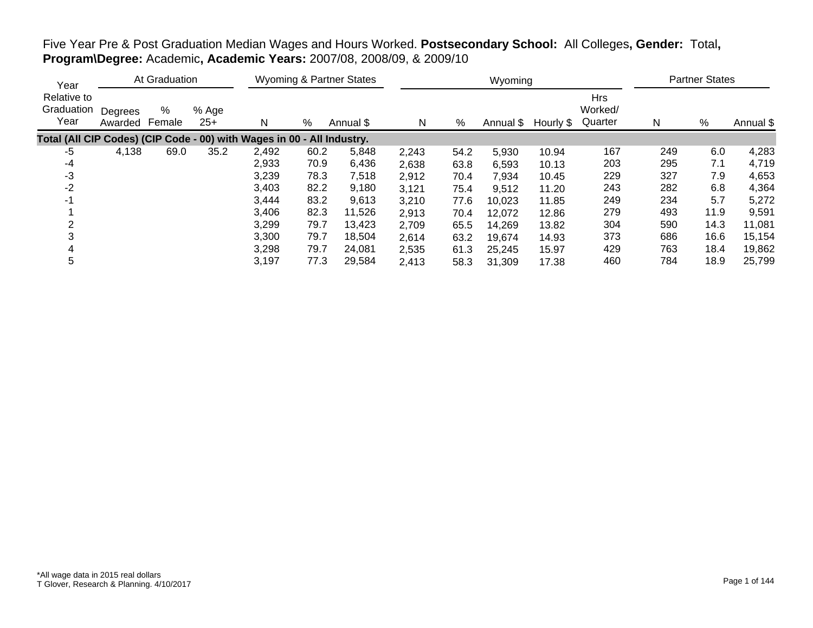|                                                                        | At Graduation<br>Year |             |                |       | Wyoming & Partner States |           |       |      | Wyoming             |       | <b>Partner States</b>            |     |      |           |
|------------------------------------------------------------------------|-----------------------|-------------|----------------|-------|--------------------------|-----------|-------|------|---------------------|-------|----------------------------------|-----|------|-----------|
| Relative to<br>Graduation<br>Year                                      | Degrees<br>Awarded    | %<br>Female | % Age<br>$25+$ | N     | %                        | Annual \$ | N     | %    | Annual \$ Hourly \$ |       | <b>Hrs</b><br>Worked/<br>Quarter | N   | %    | Annual \$ |
| Total (All CIP Codes) (CIP Code - 00) with Wages in 00 - All Industry. |                       |             |                |       |                          |           |       |      |                     |       |                                  |     |      |           |
| -5                                                                     | 4,138                 | 69.0        | 35.2           | 2,492 | 60.2                     | 5,848     | 2,243 | 54.2 | 5,930               | 10.94 | 167                              | 249 | 6.0  | 4,283     |
| $-4$                                                                   |                       |             |                | 2,933 | 70.9                     | 6,436     | 2,638 | 63.8 | 6,593               | 10.13 | 203                              | 295 | 7.1  | 4,719     |
| -3                                                                     |                       |             |                | 3,239 | 78.3                     | 7,518     | 2,912 | 70.4 | 7,934               | 10.45 | 229                              | 327 | 7.9  | 4,653     |
| $-2$                                                                   |                       |             |                | 3,403 | 82.2                     | 9,180     | 3,121 | 75.4 | 9,512               | 11.20 | 243                              | 282 | 6.8  | 4,364     |
| $-1$                                                                   |                       |             |                | 3,444 | 83.2                     | 9,613     | 3,210 | 77.6 | 10,023              | 11.85 | 249                              | 234 | 5.7  | 5,272     |
|                                                                        |                       |             |                | 3,406 | 82.3                     | 11,526    | 2,913 | 70.4 | 12,072              | 12.86 | 279                              | 493 | 11.9 | 9,591     |
| 2                                                                      |                       |             |                | 3,299 | 79.7                     | 13,423    | 2,709 | 65.5 | 14,269              | 13.82 | 304                              | 590 | 14.3 | 11,081    |
|                                                                        |                       |             |                | 3,300 | 79.7                     | 18,504    | 2,614 | 63.2 | 19,674              | 14.93 | 373                              | 686 | 16.6 | 15,154    |
| 4                                                                      |                       |             |                | 3,298 | 79.7                     | 24,081    | 2,535 | 61.3 | 25,245              | 15.97 | 429                              | 763 | 18.4 | 19,862    |
| 5                                                                      |                       |             |                | 3,197 | 77.3                     | 29,584    | 2,413 | 58.3 | 31,309              | 17.38 | 460                              | 784 | 18.9 | 25,799    |

# Five Year Pre & Post Graduation Median Wages and Hours Worked. **Postsecondary School:** All Colleges**, Gender:** Total**, Program\Degree:** Academic**, Academic Years:** 2007/08, 2008/09, & 2009/10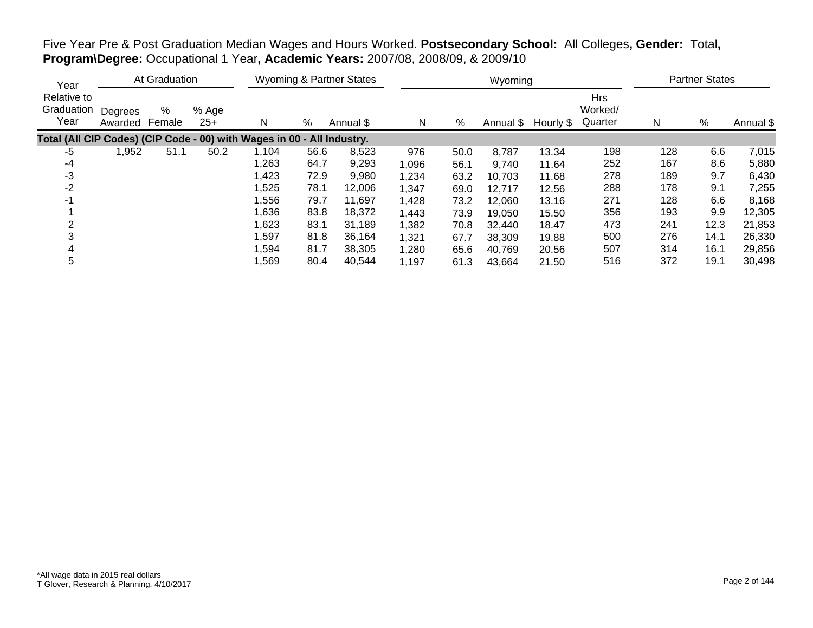| Five Year Pre & Post Graduation Median Wages and Hours Worked. Postsecondary School: All Colleges, Gender: Total, |  |  |  |
|-------------------------------------------------------------------------------------------------------------------|--|--|--|
| Program\Degree: Occupational 1 Year, Academic Years: 2007/08, 2008/09, & 2009/10                                  |  |  |  |

| Year                                                                   |                    | At Graduation |                |       | <b>Wyoming &amp; Partner States</b> |           |       | Wyoming |           |           |                                  |     | <b>Partner States</b> |           |  |  |
|------------------------------------------------------------------------|--------------------|---------------|----------------|-------|-------------------------------------|-----------|-------|---------|-----------|-----------|----------------------------------|-----|-----------------------|-----------|--|--|
| Relative to<br>Graduation<br>Year                                      | Degrees<br>Awarded | %<br>Female   | % Age<br>$25+$ | N     | %                                   | Annual \$ | N     | %       | Annual \$ | Hourly \$ | <b>Hrs</b><br>Worked/<br>Quarter | N   | $\%$                  | Annual \$ |  |  |
| Total (All CIP Codes) (CIP Code - 00) with Wages in 00 - All Industry. |                    |               |                |       |                                     |           |       |         |           |           |                                  |     |                       |           |  |  |
| -5                                                                     | ,952               | 51.1          | 50.2           | 1,104 | 56.6                                | 8,523     | 976   | 50.0    | 8,787     | 13.34     | 198                              | 128 | 6.6                   | 7,015     |  |  |
| -4                                                                     |                    |               |                | 1,263 | 64.7                                | 9,293     | 1,096 | 56.1    | 9,740     | 11.64     | 252                              | 167 | 8.6                   | 5,880     |  |  |
| -3                                                                     |                    |               |                | 1,423 | 72.9                                | 9,980     | 1,234 | 63.2    | 10,703    | 11.68     | 278                              | 189 | 9.7                   | 6,430     |  |  |
| -2                                                                     |                    |               |                | 1,525 | 78.1                                | 12,006    | 1,347 | 69.0    | 12,717    | 12.56     | 288                              | 178 | 9.1                   | 7,255     |  |  |
| $-1$                                                                   |                    |               |                | 1,556 | 79.7                                | 11,697    | 1,428 | 73.2    | 12,060    | 13.16     | 271                              | 128 | 6.6                   | 8,168     |  |  |
|                                                                        |                    |               |                | 1,636 | 83.8                                | 18,372    | 1,443 | 73.9    | 19,050    | 15.50     | 356                              | 193 | 9.9                   | 12,305    |  |  |
|                                                                        |                    |               |                | 1,623 | 83.1                                | 31,189    | 1,382 | 70.8    | 32,440    | 18.47     | 473                              | 241 | 12.3                  | 21,853    |  |  |
|                                                                        |                    |               |                | 1,597 | 81.8                                | 36,164    | 1,321 | 67.7    | 38,309    | 19.88     | 500                              | 276 | 14.1                  | 26,330    |  |  |
|                                                                        |                    |               |                | 1,594 | 81.7                                | 38,305    | 1,280 | 65.6    | 40,769    | 20.56     | 507                              | 314 | 16.1                  | 29,856    |  |  |
| 5                                                                      |                    |               |                | 1,569 | 80.4                                | 40,544    | 1,197 | 61.3    | 43,664    | 21.50     | 516                              | 372 | 19.1                  | 30,498    |  |  |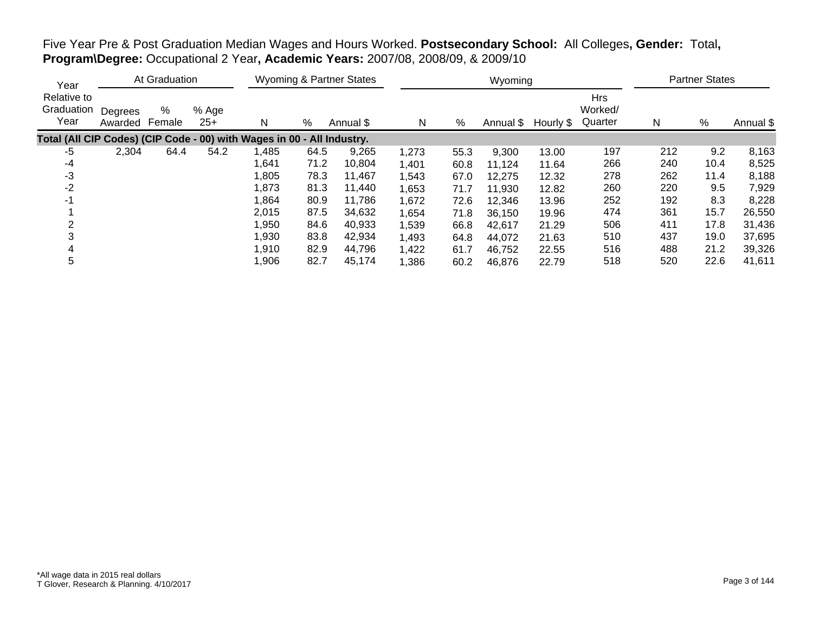| Five Year Pre & Post Graduation Median Wages and Hours Worked. Postsecondary School: All Colleges, Gender: Total, |  |
|-------------------------------------------------------------------------------------------------------------------|--|
| Program\Degree: Occupational 2 Year, Academic Years: 2007/08, 2008/09, & 2009/10                                  |  |

| Year                                                                   |                    | At Graduation |                |       | <b>Wyoming &amp; Partner States</b> |           |       | Wyoming |           |           |                                  |     | <b>Partner States</b> |           |  |  |
|------------------------------------------------------------------------|--------------------|---------------|----------------|-------|-------------------------------------|-----------|-------|---------|-----------|-----------|----------------------------------|-----|-----------------------|-----------|--|--|
| Relative to<br>Graduation<br>Year                                      | Degrees<br>Awarded | %<br>Female   | % Age<br>$25+$ | N     | %                                   | Annual \$ | N     | %       | Annual \$ | Hourly \$ | <b>Hrs</b><br>Worked/<br>Quarter | N   | %                     | Annual \$ |  |  |
| Total (All CIP Codes) (CIP Code - 00) with Wages in 00 - All Industry. |                    |               |                |       |                                     |           |       |         |           |           |                                  |     |                       |           |  |  |
| -5                                                                     | 2,304              | 64.4          | 54.2           | 1,485 | 64.5                                | 9,265     | 1,273 | 55.3    | 9,300     | 13.00     | 197                              | 212 | 9.2                   | 8,163     |  |  |
| -4                                                                     |                    |               |                | 641,  | 71.2                                | 10,804    | 1,401 | 60.8    | 11,124    | 11.64     | 266                              | 240 | 10.4                  | 8,525     |  |  |
| -3                                                                     |                    |               |                | 1,805 | 78.3                                | 11,467    | 1,543 | 67.0    | 12,275    | 12.32     | 278                              | 262 | 11.4                  | 8,188     |  |  |
| $-2$                                                                   |                    |               |                | 1,873 | 81.3                                | 11.440    | 1,653 | 71.7    | 11,930    | 12.82     | 260                              | 220 | 9.5                   | 7,929     |  |  |
|                                                                        |                    |               |                | 1,864 | 80.9                                | 11,786    | 1,672 | 72.6    | 12,346    | 13.96     | 252                              | 192 | 8.3                   | 8,228     |  |  |
|                                                                        |                    |               |                | 2,015 | 87.5                                | 34,632    | 1,654 | 71.8    | 36,150    | 19.96     | 474                              | 361 | 15.7                  | 26,550    |  |  |
|                                                                        |                    |               |                | 1,950 | 84.6                                | 40,933    | 1,539 | 66.8    | 42.617    | 21.29     | 506                              | 411 | 17.8                  | 31,436    |  |  |
|                                                                        |                    |               |                | 1,930 | 83.8                                | 42,934    | 1,493 | 64.8    | 44,072    | 21.63     | 510                              | 437 | 19.0                  | 37,695    |  |  |
|                                                                        |                    |               |                | 1,910 | 82.9                                | 44,796    | 1,422 | 61.7    | 46,752    | 22.55     | 516                              | 488 | 21.2                  | 39,326    |  |  |
| 5                                                                      |                    |               |                | 1,906 | 82.7                                | 45,174    | 1,386 | 60.2    | 46,876    | 22.79     | 518                              | 520 | 22.6                  | 41,611    |  |  |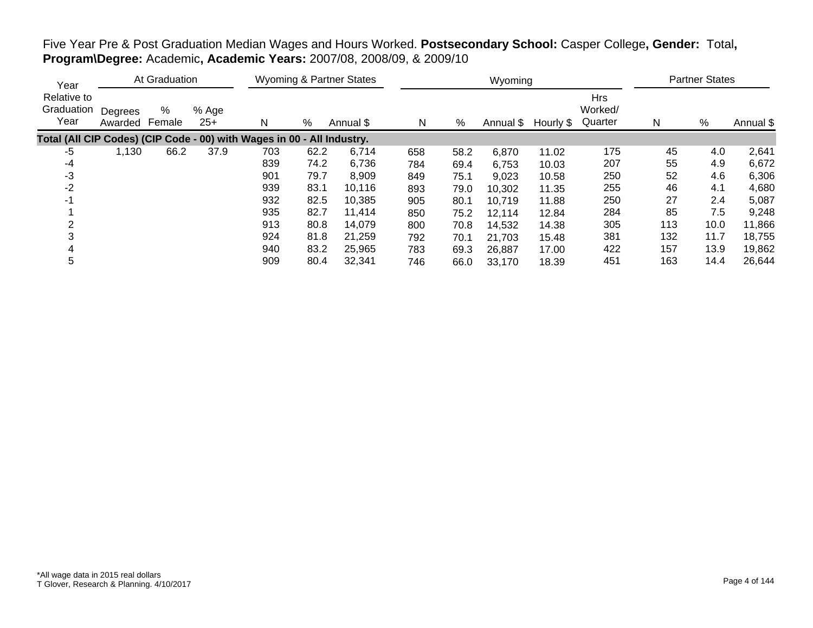|                                                                        | At Graduation<br>Year |             |                |     | Wyoming & Partner States |           |     |      | Wyoming |                     | <b>Partner States</b>            |     |      |           |
|------------------------------------------------------------------------|-----------------------|-------------|----------------|-----|--------------------------|-----------|-----|------|---------|---------------------|----------------------------------|-----|------|-----------|
| Relative to<br>Graduation<br>Year                                      | Degrees<br>Awarded    | %<br>Female | % Age<br>$25+$ | N   | %                        | Annual \$ | N   | %    |         | Annual \$ Hourly \$ | <b>Hrs</b><br>Worked/<br>Quarter | N   | %    | Annual \$ |
| Total (All CIP Codes) (CIP Code - 00) with Wages in 00 - All Industry. |                       |             |                |     |                          |           |     |      |         |                     |                                  |     |      |           |
| -5                                                                     | 1,130                 | 66.2        | 37.9           | 703 | 62.2                     | 6,714     | 658 | 58.2 | 6,870   | 11.02               | 175                              | 45  | 4.0  | 2,641     |
| -4                                                                     |                       |             |                | 839 | 74.2                     | 6,736     | 784 | 69.4 | 6,753   | 10.03               | 207                              | 55  | 4.9  | 6,672     |
| -3                                                                     |                       |             |                | 901 | 79.7                     | 8,909     | 849 | 75.1 | 9,023   | 10.58               | 250                              | 52  | 4.6  | 6,306     |
| $-2$                                                                   |                       |             |                | 939 | 83.1                     | 10,116    | 893 | 79.0 | 10,302  | 11.35               | 255                              | 46  | 4.1  | 4,680     |
| -1                                                                     |                       |             |                | 932 | 82.5                     | 10,385    | 905 | 80.1 | 10,719  | 11.88               | 250                              | 27  | 2.4  | 5,087     |
|                                                                        |                       |             |                | 935 | 82.7                     | 11,414    | 850 | 75.2 | 12,114  | 12.84               | 284                              | 85  | 7.5  | 9,248     |
|                                                                        |                       |             |                | 913 | 80.8                     | 14,079    | 800 | 70.8 | 14,532  | 14.38               | 305                              | 113 | 10.0 | 11,866    |
|                                                                        |                       |             |                | 924 | 81.8                     | 21,259    | 792 | 70.1 | 21,703  | 15.48               | 381                              | 132 | 11.7 | 18,755    |
|                                                                        |                       |             |                | 940 | 83.2                     | 25,965    | 783 | 69.3 | 26,887  | 17.00               | 422                              | 157 | 13.9 | 19,862    |
| 5                                                                      |                       |             |                | 909 | 80.4                     | 32,341    | 746 | 66.0 | 33,170  | 18.39               | 451                              | 163 | 14.4 | 26,644    |

# Five Year Pre & Post Graduation Median Wages and Hours Worked. **Postsecondary School:** Casper College**, Gender:** Total**, Program\Degree:** Academic**, Academic Years:** 2007/08, 2008/09, & 2009/10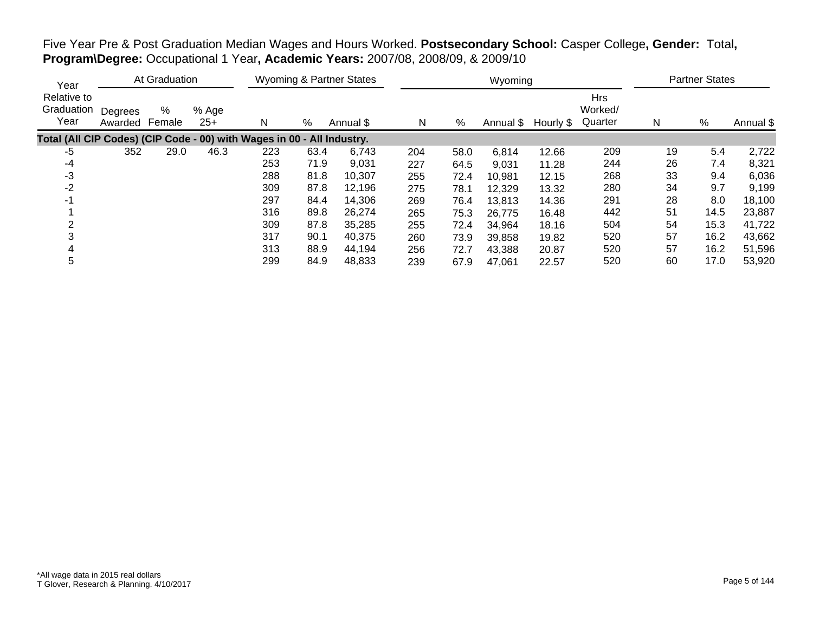| Year                                                                   | At Graduation      |             |                |     |      | <b>Wyoming &amp; Partner States</b> |     |      | Wyoming   |           | <b>Partner States</b>            |    |      |           |
|------------------------------------------------------------------------|--------------------|-------------|----------------|-----|------|-------------------------------------|-----|------|-----------|-----------|----------------------------------|----|------|-----------|
| Relative to<br>Graduation<br>Year                                      | Degrees<br>Awarded | %<br>Female | % Age<br>$25+$ | N   | %    | Annual \$                           | N   | %    | Annual \$ | Hourly \$ | <b>Hrs</b><br>Worked/<br>Quarter | N  | %    | Annual \$ |
| Total (All CIP Codes) (CIP Code - 00) with Wages in 00 - All Industry. |                    |             |                |     |      |                                     |     |      |           |           |                                  |    |      |           |
| -5                                                                     | 352                | 29.0        | 46.3           | 223 | 63.4 | 6,743                               | 204 | 58.0 | 6,814     | 12.66     | 209                              | 19 | 5.4  | 2,722     |
| -4                                                                     |                    |             |                | 253 | 71.9 | 9,031                               | 227 | 64.5 | 9,031     | 11.28     | 244                              | 26 | 7.4  | 8,321     |
| $-3$                                                                   |                    |             |                | 288 | 81.8 | 10,307                              | 255 | 72.4 | 10,981    | 12.15     | 268                              | 33 | 9.4  | 6,036     |
| $-2$                                                                   |                    |             |                | 309 | 87.8 | 12,196                              | 275 | 78.1 | 12,329    | 13.32     | 280                              | 34 | 9.7  | 9,199     |
| -1                                                                     |                    |             |                | 297 | 84.4 | 14,306                              | 269 | 76.4 | 13,813    | 14.36     | 291                              | 28 | 8.0  | 18,100    |
|                                                                        |                    |             |                | 316 | 89.8 | 26,274                              | 265 | 75.3 | 26,775    | 16.48     | 442                              | 51 | 14.5 | 23,887    |
| 2                                                                      |                    |             |                | 309 | 87.8 | 35,285                              | 255 | 72.4 | 34,964    | 18.16     | 504                              | 54 | 15.3 | 41,722    |
|                                                                        |                    |             |                | 317 | 90.1 | 40,375                              | 260 | 73.9 | 39,858    | 19.82     | 520                              | 57 | 16.2 | 43,662    |
| 4                                                                      |                    |             |                | 313 | 88.9 | 44,194                              | 256 | 72.7 | 43,388    | 20.87     | 520                              | 57 | 16.2 | 51,596    |
| 5                                                                      |                    |             |                | 299 | 84.9 | 48,833                              | 239 | 67.9 | 47,061    | 22.57     | 520                              | 60 | 17.0 | 53,920    |

Five Year Pre & Post Graduation Median Wages and Hours Worked. **Postsecondary School:** Casper College**, Gender:** Total**, Program\Degree:** Occupational 1 Year**, Academic Years:** 2007/08, 2008/09, & 2009/10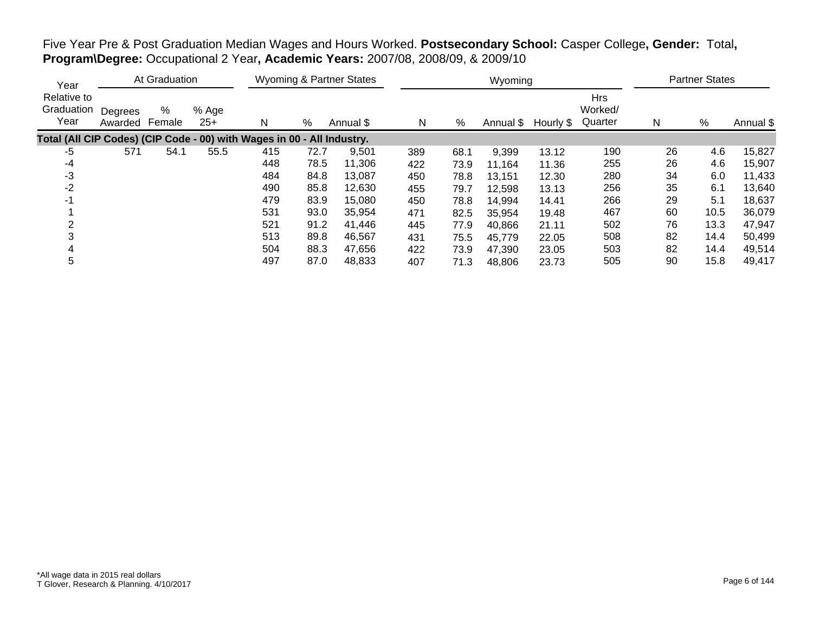| Year                                                                   |                    | At Graduation |                |     | Wyoming & Partner States |           |     | Wyoming | <b>Partner States</b> |           |                                  |    |      |           |
|------------------------------------------------------------------------|--------------------|---------------|----------------|-----|--------------------------|-----------|-----|---------|-----------------------|-----------|----------------------------------|----|------|-----------|
| Relative to<br>Graduation<br>Year                                      | Degrees<br>Awarded | %<br>Female   | % Age<br>$25+$ | N   | %                        | Annual \$ | N   | $\%$    | Annual \$             | Hourly \$ | <b>Hrs</b><br>Worked/<br>Quarter | Ν  | %    | Annual \$ |
| Total (All CIP Codes) (CIP Code - 00) with Wages in 00 - All Industry. |                    |               |                |     |                          |           |     |         |                       |           |                                  |    |      |           |
| -5                                                                     | 571                | 54.1          | 55.5           | 415 | 72.7                     | 9,501     | 389 | 68.1    | 9,399                 | 13.12     | 190                              | 26 | 4.6  | 15,827    |
| $-4$                                                                   |                    |               |                | 448 | 78.5                     | 11,306    | 422 | 73.9    | 11,164                | 11.36     | 255                              | 26 | 4.6  | 15,907    |
| $-3$                                                                   |                    |               |                | 484 | 84.8                     | 13,087    | 450 | 78.8    | 13.151                | 12.30     | 280                              | 34 | 6.0  | 11,433    |
| -2                                                                     |                    |               |                | 490 | 85.8                     | 12,630    | 455 | 79.7    | 12,598                | 13.13     | 256                              | 35 | 6.1  | 13,640    |
| -1                                                                     |                    |               |                | 479 | 83.9                     | 15,080    | 450 | 78.8    | 14,994                | 14.41     | 266                              | 29 | 5.1  | 18,637    |
|                                                                        |                    |               |                | 531 | 93.0                     | 35,954    | 471 | 82.5    | 35,954                | 19.48     | 467                              | 60 | 10.5 | 36,079    |
| 2                                                                      |                    |               |                | 521 | 91.2                     | 41,446    | 445 | 77.9    | 40,866                | 21.11     | 502                              | 76 | 13.3 | 47,947    |
|                                                                        |                    |               |                | 513 | 89.8                     | 46,567    | 431 | 75.5    | 45,779                | 22.05     | 508                              | 82 | 14.4 | 50,499    |
|                                                                        |                    |               |                | 504 | 88.3                     | 47,656    | 422 | 73.9    | 47,390                | 23.05     | 503                              | 82 | 14.4 | 49,514    |
| 5                                                                      |                    |               |                | 497 | 87.0                     | 48,833    | 407 | 71.3    | 48,806                | 23.73     | 505                              | 90 | 15.8 | 49,417    |

Five Year Pre & Post Graduation Median Wages and Hours Worked. **Postsecondary School:** Casper College**, Gender:** Total**, Program\Degree:** Occupational 2 Year**, Academic Years:** 2007/08, 2008/09, & 2009/10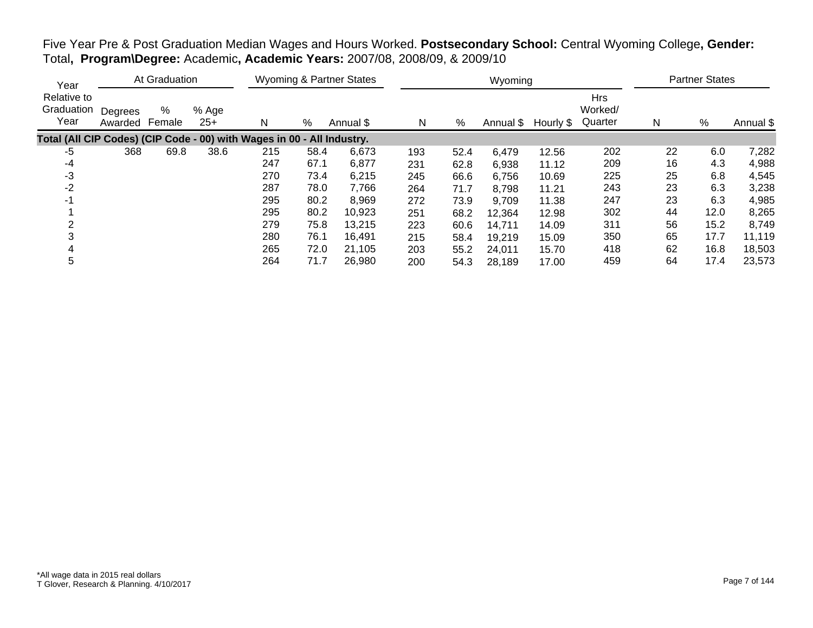| At Graduation<br>Year                                                  |                    |             |                |     |      | <b>Wyoming &amp; Partner States</b> |     |      | Wyoming |                     | <b>Partner States</b>            |    |      |           |
|------------------------------------------------------------------------|--------------------|-------------|----------------|-----|------|-------------------------------------|-----|------|---------|---------------------|----------------------------------|----|------|-----------|
| Relative to<br>Graduation<br>Year                                      | Degrees<br>Awarded | %<br>Female | % Age<br>$25+$ | N   | %    | Annual \$                           | N   | %    |         | Annual \$ Hourly \$ | <b>Hrs</b><br>Worked/<br>Quarter | N  | %    | Annual \$ |
| Total (All CIP Codes) (CIP Code - 00) with Wages in 00 - All Industry. |                    |             |                |     |      |                                     |     |      |         |                     |                                  |    |      |           |
| -5                                                                     | 368                | 69.8        | 38.6           | 215 | 58.4 | 6,673                               | 193 | 52.4 | 6,479   | 12.56               | 202                              | 22 | 6.0  | 7,282     |
| $-4$                                                                   |                    |             |                | 247 | 67.1 | 6,877                               | 231 | 62.8 | 6,938   | 11.12               | 209                              | 16 | 4.3  | 4,988     |
| $-3$                                                                   |                    |             |                | 270 | 73.4 | 6,215                               | 245 | 66.6 | 6,756   | 10.69               | 225                              | 25 | 6.8  | 4,545     |
| $-2$                                                                   |                    |             |                | 287 | 78.0 | 7,766                               | 264 | 71.7 | 8,798   | 11.21               | 243                              | 23 | 6.3  | 3,238     |
| -1                                                                     |                    |             |                | 295 | 80.2 | 8,969                               | 272 | 73.9 | 9,709   | 11.38               | 247                              | 23 | 6.3  | 4,985     |
|                                                                        |                    |             |                | 295 | 80.2 | 10,923                              | 251 | 68.2 | 12,364  | 12.98               | 302                              | 44 | 12.0 | 8,265     |
|                                                                        |                    |             |                | 279 | 75.8 | 13,215                              | 223 | 60.6 | 14,711  | 14.09               | 311                              | 56 | 15.2 | 8,749     |
|                                                                        |                    |             |                | 280 | 76.1 | 16,491                              | 215 | 58.4 | 19,219  | 15.09               | 350                              | 65 | 17.7 | 11,119    |
| 4                                                                      |                    |             |                | 265 | 72.0 | 21.105                              | 203 | 55.2 | 24,011  | 15.70               | 418                              | 62 | 16.8 | 18,503    |
| 5                                                                      |                    |             |                | 264 | 71.7 | 26,980                              | 200 | 54.3 | 28,189  | 17.00               | 459                              | 64 | 17.4 | 23,573    |

Five Year Pre & Post Graduation Median Wages and Hours Worked. **Postsecondary School:** Central Wyoming College**, Gender:** Total**, Program\Degree:** Academic**, Academic Years:** 2007/08, 2008/09, & 2009/10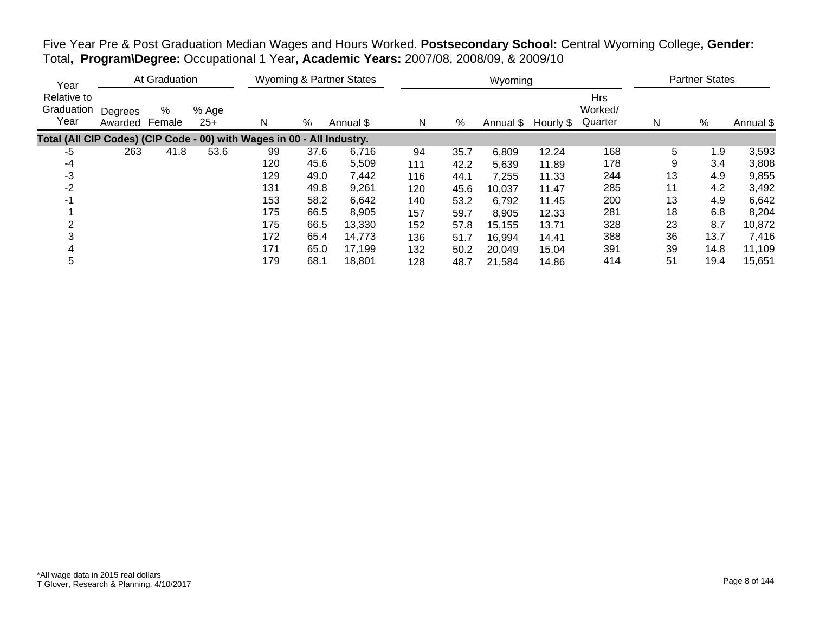| Five Year Pre & Post Graduation Median Wages and Hours Worked. Postsecondary School: Central Wyoming College, Gender: |  |
|-----------------------------------------------------------------------------------------------------------------------|--|
| Total, Program\Degree: Occupational 1 Year, Academic Years: 2007/08, 2008/09, & 2009/10                               |  |

| At Graduation<br>Year                                                  |                    |             |                |     |      | <b>Wyoming &amp; Partner States</b> |     |      | Wyoming   |           | <b>Partner States</b>            |    |      |           |
|------------------------------------------------------------------------|--------------------|-------------|----------------|-----|------|-------------------------------------|-----|------|-----------|-----------|----------------------------------|----|------|-----------|
| Relative to<br>Graduation<br>Year                                      | Degrees<br>Awarded | %<br>Female | % Age<br>$25+$ | N   | %    | Annual \$                           | N   | %    | Annual \$ | Hourly \$ | <b>Hrs</b><br>Worked/<br>Quarter | N  | %    | Annual \$ |
| Total (All CIP Codes) (CIP Code - 00) with Wages in 00 - All Industry. |                    |             |                |     |      |                                     |     |      |           |           |                                  |    |      |           |
| -5                                                                     | 263                | 41.8        | 53.6           | 99  | 37.6 | 6.716                               | 94  | 35.7 | 6,809     | 12.24     | 168                              | 5  | 1.9  | 3,593     |
| -4                                                                     |                    |             |                | 120 | 45.6 | 5,509                               | 111 | 42.2 | 5,639     | 11.89     | 178                              | 9  | 3.4  | 3,808     |
| $-3$                                                                   |                    |             |                | 129 | 49.0 | 7,442                               | 116 | 44.1 | 7,255     | 11.33     | 244                              | 13 | 4.9  | 9,855     |
| $-2$                                                                   |                    |             |                | 131 | 49.8 | 9,261                               | 120 | 45.6 | 10,037    | 11.47     | 285                              | 11 | 4.2  | 3,492     |
| -1                                                                     |                    |             |                | 153 | 58.2 | 6,642                               | 140 | 53.2 | 6,792     | 11.45     | 200                              | 13 | 4.9  | 6,642     |
|                                                                        |                    |             |                | 175 | 66.5 | 8,905                               | 157 | 59.7 | 8,905     | 12.33     | 281                              | 18 | 6.8  | 8,204     |
|                                                                        |                    |             |                | 175 | 66.5 | 13,330                              | 152 | 57.8 | 15,155    | 13.71     | 328                              | 23 | 8.7  | 10,872    |
|                                                                        |                    |             |                | 172 | 65.4 | 14,773                              | 136 | 51.7 | 16,994    | 14.41     | 388                              | 36 | 13.7 | 7,416     |
|                                                                        |                    |             |                | 171 | 65.0 | 17,199                              | 132 | 50.2 | 20,049    | 15.04     | 391                              | 39 | 14.8 | 11,109    |
| 5                                                                      |                    |             |                | 179 | 68.1 | 18,801                              | 128 | 48.7 | 21,584    | 14.86     | 414                              | 51 | 19.4 | 15,651    |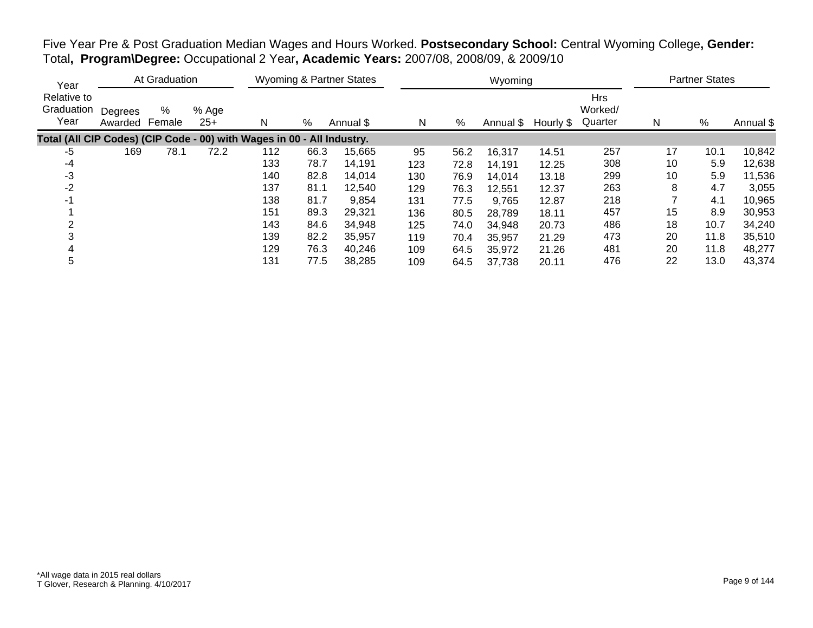| Five Year Pre & Post Graduation Median Wages and Hours Worked. Postsecondary School: Central Wyoming College, Gender: |  |
|-----------------------------------------------------------------------------------------------------------------------|--|
| Total, Program\Degree: Occupational 2 Year, Academic Years: 2007/08, 2008/09, & 2009/10                               |  |

| Year                                                                   |                    | At Graduation |                |     |      | <b>Wyoming &amp; Partner States</b> |     |      | Wyoming   |           |                                  |    | <b>Partner States</b> |           |
|------------------------------------------------------------------------|--------------------|---------------|----------------|-----|------|-------------------------------------|-----|------|-----------|-----------|----------------------------------|----|-----------------------|-----------|
| Relative to<br>Graduation<br>Year                                      | Degrees<br>Awarded | %<br>Female   | % Age<br>$25+$ | N   | %    | Annual \$                           | N   | %    | Annual \$ | Hourly \$ | <b>Hrs</b><br>Worked/<br>Quarter | N  | %                     | Annual \$ |
| Total (All CIP Codes) (CIP Code - 00) with Wages in 00 - All Industry. |                    |               |                |     |      |                                     |     |      |           |           |                                  |    |                       |           |
| -5                                                                     | 169                | 78.1          | 72.2           | 112 | 66.3 | 15,665                              | 95  | 56.2 | 16,317    | 14.51     | 257                              | 17 | 10.1                  | 10,842    |
| -4                                                                     |                    |               |                | 133 | 78.7 | 14.191                              | 123 | 72.8 | 14,191    | 12.25     | 308                              | 10 | 5.9                   | 12,638    |
| -3                                                                     |                    |               |                | 140 | 82.8 | 14,014                              | 130 | 76.9 | 14,014    | 13.18     | 299                              | 10 | 5.9                   | 11,536    |
| $-2$                                                                   |                    |               |                | 137 | 81.1 | 12,540                              | 129 | 76.3 | 12.551    | 12.37     | 263                              | 8  | 4.7                   | 3,055     |
| $-1$                                                                   |                    |               |                | 138 | 81.7 | 9,854                               | 131 | 77.5 | 9,765     | 12.87     | 218                              |    | 4.1                   | 10,965    |
|                                                                        |                    |               |                | 151 | 89.3 | 29,321                              | 136 | 80.5 | 28,789    | 18.11     | 457                              | 15 | 8.9                   | 30,953    |
|                                                                        |                    |               |                | 143 | 84.6 | 34,948                              | 125 | 74.0 | 34,948    | 20.73     | 486                              | 18 | 10.7                  | 34,240    |
|                                                                        |                    |               |                | 139 | 82.2 | 35,957                              | 119 | 70.4 | 35,957    | 21.29     | 473                              | 20 | 11.8                  | 35,510    |
|                                                                        |                    |               |                | 129 | 76.3 | 40,246                              | 109 | 64.5 | 35,972    | 21.26     | 481                              | 20 | 11.8                  | 48,277    |
| 5                                                                      |                    |               |                | 131 | 77.5 | 38,285                              | 109 | 64.5 | 37,738    | 20.11     | 476                              | 22 | 13.0                  | 43,374    |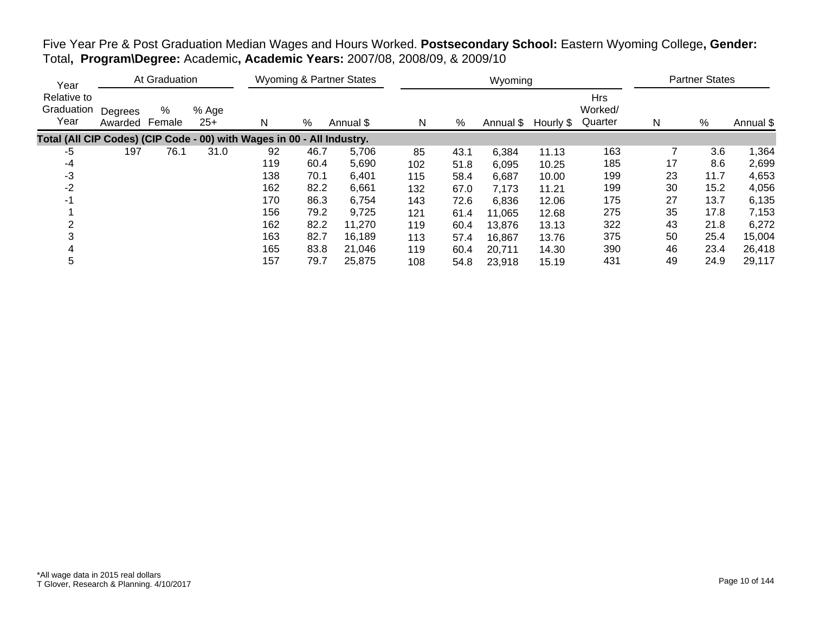| Year                                                                   |                    | At Graduation |                |     |      | <b>Wyoming &amp; Partner States</b> |     |      | Wyoming |                     |                                  |    | <b>Partner States</b> |           |
|------------------------------------------------------------------------|--------------------|---------------|----------------|-----|------|-------------------------------------|-----|------|---------|---------------------|----------------------------------|----|-----------------------|-----------|
| Relative to<br>Graduation<br>Year                                      | Degrees<br>Awarded | %<br>Female   | % Age<br>$25+$ | N   | %    | Annual \$                           | N   | %    |         | Annual \$ Hourly \$ | <b>Hrs</b><br>Worked/<br>Quarter | N  | $\%$                  | Annual \$ |
| Total (All CIP Codes) (CIP Code - 00) with Wages in 00 - All Industry. |                    |               |                |     |      |                                     |     |      |         |                     |                                  |    |                       |           |
| -5                                                                     | 197                | 76.1          | 31.0           | 92  | 46.7 | 5,706                               | 85  | 43.1 | 6,384   | 11.13               | 163                              |    | 3.6                   | 1,364     |
| $-4$                                                                   |                    |               |                | 119 | 60.4 | 5,690                               | 102 | 51.8 | 6,095   | 10.25               | 185                              | 17 | 8.6                   | 2,699     |
| $-3$                                                                   |                    |               |                | 138 | 70.1 | 6,401                               | 115 | 58.4 | 6,687   | 10.00               | 199                              | 23 | 11.7                  | 4,653     |
| $-2$                                                                   |                    |               |                | 162 | 82.2 | 6,661                               | 132 | 67.0 | 7,173   | 11.21               | 199                              | 30 | 15.2                  | 4,056     |
| -1                                                                     |                    |               |                | 170 | 86.3 | 6,754                               | 143 | 72.6 | 6,836   | 12.06               | 175                              | 27 | 13.7                  | 6,135     |
|                                                                        |                    |               |                | 156 | 79.2 | 9.725                               | 121 | 61.4 | 11,065  | 12.68               | 275                              | 35 | 17.8                  | 7,153     |
|                                                                        |                    |               |                | 162 | 82.2 | 11,270                              | 119 | 60.4 | 13,876  | 13.13               | 322                              | 43 | 21.8                  | 6,272     |
|                                                                        |                    |               |                | 163 | 82.7 | 16,189                              | 113 | 57.4 | 16,867  | 13.76               | 375                              | 50 | 25.4                  | 15,004    |
| 4                                                                      |                    |               |                | 165 | 83.8 | 21,046                              | 119 | 60.4 | 20,711  | 14.30               | 390                              | 46 | 23.4                  | 26,418    |
| 5                                                                      |                    |               |                | 157 | 79.7 | 25,875                              | 108 | 54.8 | 23,918  | 15.19               | 431                              | 49 | 24.9                  | 29,117    |

Five Year Pre & Post Graduation Median Wages and Hours Worked. **Postsecondary School:** Eastern Wyoming College**, Gender:** Total**, Program\Degree:** Academic**, Academic Years:** 2007/08, 2008/09, & 2009/10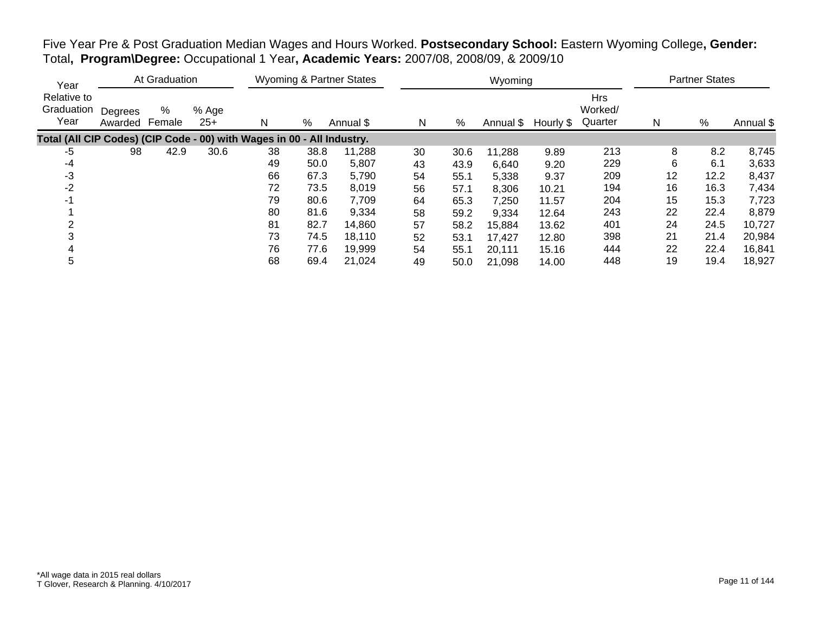|                                                                                         |  | Five Year Pre & Post Graduation Median Wages and Hours Worked. Postsecondary School: Eastern Wyoming College, Gender: |  |
|-----------------------------------------------------------------------------------------|--|-----------------------------------------------------------------------------------------------------------------------|--|
| Total, Program\Degree: Occupational 1 Year, Academic Years: 2007/08, 2008/09, & 2009/10 |  |                                                                                                                       |  |

| Year                                                                   |                    | At Graduation |                |    |      | <b>Wyoming &amp; Partner States</b> |    |      | Wyoming   |           |                           |    | <b>Partner States</b> |           |
|------------------------------------------------------------------------|--------------------|---------------|----------------|----|------|-------------------------------------|----|------|-----------|-----------|---------------------------|----|-----------------------|-----------|
| Relative to<br>Graduation<br>Year                                      | Degrees<br>Awarded | %<br>Female   | % Age<br>$25+$ | N  | %    | Annual \$                           | N  | %    | Annual \$ | Hourly \$ | Hrs<br>Worked/<br>Quarter | N  | $\%$                  | Annual \$ |
| Total (All CIP Codes) (CIP Code - 00) with Wages in 00 - All Industry. |                    |               |                |    |      |                                     |    |      |           |           |                           |    |                       |           |
| -5                                                                     | 98                 | 42.9          | 30.6           | 38 | 38.8 | 11,288                              | 30 | 30.6 | 11,288    | 9.89      | 213                       | 8  | 8.2                   | 8,745     |
| -4                                                                     |                    |               |                | 49 | 50.0 | 5,807                               | 43 | 43.9 | 6,640     | 9.20      | 229                       | 6  | 6.1                   | 3,633     |
| -3                                                                     |                    |               |                | 66 | 67.3 | 5,790                               | 54 | 55.1 | 5,338     | 9.37      | 209                       | 12 | 12.2                  | 8,437     |
| $-2$                                                                   |                    |               |                | 72 | 73.5 | 8,019                               | 56 | 57.1 | 8,306     | 10.21     | 194                       | 16 | 16.3                  | 7,434     |
| -1                                                                     |                    |               |                | 79 | 80.6 | 7,709                               | 64 | 65.3 | 7,250     | 11.57     | 204                       | 15 | 15.3                  | 7,723     |
|                                                                        |                    |               |                | 80 | 81.6 | 9,334                               | 58 | 59.2 | 9,334     | 12.64     | 243                       | 22 | 22.4                  | 8,879     |
|                                                                        |                    |               |                | 81 | 82.7 | 14,860                              | 57 | 58.2 | 15,884    | 13.62     | 401                       | 24 | 24.5                  | 10,727    |
|                                                                        |                    |               |                | 73 | 74.5 | 18,110                              | 52 | 53.1 | 17,427    | 12.80     | 398                       | 21 | 21.4                  | 20,984    |
|                                                                        |                    |               |                | 76 | 77.6 | 19,999                              | 54 | 55.1 | 20,111    | 15.16     | 444                       | 22 | 22.4                  | 16,841    |
| 5                                                                      |                    |               |                | 68 | 69.4 | 21.024                              | 49 | 50.0 | 21,098    | 14.00     | 448                       | 19 | 19.4                  | 18,927    |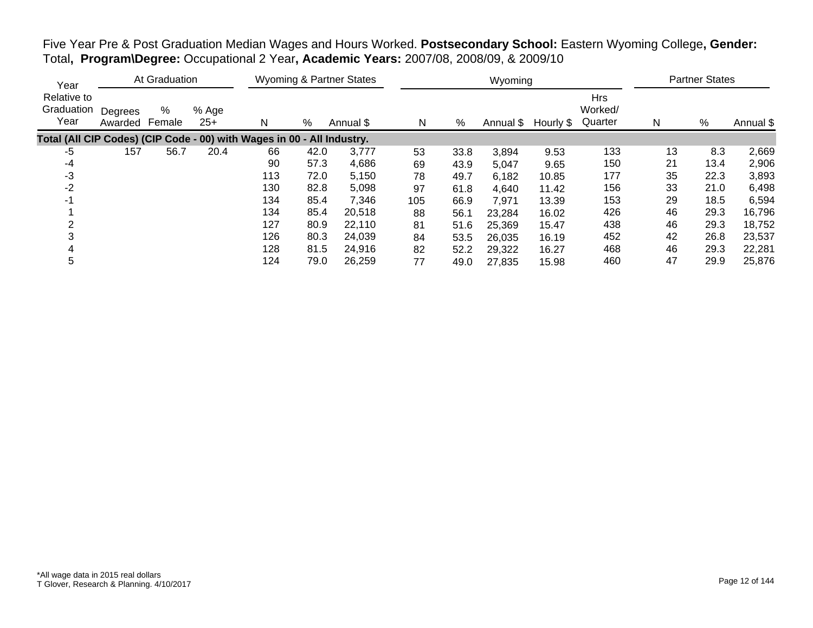| Five Year Pre & Post Graduation Median Wages and Hours Worked. Postsecondary School: Eastern Wyoming College, Gender: |  |  |
|-----------------------------------------------------------------------------------------------------------------------|--|--|
| Total, Program\Degree: Occupational 2 Year, Academic Years: 2007/08, 2008/09, & 2009/10                               |  |  |

| Year                                                                   |                    | At Graduation |                |     |      | <b>Wyoming &amp; Partner States</b> |     |      | Wyoming   |           |                                  |    | <b>Partner States</b> |           |
|------------------------------------------------------------------------|--------------------|---------------|----------------|-----|------|-------------------------------------|-----|------|-----------|-----------|----------------------------------|----|-----------------------|-----------|
| Relative to<br>Graduation<br>Year                                      | Degrees<br>Awarded | %<br>Female   | % Age<br>$25+$ | N   | %    | Annual \$                           | N   | %    | Annual \$ | Hourly \$ | <b>Hrs</b><br>Worked/<br>Quarter | N  | $\%$                  | Annual \$ |
| Total (All CIP Codes) (CIP Code - 00) with Wages in 00 - All Industry. |                    |               |                |     |      |                                     |     |      |           |           |                                  |    |                       |           |
| $-5$                                                                   | 157                | 56.7          | 20.4           | 66  | 42.0 | 3.777                               | 53  | 33.8 | 3,894     | 9.53      | 133                              | 13 | 8.3                   | 2,669     |
| -4                                                                     |                    |               |                | 90  | 57.3 | 4,686                               | 69  | 43.9 | 5,047     | 9.65      | 150                              | 21 | 13.4                  | 2,906     |
| -3                                                                     |                    |               |                | 113 | 72.0 | 5,150                               | 78  | 49.7 | 6,182     | 10.85     | 177                              | 35 | 22.3                  | 3,893     |
| $-2$                                                                   |                    |               |                | 130 | 82.8 | 5,098                               | 97  | 61.8 | 4,640     | 11.42     | 156                              | 33 | 21.0                  | 6,498     |
| $-1$                                                                   |                    |               |                | 134 | 85.4 | 7,346                               | 105 | 66.9 | 7,971     | 13.39     | 153                              | 29 | 18.5                  | 6,594     |
|                                                                        |                    |               |                | 134 | 85.4 | 20,518                              | 88  | 56.1 | 23,284    | 16.02     | 426                              | 46 | 29.3                  | 16,796    |
|                                                                        |                    |               |                | 127 | 80.9 | 22.110                              | 81  | 51.6 | 25,369    | 15.47     | 438                              | 46 | 29.3                  | 18,752    |
|                                                                        |                    |               |                | 126 | 80.3 | 24,039                              | 84  | 53.5 | 26,035    | 16.19     | 452                              | 42 | 26.8                  | 23,537    |
|                                                                        |                    |               |                | 128 | 81.5 | 24,916                              | 82  | 52.2 | 29,322    | 16.27     | 468                              | 46 | 29.3                  | 22,281    |
| 5                                                                      |                    |               |                | 124 | 79.0 | 26,259                              | 77  | 49.0 | 27,835    | 15.98     | 460                              | 47 | 29.9                  | 25,876    |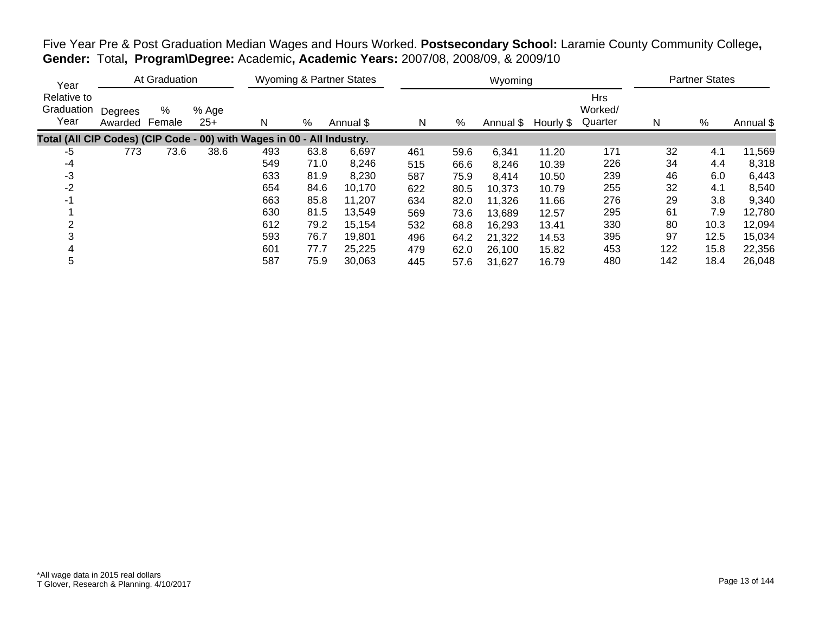| Year                                                                   |                    | At Graduation |                |     |      | <b>Wyoming &amp; Partner States</b> |     |      | Wyoming             |       |                                  |     | <b>Partner States</b> |           |
|------------------------------------------------------------------------|--------------------|---------------|----------------|-----|------|-------------------------------------|-----|------|---------------------|-------|----------------------------------|-----|-----------------------|-----------|
| Relative to<br>Graduation<br>Year                                      | Degrees<br>Awarded | %<br>Female   | % Age<br>$25+$ | N   | %    | Annual \$                           | N   | %    | Annual \$ Hourly \$ |       | <b>Hrs</b><br>Worked/<br>Quarter | N   | $\%$                  | Annual \$ |
| Total (All CIP Codes) (CIP Code - 00) with Wages in 00 - All Industry. |                    |               |                |     |      |                                     |     |      |                     |       |                                  |     |                       |           |
| -5                                                                     | 773                | 73.6          | 38.6           | 493 | 63.8 | 6,697                               | 461 | 59.6 | 6,341               | 11.20 | 171                              | 32  | 4.1                   | 11,569    |
| $-4$                                                                   |                    |               |                | 549 | 71.0 | 8,246                               | 515 | 66.6 | 8,246               | 10.39 | 226                              | 34  | 4.4                   | 8,318     |
| -3                                                                     |                    |               |                | 633 | 81.9 | 8,230                               | 587 | 75.9 | 8,414               | 10.50 | 239                              | 46  | 6.0                   | 6,443     |
| $-2$                                                                   |                    |               |                | 654 | 84.6 | 10,170                              | 622 | 80.5 | 10,373              | 10.79 | 255                              | 32  | 4.1                   | 8,540     |
| -1                                                                     |                    |               |                | 663 | 85.8 | 11,207                              | 634 | 82.0 | 11,326              | 11.66 | 276                              | 29  | 3.8                   | 9,340     |
|                                                                        |                    |               |                | 630 | 81.5 | 13,549                              | 569 | 73.6 | 13,689              | 12.57 | 295                              | 61  | 7.9                   | 12,780    |
|                                                                        |                    |               |                | 612 | 79.2 | 15,154                              | 532 | 68.8 | 16,293              | 13.41 | 330                              | 80  | 10.3                  | 12,094    |
|                                                                        |                    |               |                | 593 | 76.7 | 19,801                              | 496 | 64.2 | 21,322              | 14.53 | 395                              | 97  | 12.5                  | 15,034    |
| 4                                                                      |                    |               |                | 601 | 77.7 | 25,225                              | 479 | 62.0 | 26,100              | 15.82 | 453                              | 122 | 15.8                  | 22,356    |
| 5                                                                      |                    |               |                | 587 | 75.9 | 30,063                              | 445 | 57.6 | 31,627              | 16.79 | 480                              | 142 | 18.4                  | 26,048    |

Five Year Pre & Post Graduation Median Wages and Hours Worked. **Postsecondary School:** Laramie County Community College**, Gender:** Total**, Program\Degree:** Academic**, Academic Years:** 2007/08, 2008/09, & 2009/10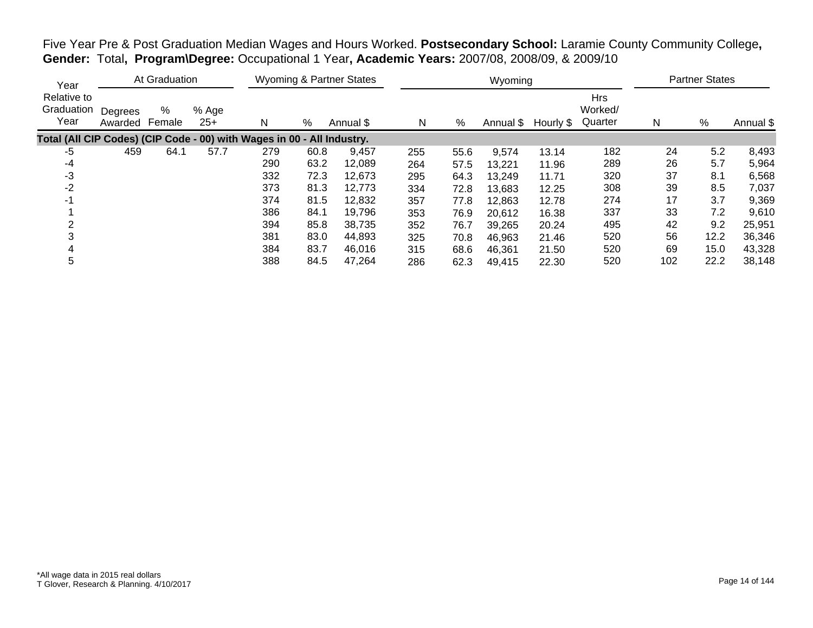| Year                                                                   |                    | At Graduation |                |     |      | Wyoming & Partner States |     |      | Wyoming             |       |                                  |     | <b>Partner States</b> |           |
|------------------------------------------------------------------------|--------------------|---------------|----------------|-----|------|--------------------------|-----|------|---------------------|-------|----------------------------------|-----|-----------------------|-----------|
| Relative to<br>Graduation<br>Year                                      | Degrees<br>Awarded | %<br>Female   | % Age<br>$25+$ | N   | %    | Annual \$                | N   | %    | Annual \$ Hourly \$ |       | <b>Hrs</b><br>Worked/<br>Quarter | N   | %                     | Annual \$ |
| Total (All CIP Codes) (CIP Code - 00) with Wages in 00 - All Industry. |                    |               |                |     |      |                          |     |      |                     |       |                                  |     |                       |           |
| -5                                                                     | 459                | 64.1          | 57.7           | 279 | 60.8 | 9,457                    | 255 | 55.6 | 9,574               | 13.14 | 182                              | 24  | 5.2                   | 8,493     |
| -4                                                                     |                    |               |                | 290 | 63.2 | 12,089                   | 264 | 57.5 | 13,221              | 11.96 | 289                              | 26  | 5.7                   | 5,964     |
| -3                                                                     |                    |               |                | 332 | 72.3 | 12,673                   | 295 | 64.3 | 13,249              | 11.71 | 320                              | 37  | 8.1                   | 6,568     |
| -2                                                                     |                    |               |                | 373 | 81.3 | 12,773                   | 334 | 72.8 | 13,683              | 12.25 | 308                              | 39  | 8.5                   | 7,037     |
| -1                                                                     |                    |               |                | 374 | 81.5 | 12,832                   | 357 | 77.8 | 12,863              | 12.78 | 274                              | 17  | 3.7                   | 9,369     |
|                                                                        |                    |               |                | 386 | 84.1 | 19,796                   | 353 | 76.9 | 20,612              | 16.38 | 337                              | 33  | 7.2                   | 9,610     |
|                                                                        |                    |               |                | 394 | 85.8 | 38,735                   | 352 | 76.7 | 39,265              | 20.24 | 495                              | 42  | 9.2                   | 25,951    |
|                                                                        |                    |               |                | 381 | 83.0 | 44,893                   | 325 | 70.8 | 46,963              | 21.46 | 520                              | 56  | 12.2                  | 36,346    |
|                                                                        |                    |               |                | 384 | 83.7 | 46,016                   | 315 | 68.6 | 46,361              | 21.50 | 520                              | 69  | 15.0                  | 43,328    |
| 5                                                                      |                    |               |                | 388 | 84.5 | 47,264                   | 286 | 62.3 | 49,415              | 22.30 | 520                              | 102 | 22.2                  | 38,148    |

Five Year Pre & Post Graduation Median Wages and Hours Worked. **Postsecondary School:** Laramie County Community College**, Gender:** Total**, Program\Degree:** Occupational 1 Year**, Academic Years:** 2007/08, 2008/09, & 2009/10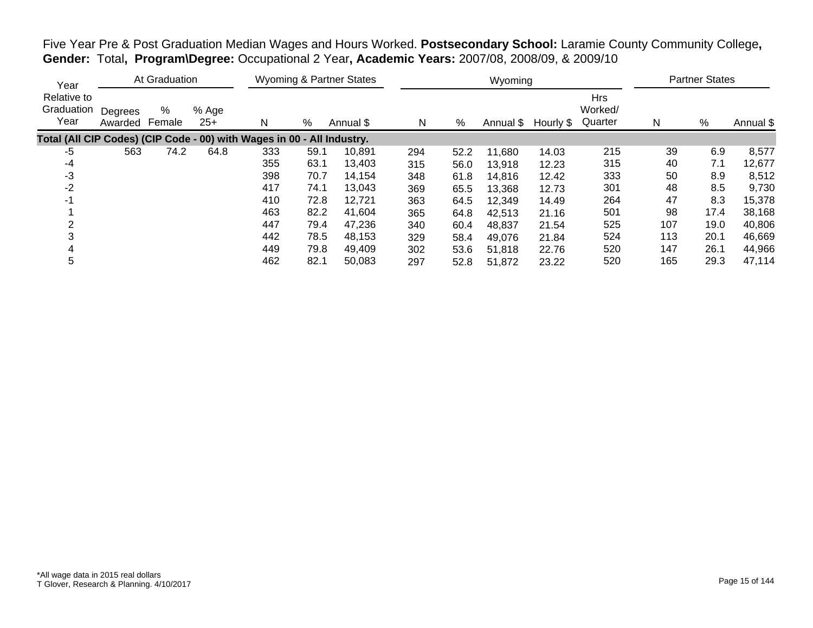| Year                                                                   |                    | At Graduation |                |     |      | Wyoming & Partner States |     |      | Wyoming   |           |                                  |     | <b>Partner States</b> |           |
|------------------------------------------------------------------------|--------------------|---------------|----------------|-----|------|--------------------------|-----|------|-----------|-----------|----------------------------------|-----|-----------------------|-----------|
| Relative to<br>Graduation<br>Year                                      | Degrees<br>Awarded | %<br>Female   | % Age<br>$25+$ | Ν   | $\%$ | Annual \$                | N   | %    | Annual \$ | Hourly \$ | <b>Hrs</b><br>Worked/<br>Quarter | N   | %                     | Annual \$ |
| Total (All CIP Codes) (CIP Code - 00) with Wages in 00 - All Industry. |                    |               |                |     |      |                          |     |      |           |           |                                  |     |                       |           |
| -5                                                                     | 563                | 74.2          | 64.8           | 333 | 59.1 | 10,891                   | 294 | 52.2 | 11,680    | 14.03     | 215                              | 39  | 6.9                   | 8,577     |
| -4                                                                     |                    |               |                | 355 | 63.1 | 13,403                   | 315 | 56.0 | 13,918    | 12.23     | 315                              | 40  | 7.1                   | 12,677    |
| -3                                                                     |                    |               |                | 398 | 70.7 | 14,154                   | 348 | 61.8 | 14,816    | 12.42     | 333                              | 50  | 8.9                   | 8,512     |
| $-2$                                                                   |                    |               |                | 417 | 74.1 | 13,043                   | 369 | 65.5 | 13,368    | 12.73     | 301                              | 48  | 8.5                   | 9,730     |
| -1                                                                     |                    |               |                | 410 | 72.8 | 12,721                   | 363 | 64.5 | 12,349    | 14.49     | 264                              | 47  | 8.3                   | 15,378    |
|                                                                        |                    |               |                | 463 | 82.2 | 41.604                   | 365 | 64.8 | 42,513    | 21.16     | 501                              | 98  | 17.4                  | 38,168    |
| ⌒                                                                      |                    |               |                | 447 | 79.4 | 47,236                   | 340 | 60.4 | 48.837    | 21.54     | 525                              | 107 | 19.0                  | 40,806    |
|                                                                        |                    |               |                | 442 | 78.5 | 48,153                   | 329 | 58.4 | 49,076    | 21.84     | 524                              | 113 | 20.1                  | 46,669    |
| 4                                                                      |                    |               |                | 449 | 79.8 | 49,409                   | 302 | 53.6 | 51,818    | 22.76     | 520                              | 147 | 26.1                  | 44,966    |
| 5                                                                      |                    |               |                | 462 | 82.1 | 50,083                   | 297 | 52.8 | 51,872    | 23.22     | 520                              | 165 | 29.3                  | 47,114    |

Five Year Pre & Post Graduation Median Wages and Hours Worked. **Postsecondary School:** Laramie County Community College**, Gender:** Total**, Program\Degree:** Occupational 2 Year**, Academic Years:** 2007/08, 2008/09, & 2009/10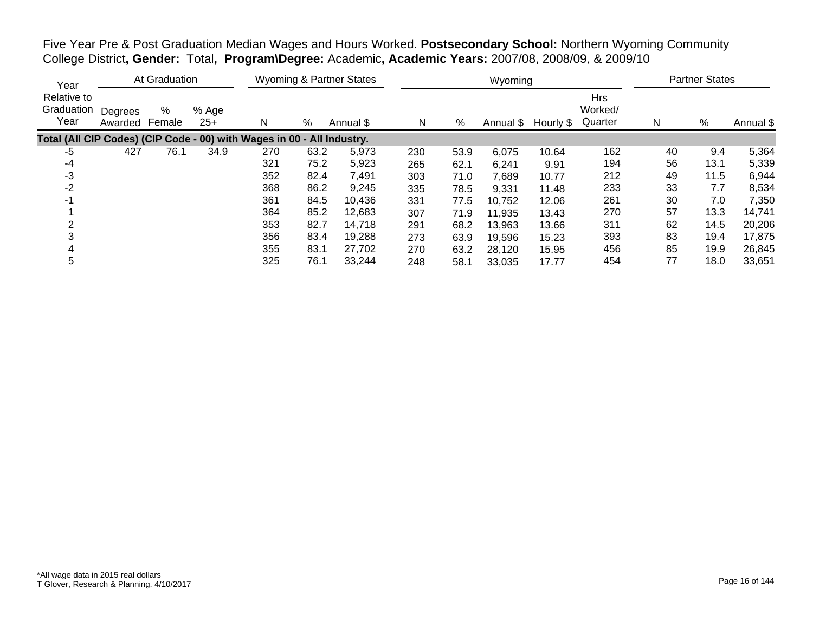Five Year Pre & Post Graduation Median Wages and Hours Worked. **Postsecondary School:** Northern Wyoming Community College District**, Gender:** Total**, Program\Degree:** Academic**, Academic Years:** 2007/08, 2008/09, & 2009/10

| Year                                                                   |                    | At Graduation |                |     |      | <b>Wyoming &amp; Partner States</b> |     |      | Wyoming   |           |                                  |    | <b>Partner States</b> |           |
|------------------------------------------------------------------------|--------------------|---------------|----------------|-----|------|-------------------------------------|-----|------|-----------|-----------|----------------------------------|----|-----------------------|-----------|
| Relative to<br>Graduation<br>Year                                      | Degrees<br>Awarded | %<br>Female   | % Age<br>$25+$ | N   | %    | Annual \$                           | N   | %    | Annual \$ | Hourly \$ | <b>Hrs</b><br>Worked/<br>Quarter | N  | %                     | Annual \$ |
| Total (All CIP Codes) (CIP Code - 00) with Wages in 00 - All Industry. |                    |               |                |     |      |                                     |     |      |           |           |                                  |    |                       |           |
| -5                                                                     | 427                | 76.1          | 34.9           | 270 | 63.2 | 5,973                               | 230 | 53.9 | 6,075     | 10.64     | 162                              | 40 | 9.4                   | 5,364     |
| -4                                                                     |                    |               |                | 321 | 75.2 | 5,923                               | 265 | 62.1 | 6,241     | 9.91      | 194                              | 56 | 13.1                  | 5,339     |
| -3                                                                     |                    |               |                | 352 | 82.4 | 7,491                               | 303 | 71.0 | 7,689     | 10.77     | 212                              | 49 | 11.5                  | 6,944     |
| $-2$                                                                   |                    |               |                | 368 | 86.2 | 9,245                               | 335 | 78.5 | 9,331     | 11.48     | 233                              | 33 | 7.7                   | 8,534     |
| $-1$                                                                   |                    |               |                | 361 | 84.5 | 10,436                              | 331 | 77.5 | 10,752    | 12.06     | 261                              | 30 | 7.0                   | 7,350     |
|                                                                        |                    |               |                | 364 | 85.2 | 12,683                              | 307 | 71.9 | 11,935    | 13.43     | 270                              | 57 | 13.3                  | 14,741    |
|                                                                        |                    |               |                | 353 | 82.7 | 14,718                              | 291 | 68.2 | 13,963    | 13.66     | 311                              | 62 | 14.5                  | 20,206    |
|                                                                        |                    |               |                | 356 | 83.4 | 19,288                              | 273 | 63.9 | 19,596    | 15.23     | 393                              | 83 | 19.4                  | 17,875    |
|                                                                        |                    |               |                | 355 | 83.1 | 27,702                              | 270 | 63.2 | 28,120    | 15.95     | 456                              | 85 | 19.9                  | 26,845    |
| 5                                                                      |                    |               |                | 325 | 76.1 | 33.244                              | 248 | 58.1 | 33,035    | 17.77     | 454                              | 77 | 18.0                  | 33,651    |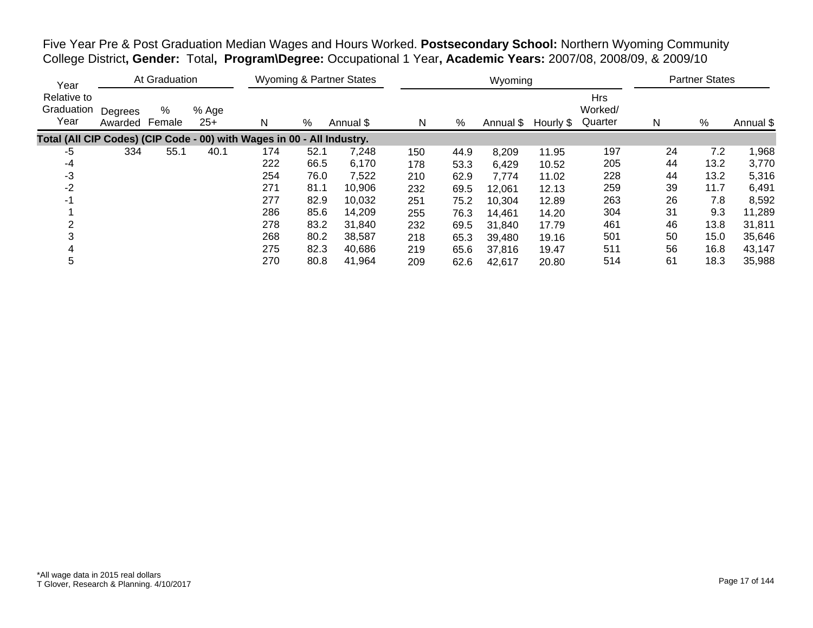Five Year Pre & Post Graduation Median Wages and Hours Worked. **Postsecondary School:** Northern Wyoming Community College District**, Gender:** Total**, Program\Degree:** Occupational 1 Year**, Academic Years:** 2007/08, 2008/09, & 2009/10

| Year                                                                   |                    | At Graduation |                |     |      | <b>Wyoming &amp; Partner States</b> |     |      | Wyoming   |           |                                  |    | <b>Partner States</b> |           |
|------------------------------------------------------------------------|--------------------|---------------|----------------|-----|------|-------------------------------------|-----|------|-----------|-----------|----------------------------------|----|-----------------------|-----------|
| Relative to<br>Graduation<br>Year                                      | Degrees<br>Awarded | %<br>Female   | % Age<br>$25+$ | N   | %    | Annual \$                           | N   | %    | Annual \$ | Hourly \$ | <b>Hrs</b><br>Worked/<br>Quarter | N  | %                     | Annual \$ |
| Total (All CIP Codes) (CIP Code - 00) with Wages in 00 - All Industry. |                    |               |                |     |      |                                     |     |      |           |           |                                  |    |                       |           |
| $-5$                                                                   | 334                | 55.1          | 40.1           | 174 | 52.1 | 7,248                               | 150 | 44.9 | 8,209     | 11.95     | 197                              | 24 | 7.2                   | 1,968     |
| -4                                                                     |                    |               |                | 222 | 66.5 | 6,170                               | 178 | 53.3 | 6,429     | 10.52     | 205                              | 44 | 13.2                  | 3,770     |
| -3                                                                     |                    |               |                | 254 | 76.0 | 7,522                               | 210 | 62.9 | 7,774     | 11.02     | 228                              | 44 | 13.2                  | 5,316     |
| $-2$                                                                   |                    |               |                | 271 | 81.1 | 10,906                              | 232 | 69.5 | 12,061    | 12.13     | 259                              | 39 | 11.7                  | 6,491     |
| $-1$                                                                   |                    |               |                | 277 | 82.9 | 10,032                              | 251 | 75.2 | 10,304    | 12.89     | 263                              | 26 | 7.8                   | 8,592     |
|                                                                        |                    |               |                | 286 | 85.6 | 14,209                              | 255 | 76.3 | 14,461    | 14.20     | 304                              | 31 | 9.3                   | 11,289    |
|                                                                        |                    |               |                | 278 | 83.2 | 31.840                              | 232 | 69.5 | 31,840    | 17.79     | 461                              | 46 | 13.8                  | 31,811    |
|                                                                        |                    |               |                | 268 | 80.2 | 38,587                              | 218 | 65.3 | 39,480    | 19.16     | 501                              | 50 | 15.0                  | 35,646    |
|                                                                        |                    |               |                | 275 | 82.3 | 40,686                              | 219 | 65.6 | 37,816    | 19.47     | 511                              | 56 | 16.8                  | 43,147    |
| 5                                                                      |                    |               |                | 270 | 80.8 | 41,964                              | 209 | 62.6 | 42,617    | 20.80     | 514                              | 61 | 18.3                  | 35,988    |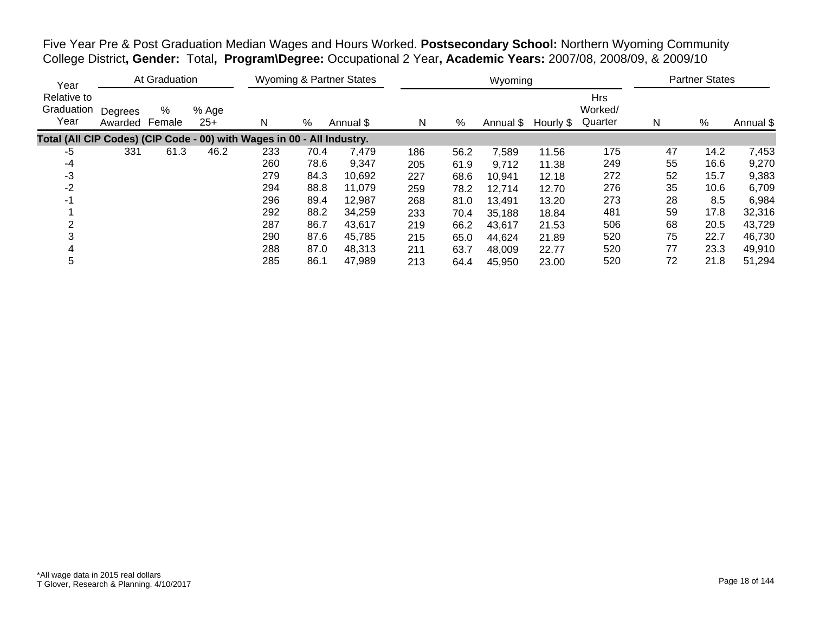Five Year Pre & Post Graduation Median Wages and Hours Worked. **Postsecondary School:** Northern Wyoming Community College District**, Gender:** Total**, Program\Degree:** Occupational 2 Year**, Academic Years:** 2007/08, 2008/09, & 2009/10

| Year                                                                   |                    | At Graduation |                |     |      | <b>Wyoming &amp; Partner States</b> |     |      | Wyoming   |           |                                  |    | <b>Partner States</b> |           |
|------------------------------------------------------------------------|--------------------|---------------|----------------|-----|------|-------------------------------------|-----|------|-----------|-----------|----------------------------------|----|-----------------------|-----------|
| Relative to<br>Graduation<br>Year                                      | Degrees<br>Awarded | %<br>Female   | % Age<br>$25+$ | N   | %    | Annual \$                           | N   | %    | Annual \$ | Hourly \$ | <b>Hrs</b><br>Worked/<br>Quarter | N  | %                     | Annual \$ |
| Total (All CIP Codes) (CIP Code - 00) with Wages in 00 - All Industry. |                    |               |                |     |      |                                     |     |      |           |           |                                  |    |                       |           |
| $-5$                                                                   | 331                | 61.3          | 46.2           | 233 | 70.4 | 7,479                               | 186 | 56.2 | 7.589     | 11.56     | 175                              | 47 | 14.2                  | 7,453     |
| -4                                                                     |                    |               |                | 260 | 78.6 | 9,347                               | 205 | 61.9 | 9,712     | 11.38     | 249                              | 55 | 16.6                  | 9,270     |
| -3                                                                     |                    |               |                | 279 | 84.3 | 10,692                              | 227 | 68.6 | 10,941    | 12.18     | 272                              | 52 | 15.7                  | 9,383     |
| $-2$                                                                   |                    |               |                | 294 | 88.8 | 11,079                              | 259 | 78.2 | 12,714    | 12.70     | 276                              | 35 | 10.6                  | 6,709     |
| $-1$                                                                   |                    |               |                | 296 | 89.4 | 12,987                              | 268 | 81.0 | 13,491    | 13.20     | 273                              | 28 | 8.5                   | 6,984     |
|                                                                        |                    |               |                | 292 | 88.2 | 34,259                              | 233 | 70.4 | 35,188    | 18.84     | 481                              | 59 | 17.8                  | 32,316    |
|                                                                        |                    |               |                | 287 | 86.7 | 43,617                              | 219 | 66.2 | 43,617    | 21.53     | 506                              | 68 | 20.5                  | 43,729    |
|                                                                        |                    |               |                | 290 | 87.6 | 45,785                              | 215 | 65.0 | 44,624    | 21.89     | 520                              | 75 | 22.7                  | 46,730    |
|                                                                        |                    |               |                | 288 | 87.0 | 48,313                              | 211 | 63.7 | 48,009    | 22.77     | 520                              | 77 | 23.3                  | 49,910    |
| 5                                                                      |                    |               |                | 285 | 86.1 | 47,989                              | 213 | 64.4 | 45,950    | 23.00     | 520                              | 72 | 21.8                  | 51,294    |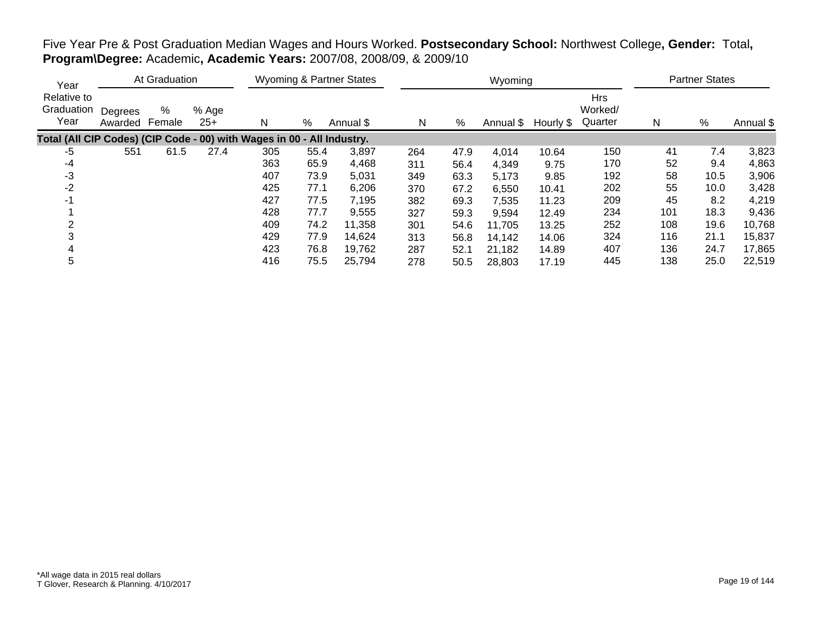| Year                                                                   |                    | At Graduation |                |     |      | Wyoming & Partner States |     |      | Wyoming             |       |                                  | <b>Partner States</b> |      |           |
|------------------------------------------------------------------------|--------------------|---------------|----------------|-----|------|--------------------------|-----|------|---------------------|-------|----------------------------------|-----------------------|------|-----------|
| Relative to<br>Graduation<br>Year                                      | Degrees<br>Awarded | %<br>Female   | % Age<br>$25+$ | N   | %    | Annual \$                | N   | %    | Annual \$ Hourly \$ |       | <b>Hrs</b><br>Worked/<br>Quarter | N                     | %    | Annual \$ |
| Total (All CIP Codes) (CIP Code - 00) with Wages in 00 - All Industry. |                    |               |                |     |      |                          |     |      |                     |       |                                  |                       |      |           |
| -5                                                                     | 551                | 61.5          | 27.4           | 305 | 55.4 | 3,897                    | 264 | 47.9 | 4,014               | 10.64 | 150                              | 41                    | 7.4  | 3,823     |
| -4                                                                     |                    |               |                | 363 | 65.9 | 4,468                    | 311 | 56.4 | 4,349               | 9.75  | 170                              | 52                    | 9.4  | 4,863     |
| -3                                                                     |                    |               |                | 407 | 73.9 | 5,031                    | 349 | 63.3 | 5,173               | 9.85  | 192                              | 58                    | 10.5 | 3,906     |
| $-2$                                                                   |                    |               |                | 425 | 77.1 | 6,206                    | 370 | 67.2 | 6,550               | 10.41 | 202                              | 55                    | 10.0 | 3,428     |
| -1                                                                     |                    |               |                | 427 | 77.5 | 7,195                    | 382 | 69.3 | 7,535               | 11.23 | 209                              | 45                    | 8.2  | 4,219     |
|                                                                        |                    |               |                | 428 | 77.7 | 9,555                    | 327 | 59.3 | 9,594               | 12.49 | 234                              | 101                   | 18.3 | 9,436     |
|                                                                        |                    |               |                | 409 | 74.2 | 11,358                   | 301 | 54.6 | 11,705              | 13.25 | 252                              | 108                   | 19.6 | 10,768    |
|                                                                        |                    |               |                | 429 | 77.9 | 14,624                   | 313 | 56.8 | 14,142              | 14.06 | 324                              | 116                   | 21.1 | 15,837    |
|                                                                        |                    |               |                | 423 | 76.8 | 19,762                   | 287 | 52.1 | 21,182              | 14.89 | 407                              | 136                   | 24.7 | 17,865    |
| 5                                                                      |                    |               |                | 416 | 75.5 | 25,794                   | 278 | 50.5 | 28,803              | 17.19 | 445                              | 138                   | 25.0 | 22,519    |

# Five Year Pre & Post Graduation Median Wages and Hours Worked. **Postsecondary School:** Northwest College**, Gender:** Total**, Program\Degree:** Academic**, Academic Years:** 2007/08, 2008/09, & 2009/10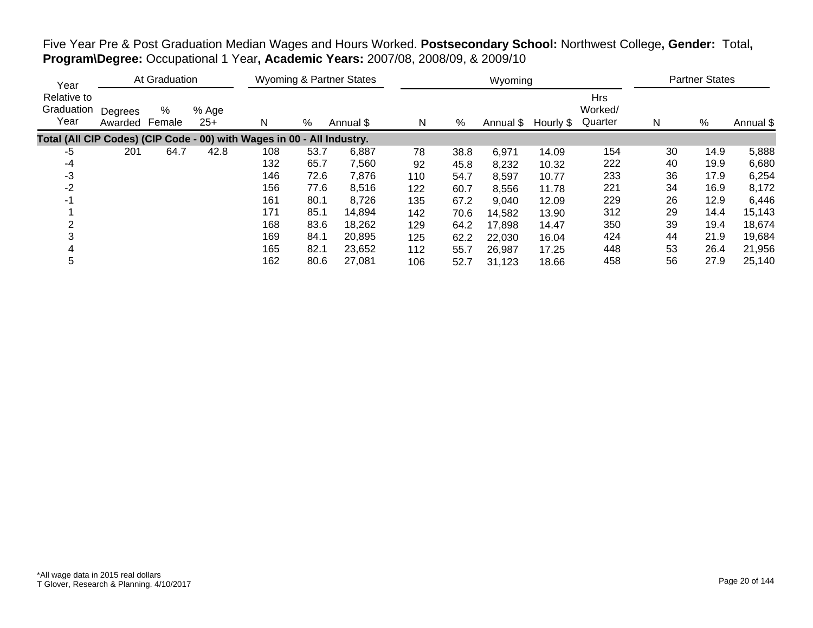| Year                                                                   |                    | At Graduation |                |     |      | Wyoming & Partner States |     |      | Wyoming   |           |                                  |    | <b>Partner States</b> |           |
|------------------------------------------------------------------------|--------------------|---------------|----------------|-----|------|--------------------------|-----|------|-----------|-----------|----------------------------------|----|-----------------------|-----------|
| Relative to<br>Graduation<br>Year                                      | Degrees<br>Awarded | %<br>Female   | % Age<br>$25+$ | N   | %    | Annual \$                | N   | $\%$ | Annual \$ | Hourly \$ | <b>Hrs</b><br>Worked/<br>Quarter | Ν  | %                     | Annual \$ |
| Total (All CIP Codes) (CIP Code - 00) with Wages in 00 - All Industry. |                    |               |                |     |      |                          |     |      |           |           |                                  |    |                       |           |
| -5                                                                     | 201                | 64.7          | 42.8           | 108 | 53.7 | 6.887                    | 78  | 38.8 | 6,971     | 14.09     | 154                              | 30 | 14.9                  | 5,888     |
| -4                                                                     |                    |               |                | 132 | 65.7 | 7,560                    | 92  | 45.8 | 8,232     | 10.32     | 222                              | 40 | 19.9                  | 6,680     |
| -3                                                                     |                    |               |                | 146 | 72.6 | 7,876                    | 110 | 54.7 | 8,597     | 10.77     | 233                              | 36 | 17.9                  | 6,254     |
| -2                                                                     |                    |               |                | 156 | 77.6 | 8,516                    | 122 | 60.7 | 8,556     | 11.78     | 221                              | 34 | 16.9                  | 8,172     |
| -1                                                                     |                    |               |                | 161 | 80.1 | 8,726                    | 135 | 67.2 | 9,040     | 12.09     | 229                              | 26 | 12.9                  | 6,446     |
|                                                                        |                    |               |                | 171 | 85.1 | 14,894                   | 142 | 70.6 | 14,582    | 13.90     | 312                              | 29 | 14.4                  | 15,143    |
| 2                                                                      |                    |               |                | 168 | 83.6 | 18,262                   | 129 | 64.2 | 17,898    | 14.47     | 350                              | 39 | 19.4                  | 18,674    |
|                                                                        |                    |               |                | 169 | 84.1 | 20.895                   | 125 | 62.2 | 22,030    | 16.04     | 424                              | 44 | 21.9                  | 19,684    |
|                                                                        |                    |               |                | 165 | 82.1 | 23,652                   | 112 | 55.7 | 26,987    | 17.25     | 448                              | 53 | 26.4                  | 21,956    |
| 5                                                                      |                    |               |                | 162 | 80.6 | 27,081                   | 106 | 52.7 | 31,123    | 18.66     | 458                              | 56 | 27.9                  | 25,140    |

Five Year Pre & Post Graduation Median Wages and Hours Worked. **Postsecondary School:** Northwest College**, Gender:** Total**, Program\Degree:** Occupational 1 Year**, Academic Years:** 2007/08, 2008/09, & 2009/10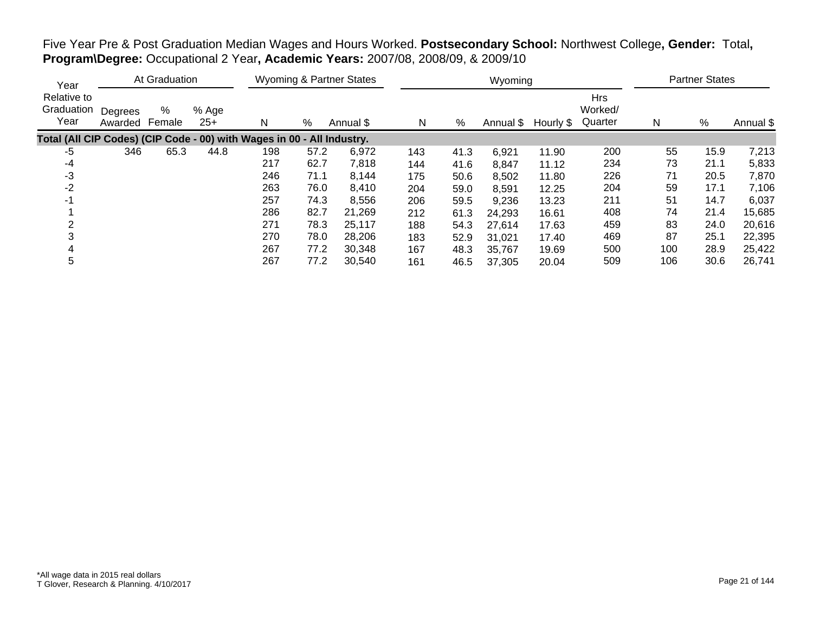| Five Year Pre & Post Graduation Median Wages and Hours Worked. Postsecondary School: Northwest College, Gender: Total, |  |
|------------------------------------------------------------------------------------------------------------------------|--|
| <b>Program\Degree:</b> Occupational 2 Year, Academic Years: 2007/08, 2008/09, & 2009/10                                |  |

| Year                                                                   |                    | At Graduation |                |     |      | <b>Wyoming &amp; Partner States</b> |     |      | Wyoming   |           |                                  |     | <b>Partner States</b> |           |
|------------------------------------------------------------------------|--------------------|---------------|----------------|-----|------|-------------------------------------|-----|------|-----------|-----------|----------------------------------|-----|-----------------------|-----------|
| Relative to<br>Graduation<br>Year                                      | Degrees<br>Awarded | %<br>Female   | % Age<br>$25+$ | N   | %    | Annual \$                           | N   | %    | Annual \$ | Hourly \$ | <b>Hrs</b><br>Worked/<br>Quarter | N   | %                     | Annual \$ |
| Total (All CIP Codes) (CIP Code - 00) with Wages in 00 - All Industry. |                    |               |                |     |      |                                     |     |      |           |           |                                  |     |                       |           |
| -5                                                                     | 346                | 65.3          | 44.8           | 198 | 57.2 | 6,972                               | 143 | 41.3 | 6,921     | 11.90     | 200                              | 55  | 15.9                  | 7,213     |
| -4                                                                     |                    |               |                | 217 | 62.7 | 7,818                               | 144 | 41.6 | 8,847     | 11.12     | 234                              | 73  | 21.1                  | 5,833     |
| -3                                                                     |                    |               |                | 246 | 71.1 | 8,144                               | 175 | 50.6 | 8,502     | 11.80     | 226                              | 71  | 20.5                  | 7,870     |
| $-2$                                                                   |                    |               |                | 263 | 76.0 | 8,410                               | 204 | 59.0 | 8,591     | 12.25     | 204                              | 59  | 17.1                  | 7,106     |
| -1                                                                     |                    |               |                | 257 | 74.3 | 8,556                               | 206 | 59.5 | 9,236     | 13.23     | 211                              | 51  | 14.7                  | 6,037     |
|                                                                        |                    |               |                | 286 | 82.7 | 21,269                              | 212 | 61.3 | 24,293    | 16.61     | 408                              | 74  | 21.4                  | 15,685    |
|                                                                        |                    |               |                | 271 | 78.3 | 25,117                              | 188 | 54.3 | 27,614    | 17.63     | 459                              | 83  | 24.0                  | 20,616    |
|                                                                        |                    |               |                | 270 | 78.0 | 28,206                              | 183 | 52.9 | 31,021    | 17.40     | 469                              | 87  | 25.1                  | 22,395    |
|                                                                        |                    |               |                | 267 | 77.2 | 30,348                              | 167 | 48.3 | 35,767    | 19.69     | 500                              | 100 | 28.9                  | 25,422    |
| 5                                                                      |                    |               |                | 267 | 77.2 | 30,540                              | 161 | 46.5 | 37,305    | 20.04     | 509                              | 106 | 30.6                  | 26,741    |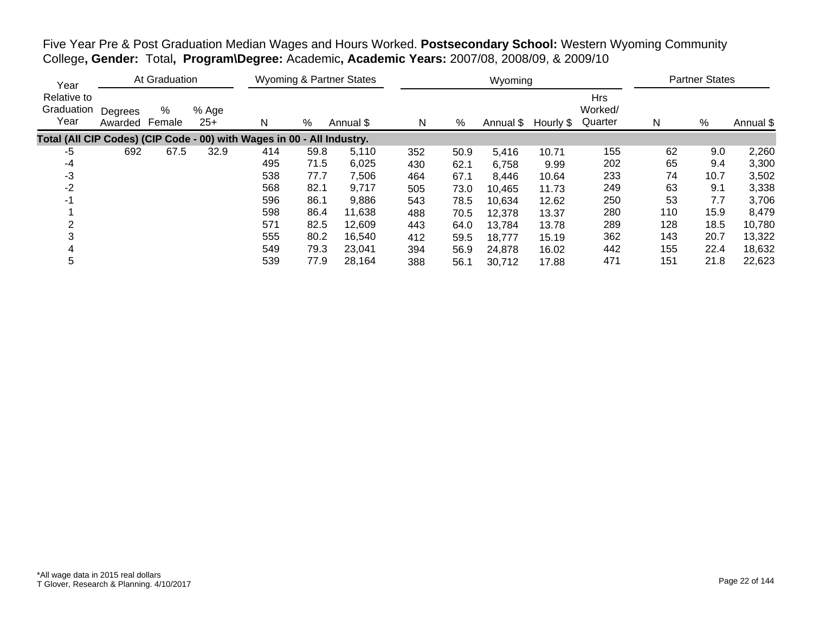| Five Year Pre & Post Graduation Median Wages and Hours Worked. Postsecondary School: Western Wyoming Community |  |  |
|----------------------------------------------------------------------------------------------------------------|--|--|
| College, Gender: Total, Program\Degree: Academic, Academic Years: 2007/08, 2008/09, & 2009/10                  |  |  |

| Year                                                                   |                    | At Graduation |                |     |      | <b>Wyoming &amp; Partner States</b> |     |      | Wyoming   |           |                                  |     | <b>Partner States</b> |           |
|------------------------------------------------------------------------|--------------------|---------------|----------------|-----|------|-------------------------------------|-----|------|-----------|-----------|----------------------------------|-----|-----------------------|-----------|
| Relative to<br>Graduation<br>Year                                      | Degrees<br>Awarded | %<br>Female   | % Age<br>$25+$ | N   | %    | Annual \$                           | N   | %    | Annual \$ | Hourly \$ | <b>Hrs</b><br>Worked/<br>Quarter | N   | $\%$                  | Annual \$ |
| Total (All CIP Codes) (CIP Code - 00) with Wages in 00 - All Industry. |                    |               |                |     |      |                                     |     |      |           |           |                                  |     |                       |           |
| -5                                                                     | 692                | 67.5          | 32.9           | 414 | 59.8 | 5,110                               | 352 | 50.9 | 5,416     | 10.71     | 155                              | 62  | 9.0                   | 2,260     |
| -4                                                                     |                    |               |                | 495 | 71.5 | 6,025                               | 430 | 62.1 | 6,758     | 9.99      | 202                              | 65  | 9.4                   | 3,300     |
| $-3$                                                                   |                    |               |                | 538 | 77.7 | 7,506                               | 464 | 67.1 | 8,446     | 10.64     | 233                              | 74  | 10.7                  | 3,502     |
| $-2$                                                                   |                    |               |                | 568 | 82.1 | 9,717                               | 505 | 73.0 | 10,465    | 11.73     | 249                              | 63  | 9.1                   | 3,338     |
| $-1$                                                                   |                    |               |                | 596 | 86.1 | 9,886                               | 543 | 78.5 | 10.634    | 12.62     | 250                              | 53  | 7.7                   | 3,706     |
|                                                                        |                    |               |                | 598 | 86.4 | 11,638                              | 488 | 70.5 | 12,378    | 13.37     | 280                              | 110 | 15.9                  | 8,479     |
|                                                                        |                    |               |                | 571 | 82.5 | 12,609                              | 443 | 64.0 | 13,784    | 13.78     | 289                              | 128 | 18.5                  | 10,780    |
|                                                                        |                    |               |                | 555 | 80.2 | 16,540                              | 412 | 59.5 | 18,777    | 15.19     | 362                              | 143 | 20.7                  | 13,322    |
|                                                                        |                    |               |                | 549 | 79.3 | 23,041                              | 394 | 56.9 | 24,878    | 16.02     | 442                              | 155 | 22.4                  | 18,632    |
| 5                                                                      |                    |               |                | 539 | 77.9 | 28,164                              | 388 | 56.1 | 30,712    | 17.88     | 471                              | 151 | 21.8                  | 22,623    |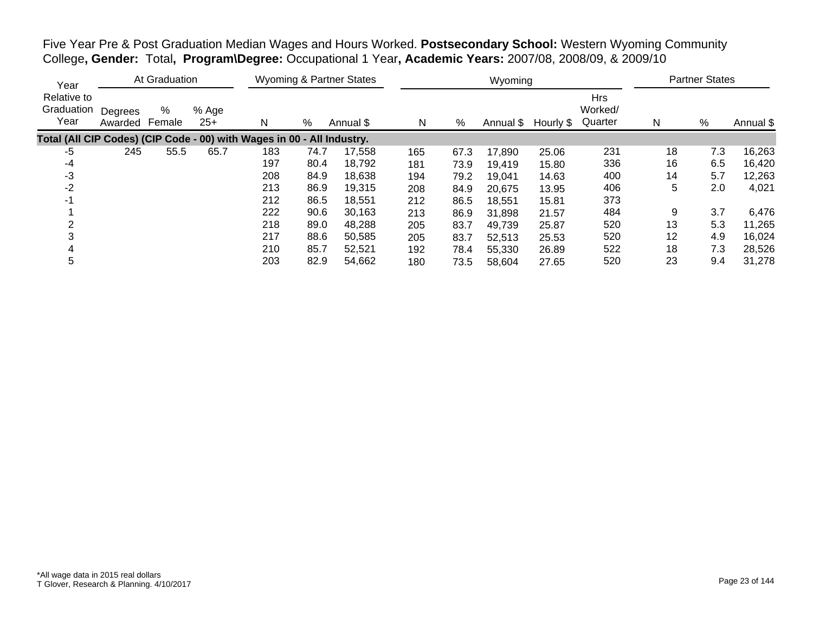Five Year Pre & Post Graduation Median Wages and Hours Worked. **Postsecondary School:** Western Wyoming Community College**, Gender:** Total**, Program\Degree:** Occupational 1 Year**, Academic Years:** 2007/08, 2008/09, & 2009/10

| Year                                                                   |                    | At Graduation |                |     |      | <b>Wyoming &amp; Partner States</b> |     |      | Wyoming   |           |                                  |    | <b>Partner States</b> |           |
|------------------------------------------------------------------------|--------------------|---------------|----------------|-----|------|-------------------------------------|-----|------|-----------|-----------|----------------------------------|----|-----------------------|-----------|
| Relative to<br>Graduation<br>Year                                      | Degrees<br>Awarded | %<br>Female   | % Age<br>$25+$ | N   | %    | Annual \$                           | N   | %    | Annual \$ | Hourly \$ | <b>Hrs</b><br>Worked/<br>Quarter | N  | %                     | Annual \$ |
| Total (All CIP Codes) (CIP Code - 00) with Wages in 00 - All Industry. |                    |               |                |     |      |                                     |     |      |           |           |                                  |    |                       |           |
| -5                                                                     | 245                | 55.5          | 65.7           | 183 | 74.7 | 17,558                              | 165 | 67.3 | 17,890    | 25.06     | 231                              | 18 | 7.3                   | 16,263    |
| -4                                                                     |                    |               |                | 197 | 80.4 | 18,792                              | 181 | 73.9 | 19,419    | 15.80     | 336                              | 16 | 6.5                   | 16,420    |
| $-3$                                                                   |                    |               |                | 208 | 84.9 | 18,638                              | 194 | 79.2 | 19,041    | 14.63     | 400                              | 14 | 5.7                   | 12,263    |
| $-2$                                                                   |                    |               |                | 213 | 86.9 | 19,315                              | 208 | 84.9 | 20,675    | 13.95     | 406                              | 5  | 2.0                   | 4,021     |
| $-1$                                                                   |                    |               |                | 212 | 86.5 | 18,551                              | 212 | 86.5 | 18,551    | 15.81     | 373                              |    |                       |           |
|                                                                        |                    |               |                | 222 | 90.6 | 30,163                              | 213 | 86.9 | 31,898    | 21.57     | 484                              | 9  | 3.7                   | 6,476     |
|                                                                        |                    |               |                | 218 | 89.0 | 48,288                              | 205 | 83.7 | 49,739    | 25.87     | 520                              | 13 | 5.3                   | 11,265    |
|                                                                        |                    |               |                | 217 | 88.6 | 50,585                              | 205 | 83.7 | 52,513    | 25.53     | 520                              | 12 | 4.9                   | 16,024    |
|                                                                        |                    |               |                | 210 | 85.7 | 52,521                              | 192 | 78.4 | 55,330    | 26.89     | 522                              | 18 | 7.3                   | 28,526    |
| 5                                                                      |                    |               |                | 203 | 82.9 | 54,662                              | 180 | 73.5 | 58,604    | 27.65     | 520                              | 23 | 9.4                   | 31,278    |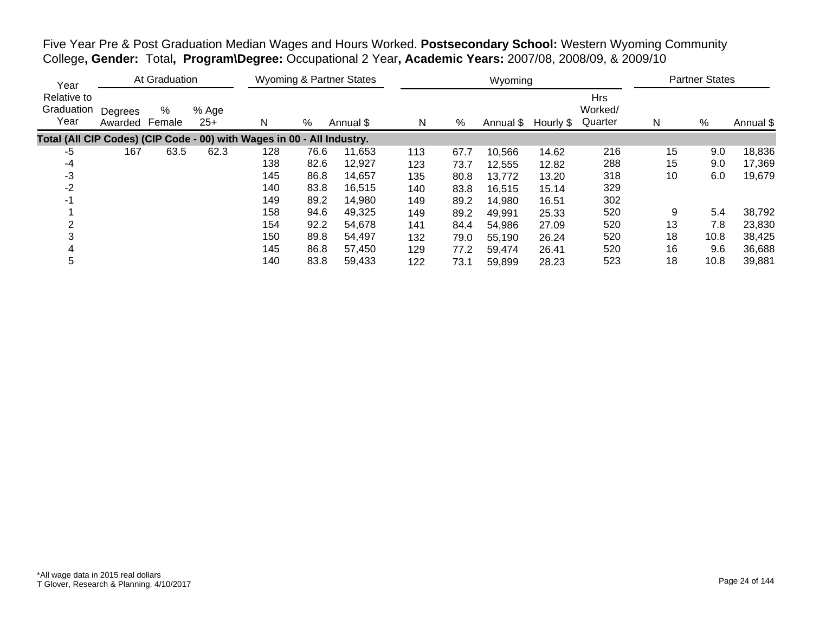Five Year Pre & Post Graduation Median Wages and Hours Worked. **Postsecondary School:** Western Wyoming Community College**, Gender:** Total**, Program\Degree:** Occupational 2 Year**, Academic Years:** 2007/08, 2008/09, & 2009/10

| Year                                                                   |                    | At Graduation |                |     |      | <b>Wyoming &amp; Partner States</b> |     |      | Wyoming   |           |                                  |    | <b>Partner States</b> |           |
|------------------------------------------------------------------------|--------------------|---------------|----------------|-----|------|-------------------------------------|-----|------|-----------|-----------|----------------------------------|----|-----------------------|-----------|
| Relative to<br>Graduation<br>Year                                      | Degrees<br>Awarded | %<br>Female   | % Age<br>$25+$ | N   | %    | Annual \$                           | N   | %    | Annual \$ | Hourly \$ | <b>Hrs</b><br>Worked/<br>Quarter | N  | %                     | Annual \$ |
| Total (All CIP Codes) (CIP Code - 00) with Wages in 00 - All Industry. |                    |               |                |     |      |                                     |     |      |           |           |                                  |    |                       |           |
| -5                                                                     | 167                | 63.5          | 62.3           | 128 | 76.6 | 11,653                              | 113 | 67.7 | 10,566    | 14.62     | 216                              | 15 | 9.0                   | 18,836    |
| -4                                                                     |                    |               |                | 138 | 82.6 | 12,927                              | 123 | 73.7 | 12,555    | 12.82     | 288                              | 15 | 9.0                   | 17,369    |
| $-3$                                                                   |                    |               |                | 145 | 86.8 | 14,657                              | 135 | 80.8 | 13,772    | 13.20     | 318                              | 10 | 6.0                   | 19,679    |
| $-2$                                                                   |                    |               |                | 140 | 83.8 | 16,515                              | 140 | 83.8 | 16,515    | 15.14     | 329                              |    |                       |           |
| $-1$                                                                   |                    |               |                | 149 | 89.2 | 14,980                              | 149 | 89.2 | 14,980    | 16.51     | 302                              |    |                       |           |
|                                                                        |                    |               |                | 158 | 94.6 | 49,325                              | 149 | 89.2 | 49,991    | 25.33     | 520                              | 9  | 5.4                   | 38,792    |
|                                                                        |                    |               |                | 154 | 92.2 | 54,678                              | 141 | 84.4 | 54,986    | 27.09     | 520                              | 13 | 7.8                   | 23,830    |
|                                                                        |                    |               |                | 150 | 89.8 | 54,497                              | 132 | 79.0 | 55,190    | 26.24     | 520                              | 18 | 10.8                  | 38,425    |
|                                                                        |                    |               |                | 145 | 86.8 | 57,450                              | 129 | 77.2 | 59,474    | 26.41     | 520                              | 16 | 9.6                   | 36,688    |
| 5                                                                      |                    |               |                | 140 | 83.8 | 59,433                              | 122 | 73.1 | 59,899    | 28.23     | 523                              | 18 | 10.8                  | 39,881    |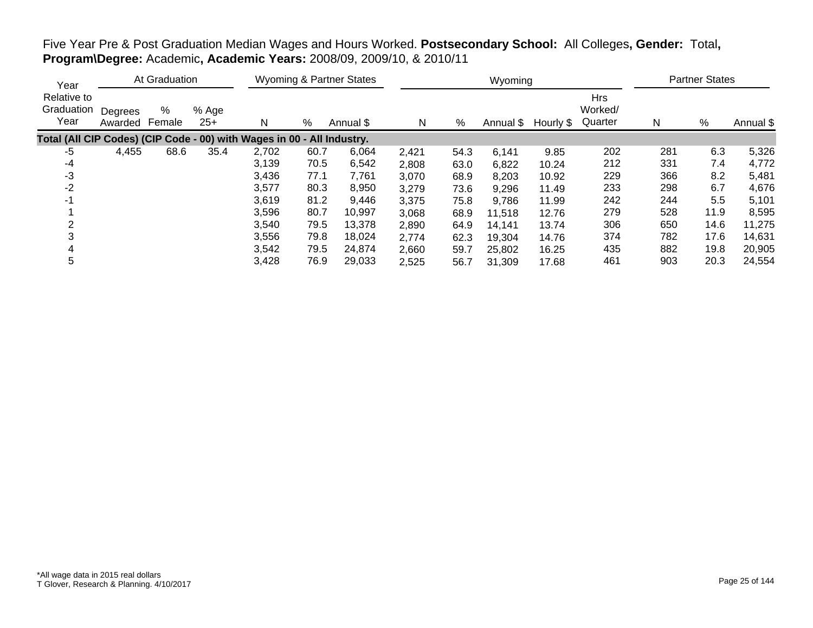| Year                                                                   |                    | At Graduation |                |       |      | <b>Wyoming &amp; Partner States</b> |       |      | Wyoming   |           |                                  |     | <b>Partner States</b> |           |
|------------------------------------------------------------------------|--------------------|---------------|----------------|-------|------|-------------------------------------|-------|------|-----------|-----------|----------------------------------|-----|-----------------------|-----------|
| Relative to<br>Graduation<br>Year                                      | Degrees<br>Awarded | %<br>Female   | % Age<br>$25+$ | N     | %    | Annual \$                           | N     | %    | Annual \$ | Hourly \$ | <b>Hrs</b><br>Worked/<br>Quarter | N   | %                     | Annual \$ |
| Total (All CIP Codes) (CIP Code - 00) with Wages in 00 - All Industry. |                    |               |                |       |      |                                     |       |      |           |           |                                  |     |                       |           |
| -5                                                                     | 4,455              | 68.6          | 35.4           | 2,702 | 60.7 | 6,064                               | 2,421 | 54.3 | 6,141     | 9.85      | 202                              | 281 | 6.3                   | 5,326     |
| -4                                                                     |                    |               |                | 3,139 | 70.5 | 6,542                               | 2,808 | 63.0 | 6,822     | 10.24     | 212                              | 331 | 7.4                   | 4,772     |
| $-3$                                                                   |                    |               |                | 3,436 | 77.1 | 7,761                               | 3,070 | 68.9 | 8,203     | 10.92     | 229                              | 366 | 8.2                   | 5,481     |
| $-2$                                                                   |                    |               |                | 3,577 | 80.3 | 8,950                               | 3,279 | 73.6 | 9,296     | 11.49     | 233                              | 298 | 6.7                   | 4,676     |
| $-1$                                                                   |                    |               |                | 3,619 | 81.2 | 9,446                               | 3,375 | 75.8 | 9,786     | 11.99     | 242                              | 244 | 5.5                   | 5,101     |
|                                                                        |                    |               |                | 3,596 | 80.7 | 10,997                              | 3,068 | 68.9 | 11,518    | 12.76     | 279                              | 528 | 11.9                  | 8,595     |
| っ                                                                      |                    |               |                | 3,540 | 79.5 | 13,378                              | 2,890 | 64.9 | 14,141    | 13.74     | 306                              | 650 | 14.6                  | 11,275    |
| 3                                                                      |                    |               |                | 3,556 | 79.8 | 18,024                              | 2,774 | 62.3 | 19,304    | 14.76     | 374                              | 782 | 17.6                  | 14,631    |
| 4                                                                      |                    |               |                | 3,542 | 79.5 | 24,874                              | 2,660 | 59.7 | 25,802    | 16.25     | 435                              | 882 | 19.8                  | 20,905    |
| 5                                                                      |                    |               |                | 3,428 | 76.9 | 29,033                              | 2,525 | 56.7 | 31,309    | 17.68     | 461                              | 903 | 20.3                  | 24,554    |

# Five Year Pre & Post Graduation Median Wages and Hours Worked. **Postsecondary School:** All Colleges**, Gender:** Total**, Program\Degree:** Academic**, Academic Years:** 2008/09, 2009/10, & 2010/11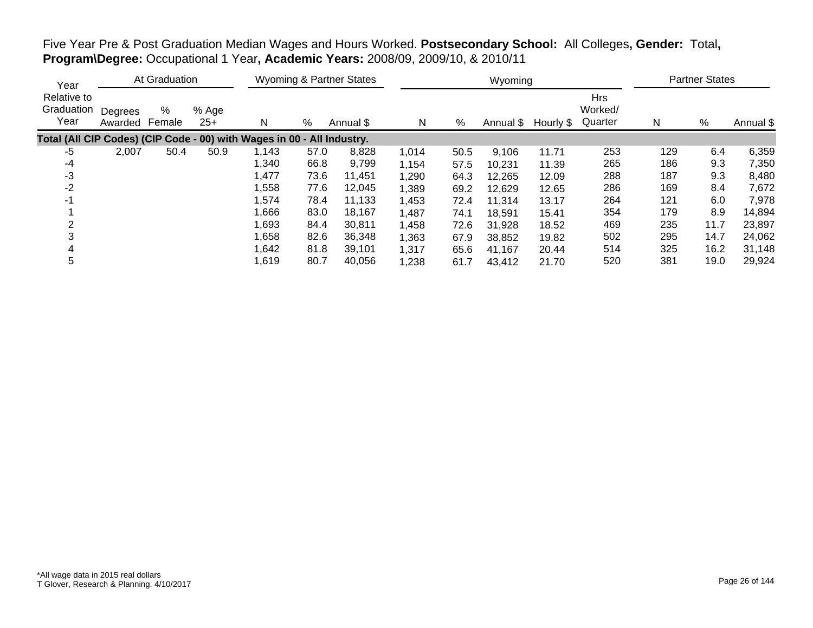| Five Year Pre & Post Graduation Median Wages and Hours Worked. Postsecondary School: All Colleges, Gender: Total, |  |  |  |  |
|-------------------------------------------------------------------------------------------------------------------|--|--|--|--|
| Program\Degree: Occupational 1 Year, Academic Years: 2008/09, 2009/10, & 2010/11                                  |  |  |  |  |

| Year                                                                   |                    | At Graduation |                |       |      | <b>Wyoming &amp; Partner States</b> |       |      | Wyoming   |           |                                  |     | <b>Partner States</b> |           |
|------------------------------------------------------------------------|--------------------|---------------|----------------|-------|------|-------------------------------------|-------|------|-----------|-----------|----------------------------------|-----|-----------------------|-----------|
| Relative to<br>Graduation<br>Year                                      | Degrees<br>Awarded | %<br>Female   | % Age<br>$25+$ | N     | %    | Annual \$                           | N     | %    | Annual \$ | Hourly \$ | <b>Hrs</b><br>Worked/<br>Quarter | N   | $\%$                  | Annual \$ |
| Total (All CIP Codes) (CIP Code - 00) with Wages in 00 - All Industry. |                    |               |                |       |      |                                     |       |      |           |           |                                  |     |                       |           |
| -5                                                                     | 2,007              | 50.4          | 50.9           | 1,143 | 57.0 | 8,828                               | 1,014 | 50.5 | 9,106     | 11.71     | 253                              | 129 | 6.4                   | 6,359     |
| -4                                                                     |                    |               |                | 1,340 | 66.8 | 9,799                               | 1,154 | 57.5 | 10,231    | 11.39     | 265                              | 186 | 9.3                   | 7,350     |
| -3                                                                     |                    |               |                | 1,477 | 73.6 | 11,451                              | 1,290 | 64.3 | 12,265    | 12.09     | 288                              | 187 | 9.3                   | 8,480     |
| -2                                                                     |                    |               |                | 1,558 | 77.6 | 12.045                              | 1,389 | 69.2 | 12,629    | 12.65     | 286                              | 169 | 8.4                   | 7,672     |
| $-1$                                                                   |                    |               |                | 1,574 | 78.4 | 11,133                              | 1,453 | 72.4 | 11,314    | 13.17     | 264                              | 121 | 6.0                   | 7,978     |
|                                                                        |                    |               |                | 1,666 | 83.0 | 18,167                              | 1,487 | 74.1 | 18,591    | 15.41     | 354                              | 179 | 8.9                   | 14,894    |
| 2                                                                      |                    |               |                | 1,693 | 84.4 | 30,811                              | 1,458 | 72.6 | 31,928    | 18.52     | 469                              | 235 | 11.7                  | 23,897    |
|                                                                        |                    |               |                | 1,658 | 82.6 | 36,348                              | 1,363 | 67.9 | 38,852    | 19.82     | 502                              | 295 | 14.7                  | 24,062    |
|                                                                        |                    |               |                | 1,642 | 81.8 | 39,101                              | 1,317 | 65.6 | 41,167    | 20.44     | 514                              | 325 | 16.2                  | 31,148    |
| 5                                                                      |                    |               |                | 1,619 | 80.7 | 40,056                              | 1,238 | 61.7 | 43,412    | 21.70     | 520                              | 381 | 19.0                  | 29,924    |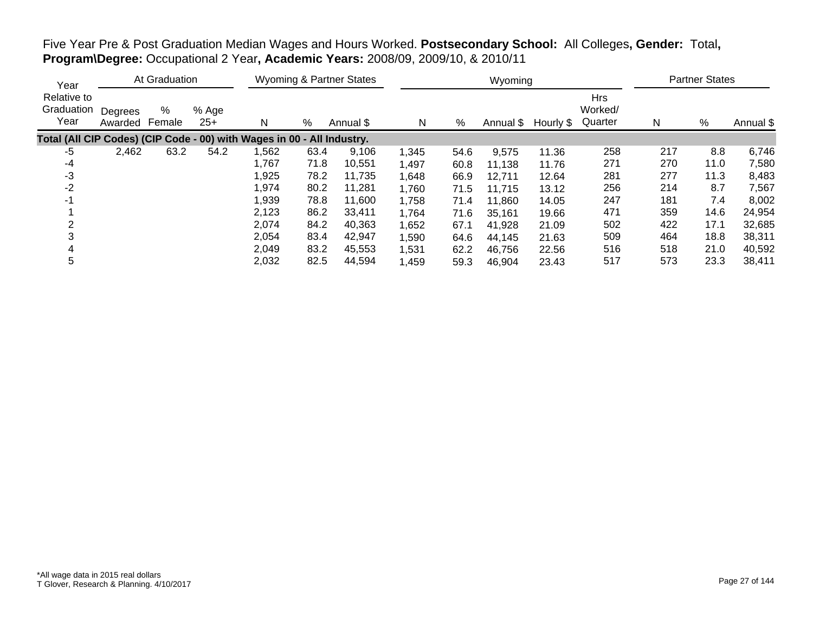| Five Year Pre & Post Graduation Median Wages and Hours Worked. Postsecondary School: All Colleges, Gender: Total, |  |
|-------------------------------------------------------------------------------------------------------------------|--|
| Program\Degree: Occupational 2 Year, Academic Years: 2008/09, 2009/10, & 2010/11                                  |  |

| Year                                                                   | At Graduation      |             |                | <b>Wyoming &amp; Partner States</b> |      |           |       |      | Wyoming   | <b>Partner States</b> |                                  |     |      |           |
|------------------------------------------------------------------------|--------------------|-------------|----------------|-------------------------------------|------|-----------|-------|------|-----------|-----------------------|----------------------------------|-----|------|-----------|
| Relative to<br>Graduation<br>Year                                      | Degrees<br>Awarded | %<br>Female | % Age<br>$25+$ | N                                   | %    | Annual \$ | N     | %    | Annual \$ | Hourly \$             | <b>Hrs</b><br>Worked/<br>Quarter | N   | $\%$ | Annual \$ |
| Total (All CIP Codes) (CIP Code - 00) with Wages in 00 - All Industry. |                    |             |                |                                     |      |           |       |      |           |                       |                                  |     |      |           |
| -5                                                                     | 2,462              | 63.2        | 54.2           | ,562                                | 63.4 | 9,106     | 1,345 | 54.6 | 9,575     | 11.36                 | 258                              | 217 | 8.8  | 6,746     |
| -4                                                                     |                    |             |                | 1,767                               | 71.8 | 10,551    | 1,497 | 60.8 | 11,138    | 11.76                 | 271                              | 270 | 11.0 | 7,580     |
| -3                                                                     |                    |             |                | 1,925                               | 78.2 | 11,735    | 1,648 | 66.9 | 12,711    | 12.64                 | 281                              | 277 | 11.3 | 8,483     |
| $-2$                                                                   |                    |             |                | 1,974                               | 80.2 | 11.281    | 1,760 | 71.5 | 11,715    | 13.12                 | 256                              | 214 | 8.7  | 7,567     |
| $-1$                                                                   |                    |             |                | 1,939                               | 78.8 | 11,600    | 1,758 | 71.4 | 11,860    | 14.05                 | 247                              | 181 | 7.4  | 8,002     |
|                                                                        |                    |             |                | 2,123                               | 86.2 | 33,411    | 1,764 | 71.6 | 35,161    | 19.66                 | 471                              | 359 | 14.6 | 24,954    |
|                                                                        |                    |             |                | 2,074                               | 84.2 | 40,363    | 1,652 | 67.1 | 41,928    | 21.09                 | 502                              | 422 | 17.1 | 32,685    |
|                                                                        |                    |             |                | 2,054                               | 83.4 | 42,947    | 1,590 | 64.6 | 44.145    | 21.63                 | 509                              | 464 | 18.8 | 38,311    |
|                                                                        |                    |             |                | 2,049                               | 83.2 | 45,553    | 1,531 | 62.2 | 46,756    | 22.56                 | 516                              | 518 | 21.0 | 40,592    |
| 5                                                                      |                    |             |                | 2,032                               | 82.5 | 44,594    | 1,459 | 59.3 | 46,904    | 23.43                 | 517                              | 573 | 23.3 | 38,411    |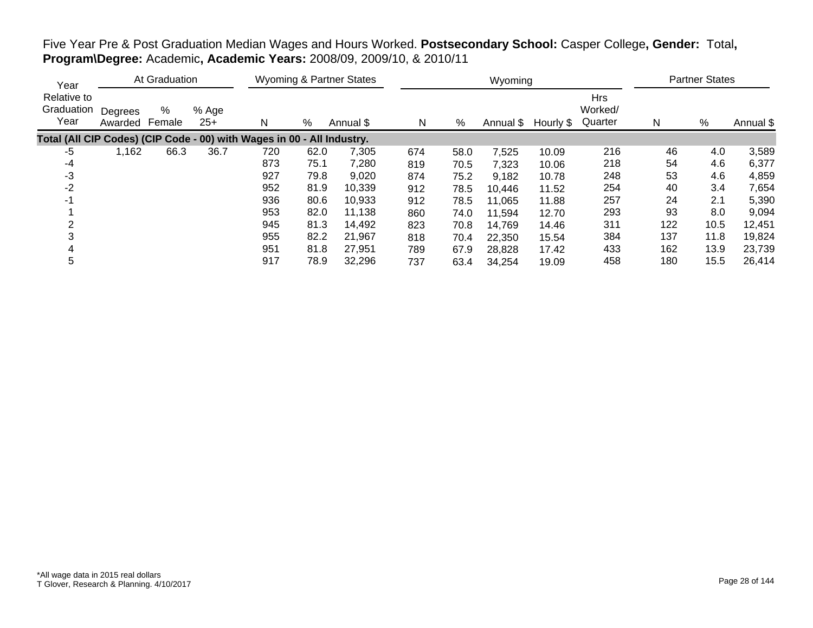| Year                                                                   |                    | At Graduation |                |     | <b>Wyoming &amp; Partner States</b> |           |     |      | Wyoming             |       | <b>Partner States</b>            |     |      |           |
|------------------------------------------------------------------------|--------------------|---------------|----------------|-----|-------------------------------------|-----------|-----|------|---------------------|-------|----------------------------------|-----|------|-----------|
| Relative to<br>Graduation<br>Year                                      | Degrees<br>Awarded | %<br>Female   | % Age<br>$25+$ | N   | %                                   | Annual \$ | N   | %    | Annual \$ Hourly \$ |       | <b>Hrs</b><br>Worked/<br>Quarter | N   | %    | Annual \$ |
| Total (All CIP Codes) (CIP Code - 00) with Wages in 00 - All Industry. |                    |               |                |     |                                     |           |     |      |                     |       |                                  |     |      |           |
| -5                                                                     | 1,162              | 66.3          | 36.7           | 720 | 62.0                                | 7,305     | 674 | 58.0 | 7,525               | 10.09 | 216                              | 46  | 4.0  | 3,589     |
| -4                                                                     |                    |               |                | 873 | 75.1                                | 7,280     | 819 | 70.5 | 7,323               | 10.06 | 218                              | 54  | 4.6  | 6,377     |
| -3                                                                     |                    |               |                | 927 | 79.8                                | 9,020     | 874 | 75.2 | 9,182               | 10.78 | 248                              | 53  | 4.6  | 4,859     |
| $-2$                                                                   |                    |               |                | 952 | 81.9                                | 10,339    | 912 | 78.5 | 10,446              | 11.52 | 254                              | 40  | 3.4  | 7,654     |
| $-1$                                                                   |                    |               |                | 936 | 80.6                                | 10,933    | 912 | 78.5 | 11,065              | 11.88 | 257                              | 24  | 2.1  | 5,390     |
|                                                                        |                    |               |                | 953 | 82.0                                | 11,138    | 860 | 74.0 | 11,594              | 12.70 | 293                              | 93  | 8.0  | 9,094     |
|                                                                        |                    |               |                | 945 | 81.3                                | 14,492    | 823 | 70.8 | 14,769              | 14.46 | 311                              | 122 | 10.5 | 12,451    |
|                                                                        |                    |               |                | 955 | 82.2                                | 21,967    | 818 | 70.4 | 22,350              | 15.54 | 384                              | 137 | 11.8 | 19,824    |
|                                                                        |                    |               |                | 951 | 81.8                                | 27,951    | 789 | 67.9 | 28,828              | 17.42 | 433                              | 162 | 13.9 | 23,739    |
| 5                                                                      |                    |               |                | 917 | 78.9                                | 32,296    | 737 | 63.4 | 34,254              | 19.09 | 458                              | 180 | 15.5 | 26,414    |

# Five Year Pre & Post Graduation Median Wages and Hours Worked. **Postsecondary School:** Casper College**, Gender:** Total**, Program\Degree:** Academic**, Academic Years:** 2008/09, 2009/10, & 2010/11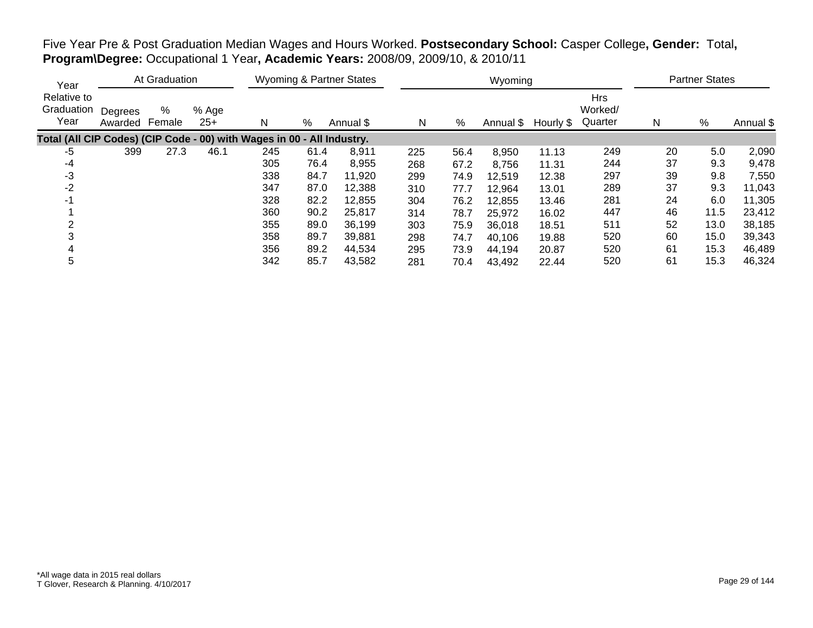| Year                                                                   |                    | At Graduation |                |     | <b>Wyoming &amp; Partner States</b> |           |     |      | Wyoming |                     | <b>Partner States</b>            |    |      |           |
|------------------------------------------------------------------------|--------------------|---------------|----------------|-----|-------------------------------------|-----------|-----|------|---------|---------------------|----------------------------------|----|------|-----------|
| Relative to<br>Graduation<br>Year                                      | Degrees<br>Awarded | %<br>Female   | % Age<br>$25+$ | N   | %                                   | Annual \$ | N   | %    |         | Annual \$ Hourly \$ | <b>Hrs</b><br>Worked/<br>Quarter | Ν  | %    | Annual \$ |
| Total (All CIP Codes) (CIP Code - 00) with Wages in 00 - All Industry. |                    |               |                |     |                                     |           |     |      |         |                     |                                  |    |      |           |
| -5                                                                     | 399                | 27.3          | 46.1           | 245 | 61.4                                | 8,911     | 225 | 56.4 | 8,950   | 11.13               | 249                              | 20 | 5.0  | 2,090     |
| $-4$                                                                   |                    |               |                | 305 | 76.4                                | 8,955     | 268 | 67.2 | 8,756   | 11.31               | 244                              | 37 | 9.3  | 9,478     |
| $-3$                                                                   |                    |               |                | 338 | 84.7                                | 11,920    | 299 | 74.9 | 12,519  | 12.38               | 297                              | 39 | 9.8  | 7,550     |
| $-2$                                                                   |                    |               |                | 347 | 87.0                                | 12,388    | 310 | 77.7 | 12,964  | 13.01               | 289                              | 37 | 9.3  | 11,043    |
| -1                                                                     |                    |               |                | 328 | 82.2                                | 12,855    | 304 | 76.2 | 12,855  | 13.46               | 281                              | 24 | 6.0  | 11,305    |
|                                                                        |                    |               |                | 360 | 90.2                                | 25,817    | 314 | 78.7 | 25,972  | 16.02               | 447                              | 46 | 11.5 | 23,412    |
|                                                                        |                    |               |                | 355 | 89.0                                | 36,199    | 303 | 75.9 | 36,018  | 18.51               | 511                              | 52 | 13.0 | 38,185    |
|                                                                        |                    |               |                | 358 | 89.7                                | 39,881    | 298 | 74.7 | 40,106  | 19.88               | 520                              | 60 | 15.0 | 39,343    |
| 4                                                                      |                    |               |                | 356 | 89.2                                | 44,534    | 295 | 73.9 | 44,194  | 20.87               | 520                              | 61 | 15.3 | 46,489    |
| 5                                                                      |                    |               |                | 342 | 85.7                                | 43,582    | 281 | 70.4 | 43,492  | 22.44               | 520                              | 61 | 15.3 | 46,324    |

Five Year Pre & Post Graduation Median Wages and Hours Worked. **Postsecondary School:** Casper College**, Gender:** Total**, Program\Degree:** Occupational 1 Year**, Academic Years:** 2008/09, 2009/10, & 2010/11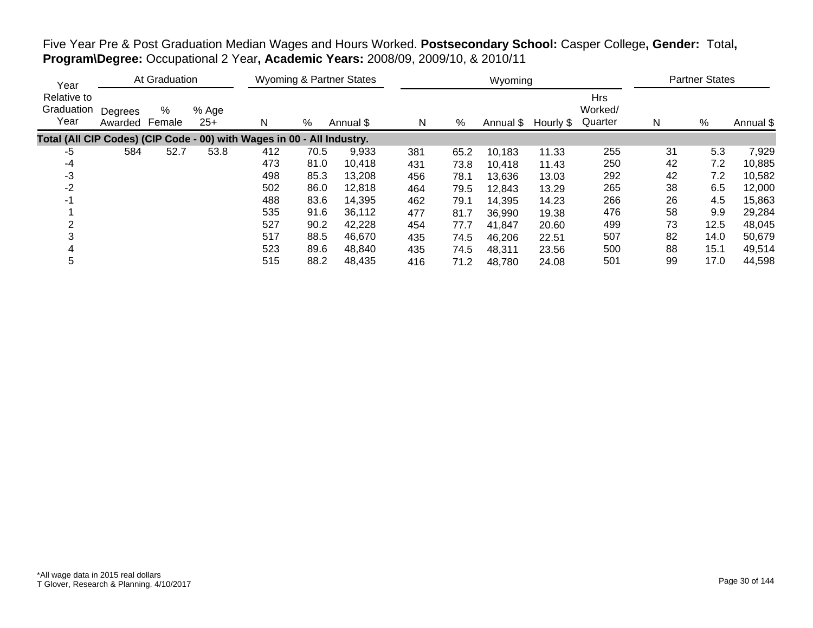| Year                                                                   |                    | At Graduation |                |     | <b>Wyoming &amp; Partner States</b> |           |     |      | Wyoming |                     | <b>Partner States</b>            |    |      |           |
|------------------------------------------------------------------------|--------------------|---------------|----------------|-----|-------------------------------------|-----------|-----|------|---------|---------------------|----------------------------------|----|------|-----------|
| Relative to<br>Graduation<br>Year                                      | Degrees<br>Awarded | %<br>Female   | % Age<br>$25+$ | N   | %                                   | Annual \$ | N   | %    |         | Annual \$ Hourly \$ | <b>Hrs</b><br>Worked/<br>Quarter | Ν  | %    | Annual \$ |
| Total (All CIP Codes) (CIP Code - 00) with Wages in 00 - All Industry. |                    |               |                |     |                                     |           |     |      |         |                     |                                  |    |      |           |
| -5                                                                     | 584                | 52.7          | 53.8           | 412 | 70.5                                | 9,933     | 381 | 65.2 | 10,183  | 11.33               | 255                              | 31 | 5.3  | 7,929     |
| $-4$                                                                   |                    |               |                | 473 | 81.0                                | 10,418    | 431 | 73.8 | 10,418  | 11.43               | 250                              | 42 | 7.2  | 10,885    |
| $-3$                                                                   |                    |               |                | 498 | 85.3                                | 13,208    | 456 | 78.1 | 13,636  | 13.03               | 292                              | 42 | 7.2  | 10,582    |
| $-2$                                                                   |                    |               |                | 502 | 86.0                                | 12,818    | 464 | 79.5 | 12,843  | 13.29               | 265                              | 38 | 6.5  | 12,000    |
| -1                                                                     |                    |               |                | 488 | 83.6                                | 14,395    | 462 | 79.1 | 14,395  | 14.23               | 266                              | 26 | 4.5  | 15,863    |
|                                                                        |                    |               |                | 535 | 91.6                                | 36,112    | 477 | 81.7 | 36,990  | 19.38               | 476                              | 58 | 9.9  | 29,284    |
|                                                                        |                    |               |                | 527 | 90.2                                | 42,228    | 454 | 77.7 | 41.847  | 20.60               | 499                              | 73 | 12.5 | 48,045    |
|                                                                        |                    |               |                | 517 | 88.5                                | 46,670    | 435 | 74.5 | 46,206  | 22.51               | 507                              | 82 | 14.0 | 50,679    |
| 4                                                                      |                    |               |                | 523 | 89.6                                | 48,840    | 435 | 74.5 | 48,311  | 23.56               | 500                              | 88 | 15.1 | 49,514    |
| 5                                                                      |                    |               |                | 515 | 88.2                                | 48,435    | 416 | 71.2 | 48,780  | 24.08               | 501                              | 99 | 17.0 | 44,598    |

Five Year Pre & Post Graduation Median Wages and Hours Worked. **Postsecondary School:** Casper College**, Gender:** Total**, Program\Degree:** Occupational 2 Year**, Academic Years:** 2008/09, 2009/10, & 2010/11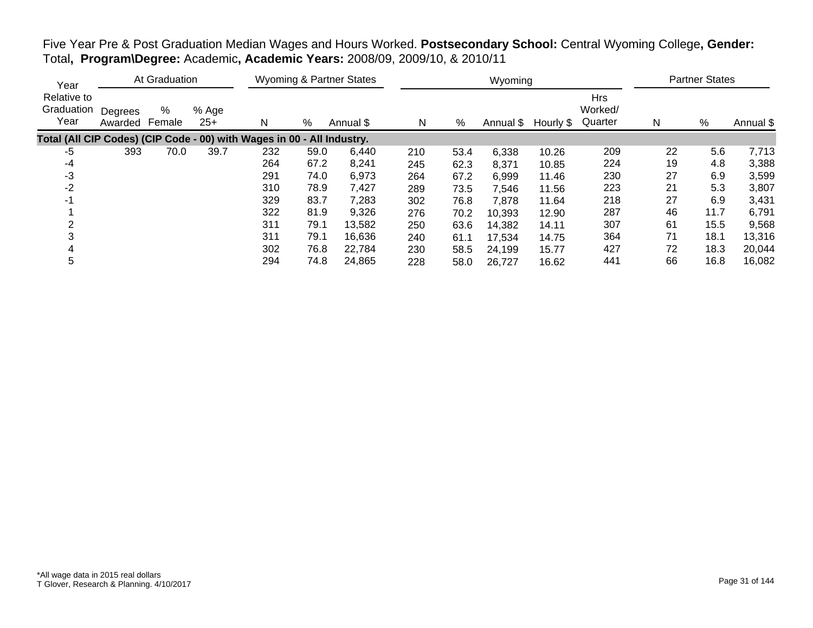| Year                                                                   |                    | At Graduation |                |     | <b>Wyoming &amp; Partner States</b> |           |     |      | Wyoming             |       | <b>Partner States</b>            |    |      |           |
|------------------------------------------------------------------------|--------------------|---------------|----------------|-----|-------------------------------------|-----------|-----|------|---------------------|-------|----------------------------------|----|------|-----------|
| Relative to<br>Graduation<br>Year                                      | Degrees<br>Awarded | %<br>Female   | % Age<br>$25+$ | N   | %                                   | Annual \$ | N   | %    | Annual \$ Hourly \$ |       | <b>Hrs</b><br>Worked/<br>Quarter | N  | %    | Annual \$ |
| Total (All CIP Codes) (CIP Code - 00) with Wages in 00 - All Industry. |                    |               |                |     |                                     |           |     |      |                     |       |                                  |    |      |           |
| -5                                                                     | 393                | 70.0          | 39.7           | 232 | 59.0                                | 6,440     | 210 | 53.4 | 6,338               | 10.26 | 209                              | 22 | 5.6  | 7,713     |
| $-4$                                                                   |                    |               |                | 264 | 67.2                                | 8,241     | 245 | 62.3 | 8,371               | 10.85 | 224                              | 19 | 4.8  | 3,388     |
| $-3$                                                                   |                    |               |                | 291 | 74.0                                | 6,973     | 264 | 67.2 | 6,999               | 11.46 | 230                              | 27 | 6.9  | 3,599     |
| $-2$                                                                   |                    |               |                | 310 | 78.9                                | 7,427     | 289 | 73.5 | 7,546               | 11.56 | 223                              | 21 | 5.3  | 3,807     |
| -1                                                                     |                    |               |                | 329 | 83.7                                | 7,283     | 302 | 76.8 | 7,878               | 11.64 | 218                              | 27 | 6.9  | 3,431     |
|                                                                        |                    |               |                | 322 | 81.9                                | 9,326     | 276 | 70.2 | 10,393              | 12.90 | 287                              | 46 | 11.7 | 6,791     |
|                                                                        |                    |               |                | 311 | 79.1                                | 13,582    | 250 | 63.6 | 14,382              | 14.11 | 307                              | 61 | 15.5 | 9,568     |
|                                                                        |                    |               |                | 311 | 79.1                                | 16,636    | 240 | 61.1 | 17,534              | 14.75 | 364                              | 71 | 18.1 | 13,316    |
| 4                                                                      |                    |               |                | 302 | 76.8                                | 22.784    | 230 | 58.5 | 24,199              | 15.77 | 427                              | 72 | 18.3 | 20,044    |
| 5                                                                      |                    |               |                | 294 | 74.8                                | 24,865    | 228 | 58.0 | 26,727              | 16.62 | 441                              | 66 | 16.8 | 16,082    |

Five Year Pre & Post Graduation Median Wages and Hours Worked. **Postsecondary School:** Central Wyoming College**, Gender:** Total**, Program\Degree:** Academic**, Academic Years:** 2008/09, 2009/10, & 2010/11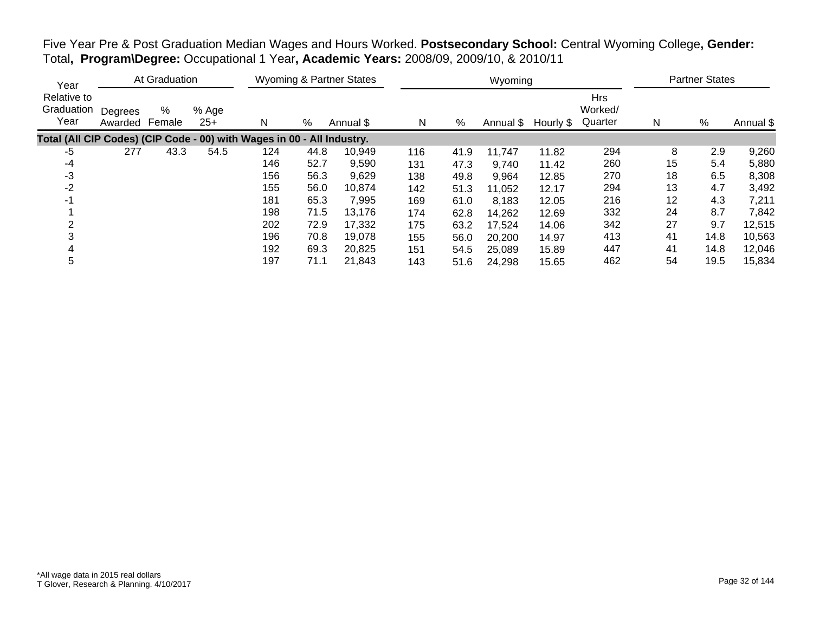| Five Year Pre & Post Graduation Median Wages and Hours Worked. Postsecondary School: Central Wyoming College, Gender: |  |
|-----------------------------------------------------------------------------------------------------------------------|--|
| Total, Program\Degree: Occupational 1 Year, Academic Years: 2008/09, 2009/10, & 2010/11                               |  |

| Year                                                                   | At Graduation      |             |                |     | <b>Wyoming &amp; Partner States</b> |           |     |      | Wyoming   |           | <b>Partner States</b>            |    |      |           |
|------------------------------------------------------------------------|--------------------|-------------|----------------|-----|-------------------------------------|-----------|-----|------|-----------|-----------|----------------------------------|----|------|-----------|
| Relative to<br>Graduation<br>Year                                      | Degrees<br>Awarded | %<br>Female | % Age<br>$25+$ | N   | %                                   | Annual \$ | N   | %    | Annual \$ | Hourly \$ | <b>Hrs</b><br>Worked/<br>Quarter | N  | $\%$ | Annual \$ |
| Total (All CIP Codes) (CIP Code - 00) with Wages in 00 - All Industry. |                    |             |                |     |                                     |           |     |      |           |           |                                  |    |      |           |
| $-5$                                                                   | 277                | 43.3        | 54.5           | 124 | 44.8                                | 10,949    | 116 | 41.9 | 11,747    | 11.82     | 294                              | 8  | 2.9  | 9,260     |
| -4                                                                     |                    |             |                | 146 | 52.7                                | 9,590     | 131 | 47.3 | 9,740     | 11.42     | 260                              | 15 | 5.4  | 5,880     |
| -3                                                                     |                    |             |                | 156 | 56.3                                | 9,629     | 138 | 49.8 | 9,964     | 12.85     | 270                              | 18 | 6.5  | 8,308     |
| $-2$                                                                   |                    |             |                | 155 | 56.0                                | 10,874    | 142 | 51.3 | 11,052    | 12.17     | 294                              | 13 | 4.7  | 3,492     |
| $-1$                                                                   |                    |             |                | 181 | 65.3                                | 7,995     | 169 | 61.0 | 8,183     | 12.05     | 216                              | 12 | 4.3  | 7,211     |
|                                                                        |                    |             |                | 198 | 71.5                                | 13,176    | 174 | 62.8 | 14,262    | 12.69     | 332                              | 24 | 8.7  | 7,842     |
|                                                                        |                    |             |                | 202 | 72.9                                | 17,332    | 175 | 63.2 | 17,524    | 14.06     | 342                              | 27 | 9.7  | 12,515    |
|                                                                        |                    |             |                | 196 | 70.8                                | 19,078    | 155 | 56.0 | 20,200    | 14.97     | 413                              | 41 | 14.8 | 10,563    |
|                                                                        |                    |             |                | 192 | 69.3                                | 20,825    | 151 | 54.5 | 25,089    | 15.89     | 447                              | 41 | 14.8 | 12,046    |
| 5                                                                      |                    |             |                | 197 | 71.1                                | 21.843    | 143 | 51.6 | 24,298    | 15.65     | 462                              | 54 | 19.5 | 15,834    |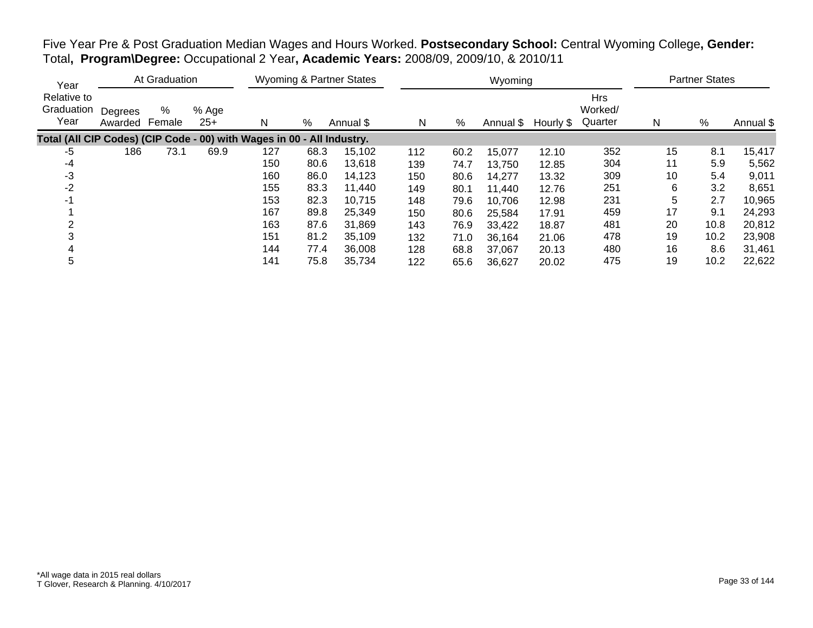| Five Year Pre & Post Graduation Median Wages and Hours Worked. Postsecondary School: Central Wyoming College, Gender: |  |
|-----------------------------------------------------------------------------------------------------------------------|--|
| Total, Program\Degree: Occupational 2 Year, Academic Years: 2008/09, 2009/10, & 2010/11                               |  |

| Year                                                                   | At Graduation      |             |                |     | <b>Wyoming &amp; Partner States</b> |           |     |      | Wyoming   |           | <b>Partner States</b>            |    |      |           |
|------------------------------------------------------------------------|--------------------|-------------|----------------|-----|-------------------------------------|-----------|-----|------|-----------|-----------|----------------------------------|----|------|-----------|
| Relative to<br>Graduation<br>Year                                      | Degrees<br>Awarded | %<br>Female | % Age<br>$25+$ | N   | %                                   | Annual \$ | N   | %    | Annual \$ | Hourly \$ | <b>Hrs</b><br>Worked/<br>Quarter | N  | %    | Annual \$ |
| Total (All CIP Codes) (CIP Code - 00) with Wages in 00 - All Industry. |                    |             |                |     |                                     |           |     |      |           |           |                                  |    |      |           |
| -5                                                                     | 186                | 73.1        | 69.9           | 127 | 68.3                                | 15,102    | 112 | 60.2 | 15,077    | 12.10     | 352                              | 15 | 8.1  | 15,417    |
| -4                                                                     |                    |             |                | 150 | 80.6                                | 13,618    | 139 | 74.7 | 13,750    | 12.85     | 304                              | 11 | 5.9  | 5,562     |
| $-3$                                                                   |                    |             |                | 160 | 86.0                                | 14,123    | 150 | 80.6 | 14,277    | 13.32     | 309                              | 10 | 5.4  | 9,011     |
| $-2$                                                                   |                    |             |                | 155 | 83.3                                | 11,440    | 149 | 80.1 | 11,440    | 12.76     | 251                              | 6  | 3.2  | 8,651     |
| -1                                                                     |                    |             |                | 153 | 82.3                                | 10,715    | 148 | 79.6 | 10,706    | 12.98     | 231                              | 5  | 2.7  | 10,965    |
|                                                                        |                    |             |                | 167 | 89.8                                | 25,349    | 150 | 80.6 | 25,584    | 17.91     | 459                              | 17 | 9.1  | 24,293    |
|                                                                        |                    |             |                | 163 | 87.6                                | 31.869    | 143 | 76.9 | 33,422    | 18.87     | 481                              | 20 | 10.8 | 20,812    |
|                                                                        |                    |             |                | 151 | 81.2                                | 35.109    | 132 | 71.0 | 36,164    | 21.06     | 478                              | 19 | 10.2 | 23,908    |
|                                                                        |                    |             |                | 144 | 77.4                                | 36,008    | 128 | 68.8 | 37,067    | 20.13     | 480                              | 16 | 8.6  | 31,461    |
| 5                                                                      |                    |             |                | 141 | 75.8                                | 35,734    | 122 | 65.6 | 36,627    | 20.02     | 475                              | 19 | 10.2 | 22,622    |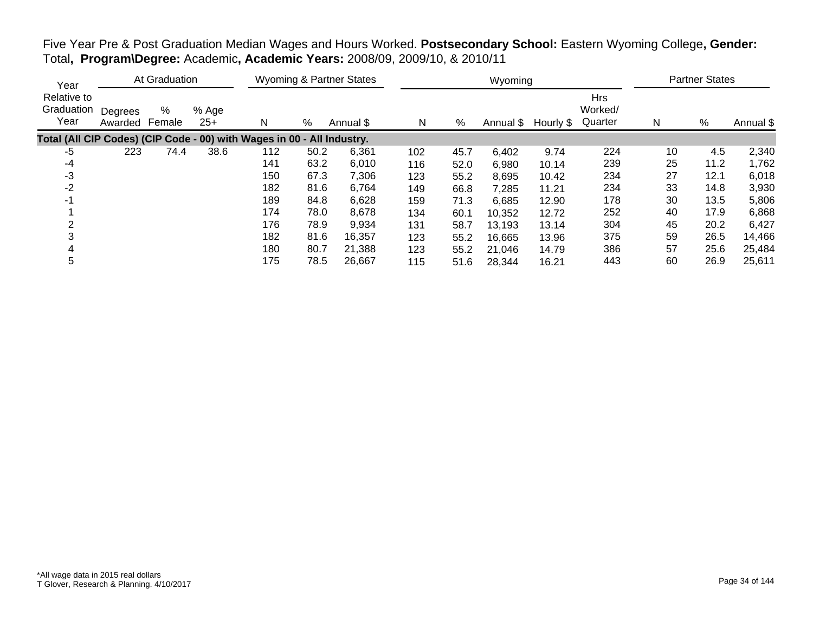| Year                                                                   |                    | At Graduation |                |     | <b>Wyoming &amp; Partner States</b> |           |     |      | Wyoming             |       | <b>Partner States</b>            |    |      |           |
|------------------------------------------------------------------------|--------------------|---------------|----------------|-----|-------------------------------------|-----------|-----|------|---------------------|-------|----------------------------------|----|------|-----------|
| Relative to<br>Graduation<br>Year                                      | Degrees<br>Awarded | %<br>Female   | % Age<br>$25+$ | N   | %                                   | Annual \$ | N   | %    | Annual \$ Hourly \$ |       | <b>Hrs</b><br>Worked/<br>Quarter | Ν  | %    | Annual \$ |
| Total (All CIP Codes) (CIP Code - 00) with Wages in 00 - All Industry. |                    |               |                |     |                                     |           |     |      |                     |       |                                  |    |      |           |
| -5                                                                     | 223                | 74.4          | 38.6           | 112 | 50.2                                | 6,361     | 102 | 45.7 | 6,402               | 9.74  | 224                              | 10 | 4.5  | 2,340     |
| $-4$                                                                   |                    |               |                | 141 | 63.2                                | 6,010     | 116 | 52.0 | 6,980               | 10.14 | 239                              | 25 | 11.2 | 1,762     |
| $-3$                                                                   |                    |               |                | 150 | 67.3                                | 7,306     | 123 | 55.2 | 8,695               | 10.42 | 234                              | 27 | 12.1 | 6,018     |
| $-2$                                                                   |                    |               |                | 182 | 81.6                                | 6,764     | 149 | 66.8 | 7,285               | 11.21 | 234                              | 33 | 14.8 | 3,930     |
| -1                                                                     |                    |               |                | 189 | 84.8                                | 6,628     | 159 | 71.3 | 6,685               | 12.90 | 178                              | 30 | 13.5 | 5,806     |
|                                                                        |                    |               |                | 174 | 78.0                                | 8,678     | 134 | 60.1 | 10,352              | 12.72 | 252                              | 40 | 17.9 | 6,868     |
|                                                                        |                    |               |                | 176 | 78.9                                | 9,934     | 131 | 58.7 | 13,193              | 13.14 | 304                              | 45 | 20.2 | 6,427     |
|                                                                        |                    |               |                | 182 | 81.6                                | 16,357    | 123 | 55.2 | 16,665              | 13.96 | 375                              | 59 | 26.5 | 14,466    |
| 4                                                                      |                    |               |                | 180 | 80.7                                | 21,388    | 123 | 55.2 | 21,046              | 14.79 | 386                              | 57 | 25.6 | 25,484    |
| 5                                                                      |                    |               |                | 175 | 78.5                                | 26,667    | 115 | 51.6 | 28,344              | 16.21 | 443                              | 60 | 26.9 | 25,611    |

Five Year Pre & Post Graduation Median Wages and Hours Worked. **Postsecondary School:** Eastern Wyoming College**, Gender:** Total**, Program\Degree:** Academic**, Academic Years:** 2008/09, 2009/10, & 2010/11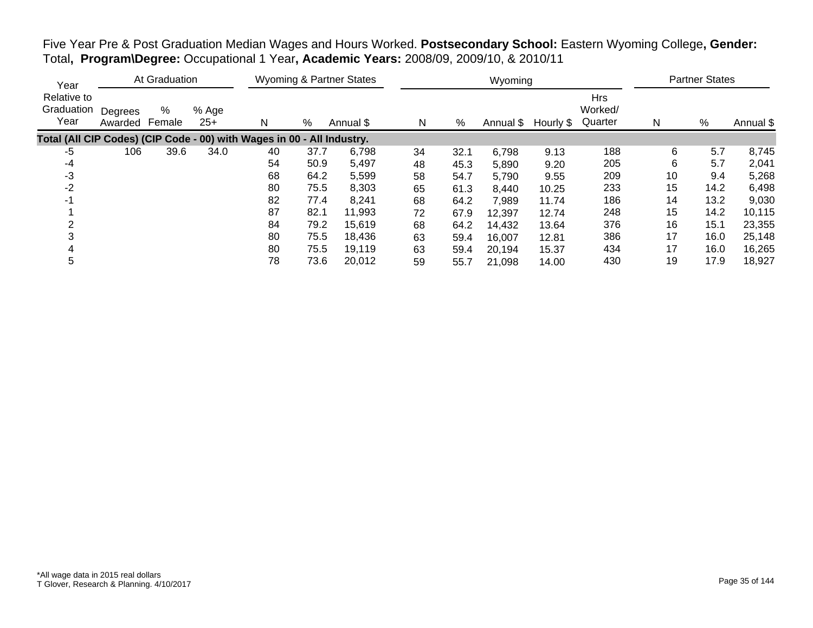| Five Year Pre & Post Graduation Median Wages and Hours Worked. Postsecondary School: Eastern Wyoming College, Gender: |  |
|-----------------------------------------------------------------------------------------------------------------------|--|
| Total, Program\Degree: Occupational 1 Year, Academic Years: 2008/09, 2009/10, & 2010/11                               |  |

| Year                                                                   | At Graduation      |             |                |    | <b>Wyoming &amp; Partner States</b> |           |    |      | Wyoming   |           | <b>Partner States</b>            |    |      |           |
|------------------------------------------------------------------------|--------------------|-------------|----------------|----|-------------------------------------|-----------|----|------|-----------|-----------|----------------------------------|----|------|-----------|
| Relative to<br>Graduation<br>Year                                      | Degrees<br>Awarded | %<br>Female | % Age<br>$25+$ | N  | %                                   | Annual \$ | N  | %    | Annual \$ | Hourly \$ | <b>Hrs</b><br>Worked/<br>Quarter | N  | %    | Annual \$ |
| Total (All CIP Codes) (CIP Code - 00) with Wages in 00 - All Industry. |                    |             |                |    |                                     |           |    |      |           |           |                                  |    |      |           |
| $-5$                                                                   | 106                | 39.6        | 34.0           | 40 | 37.7                                | 6,798     | 34 | 32.1 | 6,798     | 9.13      | 188                              | 6  | 5.7  | 8,745     |
| -4                                                                     |                    |             |                | 54 | 50.9                                | 5,497     | 48 | 45.3 | 5,890     | 9.20      | 205                              | 6  | 5.7  | 2,041     |
| -3                                                                     |                    |             |                | 68 | 64.2                                | 5,599     | 58 | 54.7 | 5,790     | 9.55      | 209                              | 10 | 9.4  | 5,268     |
| $-2$                                                                   |                    |             |                | 80 | 75.5                                | 8,303     | 65 | 61.3 | 8,440     | 10.25     | 233                              | 15 | 14.2 | 6,498     |
| -1                                                                     |                    |             |                | 82 | 77.4                                | 8,241     | 68 | 64.2 | 7,989     | 11.74     | 186                              | 14 | 13.2 | 9,030     |
|                                                                        |                    |             |                | 87 | 82.1                                | 11,993    | 72 | 67.9 | 12,397    | 12.74     | 248                              | 15 | 14.2 | 10,115    |
|                                                                        |                    |             |                | 84 | 79.2                                | 15,619    | 68 | 64.2 | 14,432    | 13.64     | 376                              | 16 | 15.1 | 23,355    |
|                                                                        |                    |             |                | 80 | 75.5                                | 18,436    | 63 | 59.4 | 16,007    | 12.81     | 386                              | 17 | 16.0 | 25,148    |
|                                                                        |                    |             |                | 80 | 75.5                                | 19,119    | 63 | 59.4 | 20,194    | 15.37     | 434                              | 17 | 16.0 | 16,265    |
| 5                                                                      |                    |             |                | 78 | 73.6                                | 20,012    | 59 | 55.7 | 21,098    | 14.00     | 430                              | 19 | 17.9 | 18,927    |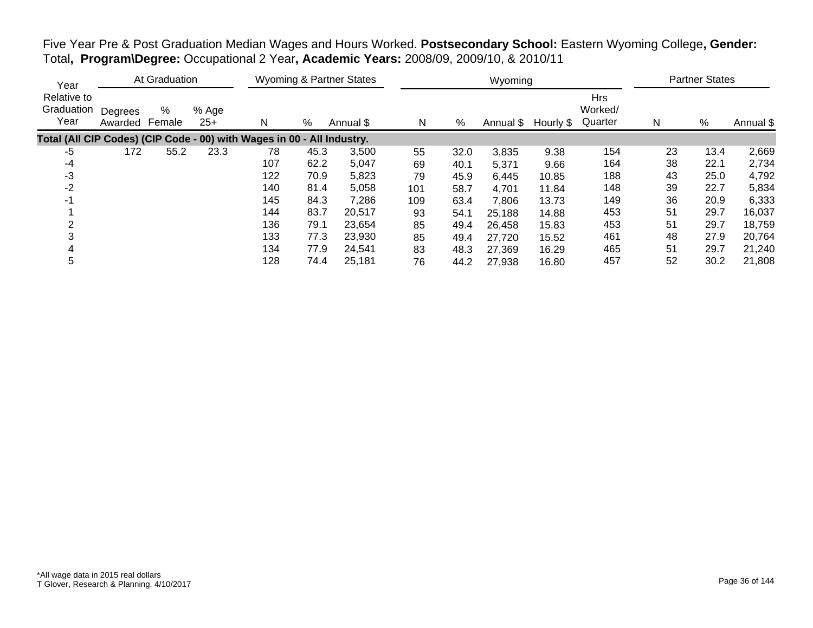| Year<br>Relative to<br>Graduation<br>Year                              | At Graduation      |             |                | Wyoming & Partner States |      |           | Wyoming |      |       |                     |                                  | <b>Partner States</b> |      |           |
|------------------------------------------------------------------------|--------------------|-------------|----------------|--------------------------|------|-----------|---------|------|-------|---------------------|----------------------------------|-----------------------|------|-----------|
|                                                                        | Degrees<br>Awarded | %<br>Female | % Age<br>$25+$ | N                        | %    | Annual \$ | N       | %    |       | Annual \$ Hourly \$ | <b>Hrs</b><br>Worked/<br>Quarter | N                     | %    | Annual \$ |
| Total (All CIP Codes) (CIP Code - 00) with Wages in 00 - All Industry. |                    |             |                |                          |      |           |         |      |       |                     |                                  |                       |      |           |
| -5                                                                     | 172                | 55.2        | 23.3           | 78                       | 45.3 | 3,500     | 55      | 32.0 | 3,835 | 9.38                | 154                              | 23                    | 13.4 | 2,669     |
| -4                                                                     |                    |             |                | 107                      | 62.2 | 5,047     | 69      | 40.1 | 5,371 | 9.66                | 164                              | 38                    | 22.1 | 2,734     |
| -3                                                                     |                    |             |                | 122                      | 70.9 | 5,823     | 79      | 45.9 | 6,445 | 10.85               | 188                              | 43                    | 25.0 | 4,792     |
| $-2$                                                                   |                    |             |                | 140                      | 81.4 | 5.058     | 101     | 58.7 | 4.701 | 11.84               | 148                              | 39                    | 22.7 | 5,834     |
|                                                                        |                    |             |                | 145                      | 84.3 | 7,286     | 109     | 63.4 | 7,806 | 13.73               | 149                              | 36                    | 20.9 | 6,333     |

 144 83.7 20,517 93 54.1 25,188 14.88 453 51 29.7 16,037 136 79.1 23,654 85 49.4 26,458 15.83 453 51 29.7 18,759 133 77.3 23,930 85 49.4 27,720 15.52 461 48 27.9 20,764 134 77.9 24,541 83 48.3 27,369 16.29 465 51 29.7 21,240 128 74.4 25,181 76 44.2 27,938 16.80 457 52 30.2 21,808

Five Year Pre & Post Graduation Median Wages and Hours Worked. **Postsecondary School:** Eastern Wyoming College**, Gender:** Total**, Program\Degree:** Occupational 2 Year**, Academic Years:** 2008/09, 2009/10, & 2010/11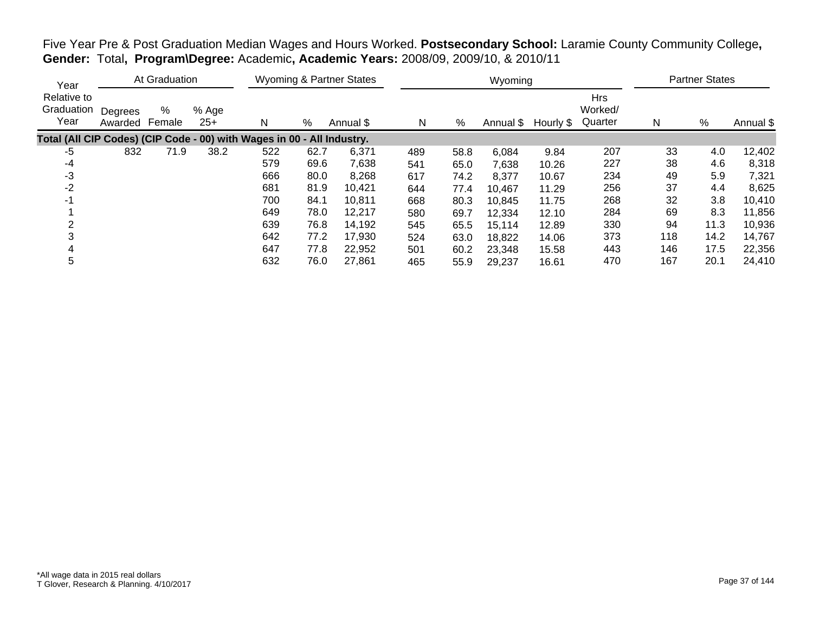| Year                                                                   |                    | At Graduation |                |     |      | Wyoming & Partner States |     |      | Wyoming |                     |                                  |     | <b>Partner States</b> |           |
|------------------------------------------------------------------------|--------------------|---------------|----------------|-----|------|--------------------------|-----|------|---------|---------------------|----------------------------------|-----|-----------------------|-----------|
| Relative to<br>Graduation<br>Year                                      | Degrees<br>Awarded | %<br>Female   | % Age<br>$25+$ | N   | %    | Annual \$                | N   | %    |         | Annual \$ Hourly \$ | <b>Hrs</b><br>Worked/<br>Quarter | N   | $\%$                  | Annual \$ |
| Total (All CIP Codes) (CIP Code - 00) with Wages in 00 - All Industry. |                    |               |                |     |      |                          |     |      |         |                     |                                  |     |                       |           |
| -5                                                                     | 832                | 71.9          | 38.2           | 522 | 62.7 | 6,371                    | 489 | 58.8 | 6,084   | 9.84                | 207                              | 33  | 4.0                   | 12,402    |
| -4                                                                     |                    |               |                | 579 | 69.6 | 7,638                    | 541 | 65.0 | 7,638   | 10.26               | 227                              | 38  | 4.6                   | 8,318     |
| -3                                                                     |                    |               |                | 666 | 80.0 | 8,268                    | 617 | 74.2 | 8,377   | 10.67               | 234                              | 49  | 5.9                   | 7,321     |
| -2                                                                     |                    |               |                | 681 | 81.9 | 10,421                   | 644 | 77.4 | 10,467  | 11.29               | 256                              | 37  | 4.4                   | 8,625     |
| -1                                                                     |                    |               |                | 700 | 84.1 | 10,811                   | 668 | 80.3 | 10,845  | 11.75               | 268                              | 32  | 3.8                   | 10,410    |
|                                                                        |                    |               |                | 649 | 78.0 | 12,217                   | 580 | 69.7 | 12,334  | 12.10               | 284                              | 69  | 8.3                   | 11,856    |
| っ                                                                      |                    |               |                | 639 | 76.8 | 14,192                   | 545 | 65.5 | 15,114  | 12.89               | 330                              | 94  | 11.3                  | 10,936    |
|                                                                        |                    |               |                | 642 | 77.2 | 17,930                   | 524 | 63.0 | 18,822  | 14.06               | 373                              | 118 | 14.2                  | 14,767    |
|                                                                        |                    |               |                | 647 | 77.8 | 22,952                   | 501 | 60.2 | 23,348  | 15.58               | 443                              | 146 | 17.5                  | 22,356    |
| 5                                                                      |                    |               |                | 632 | 76.0 | 27,861                   | 465 | 55.9 | 29,237  | 16.61               | 470                              | 167 | 20.1                  | 24,410    |

Five Year Pre & Post Graduation Median Wages and Hours Worked. **Postsecondary School:** Laramie County Community College**, Gender:** Total**, Program\Degree:** Academic**, Academic Years:** 2008/09, 2009/10, & 2010/11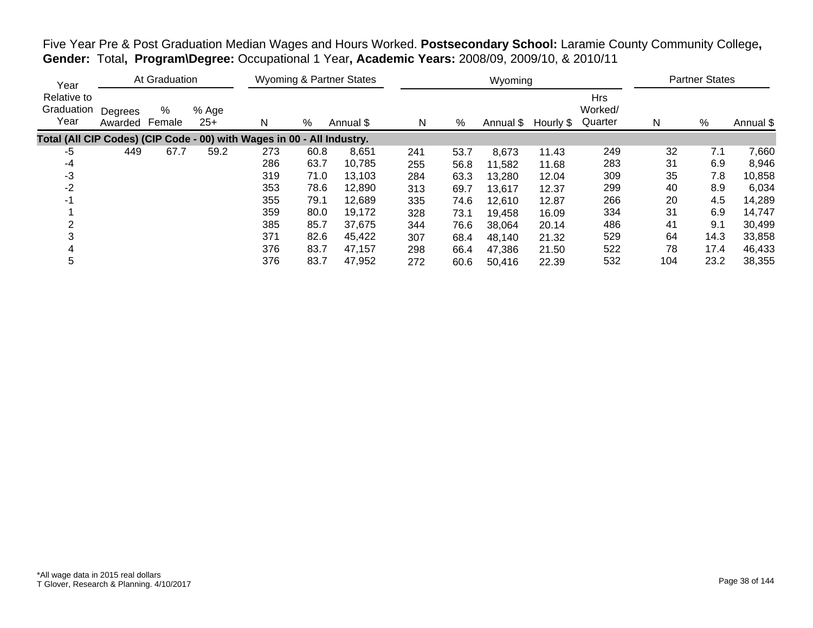| Year                                                                   |                    | At Graduation |                |     |      | Wyoming & Partner States |     |      | Wyoming   |           |                                  |     | <b>Partner States</b> |           |
|------------------------------------------------------------------------|--------------------|---------------|----------------|-----|------|--------------------------|-----|------|-----------|-----------|----------------------------------|-----|-----------------------|-----------|
| Relative to<br>Graduation<br>Year                                      | Degrees<br>Awarded | %<br>Female   | % Age<br>$25+$ | N   | %    | Annual \$                | N   | %    | Annual \$ | Hourly \$ | <b>Hrs</b><br>Worked/<br>Quarter | N   | %                     | Annual \$ |
| Total (All CIP Codes) (CIP Code - 00) with Wages in 00 - All Industry. |                    |               |                |     |      |                          |     |      |           |           |                                  |     |                       |           |
| $-5$                                                                   | 449                | 67.7          | 59.2           | 273 | 60.8 | 8,651                    | 241 | 53.7 | 8,673     | 11.43     | 249                              | 32  | 7.1                   | 7,660     |
| $-4$                                                                   |                    |               |                | 286 | 63.7 | 10,785                   | 255 | 56.8 | 11,582    | 11.68     | 283                              | 31  | 6.9                   | 8,946     |
| -3                                                                     |                    |               |                | 319 | 71.0 | 13,103                   | 284 | 63.3 | 13.280    | 12.04     | 309                              | 35  | 7.8                   | 10,858    |
| -2                                                                     |                    |               |                | 353 | 78.6 | 12,890                   | 313 | 69.7 | 13,617    | 12.37     | 299                              | 40  | 8.9                   | 6,034     |
| -1                                                                     |                    |               |                | 355 | 79.1 | 12,689                   | 335 | 74.6 | 12,610    | 12.87     | 266                              | 20  | 4.5                   | 14,289    |
|                                                                        |                    |               |                | 359 | 80.0 | 19,172                   | 328 | 73.1 | 19,458    | 16.09     | 334                              | 31  | 6.9                   | 14,747    |
| っ                                                                      |                    |               |                | 385 | 85.7 | 37,675                   | 344 | 76.6 | 38,064    | 20.14     | 486                              | 41  | 9.1                   | 30,499    |
|                                                                        |                    |               |                | 371 | 82.6 | 45,422                   | 307 | 68.4 | 48,140    | 21.32     | 529                              | 64  | 14.3                  | 33,858    |
|                                                                        |                    |               |                | 376 | 83.7 | 47,157                   | 298 | 66.4 | 47,386    | 21.50     | 522                              | 78  | 17.4                  | 46,433    |
| 5                                                                      |                    |               |                | 376 | 83.7 | 47,952                   | 272 | 60.6 | 50,416    | 22.39     | 532                              | 104 | 23.2                  | 38,355    |

Five Year Pre & Post Graduation Median Wages and Hours Worked. **Postsecondary School:** Laramie County Community College**, Gender:** Total**, Program\Degree:** Occupational 1 Year**, Academic Years:** 2008/09, 2009/10, & 2010/11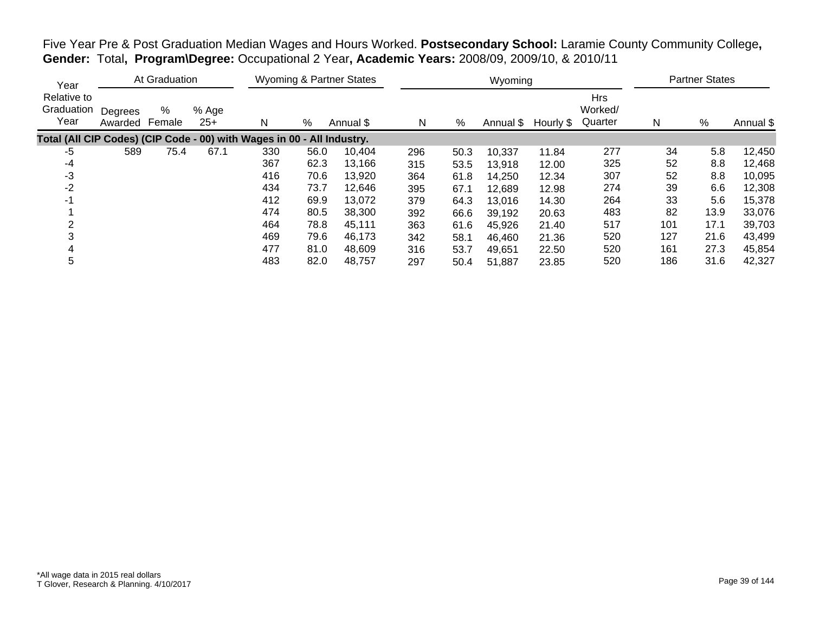| Year                                                                   |                    | At Graduation |                |     |      | <b>Wyoming &amp; Partner States</b> |     |      | Wyoming   |           |                                  |     | <b>Partner States</b> |           |
|------------------------------------------------------------------------|--------------------|---------------|----------------|-----|------|-------------------------------------|-----|------|-----------|-----------|----------------------------------|-----|-----------------------|-----------|
| Relative to<br>Graduation<br>Year                                      | Degrees<br>Awarded | %<br>Female   | % Age<br>$25+$ | N   | $\%$ | Annual \$                           | N   | %    | Annual \$ | Hourly \$ | <b>Hrs</b><br>Worked/<br>Quarter | N   | %                     | Annual \$ |
| Total (All CIP Codes) (CIP Code - 00) with Wages in 00 - All Industry. |                    |               |                |     |      |                                     |     |      |           |           |                                  |     |                       |           |
| -5                                                                     | 589                | 75.4          | 67.1           | 330 | 56.0 | 10,404                              | 296 | 50.3 | 10,337    | 11.84     | 277                              | 34  | 5.8                   | 12,450    |
| $-4$                                                                   |                    |               |                | 367 | 62.3 | 13,166                              | 315 | 53.5 | 13,918    | 12.00     | 325                              | 52  | 8.8                   | 12,468    |
| -3                                                                     |                    |               |                | 416 | 70.6 | 13,920                              | 364 | 61.8 | 14,250    | 12.34     | 307                              | 52  | 8.8                   | 10,095    |
| -2                                                                     |                    |               |                | 434 | 73.7 | 12,646                              | 395 | 67.1 | 12,689    | 12.98     | 274                              | 39  | 6.6                   | 12,308    |
| -1                                                                     |                    |               |                | 412 | 69.9 | 13,072                              | 379 | 64.3 | 13,016    | 14.30     | 264                              | 33  | 5.6                   | 15,378    |
|                                                                        |                    |               |                | 474 | 80.5 | 38,300                              | 392 | 66.6 | 39,192    | 20.63     | 483                              | 82  | 13.9                  | 33,076    |
| っ                                                                      |                    |               |                | 464 | 78.8 | 45,111                              | 363 | 61.6 | 45,926    | 21.40     | 517                              | 101 | 17.1                  | 39,703    |
|                                                                        |                    |               |                | 469 | 79.6 | 46,173                              | 342 | 58.1 | 46,460    | 21.36     | 520                              | 127 | 21.6                  | 43,499    |
|                                                                        |                    |               |                | 477 | 81.0 | 48,609                              | 316 | 53.7 | 49,651    | 22.50     | 520                              | 161 | 27.3                  | 45,854    |
| 5                                                                      |                    |               |                | 483 | 82.0 | 48,757                              | 297 | 50.4 | 51,887    | 23.85     | 520                              | 186 | 31.6                  | 42,327    |

Five Year Pre & Post Graduation Median Wages and Hours Worked. **Postsecondary School:** Laramie County Community College**, Gender:** Total**, Program\Degree:** Occupational 2 Year**, Academic Years:** 2008/09, 2009/10, & 2010/11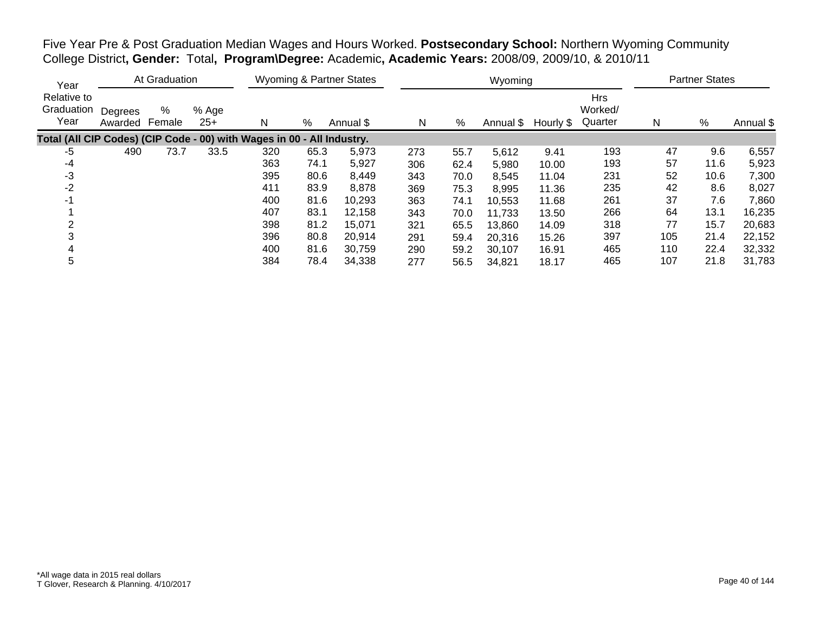Five Year Pre & Post Graduation Median Wages and Hours Worked. **Postsecondary School:** Northern Wyoming Community College District**, Gender:** Total**, Program\Degree:** Academic**, Academic Years:** 2008/09, 2009/10, & 2010/11

| Year                                                                   |                    | At Graduation |                |     |      | <b>Wyoming &amp; Partner States</b> |     |      | Wyoming   |           |                                  |     | <b>Partner States</b> |           |
|------------------------------------------------------------------------|--------------------|---------------|----------------|-----|------|-------------------------------------|-----|------|-----------|-----------|----------------------------------|-----|-----------------------|-----------|
| Relative to<br>Graduation<br>Year                                      | Degrees<br>Awarded | %<br>Female   | % Age<br>$25+$ | N   | %    | Annual \$                           | N   | %    | Annual \$ | Hourly \$ | <b>Hrs</b><br>Worked/<br>Quarter | N   | %                     | Annual \$ |
| Total (All CIP Codes) (CIP Code - 00) with Wages in 00 - All Industry. |                    |               |                |     |      |                                     |     |      |           |           |                                  |     |                       |           |
| -5                                                                     | 490                | 73.7          | 33.5           | 320 | 65.3 | 5,973                               | 273 | 55.7 | 5,612     | 9.41      | 193                              | 47  | 9.6                   | 6,557     |
| -4                                                                     |                    |               |                | 363 | 74.1 | 5,927                               | 306 | 62.4 | 5,980     | 10.00     | 193                              | 57  | 11.6                  | 5,923     |
| $-3$                                                                   |                    |               |                | 395 | 80.6 | 8,449                               | 343 | 70.0 | 8,545     | 11.04     | 231                              | 52  | 10.6                  | 7,300     |
| $-2$                                                                   |                    |               |                | 411 | 83.9 | 8,878                               | 369 | 75.3 | 8,995     | 11.36     | 235                              | 42  | 8.6                   | 8,027     |
| -1                                                                     |                    |               |                | 400 | 81.6 | 10,293                              | 363 | 74.1 | 10,553    | 11.68     | 261                              | 37  | 7.6                   | 7,860     |
|                                                                        |                    |               |                | 407 | 83.1 | 12,158                              | 343 | 70.0 | 11,733    | 13.50     | 266                              | 64  | 13.1                  | 16,235    |
|                                                                        |                    |               |                | 398 | 81.2 | 15,071                              | 321 | 65.5 | 13,860    | 14.09     | 318                              | 77  | 15.7                  | 20,683    |
|                                                                        |                    |               |                | 396 | 80.8 | 20,914                              | 291 | 59.4 | 20,316    | 15.26     | 397                              | 105 | 21.4                  | 22,152    |
|                                                                        |                    |               |                | 400 | 81.6 | 30,759                              | 290 | 59.2 | 30,107    | 16.91     | 465                              | 110 | 22.4                  | 32,332    |
| 5                                                                      |                    |               |                | 384 | 78.4 | 34,338                              | 277 | 56.5 | 34,821    | 18.17     | 465                              | 107 | 21.8                  | 31,783    |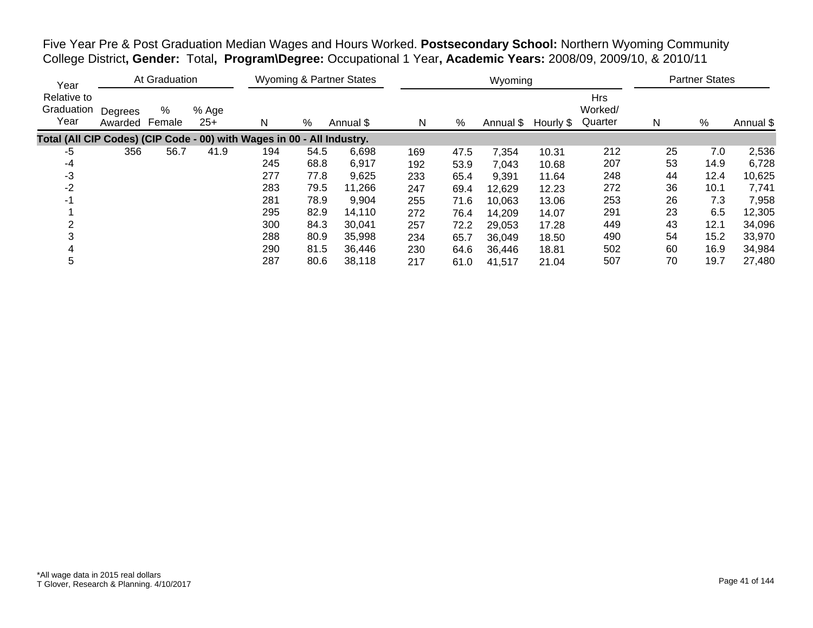Five Year Pre & Post Graduation Median Wages and Hours Worked. **Postsecondary School:** Northern Wyoming Community College District**, Gender:** Total**, Program\Degree:** Occupational 1 Year**, Academic Years:** 2008/09, 2009/10, & 2010/11

| Year                                                                   |                    | At Graduation |                |     |      | Wyoming & Partner States |     |      | Wyoming   |           |                                  |    | <b>Partner States</b> |           |
|------------------------------------------------------------------------|--------------------|---------------|----------------|-----|------|--------------------------|-----|------|-----------|-----------|----------------------------------|----|-----------------------|-----------|
| Relative to<br>Graduation<br>Year                                      | Degrees<br>Awarded | %<br>Female   | % Age<br>$25+$ | N   | %    | Annual \$                | N   | %    | Annual \$ | Hourly \$ | <b>Hrs</b><br>Worked/<br>Quarter | N  | %                     | Annual \$ |
| Total (All CIP Codes) (CIP Code - 00) with Wages in 00 - All Industry. |                    |               |                |     |      |                          |     |      |           |           |                                  |    |                       |           |
| $-5$                                                                   | 356                | 56.7          | 41.9           | 194 | 54.5 | 6,698                    | 169 | 47.5 | 7.354     | 10.31     | 212                              | 25 | 7.0                   | 2,536     |
| -4                                                                     |                    |               |                | 245 | 68.8 | 6,917                    | 192 | 53.9 | 7,043     | 10.68     | 207                              | 53 | 14.9                  | 6,728     |
| -3                                                                     |                    |               |                | 277 | 77.8 | 9,625                    | 233 | 65.4 | 9,391     | 11.64     | 248                              | 44 | 12.4                  | 10,625    |
| $-2$                                                                   |                    |               |                | 283 | 79.5 | 11,266                   | 247 | 69.4 | 12,629    | 12.23     | 272                              | 36 | 10.1                  | 7,741     |
| $-1$                                                                   |                    |               |                | 281 | 78.9 | 9,904                    | 255 | 71.6 | 10,063    | 13.06     | 253                              | 26 | 7.3                   | 7,958     |
|                                                                        |                    |               |                | 295 | 82.9 | 14,110                   | 272 | 76.4 | 14,209    | 14.07     | 291                              | 23 | 6.5                   | 12,305    |
|                                                                        |                    |               |                | 300 | 84.3 | 30,041                   | 257 | 72.2 | 29,053    | 17.28     | 449                              | 43 | 12.1                  | 34,096    |
|                                                                        |                    |               |                | 288 | 80.9 | 35,998                   | 234 | 65.7 | 36,049    | 18.50     | 490                              | 54 | 15.2                  | 33,970    |
|                                                                        |                    |               |                | 290 | 81.5 | 36,446                   | 230 | 64.6 | 36,446    | 18.81     | 502                              | 60 | 16.9                  | 34,984    |
| 5                                                                      |                    |               |                | 287 | 80.6 | 38,118                   | 217 | 61.0 | 41,517    | 21.04     | 507                              | 70 | 19.7                  | 27,480    |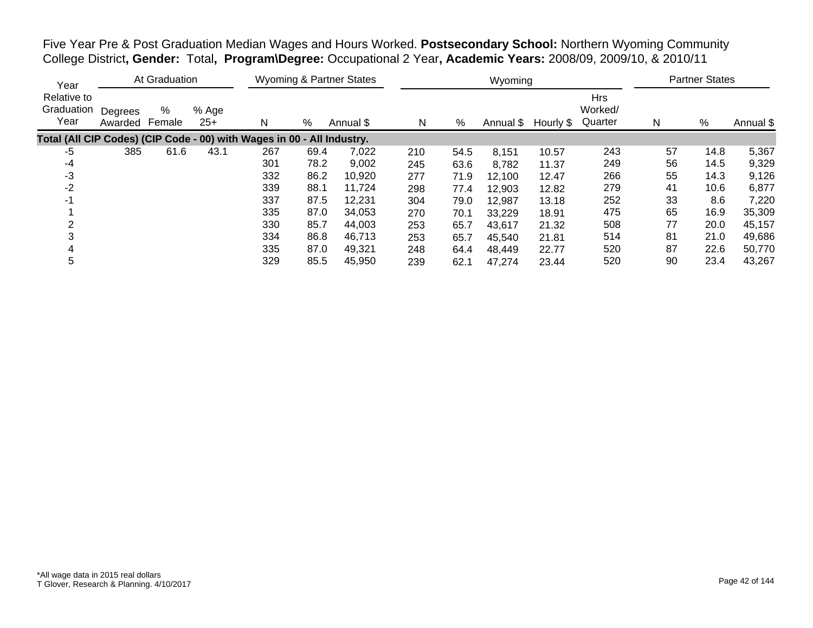Five Year Pre & Post Graduation Median Wages and Hours Worked. **Postsecondary School:** Northern Wyoming Community College District**, Gender:** Total**, Program\Degree:** Occupational 2 Year**, Academic Years:** 2008/09, 2009/10, & 2010/11

| Year                                                                   |                    | At Graduation |                |     |      | <b>Wyoming &amp; Partner States</b> |     |      | Wyoming   |           |                                  |    | <b>Partner States</b> |           |
|------------------------------------------------------------------------|--------------------|---------------|----------------|-----|------|-------------------------------------|-----|------|-----------|-----------|----------------------------------|----|-----------------------|-----------|
| Relative to<br>Graduation<br>Year                                      | Degrees<br>Awarded | %<br>Female   | % Age<br>$25+$ | N   | %    | Annual \$                           | N   | %    | Annual \$ | Hourly \$ | <b>Hrs</b><br>Worked/<br>Quarter | N  | %                     | Annual \$ |
| Total (All CIP Codes) (CIP Code - 00) with Wages in 00 - All Industry. |                    |               |                |     |      |                                     |     |      |           |           |                                  |    |                       |           |
| $-5$                                                                   | 385                | 61.6          | 43.1           | 267 | 69.4 | 7,022                               | 210 | 54.5 | 8,151     | 10.57     | 243                              | 57 | 14.8                  | 5,367     |
| -4                                                                     |                    |               |                | 301 | 78.2 | 9,002                               | 245 | 63.6 | 8,782     | 11.37     | 249                              | 56 | 14.5                  | 9,329     |
| -3                                                                     |                    |               |                | 332 | 86.2 | 10,920                              | 277 | 71.9 | 12,100    | 12.47     | 266                              | 55 | 14.3                  | 9,126     |
| $-2$                                                                   |                    |               |                | 339 | 88.1 | 11,724                              | 298 | 77.4 | 12,903    | 12.82     | 279                              | 41 | 10.6                  | 6,877     |
| $-1$                                                                   |                    |               |                | 337 | 87.5 | 12,231                              | 304 | 79.0 | 12,987    | 13.18     | 252                              | 33 | 8.6                   | 7,220     |
|                                                                        |                    |               |                | 335 | 87.0 | 34,053                              | 270 | 70.1 | 33,229    | 18.91     | 475                              | 65 | 16.9                  | 35,309    |
|                                                                        |                    |               |                | 330 | 85.7 | 44,003                              | 253 | 65.7 | 43,617    | 21.32     | 508                              | 77 | 20.0                  | 45,157    |
|                                                                        |                    |               |                | 334 | 86.8 | 46,713                              | 253 | 65.7 | 45,540    | 21.81     | 514                              | 81 | 21.0                  | 49,686    |
|                                                                        |                    |               |                | 335 | 87.0 | 49,321                              | 248 | 64.4 | 48,449    | 22.77     | 520                              | 87 | 22.6                  | 50,770    |
| 5                                                                      |                    |               |                | 329 | 85.5 | 45,950                              | 239 | 62.1 | 47,274    | 23.44     | 520                              | 90 | 23.4                  | 43,267    |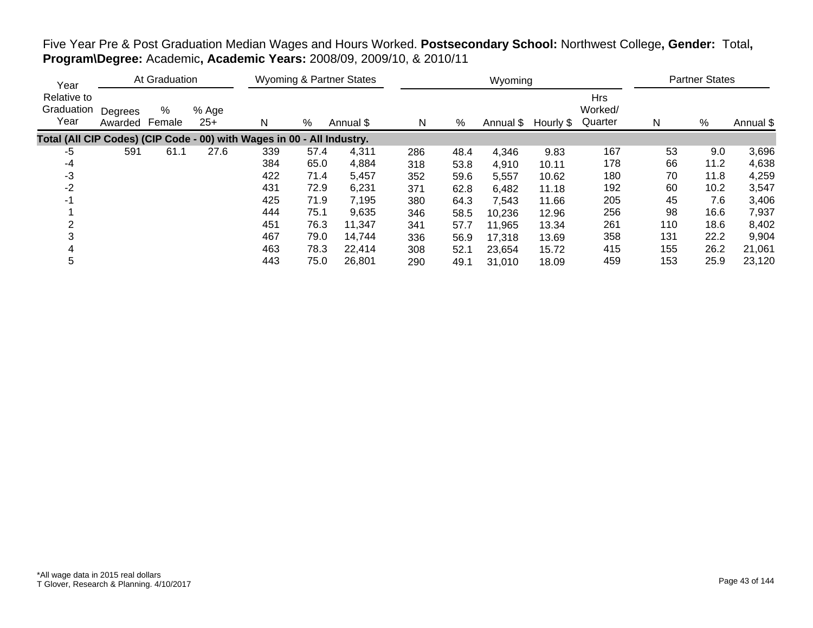| Year                                                                   |                    | At Graduation |                |     |      | <b>Wyoming &amp; Partner States</b> |     |      | Wyoming             |       |                                  |     | <b>Partner States</b> |           |
|------------------------------------------------------------------------|--------------------|---------------|----------------|-----|------|-------------------------------------|-----|------|---------------------|-------|----------------------------------|-----|-----------------------|-----------|
| Relative to<br>Graduation<br>Year                                      | Degrees<br>Awarded | %<br>Female   | % Age<br>$25+$ | N   | %    | Annual \$                           | N   | %    | Annual \$ Hourly \$ |       | <b>Hrs</b><br>Worked/<br>Quarter | N   | %                     | Annual \$ |
| Total (All CIP Codes) (CIP Code - 00) with Wages in 00 - All Industry. |                    |               |                |     |      |                                     |     |      |                     |       |                                  |     |                       |           |
| -5                                                                     | 591                | 61.1          | 27.6           | 339 | 57.4 | 4,311                               | 286 | 48.4 | 4,346               | 9.83  | 167                              | 53  | 9.0                   | 3,696     |
| -4                                                                     |                    |               |                | 384 | 65.0 | 4,884                               | 318 | 53.8 | 4,910               | 10.11 | 178                              | 66  | 11.2                  | 4,638     |
| -3                                                                     |                    |               |                | 422 | 71.4 | 5,457                               | 352 | 59.6 | 5,557               | 10.62 | 180                              | 70  | 11.8                  | 4,259     |
| $-2$                                                                   |                    |               |                | 431 | 72.9 | 6,231                               | 371 | 62.8 | 6,482               | 11.18 | 192                              | 60  | 10.2                  | 3,547     |
| $-1$                                                                   |                    |               |                | 425 | 71.9 | 7,195                               | 380 | 64.3 | 7,543               | 11.66 | 205                              | 45  | 7.6                   | 3,406     |
|                                                                        |                    |               |                | 444 | 75.1 | 9,635                               | 346 | 58.5 | 10,236              | 12.96 | 256                              | 98  | 16.6                  | 7,937     |
|                                                                        |                    |               |                | 451 | 76.3 | 11,347                              | 341 | 57.7 | 11,965              | 13.34 | 261                              | 110 | 18.6                  | 8,402     |
|                                                                        |                    |               |                | 467 | 79.0 | 14,744                              | 336 | 56.9 | 17,318              | 13.69 | 358                              | 131 | 22.2                  | 9,904     |
|                                                                        |                    |               |                | 463 | 78.3 | 22,414                              | 308 | 52.1 | 23,654              | 15.72 | 415                              | 155 | 26.2                  | 21,061    |
| 5                                                                      |                    |               |                | 443 | 75.0 | 26,801                              | 290 | 49.1 | 31,010              | 18.09 | 459                              | 153 | 25.9                  | 23,120    |

## Five Year Pre & Post Graduation Median Wages and Hours Worked. **Postsecondary School:** Northwest College**, Gender:** Total**, Program\Degree:** Academic**, Academic Years:** 2008/09, 2009/10, & 2010/11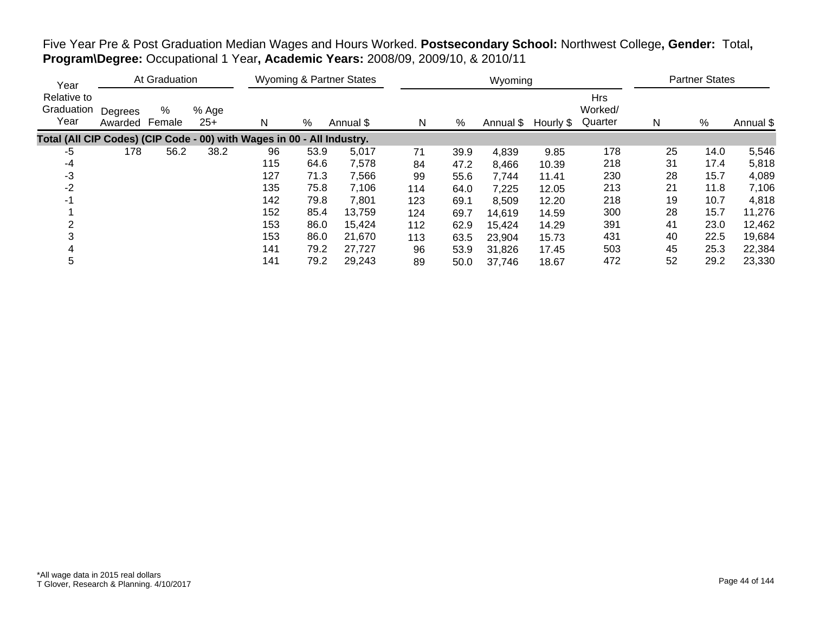| Year                                                                   |                    | At Graduation |                |     |      | <b>Wyoming &amp; Partner States</b> |     |      | Wyoming |                     |                                  |    | <b>Partner States</b> |           |
|------------------------------------------------------------------------|--------------------|---------------|----------------|-----|------|-------------------------------------|-----|------|---------|---------------------|----------------------------------|----|-----------------------|-----------|
| Relative to<br>Graduation<br>Year                                      | Degrees<br>Awarded | %<br>Female   | % Age<br>$25+$ | N   | %    | Annual \$                           | N   | %    |         | Annual \$ Hourly \$ | <b>Hrs</b><br>Worked/<br>Quarter | Ν  | %                     | Annual \$ |
| Total (All CIP Codes) (CIP Code - 00) with Wages in 00 - All Industry. |                    |               |                |     |      |                                     |     |      |         |                     |                                  |    |                       |           |
| -5                                                                     | 178                | 56.2          | 38.2           | 96  | 53.9 | 5,017                               | 71  | 39.9 | 4,839   | 9.85                | 178                              | 25 | 14.0                  | 5,546     |
| $-4$                                                                   |                    |               |                | 115 | 64.6 | 7,578                               | 84  | 47.2 | 8,466   | 10.39               | 218                              | 31 | 17.4                  | 5,818     |
| $-3$                                                                   |                    |               |                | 127 | 71.3 | 7,566                               | 99  | 55.6 | 7,744   | 11.41               | 230                              | 28 | 15.7                  | 4,089     |
| $-2$                                                                   |                    |               |                | 135 | 75.8 | 7,106                               | 114 | 64.0 | 7,225   | 12.05               | 213                              | 21 | 11.8                  | 7,106     |
| -1                                                                     |                    |               |                | 142 | 79.8 | 7,801                               | 123 | 69.1 | 8,509   | 12.20               | 218                              | 19 | 10.7                  | 4,818     |
|                                                                        |                    |               |                | 152 | 85.4 | 13,759                              | 124 | 69.7 | 14,619  | 14.59               | 300                              | 28 | 15.7                  | 11,276    |
|                                                                        |                    |               |                | 153 | 86.0 | 15.424                              | 112 | 62.9 | 15,424  | 14.29               | 391                              | 41 | 23.0                  | 12,462    |
|                                                                        |                    |               |                | 153 | 86.0 | 21,670                              | 113 | 63.5 | 23,904  | 15.73               | 431                              | 40 | 22.5                  | 19,684    |
| 4                                                                      |                    |               |                | 141 | 79.2 | 27,727                              | 96  | 53.9 | 31,826  | 17.45               | 503                              | 45 | 25.3                  | 22,384    |
| 5                                                                      |                    |               |                | 141 | 79.2 | 29,243                              | 89  | 50.0 | 37,746  | 18.67               | 472                              | 52 | 29.2                  | 23,330    |

Five Year Pre & Post Graduation Median Wages and Hours Worked. **Postsecondary School:** Northwest College**, Gender:** Total**, Program\Degree:** Occupational 1 Year**, Academic Years:** 2008/09, 2009/10, & 2010/11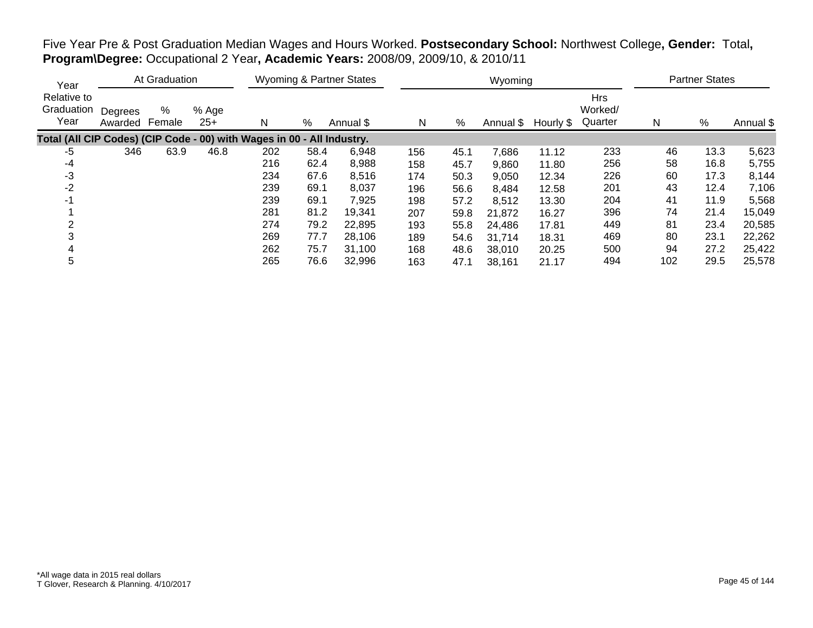| Year                                                                   |                    | At Graduation |                |     |      | Wyoming & Partner States |     |      | Wyoming   |           |                                  |     | <b>Partner States</b> |           |
|------------------------------------------------------------------------|--------------------|---------------|----------------|-----|------|--------------------------|-----|------|-----------|-----------|----------------------------------|-----|-----------------------|-----------|
| Relative to<br>Graduation<br>Year                                      | Degrees<br>Awarded | %<br>Female   | % Age<br>$25+$ | N   | %    | Annual \$                | N   | %    | Annual \$ | Hourly \$ | <b>Hrs</b><br>Worked/<br>Quarter | N   | %                     | Annual \$ |
| Total (All CIP Codes) (CIP Code - 00) with Wages in 00 - All Industry. |                    |               |                |     |      |                          |     |      |           |           |                                  |     |                       |           |
| -5                                                                     | 346                | 63.9          | 46.8           | 202 | 58.4 | 6,948                    | 156 | 45.1 | 7,686     | 11.12     | 233                              | 46  | 13.3                  | 5,623     |
| -4                                                                     |                    |               |                | 216 | 62.4 | 8,988                    | 158 | 45.7 | 9,860     | 11.80     | 256                              | 58  | 16.8                  | 5,755     |
| $-3$                                                                   |                    |               |                | 234 | 67.6 | 8,516                    | 174 | 50.3 | 9,050     | 12.34     | 226                              | 60  | 17.3                  | 8,144     |
| $-2$                                                                   |                    |               |                | 239 | 69.1 | 8,037                    | 196 | 56.6 | 8,484     | 12.58     | 201                              | 43  | 12.4                  | 7,106     |
| -1                                                                     |                    |               |                | 239 | 69.1 | 7,925                    | 198 | 57.2 | 8,512     | 13.30     | 204                              | 41  | 11.9                  | 5,568     |
|                                                                        |                    |               |                | 281 | 81.2 | 19,341                   | 207 | 59.8 | 21,872    | 16.27     | 396                              | 74  | 21.4                  | 15,049    |
|                                                                        |                    |               |                | 274 | 79.2 | 22,895                   | 193 | 55.8 | 24.486    | 17.81     | 449                              | 81  | 23.4                  | 20,585    |
|                                                                        |                    |               |                | 269 | 77.7 | 28,106                   | 189 | 54.6 | 31,714    | 18.31     | 469                              | 80  | 23.1                  | 22,262    |
|                                                                        |                    |               |                | 262 | 75.7 | 31.100                   | 168 | 48.6 | 38,010    | 20.25     | 500                              | 94  | 27.2                  | 25,422    |
| 5                                                                      |                    |               |                | 265 | 76.6 | 32,996                   | 163 | 47.1 | 38,161    | 21.17     | 494                              | 102 | 29.5                  | 25,578    |

Five Year Pre & Post Graduation Median Wages and Hours Worked. **Postsecondary School:** Northwest College**, Gender:** Total**, Program\Degree:** Occupational 2 Year**, Academic Years:** 2008/09, 2009/10, & 2010/11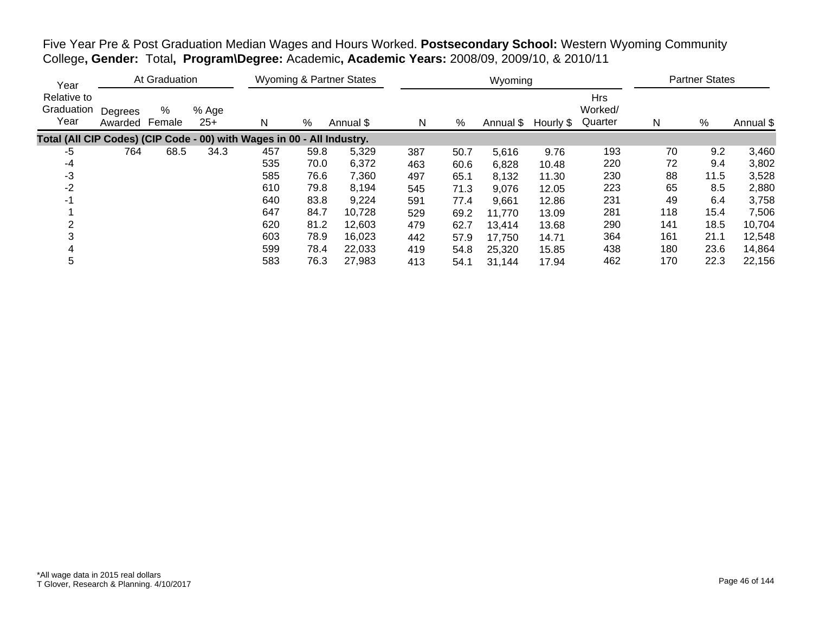| Five Year Pre & Post Graduation Median Wages and Hours Worked. Postsecondary School: Western Wyoming Community |  |  |
|----------------------------------------------------------------------------------------------------------------|--|--|
| College, Gender: Total, Program\Degree: Academic, Academic Years: 2008/09, 2009/10, & 2010/11                  |  |  |

| Year                                                                   |                    | At Graduation |                |     |      | <b>Wyoming &amp; Partner States</b> |     |      | Wyoming   |           |                                  |     | <b>Partner States</b> |           |
|------------------------------------------------------------------------|--------------------|---------------|----------------|-----|------|-------------------------------------|-----|------|-----------|-----------|----------------------------------|-----|-----------------------|-----------|
| Relative to<br>Graduation<br>Year                                      | Degrees<br>Awarded | %<br>Female   | % Age<br>$25+$ | N   | %    | Annual \$                           | N   | %    | Annual \$ | Hourly \$ | <b>Hrs</b><br>Worked/<br>Quarter | N   | $\%$                  | Annual \$ |
| Total (All CIP Codes) (CIP Code - 00) with Wages in 00 - All Industry. |                    |               |                |     |      |                                     |     |      |           |           |                                  |     |                       |           |
| -5                                                                     | 764                | 68.5          | 34.3           | 457 | 59.8 | 5,329                               | 387 | 50.7 | 5,616     | 9.76      | 193                              | 70  | 9.2                   | 3,460     |
| -4                                                                     |                    |               |                | 535 | 70.0 | 6,372                               | 463 | 60.6 | 6,828     | 10.48     | 220                              | 72  | 9.4                   | 3,802     |
| $-3$                                                                   |                    |               |                | 585 | 76.6 | 7,360                               | 497 | 65.1 | 8,132     | 11.30     | 230                              | 88  | 11.5                  | 3,528     |
| $-2$                                                                   |                    |               |                | 610 | 79.8 | 8.194                               | 545 | 71.3 | 9,076     | 12.05     | 223                              | 65  | 8.5                   | 2,880     |
| $-1$                                                                   |                    |               |                | 640 | 83.8 | 9,224                               | 591 | 77.4 | 9,661     | 12.86     | 231                              | 49  | 6.4                   | 3,758     |
|                                                                        |                    |               |                | 647 | 84.7 | 10,728                              | 529 | 69.2 | 11,770    | 13.09     | 281                              | 118 | 15.4                  | 7,506     |
|                                                                        |                    |               |                | 620 | 81.2 | 12,603                              | 479 | 62.7 | 13,414    | 13.68     | 290                              | 141 | 18.5                  | 10,704    |
|                                                                        |                    |               |                | 603 | 78.9 | 16,023                              | 442 | 57.9 | 17,750    | 14.71     | 364                              | 161 | 21.1                  | 12,548    |
|                                                                        |                    |               |                | 599 | 78.4 | 22,033                              | 419 | 54.8 | 25,320    | 15.85     | 438                              | 180 | 23.6                  | 14,864    |
| 5                                                                      |                    |               |                | 583 | 76.3 | 27.983                              | 413 | 54.1 | 31,144    | 17.94     | 462                              | 170 | 22.3                  | 22,156    |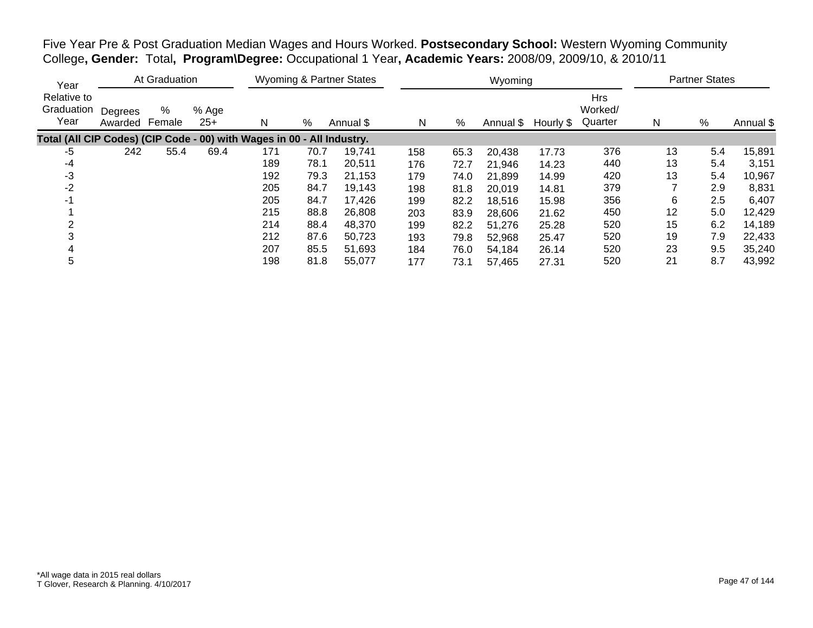Five Year Pre & Post Graduation Median Wages and Hours Worked. **Postsecondary School:** Western Wyoming Community College**, Gender:** Total**, Program\Degree:** Occupational 1 Year**, Academic Years:** 2008/09, 2009/10, & 2010/11

| Year                                                                   |                    | At Graduation |                |     |      | <b>Wyoming &amp; Partner States</b> |     |      | Wyoming   |           |                                  |    | <b>Partner States</b> |           |
|------------------------------------------------------------------------|--------------------|---------------|----------------|-----|------|-------------------------------------|-----|------|-----------|-----------|----------------------------------|----|-----------------------|-----------|
| Relative to<br>Graduation<br>Year                                      | Degrees<br>Awarded | %<br>Female   | % Age<br>$25+$ | N   | %    | Annual \$                           | N   | %    | Annual \$ | Hourly \$ | <b>Hrs</b><br>Worked/<br>Quarter | N  | %                     | Annual \$ |
| Total (All CIP Codes) (CIP Code - 00) with Wages in 00 - All Industry. |                    |               |                |     |      |                                     |     |      |           |           |                                  |    |                       |           |
| -5                                                                     | 242                | 55.4          | 69.4           | 171 | 70.7 | 19,741                              | 158 | 65.3 | 20,438    | 17.73     | 376                              | 13 | 5.4                   | 15,891    |
| -4                                                                     |                    |               |                | 189 | 78.1 | 20,511                              | 176 | 72.7 | 21,946    | 14.23     | 440                              | 13 | 5.4                   | 3,151     |
| -3                                                                     |                    |               |                | 192 | 79.3 | 21,153                              | 179 | 74.0 | 21,899    | 14.99     | 420                              | 13 | 5.4                   | 10,967    |
| $-2$                                                                   |                    |               |                | 205 | 84.7 | 19,143                              | 198 | 81.8 | 20,019    | 14.81     | 379                              |    | 2.9                   | 8,831     |
| $-1$                                                                   |                    |               |                | 205 | 84.7 | 17,426                              | 199 | 82.2 | 18,516    | 15.98     | 356                              | 6  | 2.5                   | 6,407     |
|                                                                        |                    |               |                | 215 | 88.8 | 26,808                              | 203 | 83.9 | 28,606    | 21.62     | 450                              | 12 | 5.0                   | 12,429    |
|                                                                        |                    |               |                | 214 | 88.4 | 48.370                              | 199 | 82.2 | 51,276    | 25.28     | 520                              | 15 | 6.2                   | 14,189    |
|                                                                        |                    |               |                | 212 | 87.6 | 50,723                              | 193 | 79.8 | 52,968    | 25.47     | 520                              | 19 | 7.9                   | 22,433    |
|                                                                        |                    |               |                | 207 | 85.5 | 51,693                              | 184 | 76.0 | 54,184    | 26.14     | 520                              | 23 | 9.5                   | 35,240    |
| 5                                                                      |                    |               |                | 198 | 81.8 | 55,077                              | 177 | 73.1 | 57,465    | 27.31     | 520                              | 21 | 8.7                   | 43,992    |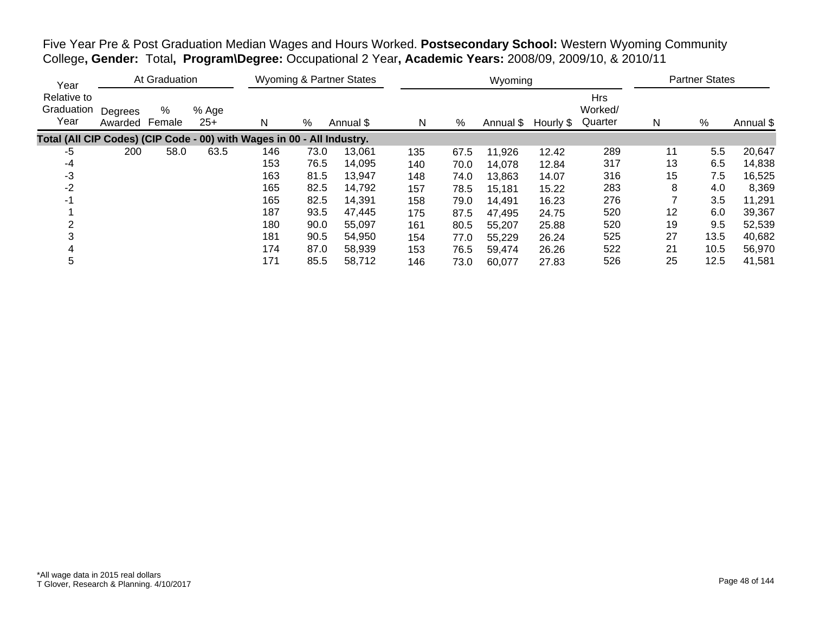Five Year Pre & Post Graduation Median Wages and Hours Worked. **Postsecondary School:** Western Wyoming Community College**, Gender:** Total**, Program\Degree:** Occupational 2 Year**, Academic Years:** 2008/09, 2009/10, & 2010/11

| Year                                                                   |                    | At Graduation |                |     |      | <b>Wyoming &amp; Partner States</b> |     |      | Wyoming   |           |                                  |    | <b>Partner States</b> |           |
|------------------------------------------------------------------------|--------------------|---------------|----------------|-----|------|-------------------------------------|-----|------|-----------|-----------|----------------------------------|----|-----------------------|-----------|
| Relative to<br>Graduation<br>Year                                      | Degrees<br>Awarded | %<br>Female   | % Age<br>$25+$ | N   | %    | Annual \$                           | N   | %    | Annual \$ | Hourly \$ | <b>Hrs</b><br>Worked/<br>Quarter | N  | %                     | Annual \$ |
| Total (All CIP Codes) (CIP Code - 00) with Wages in 00 - All Industry. |                    |               |                |     |      |                                     |     |      |           |           |                                  |    |                       |           |
| -5                                                                     | 200                | 58.0          | 63.5           | 146 | 73.0 | 13,061                              | 135 | 67.5 | 11,926    | 12.42     | 289                              | 11 | 5.5                   | 20,647    |
| -4                                                                     |                    |               |                | 153 | 76.5 | 14,095                              | 140 | 70.0 | 14,078    | 12.84     | 317                              | 13 | 6.5                   | 14,838    |
| -3                                                                     |                    |               |                | 163 | 81.5 | 13,947                              | 148 | 74.0 | 13,863    | 14.07     | 316                              | 15 | 7.5                   | 16,525    |
| $-2$                                                                   |                    |               |                | 165 | 82.5 | 14,792                              | 157 | 78.5 | 15,181    | 15.22     | 283                              | 8  | 4.0                   | 8,369     |
| -1                                                                     |                    |               |                | 165 | 82.5 | 14,391                              | 158 | 79.0 | 14,491    | 16.23     | 276                              |    | 3.5                   | 11,291    |
|                                                                        |                    |               |                | 187 | 93.5 | 47,445                              | 175 | 87.5 | 47,495    | 24.75     | 520                              | 12 | 6.0                   | 39,367    |
|                                                                        |                    |               |                | 180 | 90.0 | 55,097                              | 161 | 80.5 | 55,207    | 25.88     | 520                              | 19 | 9.5                   | 52,539    |
|                                                                        |                    |               |                | 181 | 90.5 | 54,950                              | 154 | 77.0 | 55,229    | 26.24     | 525                              | 27 | 13.5                  | 40,682    |
|                                                                        |                    |               |                | 174 | 87.0 | 58,939                              | 153 | 76.5 | 59,474    | 26.26     | 522                              | 21 | 10.5                  | 56,970    |
| 5                                                                      |                    |               |                | 171 | 85.5 | 58,712                              | 146 | 73.0 | 60,077    | 27.83     | 526                              | 25 | 12.5                  | 41,581    |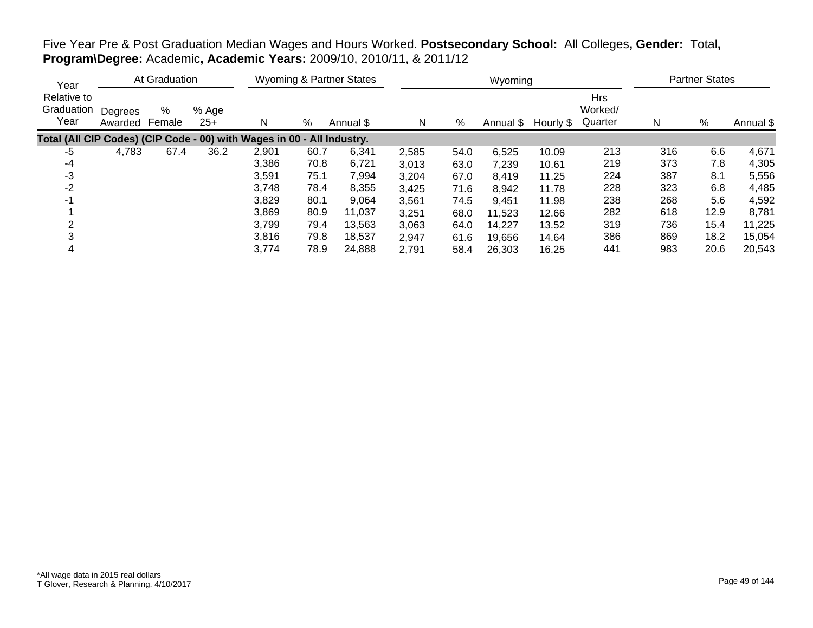## Five Year Pre & Post Graduation Median Wages and Hours Worked. **Postsecondary School:** All Colleges**, Gender:** Total**, Program\Degree:** Academic**, Academic Years:** 2009/10, 2010/11, & 2011/12

| Year                                                                   |                    | At Graduation |                |       |      | <b>Wyoming &amp; Partner States</b> |       |      | Wyoming   |           |                                  |     | <b>Partner States</b> |           |
|------------------------------------------------------------------------|--------------------|---------------|----------------|-------|------|-------------------------------------|-------|------|-----------|-----------|----------------------------------|-----|-----------------------|-----------|
| Relative to<br>Graduation<br>Year                                      | Degrees<br>Awarded | %<br>Female   | % Age<br>$25+$ | N     | %    | Annual \$                           | N     | %    | Annual \$ | Hourly \$ | <b>Hrs</b><br>Worked/<br>Quarter | N   | %                     | Annual \$ |
| Total (All CIP Codes) (CIP Code - 00) with Wages in 00 - All Industry. |                    |               |                |       |      |                                     |       |      |           |           |                                  |     |                       |           |
| -5                                                                     | 4,783              | 67.4          | 36.2           | 2,901 | 60.7 | 6,341                               | 2,585 | 54.0 | 6,525     | 10.09     | 213                              | 316 | 6.6                   | 4,671     |
| -4                                                                     |                    |               |                | 3,386 | 70.8 | 6,721                               | 3,013 | 63.0 | 7,239     | 10.61     | 219                              | 373 | 7.8                   | 4,305     |
| -3                                                                     |                    |               |                | 3,591 | 75.1 | 7,994                               | 3,204 | 67.0 | 8,419     | 11.25     | 224                              | 387 | 8.1                   | 5,556     |
| $-2$                                                                   |                    |               |                | 3,748 | 78.4 | 8,355                               | 3,425 | 71.6 | 8,942     | 11.78     | 228                              | 323 | 6.8                   | 4,485     |
| $-1$                                                                   |                    |               |                | 3,829 | 80.1 | 9,064                               | 3,561 | 74.5 | 9,451     | 11.98     | 238                              | 268 | 5.6                   | 4,592     |
|                                                                        |                    |               |                | 3,869 | 80.9 | 11,037                              | 3,251 | 68.0 | 11,523    | 12.66     | 282                              | 618 | 12.9                  | 8,781     |
|                                                                        |                    |               |                | 3,799 | 79.4 | 13,563                              | 3,063 | 64.0 | 14.227    | 13.52     | 319                              | 736 | 15.4                  | 11,225    |
|                                                                        |                    |               |                | 3,816 | 79.8 | 18,537                              | 2,947 | 61.6 | 19,656    | 14.64     | 386                              | 869 | 18.2                  | 15,054    |
| 4                                                                      |                    |               |                | 3,774 | 78.9 | 24,888                              | 2,791 | 58.4 | 26,303    | 16.25     | 441                              | 983 | 20.6                  | 20,543    |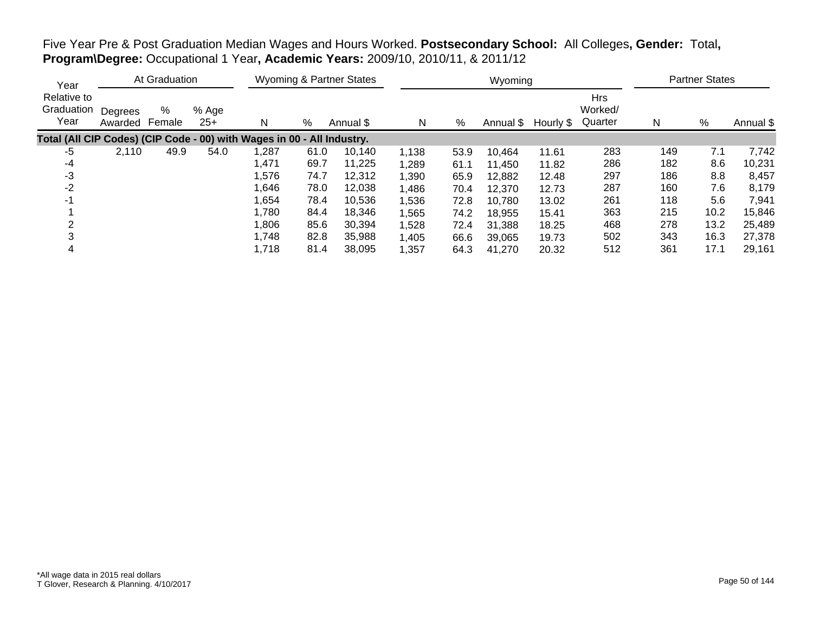Five Year Pre & Post Graduation Median Wages and Hours Worked. **Postsecondary School:** All Colleges**, Gender:** Total**, Program\Degree:** Occupational 1 Year**, Academic Years:** 2009/10, 2010/11, & 2011/12

| Year                                                                   |                    | At Graduation |                |       |      | <b>Wyoming &amp; Partner States</b> |       |      | Wyoming   |           |                                  |     | <b>Partner States</b> |           |
|------------------------------------------------------------------------|--------------------|---------------|----------------|-------|------|-------------------------------------|-------|------|-----------|-----------|----------------------------------|-----|-----------------------|-----------|
| Relative to<br>Graduation<br>Year                                      | Degrees<br>Awarded | %<br>Female   | % Age<br>$25+$ | N     | %    | Annual \$                           | N     | %    | Annual \$ | Hourly \$ | <b>Hrs</b><br>Worked/<br>Quarter | N   | %                     | Annual \$ |
| Total (All CIP Codes) (CIP Code - 00) with Wages in 00 - All Industry. |                    |               |                |       |      |                                     |       |      |           |           |                                  |     |                       |           |
| -5                                                                     | 2,110              | 49.9          | 54.0           | 1,287 | 61.0 | 10,140                              | 1,138 | 53.9 | 10,464    | 11.61     | 283                              | 149 | 7.1                   | 7,742     |
| -4                                                                     |                    |               |                | 1,471 | 69.7 | 11,225                              | 1,289 | 61.1 | 11,450    | 11.82     | 286                              | 182 | 8.6                   | 10,231    |
| -3                                                                     |                    |               |                | 1,576 | 74.7 | 12,312                              | 1,390 | 65.9 | 12,882    | 12.48     | 297                              | 186 | 8.8                   | 8,457     |
| $-2$                                                                   |                    |               |                | 1,646 | 78.0 | 12,038                              | 1,486 | 70.4 | 12,370    | 12.73     | 287                              | 160 | 7.6                   | 8,179     |
| $-1$                                                                   |                    |               |                | 1,654 | 78.4 | 10,536                              | 1,536 | 72.8 | 10,780    | 13.02     | 261                              | 118 | 5.6                   | 7,941     |
|                                                                        |                    |               |                | 1,780 | 84.4 | 18,346                              | 1,565 | 74.2 | 18,955    | 15.41     | 363                              | 215 | 10.2                  | 15,846    |
|                                                                        |                    |               |                | 1,806 | 85.6 | 30.394                              | 1,528 | 72.4 | 31,388    | 18.25     | 468                              | 278 | 13.2                  | 25,489    |
| 3                                                                      |                    |               |                | 1,748 | 82.8 | 35,988                              | 1,405 | 66.6 | 39,065    | 19.73     | 502                              | 343 | 16.3                  | 27,378    |
| 4                                                                      |                    |               |                | 1,718 | 81.4 | 38.095                              | 1,357 | 64.3 | 41,270    | 20.32     | 512                              | 361 | 17.1                  | 29,161    |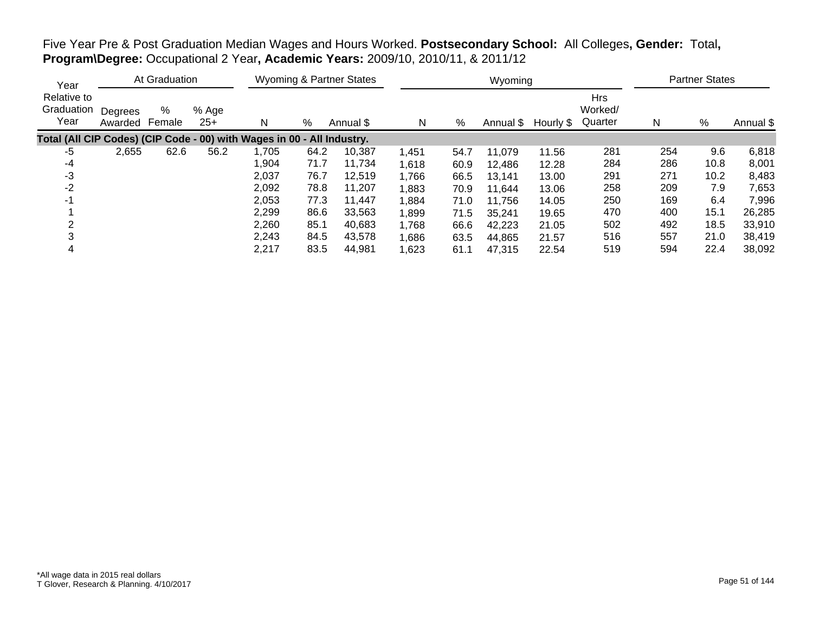Five Year Pre & Post Graduation Median Wages and Hours Worked. **Postsecondary School:** All Colleges**, Gender:** Total**, Program\Degree:** Occupational 2 Year**, Academic Years:** 2009/10, 2010/11, & 2011/12

| Year                                                                   |                    | At Graduation |                |       |      | <b>Wyoming &amp; Partner States</b> |       |      | Wyoming   |           |                                  |     | <b>Partner States</b> |           |
|------------------------------------------------------------------------|--------------------|---------------|----------------|-------|------|-------------------------------------|-------|------|-----------|-----------|----------------------------------|-----|-----------------------|-----------|
| Relative to<br>Graduation<br>Year                                      | Degrees<br>Awarded | %<br>Female   | % Age<br>$25+$ | N     | %    | Annual \$                           | N     | %    | Annual \$ | Hourly \$ | <b>Hrs</b><br>Worked/<br>Quarter | N   | %                     | Annual \$ |
| Total (All CIP Codes) (CIP Code - 00) with Wages in 00 - All Industry. |                    |               |                |       |      |                                     |       |      |           |           |                                  |     |                       |           |
| -5                                                                     | 2,655              | 62.6          | 56.2           | 1,705 | 64.2 | 10.387                              | 1,451 | 54.7 | 11,079    | 11.56     | 281                              | 254 | 9.6                   | 6,818     |
| -4                                                                     |                    |               |                | 1,904 | 71.7 | 11.734                              | 1,618 | 60.9 | 12,486    | 12.28     | 284                              | 286 | 10.8                  | 8,001     |
| -3                                                                     |                    |               |                | 2,037 | 76.7 | 12,519                              | 1,766 | 66.5 | 13,141    | 13.00     | 291                              | 271 | 10.2                  | 8,483     |
| $-2$                                                                   |                    |               |                | 2,092 | 78.8 | 11,207                              | 1,883 | 70.9 | 11,644    | 13.06     | 258                              | 209 | 7.9                   | 7,653     |
| $-1$                                                                   |                    |               |                | 2,053 | 77.3 | 11.447                              | 1,884 | 71.0 | 11,756    | 14.05     | 250                              | 169 | 6.4                   | 7,996     |
|                                                                        |                    |               |                | 2,299 | 86.6 | 33,563                              | 1,899 | 71.5 | 35,241    | 19.65     | 470                              | 400 | 15.1                  | 26,285    |
| ◠                                                                      |                    |               |                | 2,260 | 85.1 | 40.683                              | 1,768 | 66.6 | 42,223    | 21.05     | 502                              | 492 | 18.5                  | 33,910    |
| 3                                                                      |                    |               |                | 2,243 | 84.5 | 43,578                              | 1,686 | 63.5 | 44,865    | 21.57     | 516                              | 557 | 21.0                  | 38,419    |
| 4                                                                      |                    |               |                | 2,217 | 83.5 | 44.981                              | 1,623 | 61.1 | 47,315    | 22.54     | 519                              | 594 | 22.4                  | 38,092    |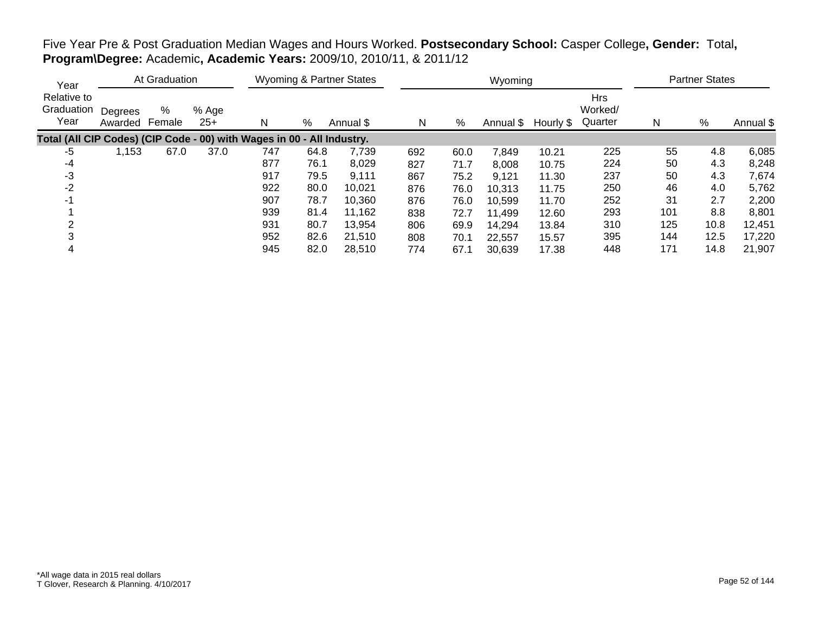## Five Year Pre & Post Graduation Median Wages and Hours Worked. **Postsecondary School:** Casper College**, Gender:** Total**, Program\Degree:** Academic**, Academic Years:** 2009/10, 2010/11, & 2011/12

| Year                                                                   |                    | At Graduation |                |     |      | <b>Wyoming &amp; Partner States</b> |     |      | Wyoming   |           |                                  |     | <b>Partner States</b> |           |
|------------------------------------------------------------------------|--------------------|---------------|----------------|-----|------|-------------------------------------|-----|------|-----------|-----------|----------------------------------|-----|-----------------------|-----------|
| Relative to<br>Graduation<br>Year                                      | Degrees<br>Awarded | %<br>Female   | % Age<br>$25+$ | N   | %    | Annual \$                           | N   | %    | Annual \$ | Hourly \$ | <b>Hrs</b><br>Worked/<br>Quarter | N   | %                     | Annual \$ |
| Total (All CIP Codes) (CIP Code - 00) with Wages in 00 - All Industry. |                    |               |                |     |      |                                     |     |      |           |           |                                  |     |                       |           |
| -5                                                                     | 1,153              | 67.0          | 37.0           | 747 | 64.8 | 7,739                               | 692 | 60.0 | 7,849     | 10.21     | 225                              | 55  | 4.8                   | 6,085     |
| -4                                                                     |                    |               |                | 877 | 76.1 | 8,029                               | 827 | 71.7 | 8,008     | 10.75     | 224                              | 50  | 4.3                   | 8,248     |
| -3                                                                     |                    |               |                | 917 | 79.5 | 9,111                               | 867 | 75.2 | 9,121     | 11.30     | 237                              | 50  | 4.3                   | 7,674     |
| -2                                                                     |                    |               |                | 922 | 80.0 | 10,021                              | 876 | 76.0 | 10,313    | 11.75     | 250                              | 46  | 4.0                   | 5,762     |
| -1                                                                     |                    |               |                | 907 | 78.7 | 10.360                              | 876 | 76.0 | 10,599    | 11.70     | 252                              | 31  | 2.7                   | 2,200     |
|                                                                        |                    |               |                | 939 | 81.4 | 11,162                              | 838 | 72.7 | 11,499    | 12.60     | 293                              | 101 | 8.8                   | 8,801     |
|                                                                        |                    |               |                | 931 | 80.7 | 13,954                              | 806 | 69.9 | 14.294    | 13.84     | 310                              | 125 | 10.8                  | 12,451    |
|                                                                        |                    |               |                | 952 | 82.6 | 21,510                              | 808 | 70.1 | 22,557    | 15.57     | 395                              | 144 | 12.5                  | 17,220    |
|                                                                        |                    |               |                | 945 | 82.0 | 28,510                              | 774 | 67.1 | 30,639    | 17.38     | 448                              | 171 | 14.8                  | 21,907    |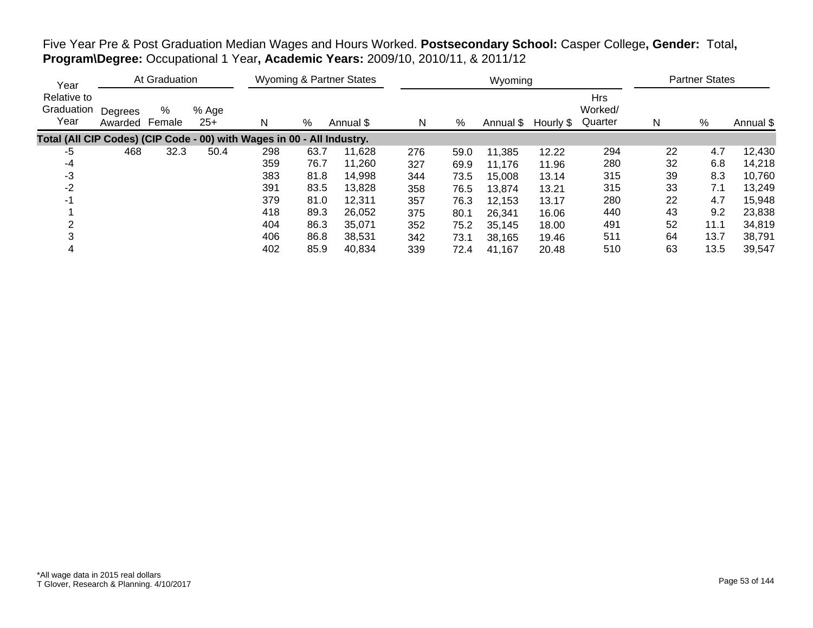Five Year Pre & Post Graduation Median Wages and Hours Worked. **Postsecondary School:** Casper College**, Gender:** Total**, Program\Degree:** Occupational 1 Year**, Academic Years:** 2009/10, 2010/11, & 2011/12

| Year                                                                   |                    | At Graduation |                |     |      | Wyoming & Partner States |     |      | Wyoming   |           |                                  |    | <b>Partner States</b> |           |
|------------------------------------------------------------------------|--------------------|---------------|----------------|-----|------|--------------------------|-----|------|-----------|-----------|----------------------------------|----|-----------------------|-----------|
| Relative to<br>Graduation<br>Year                                      | Degrees<br>Awarded | %<br>Female   | % Age<br>$25+$ | N   | %    | Annual \$                | N   | %    | Annual \$ | Hourly \$ | <b>Hrs</b><br>Worked/<br>Quarter | N  | $\%$                  | Annual \$ |
| Total (All CIP Codes) (CIP Code - 00) with Wages in 00 - All Industry. |                    |               |                |     |      |                          |     |      |           |           |                                  |    |                       |           |
| -5                                                                     | 468                | 32.3          | 50.4           | 298 | 63.7 | 11,628                   | 276 | 59.0 | 11,385    | 12.22     | 294                              | 22 | 4.7                   | 12,430    |
| -4                                                                     |                    |               |                | 359 | 76.7 | 11,260                   | 327 | 69.9 | 11,176    | 11.96     | 280                              | 32 | 6.8                   | 14,218    |
| -3                                                                     |                    |               |                | 383 | 81.8 | 14,998                   | 344 | 73.5 | 15,008    | 13.14     | 315                              | 39 | 8.3                   | 10,760    |
| -2                                                                     |                    |               |                | 391 | 83.5 | 13,828                   | 358 | 76.5 | 13,874    | 13.21     | 315                              | 33 | 7.1                   | 13,249    |
| -1                                                                     |                    |               |                | 379 | 81.0 | 12,311                   | 357 | 76.3 | 12,153    | 13.17     | 280                              | 22 | 4.7                   | 15,948    |
|                                                                        |                    |               |                | 418 | 89.3 | 26,052                   | 375 | 80.1 | 26,341    | 16.06     | 440                              | 43 | 9.2                   | 23,838    |
|                                                                        |                    |               |                | 404 | 86.3 | 35.071                   | 352 | 75.2 | 35,145    | 18.00     | 491                              | 52 | 11.1                  | 34,819    |
|                                                                        |                    |               |                | 406 | 86.8 | 38,531                   | 342 | 73.1 | 38,165    | 19.46     | 511                              | 64 | 13.7                  | 38,791    |
|                                                                        |                    |               |                | 402 | 85.9 | 40,834                   | 339 | 72.4 | 41,167    | 20.48     | 510                              | 63 | 13.5                  | 39,547    |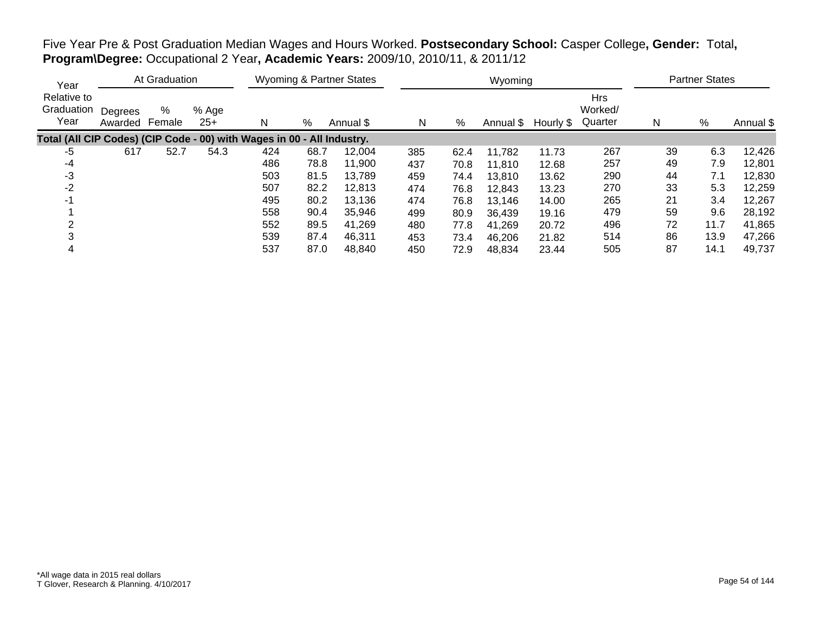Five Year Pre & Post Graduation Median Wages and Hours Worked. **Postsecondary School:** Casper College**, Gender:** Total**, Program\Degree:** Occupational 2 Year**, Academic Years:** 2009/10, 2010/11, & 2011/12

| Year                                                                   |                    | At Graduation |                |     |      | <b>Wyoming &amp; Partner States</b> |     |      | Wyoming   |           |                                  |    | <b>Partner States</b> |           |
|------------------------------------------------------------------------|--------------------|---------------|----------------|-----|------|-------------------------------------|-----|------|-----------|-----------|----------------------------------|----|-----------------------|-----------|
| Relative to<br>Graduation<br>Year                                      | Degrees<br>Awarded | %<br>Female   | % Age<br>$25+$ | N   | %    | Annual \$                           | N   | %    | Annual \$ | Hourly \$ | <b>Hrs</b><br>Worked/<br>Quarter | N  | %                     | Annual \$ |
| Total (All CIP Codes) (CIP Code - 00) with Wages in 00 - All Industry. |                    |               |                |     |      |                                     |     |      |           |           |                                  |    |                       |           |
| -5                                                                     | 617                | 52.7          | 54.3           | 424 | 68.7 | 12,004                              | 385 | 62.4 | 11,782    | 11.73     | 267                              | 39 | 6.3                   | 12,426    |
| -4                                                                     |                    |               |                | 486 | 78.8 | 11,900                              | 437 | 70.8 | 11,810    | 12.68     | 257                              | 49 | 7.9                   | 12,801    |
| -3                                                                     |                    |               |                | 503 | 81.5 | 13.789                              | 459 | 74.4 | 13,810    | 13.62     | 290                              | 44 | 7.1                   | 12,830    |
| -2                                                                     |                    |               |                | 507 | 82.2 | 12,813                              | 474 | 76.8 | 12,843    | 13.23     | 270                              | 33 | 5.3                   | 12,259    |
| -1                                                                     |                    |               |                | 495 | 80.2 | 13,136                              | 474 | 76.8 | 13,146    | 14.00     | 265                              | 21 | 3.4                   | 12,267    |
|                                                                        |                    |               |                | 558 | 90.4 | 35,946                              | 499 | 80.9 | 36,439    | 19.16     | 479                              | 59 | 9.6                   | 28,192    |
|                                                                        |                    |               |                | 552 | 89.5 | 41,269                              | 480 | 77.8 | 41,269    | 20.72     | 496                              | 72 | 11.7                  | 41,865    |
|                                                                        |                    |               |                | 539 | 87.4 | 46,311                              | 453 | 73.4 | 46,206    | 21.82     | 514                              | 86 | 13.9                  | 47,266    |
|                                                                        |                    |               |                | 537 | 87.0 | 48,840                              | 450 | 72.9 | 48,834    | 23.44     | 505                              | 87 | 14.1                  | 49,737    |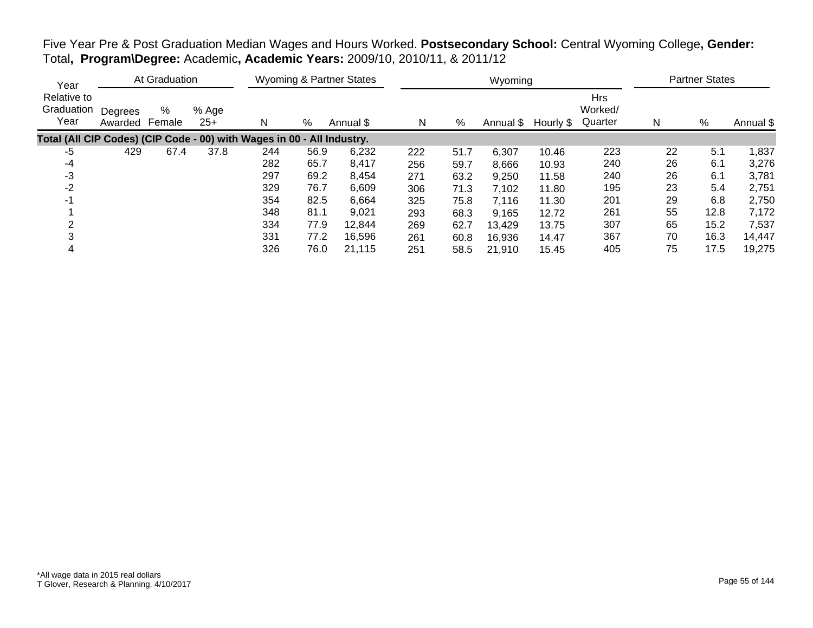| Five Year Pre & Post Graduation Median Wages and Hours Worked. Postsecondary School: Central Wyoming College, Gender: |  |  |  |
|-----------------------------------------------------------------------------------------------------------------------|--|--|--|
| Total, Program\Degree: Academic, Academic Years: 2009/10, 2010/11, & 2011/12                                          |  |  |  |

| Year                              |                    | At Graduation |                |                                                                        |      | Wyoming & Partner States |     |      | Wyoming   |           |                                  |    | <b>Partner States</b> |           |
|-----------------------------------|--------------------|---------------|----------------|------------------------------------------------------------------------|------|--------------------------|-----|------|-----------|-----------|----------------------------------|----|-----------------------|-----------|
| Relative to<br>Graduation<br>Year | Degrees<br>Awarded | %<br>Female   | % Age<br>$25+$ | N                                                                      | %    | Annual \$                | N   | %    | Annual \$ | Hourly \$ | <b>Hrs</b><br>Worked/<br>Quarter | N  | $\%$                  | Annual \$ |
|                                   |                    |               |                | Total (All CIP Codes) (CIP Code - 00) with Wages in 00 - All Industry. |      |                          |     |      |           |           |                                  |    |                       |           |
| -5                                | 429                | 67.4          | 37.8           | 244                                                                    | 56.9 | 6,232                    | 222 | 51.7 | 6,307     | 10.46     | 223                              | 22 | 5.1                   | 1,837     |
| -4                                |                    |               |                | 282                                                                    | 65.7 | 8,417                    | 256 | 59.7 | 8,666     | 10.93     | 240                              | 26 | 6.1                   | 3,276     |
| -3                                |                    |               |                | 297                                                                    | 69.2 | 8,454                    | 271 | 63.2 | 9,250     | 11.58     | 240                              | 26 | 6.1                   | 3,781     |
| -2                                |                    |               |                | 329                                                                    | 76.7 | 6,609                    | 306 | 71.3 | 7,102     | 11.80     | 195                              | 23 | 5.4                   | 2,751     |
| -1                                |                    |               |                | 354                                                                    | 82.5 | 6,664                    | 325 | 75.8 | 7,116     | 11.30     | 201                              | 29 | 6.8                   | 2,750     |
|                                   |                    |               |                | 348                                                                    | 81.1 | 9,021                    | 293 | 68.3 | 9.165     | 12.72     | 261                              | 55 | 12.8                  | 7,172     |
|                                   |                    |               |                | 334                                                                    | 77.9 | 12,844                   | 269 | 62.7 | 13,429    | 13.75     | 307                              | 65 | 15.2                  | 7,537     |
|                                   |                    |               |                | 331                                                                    | 77.2 | 16,596                   | 261 | 60.8 | 16,936    | 14.47     | 367                              | 70 | 16.3                  | 14,447    |
|                                   |                    |               |                | 326                                                                    | 76.0 | 21.115                   | 251 | 58.5 | 21,910    | 15.45     | 405                              | 75 | 17.5                  | 19,275    |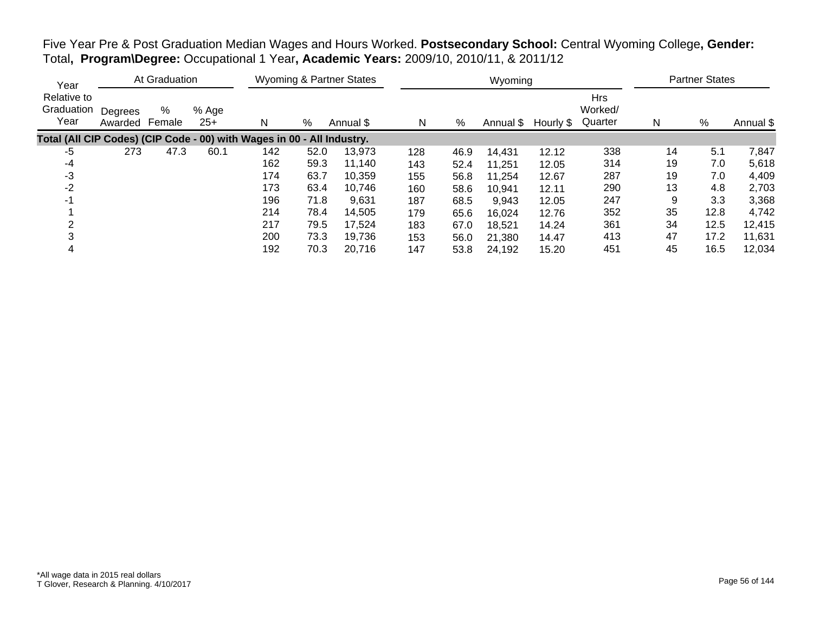Five Year Pre & Post Graduation Median Wages and Hours Worked. **Postsecondary School:** Central Wyoming College**, Gender:** Total**, Program\Degree:** Occupational 1 Year**, Academic Years:** 2009/10, 2010/11, & 2011/12

| Year                                                                   |                    | At Graduation |                |     |      | Wyoming & Partner States |     |      | Wyoming   |           |                                  |    | <b>Partner States</b> |           |
|------------------------------------------------------------------------|--------------------|---------------|----------------|-----|------|--------------------------|-----|------|-----------|-----------|----------------------------------|----|-----------------------|-----------|
| Relative to<br>Graduation<br>Year                                      | Degrees<br>Awarded | %<br>Female   | % Age<br>$25+$ | N   | %    | Annual \$                | N   | %    | Annual \$ | Hourly \$ | <b>Hrs</b><br>Worked/<br>Quarter | N  | $\%$                  | Annual \$ |
| Total (All CIP Codes) (CIP Code - 00) with Wages in 00 - All Industry. |                    |               |                |     |      |                          |     |      |           |           |                                  |    |                       |           |
| -5                                                                     | 273                | 47.3          | 60.1           | 142 | 52.0 | 13,973                   | 128 | 46.9 | 14,431    | 12.12     | 338                              | 14 | 5.1                   | 7,847     |
| -4                                                                     |                    |               |                | 162 | 59.3 | 11,140                   | 143 | 52.4 | 11,251    | 12.05     | 314                              | 19 | 7.0                   | 5,618     |
| -3                                                                     |                    |               |                | 174 | 63.7 | 10.359                   | 155 | 56.8 | 11,254    | 12.67     | 287                              | 19 | 7.0                   | 4,409     |
| -2                                                                     |                    |               |                | 173 | 63.4 | 10,746                   | 160 | 58.6 | 10,941    | 12.11     | 290                              | 13 | 4.8                   | 2,703     |
| -1                                                                     |                    |               |                | 196 | 71.8 | 9,631                    | 187 | 68.5 | 9,943     | 12.05     | 247                              | 9  | 3.3                   | 3,368     |
|                                                                        |                    |               |                | 214 | 78.4 | 14,505                   | 179 | 65.6 | 16,024    | 12.76     | 352                              | 35 | 12.8                  | 4,742     |
|                                                                        |                    |               |                | 217 | 79.5 | 17,524                   | 183 | 67.0 | 18,521    | 14.24     | 361                              | 34 | 12.5                  | 12,415    |
|                                                                        |                    |               |                | 200 | 73.3 | 19,736                   | 153 | 56.0 | 21,380    | 14.47     | 413                              | 47 | 17.2                  | 11,631    |
|                                                                        |                    |               |                | 192 | 70.3 | 20.716                   | 147 | 53.8 | 24,192    | 15.20     | 451                              | 45 | 16.5                  | 12,034    |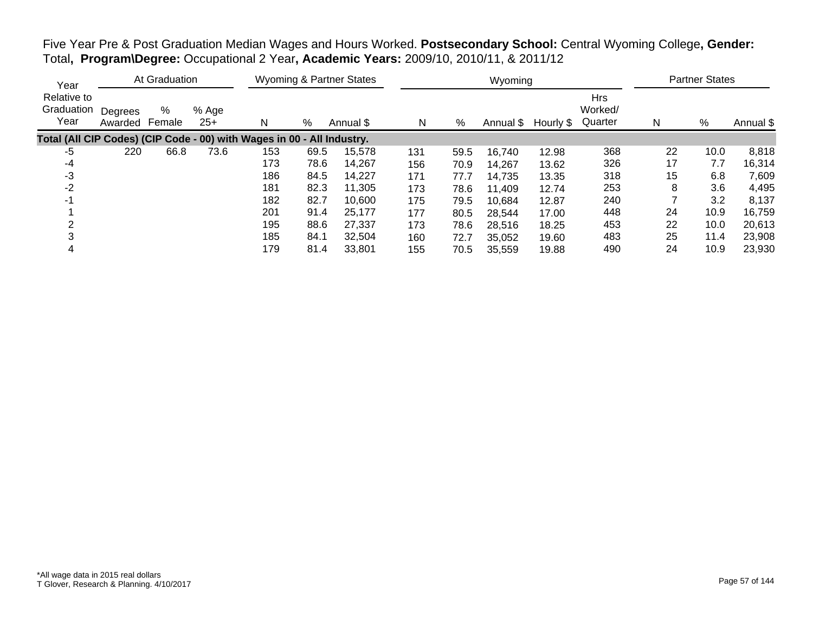Five Year Pre & Post Graduation Median Wages and Hours Worked. **Postsecondary School:** Central Wyoming College**, Gender:** Total**, Program\Degree:** Occupational 2 Year**, Academic Years:** 2009/10, 2010/11, & 2011/12

| Year                                                                   |                    | At Graduation |                |     |      | <b>Wyoming &amp; Partner States</b> |     |      | Wyoming   |           |                                  |    | <b>Partner States</b> |           |
|------------------------------------------------------------------------|--------------------|---------------|----------------|-----|------|-------------------------------------|-----|------|-----------|-----------|----------------------------------|----|-----------------------|-----------|
| Relative to<br>Graduation<br>Year                                      | Degrees<br>Awarded | %<br>Female   | % Age<br>$25+$ | N   | %    | Annual \$                           | N   | %    | Annual \$ | Hourly \$ | <b>Hrs</b><br>Worked/<br>Quarter | N  | %                     | Annual \$ |
| Total (All CIP Codes) (CIP Code - 00) with Wages in 00 - All Industry. |                    |               |                |     |      |                                     |     |      |           |           |                                  |    |                       |           |
| -5                                                                     | 220                | 66.8          | 73.6           | 153 | 69.5 | 15,578                              | 131 | 59.5 | 16,740    | 12.98     | 368                              | 22 | 10.0                  | 8,818     |
| -4                                                                     |                    |               |                | 173 | 78.6 | 14,267                              | 156 | 70.9 | 14,267    | 13.62     | 326                              | 17 | 7.7                   | 16,314    |
| -3                                                                     |                    |               |                | 186 | 84.5 | 14,227                              | 171 | 77.7 | 14,735    | 13.35     | 318                              | 15 | 6.8                   | 7,609     |
| -2                                                                     |                    |               |                | 181 | 82.3 | 11,305                              | 173 | 78.6 | 11,409    | 12.74     | 253                              | 8  | 3.6                   | 4,495     |
| -1                                                                     |                    |               |                | 182 | 82.7 | 10,600                              | 175 | 79.5 | 10,684    | 12.87     | 240                              |    | 3.2                   | 8,137     |
|                                                                        |                    |               |                | 201 | 91.4 | 25,177                              | 177 | 80.5 | 28,544    | 17.00     | 448                              | 24 | 10.9                  | 16,759    |
|                                                                        |                    |               |                | 195 | 88.6 | 27.337                              | 173 | 78.6 | 28,516    | 18.25     | 453                              | 22 | 10.0                  | 20,613    |
|                                                                        |                    |               |                | 185 | 84.1 | 32,504                              | 160 | 72.7 | 35,052    | 19.60     | 483                              | 25 | 11.4                  | 23,908    |
|                                                                        |                    |               |                | 179 | 81.4 | 33,801                              | 155 | 70.5 | 35,559    | 19.88     | 490                              | 24 | 10.9                  | 23,930    |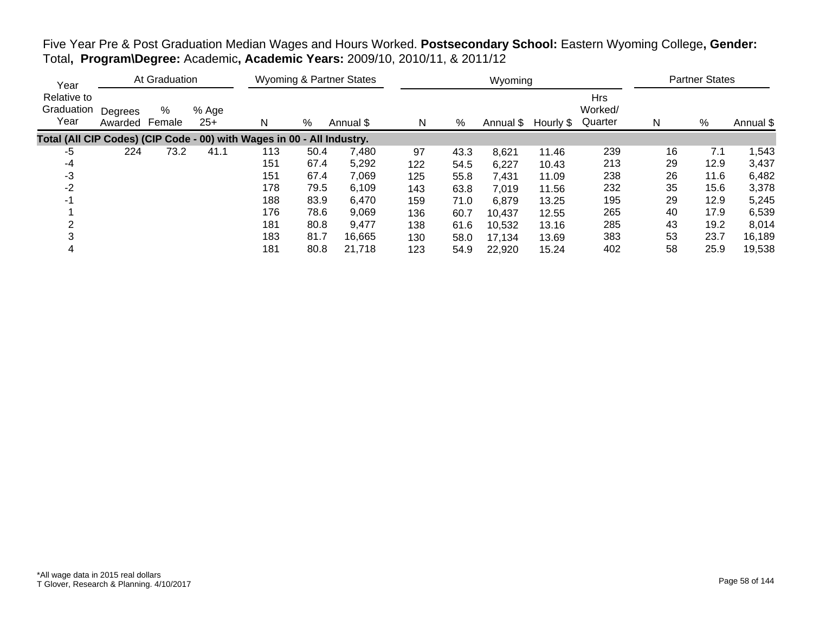| Five Year Pre & Post Graduation Median Wages and Hours Worked. Postsecondary School: Eastern Wyoming College, Gender: |  |  |
|-----------------------------------------------------------------------------------------------------------------------|--|--|
| Total, Program\Degree: Academic, Academic Years: 2009/10, 2010/11, & 2011/12                                          |  |  |

| Year                                                                   |                    | At Graduation |              |     |      | Wyoming & Partner States |     |      | Wyoming   |           |                                  |    | <b>Partner States</b> |           |
|------------------------------------------------------------------------|--------------------|---------------|--------------|-----|------|--------------------------|-----|------|-----------|-----------|----------------------------------|----|-----------------------|-----------|
| Relative to<br>Graduation<br>Year                                      | Degrees<br>Awarded | %<br>Female   | % Age<br>25+ | Ν   | %    | Annual \$                | N   | %    | Annual \$ | Hourly \$ | <b>Hrs</b><br>Worked/<br>Quarter | N  | %                     | Annual \$ |
| Total (All CIP Codes) (CIP Code - 00) with Wages in 00 - All Industry. |                    |               |              |     |      |                          |     |      |           |           |                                  |    |                       |           |
| -5                                                                     | 224                | 73.2          | 41.1         | 113 | 50.4 | 7,480                    | 97  | 43.3 | 8,621     | 11.46     | 239                              | 16 | 7.1                   | 1,543     |
| -4                                                                     |                    |               |              | 151 | 67.4 | 5,292                    | 122 | 54.5 | 6,227     | 10.43     | 213                              | 29 | 12.9                  | 3,437     |
| -3                                                                     |                    |               |              | 151 | 67.4 | 7,069                    | 125 | 55.8 | 7,431     | 11.09     | 238                              | 26 | 11.6                  | 6,482     |
| $-2$                                                                   |                    |               |              | 178 | 79.5 | 6,109                    | 143 | 63.8 | 7,019     | 11.56     | 232                              | 35 | 15.6                  | 3,378     |
| -1                                                                     |                    |               |              | 188 | 83.9 | 6,470                    | 159 | 71.0 | 6,879     | 13.25     | 195                              | 29 | 12.9                  | 5,245     |
|                                                                        |                    |               |              | 176 | 78.6 | 9,069                    | 136 | 60.7 | 10,437    | 12.55     | 265                              | 40 | 17.9                  | 6,539     |
|                                                                        |                    |               |              | 181 | 80.8 | 9,477                    | 138 | 61.6 | 10,532    | 13.16     | 285                              | 43 | 19.2                  | 8,014     |
|                                                                        |                    |               |              | 183 | 81.7 | 16,665                   | 130 | 58.0 | 17,134    | 13.69     | 383                              | 53 | 23.7                  | 16,189    |
|                                                                        |                    |               |              | 181 | 80.8 | 21,718                   | 123 | 54.9 | 22,920    | 15.24     | 402                              | 58 | 25.9                  | 19,538    |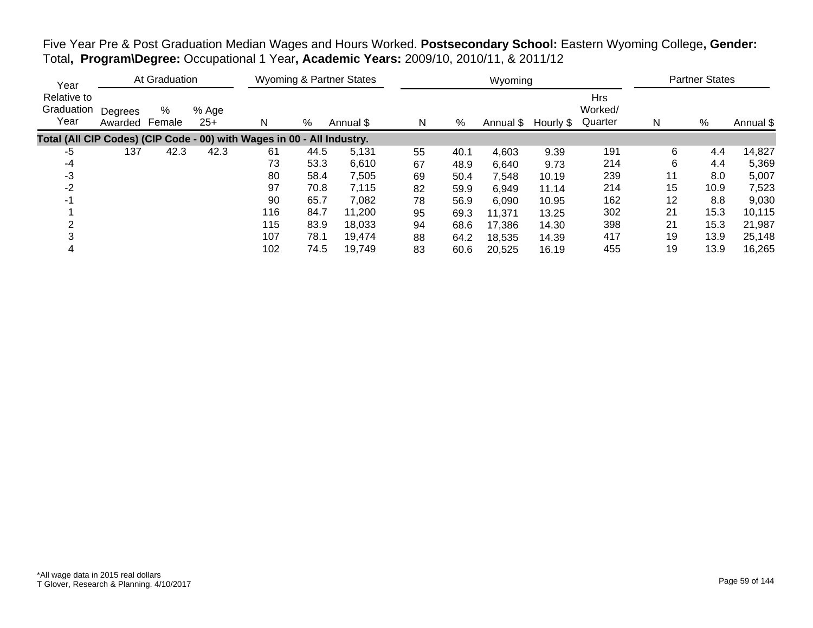Five Year Pre & Post Graduation Median Wages and Hours Worked. **Postsecondary School:** Eastern Wyoming College**, Gender:** Total**, Program\Degree:** Occupational 1 Year**, Academic Years:** 2009/10, 2010/11, & 2011/12

| Year                                                                   |                    | At Graduation |                |     |      | Wyoming & Partner States |    |      | Wyoming   |           |                                  |    | <b>Partner States</b> |           |
|------------------------------------------------------------------------|--------------------|---------------|----------------|-----|------|--------------------------|----|------|-----------|-----------|----------------------------------|----|-----------------------|-----------|
| Relative to<br>Graduation<br>Year                                      | Degrees<br>Awarded | %<br>Female   | % Age<br>$25+$ | N   | %    | Annual \$                | N  | %    | Annual \$ | Hourly \$ | <b>Hrs</b><br>Worked/<br>Quarter | N  | $\%$                  | Annual \$ |
| Total (All CIP Codes) (CIP Code - 00) with Wages in 00 - All Industry. |                    |               |                |     |      |                          |    |      |           |           |                                  |    |                       |           |
| $-5$                                                                   | 137                | 42.3          | 42.3           | 61  | 44.5 | 5,131                    | 55 | 40.1 | 4,603     | 9.39      | 191                              | 6  | 4.4                   | 14,827    |
| -4                                                                     |                    |               |                | 73  | 53.3 | 6,610                    | 67 | 48.9 | 6,640     | 9.73      | 214                              | 6  | 4.4                   | 5,369     |
| -3                                                                     |                    |               |                | 80  | 58.4 | 7,505                    | 69 | 50.4 | 7,548     | 10.19     | 239                              | 11 | 8.0                   | 5,007     |
| $-2$                                                                   |                    |               |                | 97  | 70.8 | 7,115                    | 82 | 59.9 | 6,949     | 11.14     | 214                              | 15 | 10.9                  | 7,523     |
| -1                                                                     |                    |               |                | 90  | 65.7 | 7,082                    | 78 | 56.9 | 6,090     | 10.95     | 162                              | 12 | 8.8                   | 9,030     |
|                                                                        |                    |               |                | 116 | 84.7 | 11,200                   | 95 | 69.3 | 11,371    | 13.25     | 302                              | 21 | 15.3                  | 10,115    |
|                                                                        |                    |               |                | 115 | 83.9 | 18,033                   | 94 | 68.6 | 17,386    | 14.30     | 398                              | 21 | 15.3                  | 21,987    |
|                                                                        |                    |               |                | 107 | 78.1 | 19,474                   | 88 | 64.2 | 18,535    | 14.39     | 417                              | 19 | 13.9                  | 25,148    |
|                                                                        |                    |               |                | 102 | 74.5 | 19,749                   | 83 | 60.6 | 20,525    | 16.19     | 455                              | 19 | 13.9                  | 16,265    |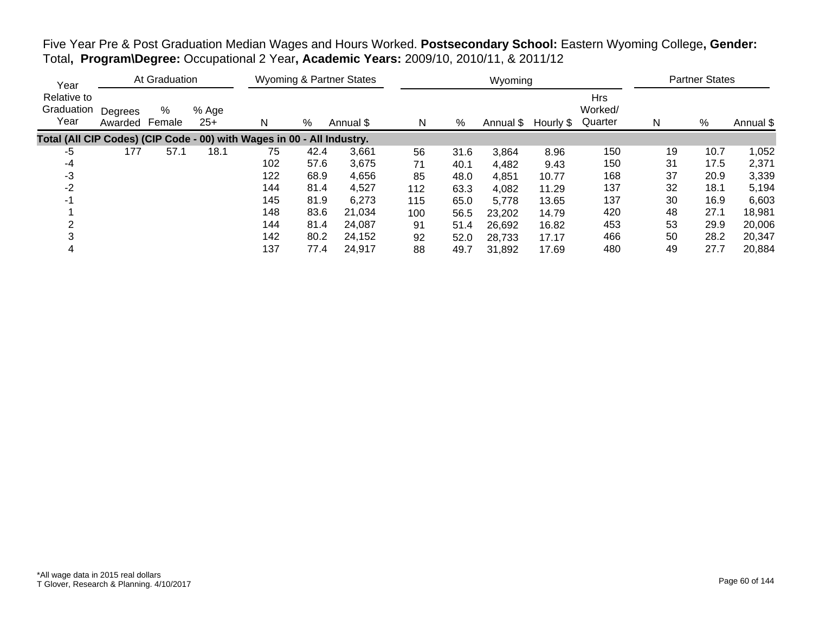Five Year Pre & Post Graduation Median Wages and Hours Worked. **Postsecondary School:** Eastern Wyoming College**, Gender:** Total**, Program\Degree:** Occupational 2 Year**, Academic Years:** 2009/10, 2010/11, & 2011/12

| Year                                                                   |                    | At Graduation |                |     |      | Wyoming & Partner States |     |      | Wyoming   |           |                                  |    | <b>Partner States</b> |           |
|------------------------------------------------------------------------|--------------------|---------------|----------------|-----|------|--------------------------|-----|------|-----------|-----------|----------------------------------|----|-----------------------|-----------|
| Relative to<br>Graduation<br>Year                                      | Degrees<br>Awarded | %<br>Female   | % Age<br>$25+$ | N   | %    | Annual \$                | N   | %    | Annual \$ | Hourly \$ | <b>Hrs</b><br>Worked/<br>Quarter | N  | $\%$                  | Annual \$ |
| Total (All CIP Codes) (CIP Code - 00) with Wages in 00 - All Industry. |                    |               |                |     |      |                          |     |      |           |           |                                  |    |                       |           |
| -5                                                                     | 177                | 57.1          | 18.1           | 75  | 42.4 | 3,661                    | 56  | 31.6 | 3,864     | 8.96      | 150                              | 19 | 10.7                  | 1,052     |
| -4                                                                     |                    |               |                | 102 | 57.6 | 3,675                    | 71  | 40.1 | 4,482     | 9.43      | 150                              | 31 | 17.5                  | 2,371     |
| -3                                                                     |                    |               |                | 122 | 68.9 | 4,656                    | 85  | 48.0 | 4,851     | 10.77     | 168                              | 37 | 20.9                  | 3,339     |
| -2                                                                     |                    |               |                | 144 | 81.4 | 4,527                    | 112 | 63.3 | 4,082     | 11.29     | 137                              | 32 | 18.1                  | 5,194     |
| -1                                                                     |                    |               |                | 145 | 81.9 | 6,273                    | 115 | 65.0 | 5,778     | 13.65     | 137                              | 30 | 16.9                  | 6,603     |
|                                                                        |                    |               |                | 148 | 83.6 | 21,034                   | 100 | 56.5 | 23,202    | 14.79     | 420                              | 48 | 27.1                  | 18,981    |
|                                                                        |                    |               |                | 144 | 81.4 | 24,087                   | 91  | 51.4 | 26,692    | 16.82     | 453                              | 53 | 29.9                  | 20,006    |
|                                                                        |                    |               |                | 142 | 80.2 | 24,152                   | 92  | 52.0 | 28,733    | 17.17     | 466                              | 50 | 28.2                  | 20,347    |
|                                                                        |                    |               |                | 137 | 77.4 | 24,917                   | 88  | 49.7 | 31,892    | 17.69     | 480                              | 49 | 27.7                  | 20,884    |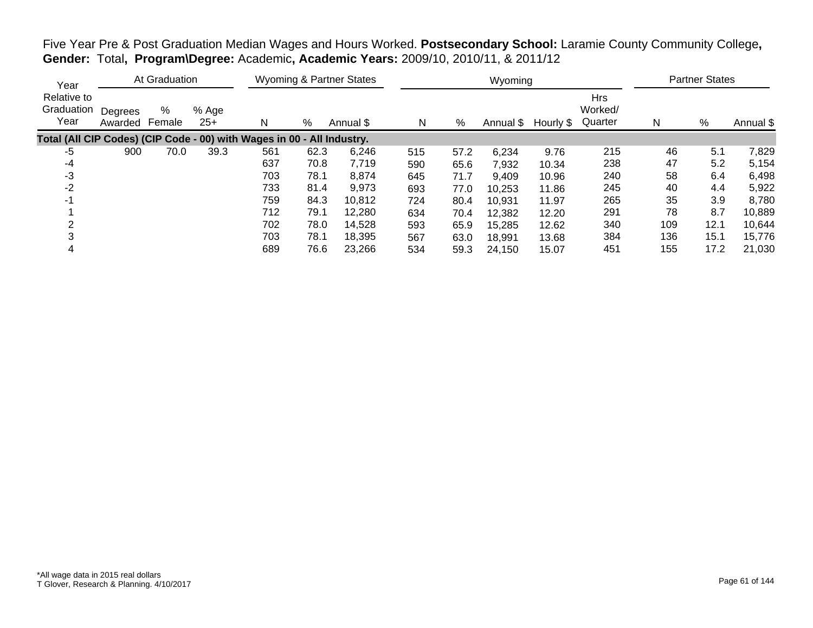| Year                                                                   |                    | At Graduation |                |     |      | <b>Wyoming &amp; Partner States</b> |     |      | Wyoming |                     |                                  |     | <b>Partner States</b> |           |
|------------------------------------------------------------------------|--------------------|---------------|----------------|-----|------|-------------------------------------|-----|------|---------|---------------------|----------------------------------|-----|-----------------------|-----------|
| Relative to<br>Graduation<br>Year                                      | Degrees<br>Awarded | %<br>Female   | % Age<br>$25+$ | N   | %    | Annual \$                           | N   | %    |         | Annual \$ Hourly \$ | <b>Hrs</b><br>Worked/<br>Quarter | N   | %                     | Annual \$ |
| Total (All CIP Codes) (CIP Code - 00) with Wages in 00 - All Industry. |                    |               |                |     |      |                                     |     |      |         |                     |                                  |     |                       |           |
| $-5$                                                                   | 900                | 70.0          | 39.3           | 561 | 62.3 | 6,246                               | 515 | 57.2 | 6,234   | 9.76                | 215                              | 46  | 5.1                   | 7,829     |
| -4                                                                     |                    |               |                | 637 | 70.8 | 7,719                               | 590 | 65.6 | 7,932   | 10.34               | 238                              | 47  | 5.2                   | 5,154     |
| -3                                                                     |                    |               |                | 703 | 78.1 | 8,874                               | 645 | 71.7 | 9,409   | 10.96               | 240                              | 58  | 6.4                   | 6,498     |
| $-2$                                                                   |                    |               |                | 733 | 81.4 | 9,973                               | 693 | 77.0 | 10,253  | 11.86               | 245                              | 40  | 4.4                   | 5,922     |
| $-1$                                                                   |                    |               |                | 759 | 84.3 | 10.812                              | 724 | 80.4 | 10,931  | 11.97               | 265                              | 35  | 3.9                   | 8,780     |
|                                                                        |                    |               |                | 712 | 79.1 | 12,280                              | 634 | 70.4 | 12,382  | 12.20               | 291                              | 78  | 8.7                   | 10,889    |
| ⌒                                                                      |                    |               |                | 702 | 78.0 | 14,528                              | 593 | 65.9 | 15,285  | 12.62               | 340                              | 109 | 12.1                  | 10,644    |
|                                                                        |                    |               |                | 703 | 78.1 | 18,395                              | 567 | 63.0 | 18,991  | 13.68               | 384                              | 136 | 15.1                  | 15,776    |
| 4                                                                      |                    |               |                | 689 | 76.6 | 23,266                              | 534 | 59.3 | 24,150  | 15.07               | 451                              | 155 | 17.2                  | 21,030    |

Five Year Pre & Post Graduation Median Wages and Hours Worked. **Postsecondary School:** Laramie County Community College**, Gender:** Total**, Program\Degree:** Academic**, Academic Years:** 2009/10, 2010/11, & 2011/12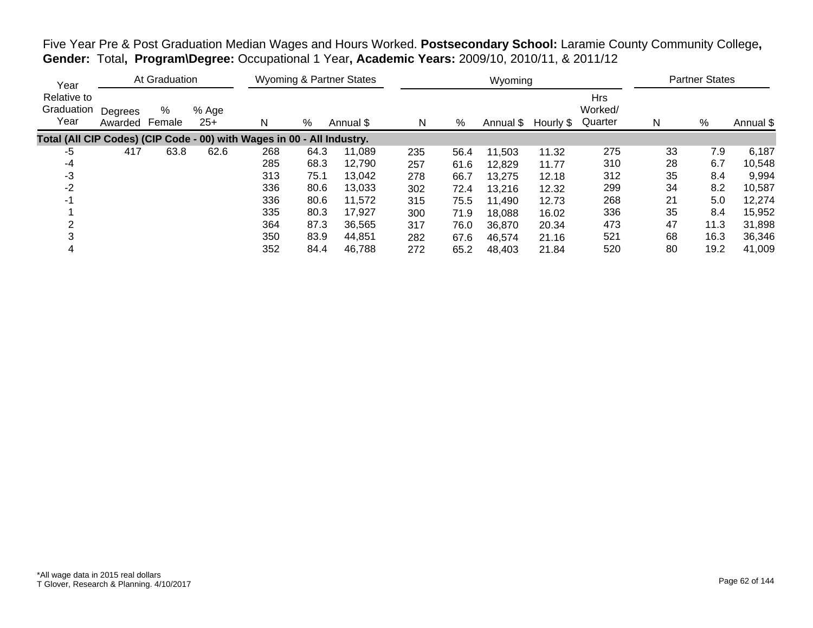| Year                                                                   |                    | At Graduation |                |     |      | Wyoming & Partner States |     |      | Wyoming   |           |                           |    | <b>Partner States</b> |           |
|------------------------------------------------------------------------|--------------------|---------------|----------------|-----|------|--------------------------|-----|------|-----------|-----------|---------------------------|----|-----------------------|-----------|
| Relative to<br>Graduation<br>Year                                      | Degrees<br>Awarded | %<br>Female   | % Age<br>$25+$ | N   | %    | Annual \$                | N   | %    | Annual \$ | Hourly \$ | Hrs<br>Worked/<br>Quarter | N  | $\%$                  | Annual \$ |
| Total (All CIP Codes) (CIP Code - 00) with Wages in 00 - All Industry. |                    |               |                |     |      |                          |     |      |           |           |                           |    |                       |           |
| -5                                                                     | 417                | 63.8          | 62.6           | 268 | 64.3 | 11.089                   | 235 | 56.4 | 11,503    | 11.32     | 275                       | 33 | 7.9                   | 6,187     |
| -4                                                                     |                    |               |                | 285 | 68.3 | 12,790                   | 257 | 61.6 | 12,829    | 11.77     | 310                       | 28 | 6.7                   | 10,548    |
| -3                                                                     |                    |               |                | 313 | 75.1 | 13,042                   | 278 | 66.7 | 13,275    | 12.18     | 312                       | 35 | 8.4                   | 9,994     |
| $-2$                                                                   |                    |               |                | 336 | 80.6 | 13,033                   | 302 | 72.4 | 13,216    | 12.32     | 299                       | 34 | 8.2                   | 10,587    |
| $-1$                                                                   |                    |               |                | 336 | 80.6 | 11,572                   | 315 | 75.5 | 11,490    | 12.73     | 268                       | 21 | 5.0                   | 12,274    |
|                                                                        |                    |               |                | 335 | 80.3 | 17,927                   | 300 | 71.9 | 18,088    | 16.02     | 336                       | 35 | 8.4                   | 15,952    |
| ⌒                                                                      |                    |               |                | 364 | 87.3 | 36.565                   | 317 | 76.0 | 36,870    | 20.34     | 473                       | 47 | 11.3                  | 31,898    |
|                                                                        |                    |               |                | 350 | 83.9 | 44,851                   | 282 | 67.6 | 46,574    | 21.16     | 521                       | 68 | 16.3                  | 36,346    |
| 4                                                                      |                    |               |                | 352 | 84.4 | 46,788                   | 272 | 65.2 | 48,403    | 21.84     | 520                       | 80 | 19.2                  | 41,009    |

Five Year Pre & Post Graduation Median Wages and Hours Worked. **Postsecondary School:** Laramie County Community College**, Gender:** Total**, Program\Degree:** Occupational 1 Year**, Academic Years:** 2009/10, 2010/11, & 2011/12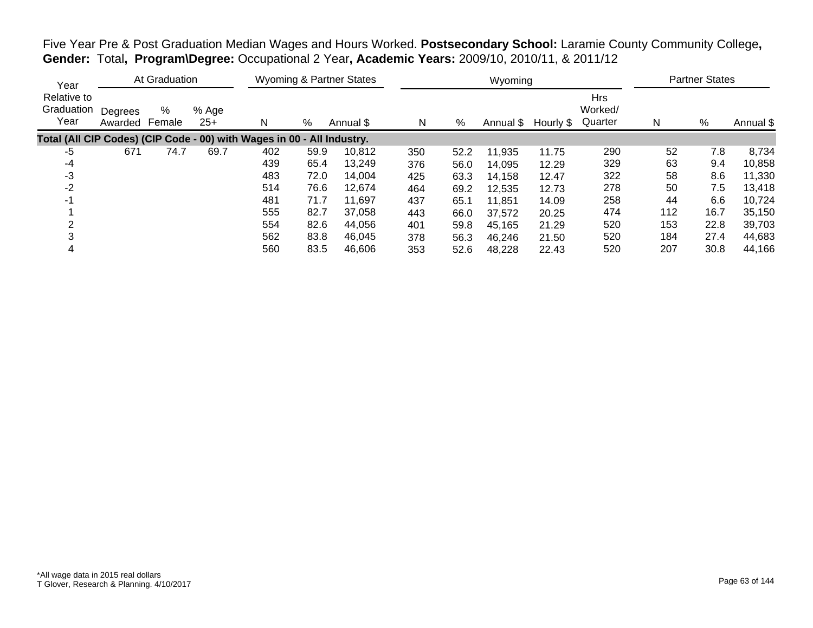| Year                                                                   |                    | At Graduation |                |     |      | Wyoming & Partner States |     |      | Wyoming   |           |                           |     | <b>Partner States</b> |           |
|------------------------------------------------------------------------|--------------------|---------------|----------------|-----|------|--------------------------|-----|------|-----------|-----------|---------------------------|-----|-----------------------|-----------|
| Relative to<br>Graduation<br>Year                                      | Degrees<br>Awarded | %<br>Female   | % Age<br>$25+$ | N   | %    | Annual \$                | N   | %    | Annual \$ | Hourly \$ | Hrs<br>Worked/<br>Quarter | N   | $\%$                  | Annual \$ |
| Total (All CIP Codes) (CIP Code - 00) with Wages in 00 - All Industry. |                    |               |                |     |      |                          |     |      |           |           |                           |     |                       |           |
| -5                                                                     | 671                | 74.7          | 69.7           | 402 | 59.9 | 10.812                   | 350 | 52.2 | 11,935    | 11.75     | 290                       | 52  | 7.8                   | 8,734     |
| -4                                                                     |                    |               |                | 439 | 65.4 | 13,249                   | 376 | 56.0 | 14,095    | 12.29     | 329                       | 63  | 9.4                   | 10,858    |
| -3                                                                     |                    |               |                | 483 | 72.0 | 14.004                   | 425 | 63.3 | 14,158    | 12.47     | 322                       | 58  | 8.6                   | 11,330    |
| $-2$                                                                   |                    |               |                | 514 | 76.6 | 12,674                   | 464 | 69.2 | 12,535    | 12.73     | 278                       | 50  | 7.5                   | 13,418    |
| -1                                                                     |                    |               |                | 481 | 71.7 | 11.697                   | 437 | 65.1 | 11,851    | 14.09     | 258                       | 44  | 6.6                   | 10,724    |
|                                                                        |                    |               |                | 555 | 82.7 | 37,058                   | 443 | 66.0 | 37,572    | 20.25     | 474                       | 112 | 16.7                  | 35,150    |
| ⌒                                                                      |                    |               |                | 554 | 82.6 | 44.056                   | 401 | 59.8 | 45,165    | 21.29     | 520                       | 153 | 22.8                  | 39,703    |
|                                                                        |                    |               |                | 562 | 83.8 | 46,045                   | 378 | 56.3 | 46,246    | 21.50     | 520                       | 184 | 27.4                  | 44,683    |
| 4                                                                      |                    |               |                | 560 | 83.5 | 46,606                   | 353 | 52.6 | 48,228    | 22.43     | 520                       | 207 | 30.8                  | 44,166    |

Five Year Pre & Post Graduation Median Wages and Hours Worked. **Postsecondary School:** Laramie County Community College**, Gender:** Total**, Program\Degree:** Occupational 2 Year**, Academic Years:** 2009/10, 2010/11, & 2011/12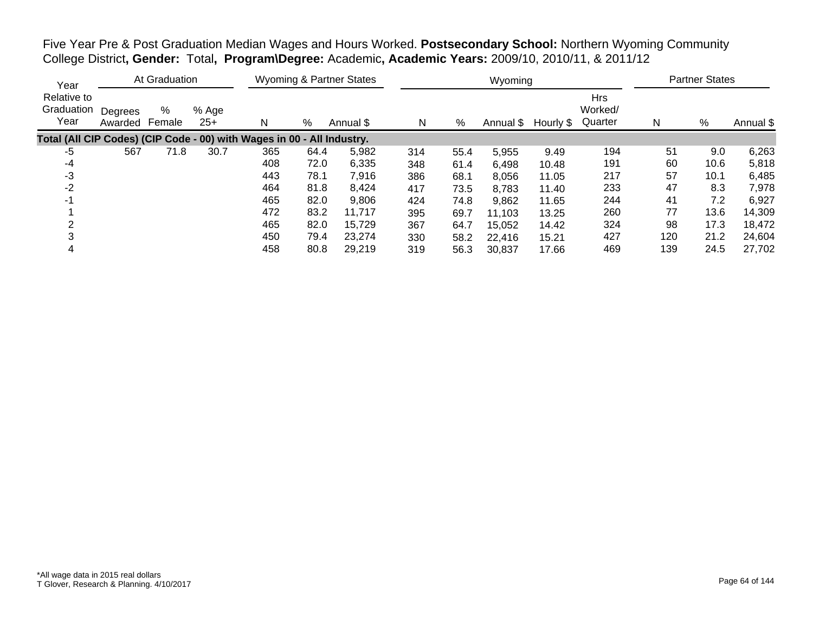Five Year Pre & Post Graduation Median Wages and Hours Worked. **Postsecondary School:** Northern Wyoming Community College District**, Gender:** Total**, Program\Degree:** Academic**, Academic Years:** 2009/10, 2010/11, & 2011/12

| Year                                                                   |                    | At Graduation |                |     |      | <b>Wyoming &amp; Partner States</b> |     |      | Wyoming   |           |                                  |     | <b>Partner States</b> |           |
|------------------------------------------------------------------------|--------------------|---------------|----------------|-----|------|-------------------------------------|-----|------|-----------|-----------|----------------------------------|-----|-----------------------|-----------|
| Relative to<br>Graduation<br>Year                                      | Degrees<br>Awarded | %<br>Female   | % Age<br>$25+$ | N   | %    | Annual \$                           | N   | %    | Annual \$ | Hourly \$ | <b>Hrs</b><br>Worked/<br>Quarter | N   | %                     | Annual \$ |
| Total (All CIP Codes) (CIP Code - 00) with Wages in 00 - All Industry. |                    |               |                |     |      |                                     |     |      |           |           |                                  |     |                       |           |
| -5                                                                     | 567                | 71.8          | 30.7           | 365 | 64.4 | 5,982                               | 314 | 55.4 | 5,955     | 9.49      | 194                              | 51  | 9.0                   | 6,263     |
| -4                                                                     |                    |               |                | 408 | 72.0 | 6,335                               | 348 | 61.4 | 6,498     | 10.48     | 191                              | 60  | 10.6                  | 5,818     |
| -3                                                                     |                    |               |                | 443 | 78.1 | 7,916                               | 386 | 68.1 | 8,056     | 11.05     | 217                              | 57  | 10.1                  | 6,485     |
| -2                                                                     |                    |               |                | 464 | 81.8 | 8,424                               | 417 | 73.5 | 8,783     | 11.40     | 233                              | 47  | 8.3                   | 7,978     |
| -1                                                                     |                    |               |                | 465 | 82.0 | 9,806                               | 424 | 74.8 | 9,862     | 11.65     | 244                              | 41  | 7.2                   | 6,927     |
|                                                                        |                    |               |                | 472 | 83.2 | 11,717                              | 395 | 69.7 | 11,103    | 13.25     | 260                              | 77  | 13.6                  | 14,309    |
|                                                                        |                    |               |                | 465 | 82.0 | 15,729                              | 367 | 64.7 | 15,052    | 14.42     | 324                              | 98  | 17.3                  | 18,472    |
|                                                                        |                    |               |                | 450 | 79.4 | 23,274                              | 330 | 58.2 | 22,416    | 15.21     | 427                              | 120 | 21.2                  | 24,604    |
|                                                                        |                    |               |                | 458 | 80.8 | 29,219                              | 319 | 56.3 | 30,837    | 17.66     | 469                              | 139 | 24.5                  | 27,702    |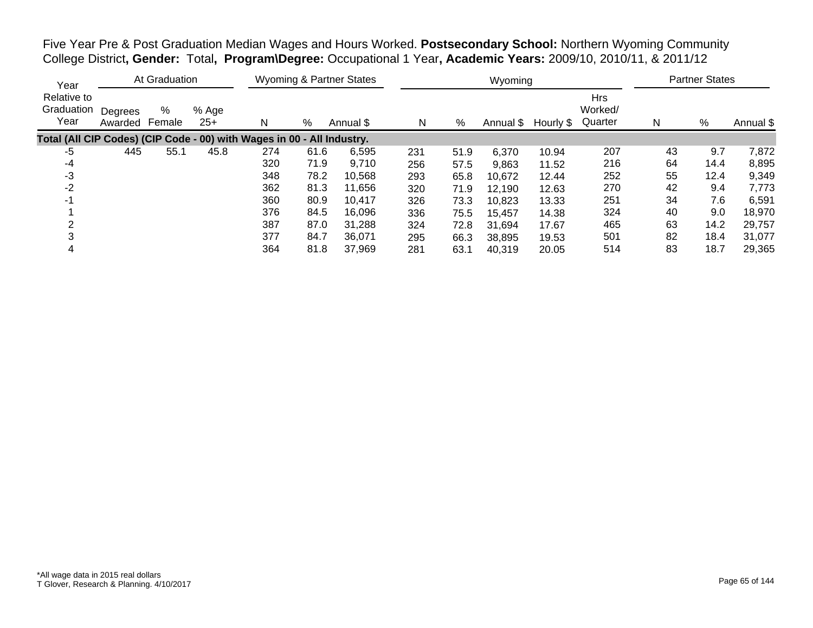Five Year Pre & Post Graduation Median Wages and Hours Worked. **Postsecondary School:** Northern Wyoming Community College District**, Gender:** Total**, Program\Degree:** Occupational 1 Year**, Academic Years:** 2009/10, 2010/11, & 2011/12

| Year                                                                   |                    | At Graduation |                |     |      | Wyoming & Partner States |     |      | Wyoming   |           |                                  |    | <b>Partner States</b> |           |
|------------------------------------------------------------------------|--------------------|---------------|----------------|-----|------|--------------------------|-----|------|-----------|-----------|----------------------------------|----|-----------------------|-----------|
| Relative to<br>Graduation<br>Year                                      | Degrees<br>Awarded | %<br>Female   | % Age<br>$25+$ | N   | %    | Annual \$                | N   | %    | Annual \$ | Hourly \$ | <b>Hrs</b><br>Worked/<br>Quarter | N  | %                     | Annual \$ |
| Total (All CIP Codes) (CIP Code - 00) with Wages in 00 - All Industry. |                    |               |                |     |      |                          |     |      |           |           |                                  |    |                       |           |
| -5                                                                     | 445                | 55.1          | 45.8           | 274 | 61.6 | 6,595                    | 231 | 51.9 | 6,370     | 10.94     | 207                              | 43 | 9.7                   | 7,872     |
| -4                                                                     |                    |               |                | 320 | 71.9 | 9,710                    | 256 | 57.5 | 9,863     | 11.52     | 216                              | 64 | 14.4                  | 8,895     |
| -3                                                                     |                    |               |                | 348 | 78.2 | 10,568                   | 293 | 65.8 | 10,672    | 12.44     | 252                              | 55 | 12.4                  | 9,349     |
| -2                                                                     |                    |               |                | 362 | 81.3 | 11,656                   | 320 | 71.9 | 12,190    | 12.63     | 270                              | 42 | 9.4                   | 7,773     |
| -1                                                                     |                    |               |                | 360 | 80.9 | 10.417                   | 326 | 73.3 | 10,823    | 13.33     | 251                              | 34 | 7.6                   | 6,591     |
|                                                                        |                    |               |                | 376 | 84.5 | 16,096                   | 336 | 75.5 | 15,457    | 14.38     | 324                              | 40 | 9.0                   | 18,970    |
|                                                                        |                    |               |                | 387 | 87.0 | 31.288                   | 324 | 72.8 | 31,694    | 17.67     | 465                              | 63 | 14.2                  | 29,757    |
|                                                                        |                    |               |                | 377 | 84.7 | 36,071                   | 295 | 66.3 | 38,895    | 19.53     | 501                              | 82 | 18.4                  | 31,077    |
|                                                                        |                    |               |                | 364 | 81.8 | 37.969                   | 281 | 63.1 | 40,319    | 20.05     | 514                              | 83 | 18.7                  | 29,365    |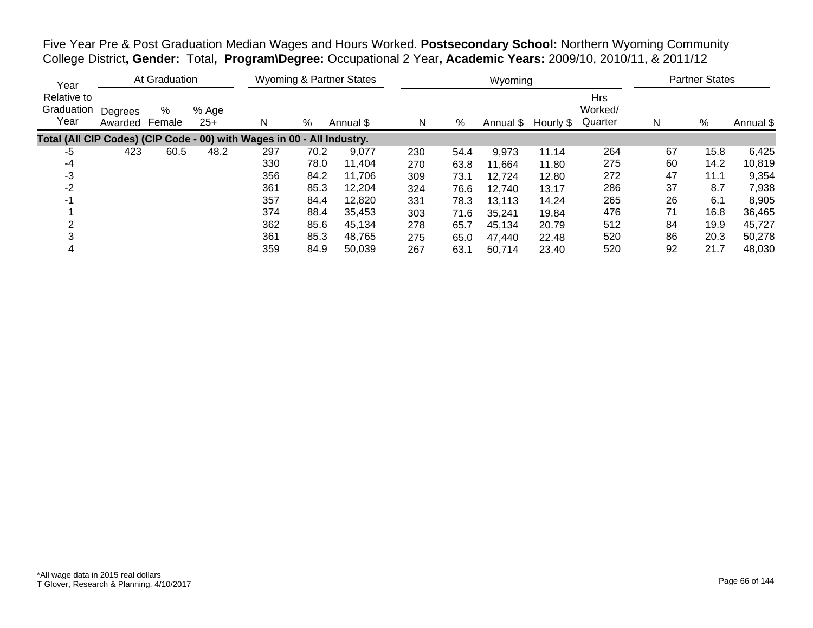Five Year Pre & Post Graduation Median Wages and Hours Worked. **Postsecondary School:** Northern Wyoming Community College District**, Gender:** Total**, Program\Degree:** Occupational 2 Year**, Academic Years:** 2009/10, 2010/11, & 2011/12

| Year                                                                   |                    | At Graduation |                |     |      | Wyoming & Partner States |     |      | Wyoming   |           |                                  |    | <b>Partner States</b> |           |
|------------------------------------------------------------------------|--------------------|---------------|----------------|-----|------|--------------------------|-----|------|-----------|-----------|----------------------------------|----|-----------------------|-----------|
| Relative to<br>Graduation<br>Year                                      | Degrees<br>Awarded | %<br>Female   | % Age<br>$25+$ | N   | %    | Annual \$                | N   | %    | Annual \$ | Hourly \$ | <b>Hrs</b><br>Worked/<br>Quarter | N  | %                     | Annual \$ |
| Total (All CIP Codes) (CIP Code - 00) with Wages in 00 - All Industry. |                    |               |                |     |      |                          |     |      |           |           |                                  |    |                       |           |
| -5                                                                     | 423                | 60.5          | 48.2           | 297 | 70.2 | 9,077                    | 230 | 54.4 | 9,973     | 11.14     | 264                              | 67 | 15.8                  | 6,425     |
| -4                                                                     |                    |               |                | 330 | 78.0 | 11,404                   | 270 | 63.8 | 11,664    | 11.80     | 275                              | 60 | 14.2                  | 10,819    |
| -3                                                                     |                    |               |                | 356 | 84.2 | 11,706                   | 309 | 73.1 | 12,724    | 12.80     | 272                              | 47 | 11.1                  | 9,354     |
| -2                                                                     |                    |               |                | 361 | 85.3 | 12,204                   | 324 | 76.6 | 12,740    | 13.17     | 286                              | 37 | 8.7                   | 7,938     |
| -1                                                                     |                    |               |                | 357 | 84.4 | 12,820                   | 331 | 78.3 | 13,113    | 14.24     | 265                              | 26 | 6.1                   | 8,905     |
|                                                                        |                    |               |                | 374 | 88.4 | 35,453                   | 303 | 71.6 | 35,241    | 19.84     | 476                              | 71 | 16.8                  | 36,465    |
| 2                                                                      |                    |               |                | 362 | 85.6 | 45.134                   | 278 | 65.7 | 45.134    | 20.79     | 512                              | 84 | 19.9                  | 45,727    |
|                                                                        |                    |               |                | 361 | 85.3 | 48,765                   | 275 | 65.0 | 47,440    | 22.48     | 520                              | 86 | 20.3                  | 50,278    |
|                                                                        |                    |               |                | 359 | 84.9 | 50,039                   | 267 | 63.1 | 50,714    | 23.40     | 520                              | 92 | 21.7                  | 48,030    |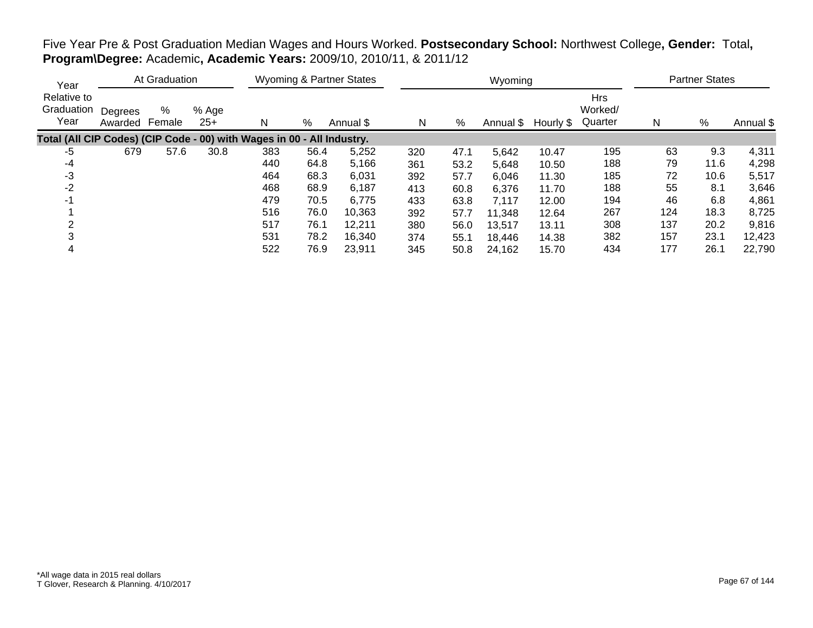## Five Year Pre & Post Graduation Median Wages and Hours Worked. **Postsecondary School:** Northwest College**, Gender:** Total**, Program\Degree:** Academic**, Academic Years:** 2009/10, 2010/11, & 2011/12

| Year                              |                    | At Graduation |                |                                                                        |      | <b>Wyoming &amp; Partner States</b> |     |      | Wyoming   |           |                                  |     | <b>Partner States</b> |           |
|-----------------------------------|--------------------|---------------|----------------|------------------------------------------------------------------------|------|-------------------------------------|-----|------|-----------|-----------|----------------------------------|-----|-----------------------|-----------|
| Relative to<br>Graduation<br>Year | Degrees<br>Awarded | %<br>Female   | % Age<br>$25+$ | N                                                                      | %    | Annual \$                           | N   | %    | Annual \$ | Hourly \$ | <b>Hrs</b><br>Worked/<br>Quarter | N   | %                     | Annual \$ |
|                                   |                    |               |                | Total (All CIP Codes) (CIP Code - 00) with Wages in 00 - All Industry. |      |                                     |     |      |           |           |                                  |     |                       |           |
| -5                                | 679                | 57.6          | 30.8           | 383                                                                    | 56.4 | 5,252                               | 320 | 47.1 | 5,642     | 10.47     | 195                              | 63  | 9.3                   | 4,311     |
| -4                                |                    |               |                | 440                                                                    | 64.8 | 5,166                               | 361 | 53.2 | 5,648     | 10.50     | 188                              | 79  | 11.6                  | 4,298     |
| -3                                |                    |               |                | 464                                                                    | 68.3 | 6,031                               | 392 | 57.7 | 6,046     | 11.30     | 185                              | 72  | 10.6                  | 5,517     |
| -2                                |                    |               |                | 468                                                                    | 68.9 | 6,187                               | 413 | 60.8 | 6,376     | 11.70     | 188                              | 55  | 8.1                   | 3,646     |
| -1                                |                    |               |                | 479                                                                    | 70.5 | 6,775                               | 433 | 63.8 | 7,117     | 12.00     | 194                              | 46  | 6.8                   | 4,861     |
|                                   |                    |               |                | 516                                                                    | 76.0 | 10,363                              | 392 | 57.7 | 11,348    | 12.64     | 267                              | 124 | 18.3                  | 8,725     |
|                                   |                    |               |                | 517                                                                    | 76.1 | 12.211                              | 380 | 56.0 | 13,517    | 13.11     | 308                              | 137 | 20.2                  | 9,816     |
|                                   |                    |               |                | 531                                                                    | 78.2 | 16,340                              | 374 | 55.1 | 18,446    | 14.38     | 382                              | 157 | 23.1                  | 12,423    |
|                                   |                    |               |                | 522                                                                    | 76.9 | 23,911                              | 345 | 50.8 | 24,162    | 15.70     | 434                              | 177 | 26.1                  | 22,790    |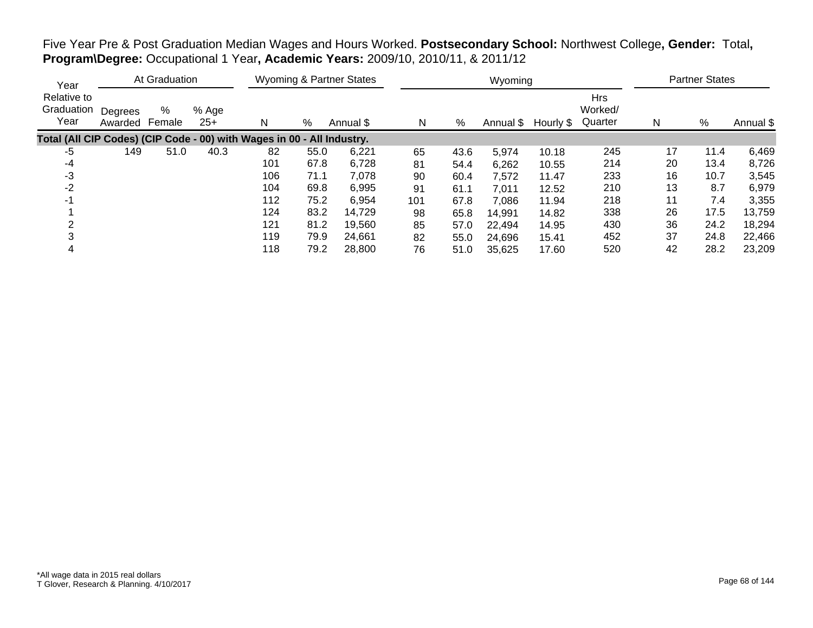Five Year Pre & Post Graduation Median Wages and Hours Worked. **Postsecondary School:** Northwest College**, Gender:** Total**, Program\Degree:** Occupational 1 Year**, Academic Years:** 2009/10, 2010/11, & 2011/12

| Year                                                                   |                    | At Graduation |                |     |      | Wyoming & Partner States |     |      | Wyoming   |           |                                  |    | <b>Partner States</b> |           |
|------------------------------------------------------------------------|--------------------|---------------|----------------|-----|------|--------------------------|-----|------|-----------|-----------|----------------------------------|----|-----------------------|-----------|
| Relative to<br>Graduation<br>Year                                      | Degrees<br>Awarded | %<br>Female   | % Age<br>$25+$ | N   | %    | Annual \$                | N   | %    | Annual \$ | Hourly \$ | <b>Hrs</b><br>Worked/<br>Quarter | N  | $\%$                  | Annual \$ |
| Total (All CIP Codes) (CIP Code - 00) with Wages in 00 - All Industry. |                    |               |                |     |      |                          |     |      |           |           |                                  |    |                       |           |
| -5                                                                     | 149                | 51.0          | 40.3           | 82  | 55.0 | 6,221                    | 65  | 43.6 | 5,974     | 10.18     | 245                              | 17 | 11.4                  | 6,469     |
| -4                                                                     |                    |               |                | 101 | 67.8 | 6,728                    | 81  | 54.4 | 6,262     | 10.55     | 214                              | 20 | 13.4                  | 8,726     |
| -3                                                                     |                    |               |                | 106 | 71.1 | 7,078                    | 90  | 60.4 | 7,572     | 11.47     | 233                              | 16 | 10.7                  | 3,545     |
| $-2$                                                                   |                    |               |                | 104 | 69.8 | 6,995                    | 91  | 61.1 | 7,011     | 12.52     | 210                              | 13 | 8.7                   | 6,979     |
| -1                                                                     |                    |               |                | 112 | 75.2 | 6,954                    | 101 | 67.8 | 7,086     | 11.94     | 218                              | 11 | 7.4                   | 3,355     |
|                                                                        |                    |               |                | 124 | 83.2 | 14,729                   | 98  | 65.8 | 14,991    | 14.82     | 338                              | 26 | 17.5                  | 13,759    |
|                                                                        |                    |               |                | 121 | 81.2 | 19,560                   | 85  | 57.0 | 22,494    | 14.95     | 430                              | 36 | 24.2                  | 18,294    |
|                                                                        |                    |               |                | 119 | 79.9 | 24,661                   | 82  | 55.0 | 24,696    | 15.41     | 452                              | 37 | 24.8                  | 22,466    |
| 4                                                                      |                    |               |                | 118 | 79.2 | 28,800                   | 76  | 51.0 | 35,625    | 17.60     | 520                              | 42 | 28.2                  | 23,209    |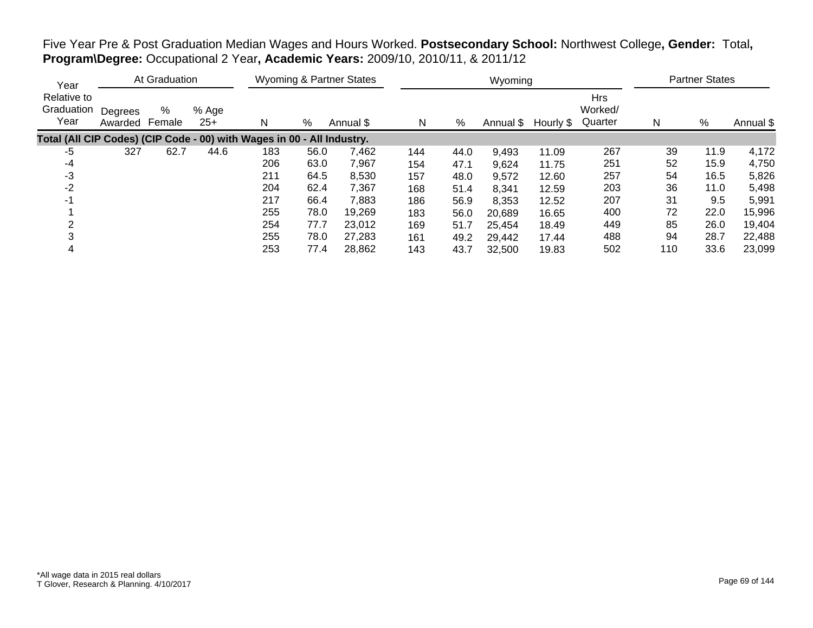Five Year Pre & Post Graduation Median Wages and Hours Worked. **Postsecondary School:** Northwest College**, Gender:** Total**, Program\Degree:** Occupational 2 Year**, Academic Years:** 2009/10, 2010/11, & 2011/12

| Year                              |                    | At Graduation |                |                                                                        |      | <b>Wyoming &amp; Partner States</b> |     |      | Wyoming   |           |                                  |     | <b>Partner States</b> |           |
|-----------------------------------|--------------------|---------------|----------------|------------------------------------------------------------------------|------|-------------------------------------|-----|------|-----------|-----------|----------------------------------|-----|-----------------------|-----------|
| Relative to<br>Graduation<br>Year | Degrees<br>Awarded | %<br>Female   | % Age<br>$25+$ | N                                                                      | %    | Annual \$                           | N   | %    | Annual \$ | Hourly \$ | <b>Hrs</b><br>Worked/<br>Quarter | N   | %                     | Annual \$ |
|                                   |                    |               |                | Total (All CIP Codes) (CIP Code - 00) with Wages in 00 - All Industry. |      |                                     |     |      |           |           |                                  |     |                       |           |
| -5                                | 327                | 62.7          | 44.6           | 183                                                                    | 56.0 | 7,462                               | 144 | 44.0 | 9,493     | 11.09     | 267                              | 39  | 11.9                  | 4,172     |
| -4                                |                    |               |                | 206                                                                    | 63.0 | 7,967                               | 154 | 47.1 | 9,624     | 11.75     | 251                              | 52  | 15.9                  | 4,750     |
| -3                                |                    |               |                | 211                                                                    | 64.5 | 8,530                               | 157 | 48.0 | 9,572     | 12.60     | 257                              | 54  | 16.5                  | 5,826     |
| $-2$                              |                    |               |                | 204                                                                    | 62.4 | 7,367                               | 168 | 51.4 | 8,341     | 12.59     | 203                              | 36  | 11.0                  | 5,498     |
| -1                                |                    |               |                | 217                                                                    | 66.4 | 7,883                               | 186 | 56.9 | 8,353     | 12.52     | 207                              | 31  | 9.5                   | 5,991     |
|                                   |                    |               |                | 255                                                                    | 78.0 | 19,269                              | 183 | 56.0 | 20,689    | 16.65     | 400                              | 72  | 22.0                  | 15,996    |
|                                   |                    |               |                | 254                                                                    | 77.7 | 23,012                              | 169 | 51.7 | 25,454    | 18.49     | 449                              | 85  | 26.0                  | 19,404    |
|                                   |                    |               |                | 255                                                                    | 78.0 | 27,283                              | 161 | 49.2 | 29,442    | 17.44     | 488                              | 94  | 28.7                  | 22,488    |
| 4                                 |                    |               |                | 253                                                                    | 77.4 | 28,862                              | 143 | 43.7 | 32,500    | 19.83     | 502                              | 110 | 33.6                  | 23,099    |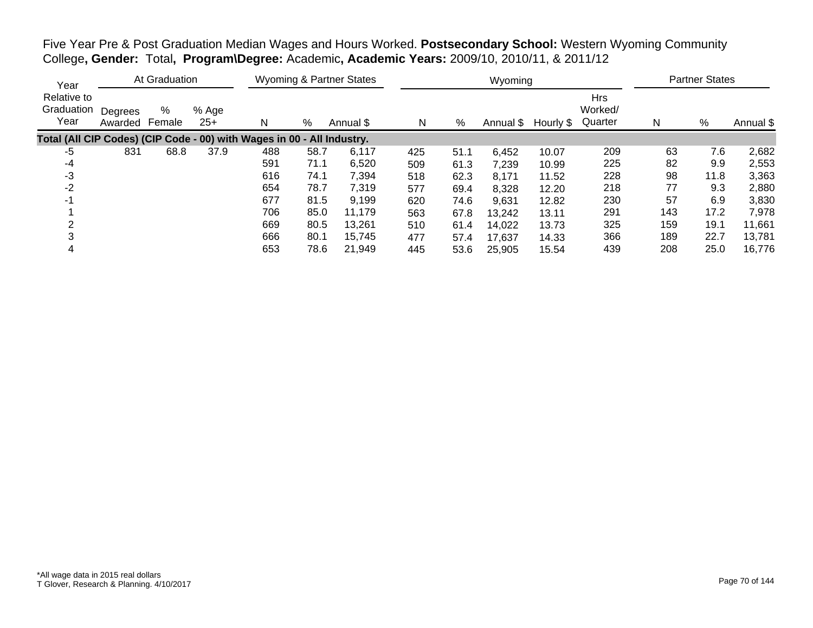Five Year Pre & Post Graduation Median Wages and Hours Worked. **Postsecondary School:** Western Wyoming Community College**, Gender:** Total**, Program\Degree:** Academic**, Academic Years:** 2009/10, 2010/11, & 2011/12

| Year                                                                   | At Graduation      |             |                | <b>Wyoming &amp; Partner States</b> |      |           |     | Wyoming |           | <b>Partner States</b> |                                  |     |      |           |
|------------------------------------------------------------------------|--------------------|-------------|----------------|-------------------------------------|------|-----------|-----|---------|-----------|-----------------------|----------------------------------|-----|------|-----------|
| Relative to<br>Graduation<br>Year                                      | Degrees<br>Awarded | %<br>Female | % Age<br>$25+$ | N                                   | %    | Annual \$ | N   | %       | Annual \$ | Hourly \$             | <b>Hrs</b><br>Worked/<br>Quarter | N   | %    | Annual \$ |
| Total (All CIP Codes) (CIP Code - 00) with Wages in 00 - All Industry. |                    |             |                |                                     |      |           |     |         |           |                       |                                  |     |      |           |
| -5                                                                     | 831                | 68.8        | 37.9           | 488                                 | 58.7 | 6,117     | 425 | 51.1    | 6,452     | 10.07                 | 209                              | 63  | 7.6  | 2,682     |
| -4                                                                     |                    |             |                | 591                                 | 71.1 | 6,520     | 509 | 61.3    | 7,239     | 10.99                 | 225                              | 82  | 9.9  | 2,553     |
| -3                                                                     |                    |             |                | 616                                 | 74.1 | 7,394     | 518 | 62.3    | 8,171     | 11.52                 | 228                              | 98  | 11.8 | 3,363     |
| $-2$                                                                   |                    |             |                | 654                                 | 78.7 | 7,319     | 577 | 69.4    | 8,328     | 12.20                 | 218                              | 77  | 9.3  | 2,880     |
| -1                                                                     |                    |             |                | 677                                 | 81.5 | 9,199     | 620 | 74.6    | 9,631     | 12.82                 | 230                              | 57  | 6.9  | 3,830     |
|                                                                        |                    |             |                | 706                                 | 85.0 | 11,179    | 563 | 67.8    | 13,242    | 13.11                 | 291                              | 143 | 17.2 | 7,978     |
|                                                                        |                    |             |                | 669                                 | 80.5 | 13.261    | 510 | 61.4    | 14,022    | 13.73                 | 325                              | 159 | 19.1 | 11,661    |
|                                                                        |                    |             |                | 666                                 | 80.1 | 15,745    | 477 | 57.4    | 17,637    | 14.33                 | 366                              | 189 | 22.7 | 13,781    |
| 4                                                                      |                    |             |                | 653                                 | 78.6 | 21.949    | 445 | 53.6    | 25,905    | 15.54                 | 439                              | 208 | 25.0 | 16,776    |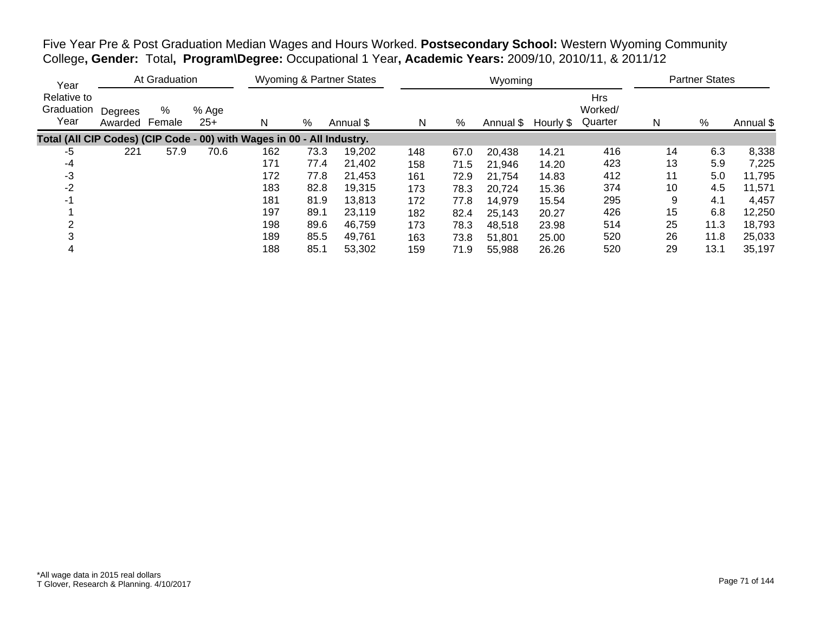Five Year Pre & Post Graduation Median Wages and Hours Worked. **Postsecondary School:** Western Wyoming Community College**, Gender:** Total**, Program\Degree:** Occupational 1 Year**, Academic Years:** 2009/10, 2010/11, & 2011/12

| Year                                                                   |                           | At Graduation |                |     | <b>Wyoming &amp; Partner States</b> |           |     |      | Wyoming   | <b>Partner States</b> |                                  |    |      |           |
|------------------------------------------------------------------------|---------------------------|---------------|----------------|-----|-------------------------------------|-----------|-----|------|-----------|-----------------------|----------------------------------|----|------|-----------|
| Relative to<br>Graduation<br>Year                                      | Degrees<br>Awarded Female | %             | % Age<br>$25+$ | N   | %                                   | Annual \$ | N   | %    | Annual \$ | Hourly \$             | <b>Hrs</b><br>Worked/<br>Quarter | N  | %    | Annual \$ |
| Total (All CIP Codes) (CIP Code - 00) with Wages in 00 - All Industry. |                           |               |                |     |                                     |           |     |      |           |                       |                                  |    |      |           |
| -5                                                                     | 221                       | 57.9          | 70.6           | 162 | 73.3                                | 19,202    | 148 | 67.0 | 20,438    | 14.21                 | 416                              | 14 | 6.3  | 8,338     |
| -4                                                                     |                           |               |                | 171 | 77.4                                | 21,402    | 158 | 71.5 | 21,946    | 14.20                 | 423                              | 13 | 5.9  | 7,225     |
| -3                                                                     |                           |               |                | 172 | 77.8                                | 21,453    | 161 | 72.9 | 21.754    | 14.83                 | 412                              | 11 | 5.0  | 11,795    |
| $-2$                                                                   |                           |               |                | 183 | 82.8                                | 19,315    | 173 | 78.3 | 20,724    | 15.36                 | 374                              | 10 | 4.5  | 11,571    |
| -1                                                                     |                           |               |                | 181 | 81.9                                | 13,813    | 172 | 77.8 | 14,979    | 15.54                 | 295                              | 9  | 4.1  | 4,457     |
|                                                                        |                           |               |                | 197 | 89.1                                | 23,119    | 182 | 82.4 | 25,143    | 20.27                 | 426                              | 15 | 6.8  | 12,250    |
|                                                                        |                           |               |                | 198 | 89.6                                | 46,759    | 173 | 78.3 | 48,518    | 23.98                 | 514                              | 25 | 11.3 | 18,793    |
|                                                                        |                           |               |                | 189 | 85.5                                | 49,761    | 163 | 73.8 | 51,801    | 25.00                 | 520                              | 26 | 11.8 | 25,033    |
| 4                                                                      |                           |               |                | 188 | 85.1                                | 53,302    | 159 | 71.9 | 55,988    | 26.26                 | 520                              | 29 | 13.1 | 35,197    |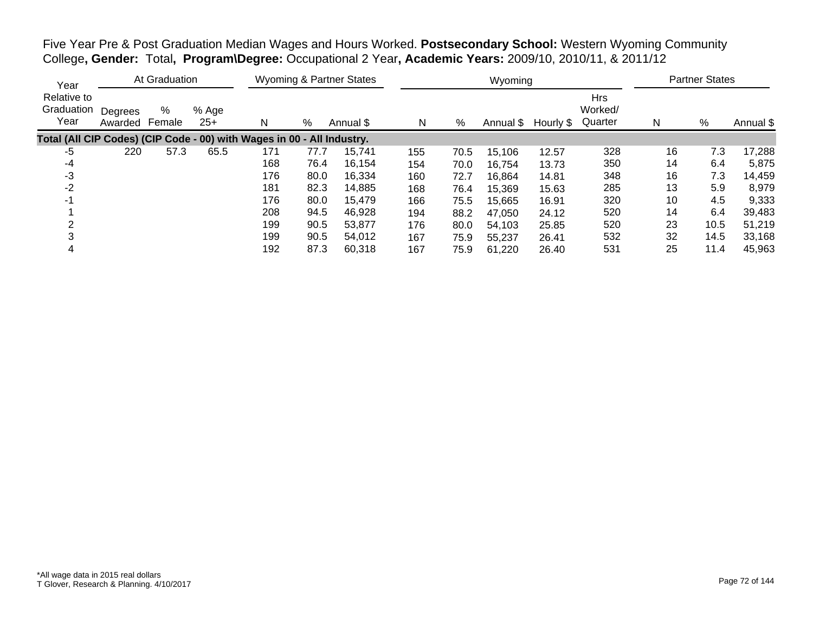Five Year Pre & Post Graduation Median Wages and Hours Worked. **Postsecondary School:** Western Wyoming Community College**, Gender:** Total**, Program\Degree:** Occupational 2 Year**, Academic Years:** 2009/10, 2010/11, & 2011/12

| Year                                                                   | At Graduation      |             |                |     | <b>Wyoming &amp; Partner States</b> |           |     |      | Wyoming   | <b>Partner States</b> |                                  |    |      |           |
|------------------------------------------------------------------------|--------------------|-------------|----------------|-----|-------------------------------------|-----------|-----|------|-----------|-----------------------|----------------------------------|----|------|-----------|
| Relative to<br>Graduation<br>Year                                      | Degrees<br>Awarded | %<br>Female | % Age<br>$25+$ | N   | %                                   | Annual \$ | N   | %    | Annual \$ | Hourly \$             | <b>Hrs</b><br>Worked/<br>Quarter | N  | $\%$ | Annual \$ |
| Total (All CIP Codes) (CIP Code - 00) with Wages in 00 - All Industry. |                    |             |                |     |                                     |           |     |      |           |                       |                                  |    |      |           |
| -5                                                                     | 220                | 57.3        | 65.5           | 171 | 77.7                                | 15,741    | 155 | 70.5 | 15,106    | 12.57                 | 328                              | 16 | 7.3  | 17,288    |
| -4                                                                     |                    |             |                | 168 | 76.4                                | 16,154    | 154 | 70.0 | 16,754    | 13.73                 | 350                              | 14 | 6.4  | 5,875     |
| -3                                                                     |                    |             |                | 176 | 80.0                                | 16,334    | 160 | 72.7 | 16,864    | 14.81                 | 348                              | 16 | 7.3  | 14,459    |
| $-2$                                                                   |                    |             |                | 181 | 82.3                                | 14,885    | 168 | 76.4 | 15,369    | 15.63                 | 285                              | 13 | 5.9  | 8,979     |
| -1                                                                     |                    |             |                | 176 | 80.0                                | 15,479    | 166 | 75.5 | 15,665    | 16.91                 | 320                              | 10 | 4.5  | 9,333     |
|                                                                        |                    |             |                | 208 | 94.5                                | 46,928    | 194 | 88.2 | 47,050    | 24.12                 | 520                              | 14 | 6.4  | 39,483    |
|                                                                        |                    |             |                | 199 | 90.5                                | 53.877    | 176 | 80.0 | 54,103    | 25.85                 | 520                              | 23 | 10.5 | 51,219    |
|                                                                        |                    |             |                | 199 | 90.5                                | 54,012    | 167 | 75.9 | 55,237    | 26.41                 | 532                              | 32 | 14.5 | 33,168    |
| 4                                                                      |                    |             |                | 192 | 87.3                                | 60.318    | 167 | 75.9 | 61,220    | 26.40                 | 531                              | 25 | 11.4 | 45,963    |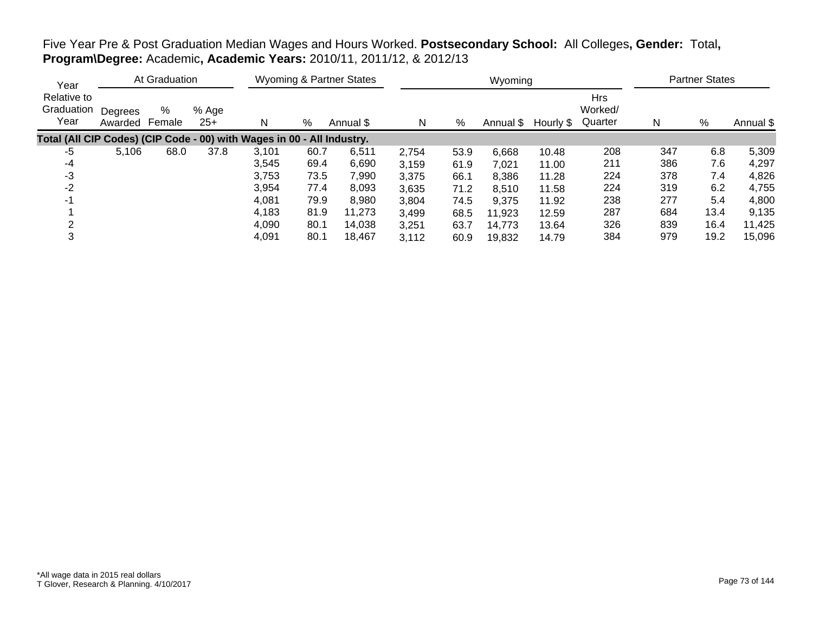# Five Year Pre & Post Graduation Median Wages and Hours Worked. **Postsecondary School:** All Colleges**, Gender:** Total**, Program\Degree:** Academic**, Academic Years:** 2010/11, 2011/12, & 2012/13

| Year                              |                    | At Graduation |                |                                                                        |      | Wyoming & Partner States |       |      | Wyoming   |           |                                  |     | <b>Partner States</b> |           |
|-----------------------------------|--------------------|---------------|----------------|------------------------------------------------------------------------|------|--------------------------|-------|------|-----------|-----------|----------------------------------|-----|-----------------------|-----------|
| Relative to<br>Graduation<br>Year | Degrees<br>Awarded | %<br>Female   | % Age<br>$25+$ | N                                                                      | %    | Annual \$                | N     | %    | Annual \$ | Hourly \$ | <b>Hrs</b><br>Worked/<br>Quarter | N   | %                     | Annual \$ |
|                                   |                    |               |                | Total (All CIP Codes) (CIP Code - 00) with Wages in 00 - All Industry. |      |                          |       |      |           |           |                                  |     |                       |           |
| -5                                | 5,106              | 68.0          | 37.8           | 3,101                                                                  | 60.7 | 6,511                    | 2,754 | 53.9 | 6,668     | 10.48     | 208                              | 347 | 6.8                   | 5,309     |
| -4                                |                    |               |                | 3,545                                                                  | 69.4 | 6,690                    | 3,159 | 61.9 | 7,021     | 11.00     | 211                              | 386 | 7.6                   | 4,297     |
| -3                                |                    |               |                | 3,753                                                                  | 73.5 | 7,990                    | 3,375 | 66.1 | 8,386     | 11.28     | 224                              | 378 | 7.4                   | 4,826     |
| $-2$                              |                    |               |                | 3,954                                                                  | 77.4 | 8.093                    | 3,635 | 71.2 | 8,510     | 11.58     | 224                              | 319 | 6.2                   | 4,755     |
| $-1$                              |                    |               |                | 4,081                                                                  | 79.9 | 8,980                    | 3,804 | 74.5 | 9,375     | 11.92     | 238                              | 277 | 5.4                   | 4,800     |
|                                   |                    |               |                | 4,183                                                                  | 81.9 | 11,273                   | 3,499 | 68.5 | 11,923    | 12.59     | 287                              | 684 | 13.4                  | 9,135     |
| ◠                                 |                    |               |                | 4,090                                                                  | 80.1 | 14,038                   | 3,251 | 63.7 | 14,773    | 13.64     | 326                              | 839 | 16.4                  | 11,425    |
| 3                                 |                    |               |                | 4,091                                                                  | 80.1 | 18.467                   | 3.112 | 60.9 | 19,832    | 14.79     | 384                              | 979 | 19.2                  | 15,096    |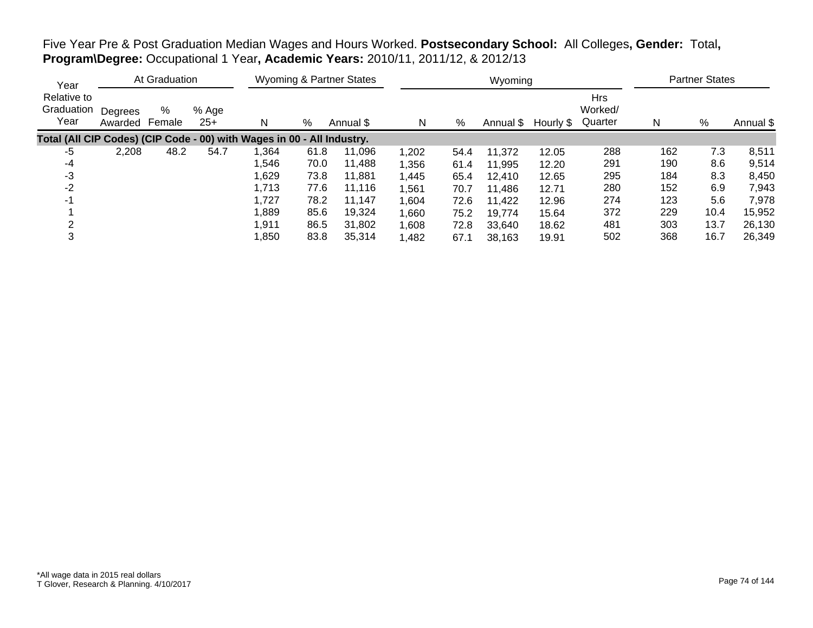Five Year Pre & Post Graduation Median Wages and Hours Worked. **Postsecondary School:** All Colleges**, Gender:** Total**, Program\Degree:** Occupational 1 Year**, Academic Years:** 2010/11, 2011/12, & 2012/13

| Year                                                                   |                    | At Graduation |                |        |      | Wyoming & Partner States |       |      | Wyoming   |           |                                  |     | <b>Partner States</b> |           |
|------------------------------------------------------------------------|--------------------|---------------|----------------|--------|------|--------------------------|-------|------|-----------|-----------|----------------------------------|-----|-----------------------|-----------|
| Relative to<br>Graduation<br>Year                                      | Degrees<br>Awarded | %<br>Female   | % Age<br>$25+$ | N      | %    | Annual \$                | N     | %    | Annual \$ | Hourly \$ | <b>Hrs</b><br>Worked/<br>Quarter | N   | %                     | Annual \$ |
| Total (All CIP Codes) (CIP Code - 00) with Wages in 00 - All Industry. |                    |               |                |        |      |                          |       |      |           |           |                                  |     |                       |           |
| -5                                                                     | 2,208              | 48.2          | 54.7           | ,364   | 61.8 | 11,096                   | 1,202 | 54.4 | 11,372    | 12.05     | 288                              | 162 | 7.3                   | 8,511     |
| -4                                                                     |                    |               |                | 546,   | 70.0 | 11,488                   | 1,356 | 61.4 | 11.995    | 12.20     | 291                              | 190 | 8.6                   | 9,514     |
| -3                                                                     |                    |               |                | 1,629  | 73.8 | 11,881                   | 1,445 | 65.4 | 12,410    | 12.65     | 295                              | 184 | 8.3                   | 8,450     |
| $-2$                                                                   |                    |               |                | 1,713  | 77.6 | 11.116                   | 1,561 | 70.7 | 11,486    | 12.71     | 280                              | 152 | 6.9                   | 7,943     |
| $-1$                                                                   |                    |               |                | 1,727  | 78.2 | 11.147                   | 1,604 | 72.6 | 11,422    | 12.96     | 274                              | 123 | 5.6                   | 7,978     |
|                                                                        |                    |               |                | 889, ا | 85.6 | 19,324                   | 1,660 | 75.2 | 19,774    | 15.64     | 372                              | 229 | 10.4                  | 15,952    |
|                                                                        |                    |               |                | 1,911  | 86.5 | 31,802                   | 1,608 | 72.8 | 33,640    | 18.62     | 481                              | 303 | 13.7                  | 26,130    |
|                                                                        |                    |               |                | 1,850  | 83.8 | 35,314                   | 1,482 | 67.1 | 38,163    | 19.91     | 502                              | 368 | 16.7                  | 26,349    |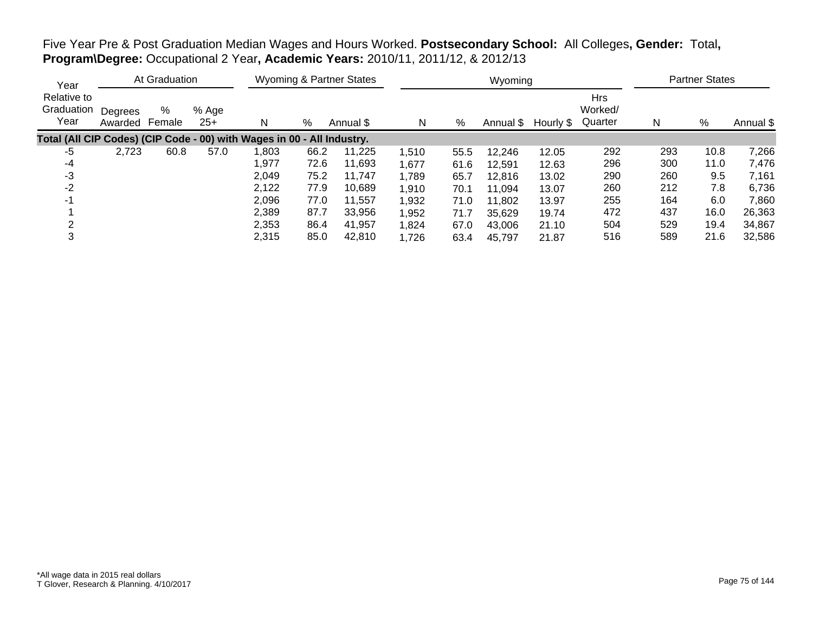Five Year Pre & Post Graduation Median Wages and Hours Worked. **Postsecondary School:** All Colleges**, Gender:** Total**, Program\Degree:** Occupational 2 Year**, Academic Years:** 2010/11, 2011/12, & 2012/13

| Year                              |                    | At Graduation |                |                                                                        |      | Wyoming & Partner States |       |      | Wyoming   |           |                                  |     | <b>Partner States</b> |           |
|-----------------------------------|--------------------|---------------|----------------|------------------------------------------------------------------------|------|--------------------------|-------|------|-----------|-----------|----------------------------------|-----|-----------------------|-----------|
| Relative to<br>Graduation<br>Year | Degrees<br>Awarded | %<br>Female   | % Age<br>$25+$ | N                                                                      | %    | Annual \$                | N     | %    | Annual \$ | Hourly \$ | <b>Hrs</b><br>Worked/<br>Quarter | N   | %                     | Annual \$ |
|                                   |                    |               |                | Total (All CIP Codes) (CIP Code - 00) with Wages in 00 - All Industry. |      |                          |       |      |           |           |                                  |     |                       |           |
| -5                                | 2,723              | 60.8          | 57.0           | ,803                                                                   | 66.2 | 11,225                   | 1,510 | 55.5 | 12,246    | 12.05     | 292                              | 293 | 10.8                  | 7,266     |
| -4                                |                    |               |                | 1,977                                                                  | 72.6 | 11,693                   | 1,677 | 61.6 | 12.591    | 12.63     | 296                              | 300 | 11.0                  | 7,476     |
| -3                                |                    |               |                | 2,049                                                                  | 75.2 | 11.747                   | 1,789 | 65.7 | 12,816    | 13.02     | 290                              | 260 | 9.5                   | 7,161     |
| $-2$                              |                    |               |                | 2,122                                                                  | 77.9 | 10.689                   | 1,910 | 70.1 | 11,094    | 13.07     | 260                              | 212 | 7.8                   | 6,736     |
| $-1$                              |                    |               |                | 2,096                                                                  | 77.0 | 11.557                   | 1,932 | 71.0 | 11,802    | 13.97     | 255                              | 164 | 6.0                   | 7,860     |
|                                   |                    |               |                | 2,389                                                                  | 87.7 | 33,956                   | 1,952 | 71.7 | 35,629    | 19.74     | 472                              | 437 | 16.0                  | 26,363    |
|                                   |                    |               |                | 2,353                                                                  | 86.4 | 41,957                   | 1,824 | 67.0 | 43.006    | 21.10     | 504                              | 529 | 19.4                  | 34,867    |
| 3                                 |                    |               |                | 2,315                                                                  | 85.0 | 42,810                   | 1,726 | 63.4 | 45,797    | 21.87     | 516                              | 589 | 21.6                  | 32,586    |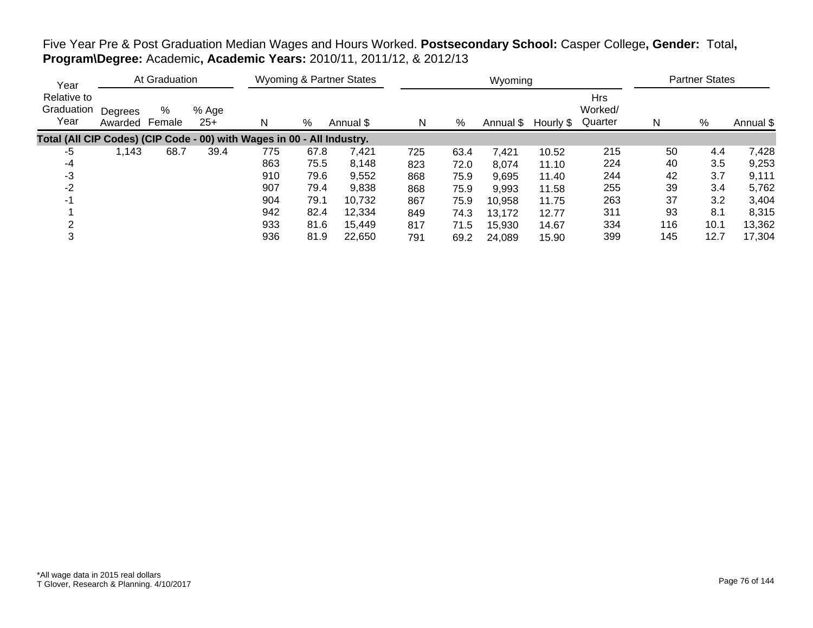# Five Year Pre & Post Graduation Median Wages and Hours Worked. **Postsecondary School:** Casper College**, Gender:** Total**, Program\Degree:** Academic**, Academic Years:** 2010/11, 2011/12, & 2012/13

| Year                              |                    | At Graduation |                |                                                                        |      | Wyoming & Partner States |     |      | Wyoming   |           |                                  |     | <b>Partner States</b> |           |
|-----------------------------------|--------------------|---------------|----------------|------------------------------------------------------------------------|------|--------------------------|-----|------|-----------|-----------|----------------------------------|-----|-----------------------|-----------|
| Relative to<br>Graduation<br>Year | Degrees<br>Awarded | %<br>Female   | % Age<br>$25+$ | N                                                                      | %    | Annual \$                | N   | %    | Annual \$ | Hourly \$ | <b>Hrs</b><br>Worked/<br>Quarter | N   | $\%$                  | Annual \$ |
|                                   |                    |               |                | Total (All CIP Codes) (CIP Code - 00) with Wages in 00 - All Industry. |      |                          |     |      |           |           |                                  |     |                       |           |
| -5                                | 1,143              | 68.7          | 39.4           | 775                                                                    | 67.8 | 7.421                    | 725 | 63.4 | 7,421     | 10.52     | 215                              | 50  | 4.4                   | 7,428     |
| -4                                |                    |               |                | 863                                                                    | 75.5 | 8,148                    | 823 | 72.0 | 8,074     | 11.10     | 224                              | 40  | 3.5                   | 9,253     |
| -3                                |                    |               |                | 910                                                                    | 79.6 | 9,552                    | 868 | 75.9 | 9,695     | 11.40     | 244                              | 42  | 3.7                   | 9,111     |
| $-2$                              |                    |               |                | 907                                                                    | 79.4 | 9,838                    | 868 | 75.9 | 9,993     | 11.58     | 255                              | 39  | 3.4                   | 5,762     |
| -1                                |                    |               |                | 904                                                                    | 79.1 | 10,732                   | 867 | 75.9 | 10,958    | 11.75     | 263                              | 37  | 3.2                   | 3,404     |
|                                   |                    |               |                | 942                                                                    | 82.4 | 12,334                   | 849 | 74.3 | 13,172    | 12.77     | 311                              | 93  | 8.1                   | 8,315     |
|                                   |                    |               |                | 933                                                                    | 81.6 | 15.449                   | 817 | 71.5 | 15,930    | 14.67     | 334                              | 116 | 10.1                  | 13,362    |
| 3                                 |                    |               |                | 936                                                                    | 81.9 | 22.650                   | 791 | 69.2 | 24,089    | 15.90     | 399                              | 145 | 12.7                  | 17,304    |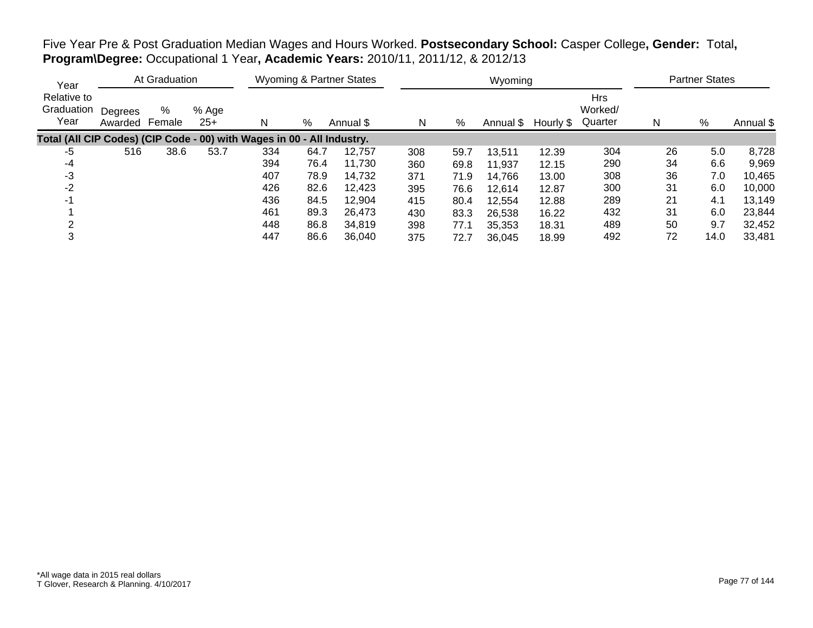Five Year Pre & Post Graduation Median Wages and Hours Worked. **Postsecondary School:** Casper College**, Gender:** Total**, Program\Degree:** Occupational 1 Year**, Academic Years:** 2010/11, 2011/12, & 2012/13

| Year                              |                    | At Graduation |                |                                                                        |      | <b>Wyoming &amp; Partner States</b> |     |      | Wyoming   |           |                                  |    | <b>Partner States</b> |           |
|-----------------------------------|--------------------|---------------|----------------|------------------------------------------------------------------------|------|-------------------------------------|-----|------|-----------|-----------|----------------------------------|----|-----------------------|-----------|
| Relative to<br>Graduation<br>Year | Degrees<br>Awarded | %<br>Female   | % Age<br>$25+$ | N                                                                      | %    | Annual \$                           | N   | %    | Annual \$ | Hourly \$ | <b>Hrs</b><br>Worked/<br>Quarter | N  | %                     | Annual \$ |
|                                   |                    |               |                | Total (All CIP Codes) (CIP Code - 00) with Wages in 00 - All Industry. |      |                                     |     |      |           |           |                                  |    |                       |           |
| -5                                | 516                | 38.6          | 53.7           | 334                                                                    | 64.7 | 12.757                              | 308 | 59.7 | 13,511    | 12.39     | 304                              | 26 | 5.0                   | 8,728     |
| -4                                |                    |               |                | 394                                                                    | 76.4 | 11,730                              | 360 | 69.8 | 11,937    | 12.15     | 290                              | 34 | 6.6                   | 9,969     |
| -3                                |                    |               |                | 407                                                                    | 78.9 | 14,732                              | 371 | 71.9 | 14,766    | 13.00     | 308                              | 36 | 7.0                   | 10,465    |
| $-2$                              |                    |               |                | 426                                                                    | 82.6 | 12,423                              | 395 | 76.6 | 12,614    | 12.87     | 300                              | 31 | 6.0                   | 10,000    |
| -1                                |                    |               |                | 436                                                                    | 84.5 | 12,904                              | 415 | 80.4 | 12,554    | 12.88     | 289                              | 21 | 4.1                   | 13,149    |
|                                   |                    |               |                | 461                                                                    | 89.3 | 26.473                              | 430 | 83.3 | 26,538    | 16.22     | 432                              | 31 | 6.0                   | 23,844    |
|                                   |                    |               |                | 448                                                                    | 86.8 | 34.819                              | 398 | 77.1 | 35,353    | 18.31     | 489                              | 50 | 9.7                   | 32,452    |
| 3                                 |                    |               |                | 447                                                                    | 86.6 | 36,040                              | 375 | 72.7 | 36,045    | 18.99     | 492                              | 72 | 14.0                  | 33,481    |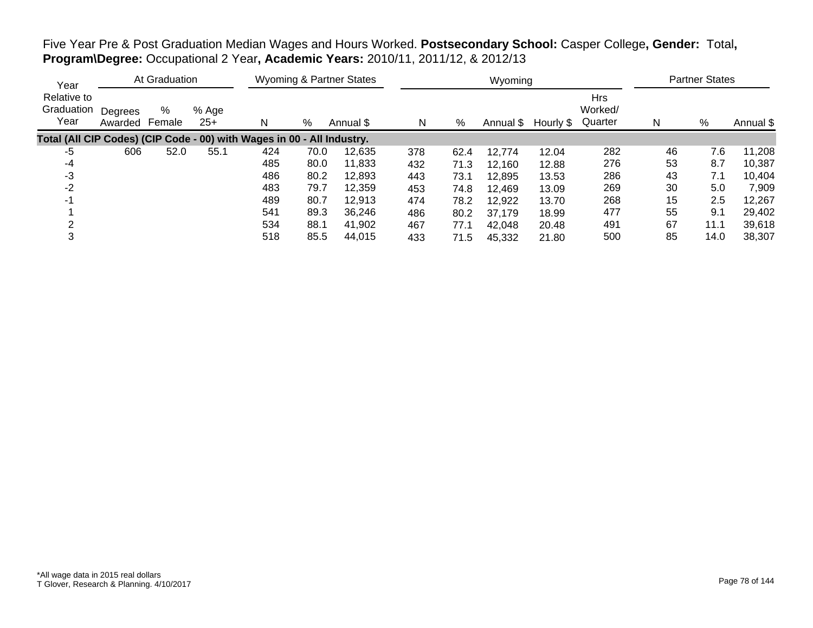Five Year Pre & Post Graduation Median Wages and Hours Worked. **Postsecondary School:** Casper College**, Gender:** Total**, Program\Degree:** Occupational 2 Year**, Academic Years:** 2010/11, 2011/12, & 2012/13

| Year                              |                    | At Graduation |                |                                                                        |      | Wyoming & Partner States |     |      | Wyoming   |           |                                  |    | <b>Partner States</b> |           |
|-----------------------------------|--------------------|---------------|----------------|------------------------------------------------------------------------|------|--------------------------|-----|------|-----------|-----------|----------------------------------|----|-----------------------|-----------|
| Relative to<br>Graduation<br>Year | Degrees<br>Awarded | %<br>Female   | % Age<br>$25+$ | N                                                                      | %    | Annual \$                | N   | %    | Annual \$ | Hourly \$ | <b>Hrs</b><br>Worked/<br>Quarter | N  | %                     | Annual \$ |
|                                   |                    |               |                | Total (All CIP Codes) (CIP Code - 00) with Wages in 00 - All Industry. |      |                          |     |      |           |           |                                  |    |                       |           |
| -5                                | 606                | 52.0          | 55.1           | 424                                                                    | 70.0 | 12,635                   | 378 | 62.4 | 12,774    | 12.04     | 282                              | 46 | 7.6                   | 11,208    |
| -4                                |                    |               |                | 485                                                                    | 80.0 | 11,833                   | 432 | 71.3 | 12,160    | 12.88     | 276                              | 53 | 8.7                   | 10,387    |
| -3                                |                    |               |                | 486                                                                    | 80.2 | 12,893                   | 443 | 73.1 | 12,895    | 13.53     | 286                              | 43 | 7.1                   | 10,404    |
| $-2$                              |                    |               |                | 483                                                                    | 79.7 | 12,359                   | 453 | 74.8 | 12,469    | 13.09     | 269                              | 30 | 5.0                   | 7,909     |
|                                   |                    |               |                | 489                                                                    | 80.7 | 12.913                   | 474 | 78.2 | 12,922    | 13.70     | 268                              | 15 | 2.5                   | 12,267    |
|                                   |                    |               |                | 541                                                                    | 89.3 | 36,246                   | 486 | 80.2 | 37,179    | 18.99     | 477                              | 55 | 9.1                   | 29,402    |
|                                   |                    |               |                | 534                                                                    | 88.1 | 41,902                   | 467 | 77.1 | 42,048    | 20.48     | 491                              | 67 | 11.1                  | 39,618    |
|                                   |                    |               |                | 518                                                                    | 85.5 | 44,015                   | 433 | 71.5 | 45,332    | 21.80     | 500                              | 85 | 14.0                  | 38,307    |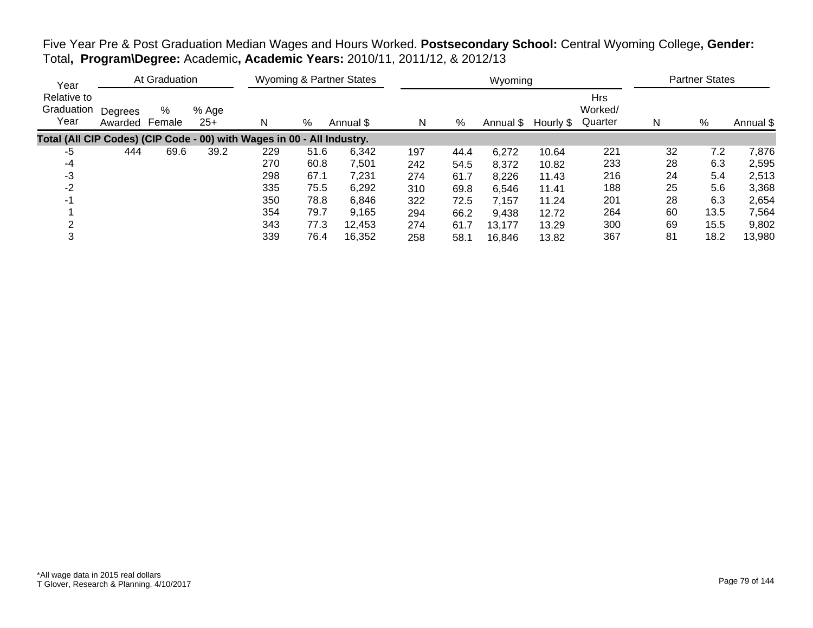| Five Year Pre & Post Graduation Median Wages and Hours Worked. Postsecondary School: Central Wyoming College, Gender: |  |  |
|-----------------------------------------------------------------------------------------------------------------------|--|--|
| Total, Program\Degree: Academic, Academic Years: 2010/11, 2011/12, & 2012/13                                          |  |  |

| Year                              |                    | At Graduation |                |                                                                        |      | Wyoming & Partner States |     |      | Wyoming   |           |                                  |    | <b>Partner States</b> |           |
|-----------------------------------|--------------------|---------------|----------------|------------------------------------------------------------------------|------|--------------------------|-----|------|-----------|-----------|----------------------------------|----|-----------------------|-----------|
| Relative to<br>Graduation<br>Year | Degrees<br>Awarded | %<br>Female   | % Age<br>$25+$ | N                                                                      | %    | Annual \$                | N   | %    | Annual \$ | Hourly \$ | <b>Hrs</b><br>Worked/<br>Quarter | N  | %                     | Annual \$ |
|                                   |                    |               |                | Total (All CIP Codes) (CIP Code - 00) with Wages in 00 - All Industry. |      |                          |     |      |           |           |                                  |    |                       |           |
| -5                                | 444                | 69.6          | 39.2           | 229                                                                    | 51.6 | 6,342                    | 197 | 44.4 | 6,272     | 10.64     | 221                              | 32 | 7.2                   | 7,876     |
| -4                                |                    |               |                | 270                                                                    | 60.8 | 7,501                    | 242 | 54.5 | 8,372     | 10.82     | 233                              | 28 | 6.3                   | 2,595     |
| -3                                |                    |               |                | 298                                                                    | 67.1 | 7,231                    | 274 | 61.7 | 8,226     | 11.43     | 216                              | 24 | 5.4                   | 2,513     |
| $-2$                              |                    |               |                | 335                                                                    | 75.5 | 6,292                    | 310 | 69.8 | 6,546     | 11.41     | 188                              | 25 | 5.6                   | 3,368     |
|                                   |                    |               |                | 350                                                                    | 78.8 | 6,846                    | 322 | 72.5 | 7,157     | 11.24     | 201                              | 28 | 6.3                   | 2,654     |
|                                   |                    |               |                | 354                                                                    | 79.7 | 9,165                    | 294 | 66.2 | 9,438     | 12.72     | 264                              | 60 | 13.5                  | 7,564     |
|                                   |                    |               |                | 343                                                                    | 77.3 | 12,453                   | 274 | 61.7 | 13.177    | 13.29     | 300                              | 69 | 15.5                  | 9,802     |
|                                   |                    |               |                | 339                                                                    | 76.4 | 16,352                   | 258 | 58.1 | 16,846    | 13.82     | 367                              | 81 | 18.2                  | 13,980    |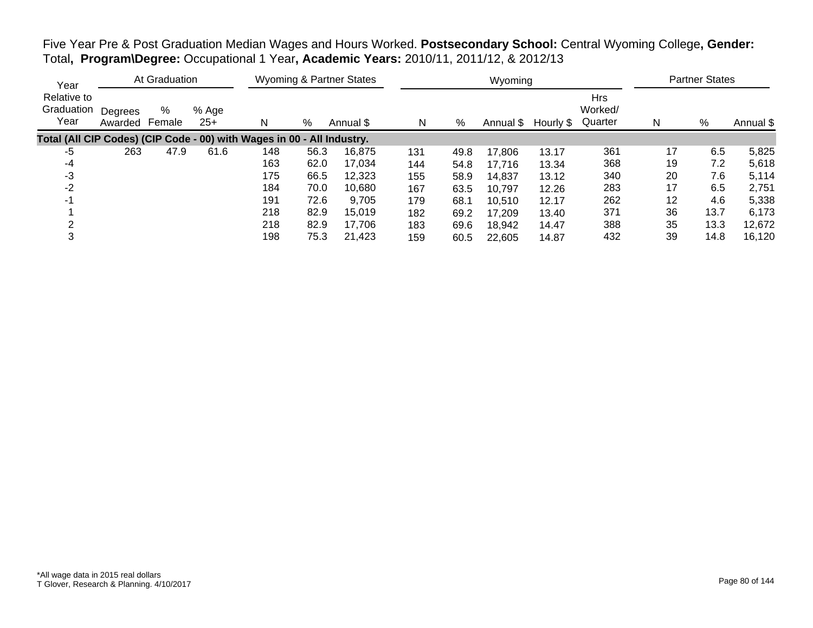Five Year Pre & Post Graduation Median Wages and Hours Worked. **Postsecondary School:** Central Wyoming College**, Gender:** Total**, Program\Degree:** Occupational 1 Year**, Academic Years:** 2010/11, 2011/12, & 2012/13

| Year                              |                    | At Graduation |                |                                                                        |      | <b>Wyoming &amp; Partner States</b> |     |      | Wyoming   |           |                                  |    | <b>Partner States</b> |           |
|-----------------------------------|--------------------|---------------|----------------|------------------------------------------------------------------------|------|-------------------------------------|-----|------|-----------|-----------|----------------------------------|----|-----------------------|-----------|
| Relative to<br>Graduation<br>Year | Degrees<br>Awarded | %<br>Female   | % Age<br>$25+$ | N                                                                      | %    | Annual \$                           | N   | %    | Annual \$ | Hourly \$ | <b>Hrs</b><br>Worked/<br>Quarter | N  | %                     | Annual \$ |
|                                   |                    |               |                | Total (All CIP Codes) (CIP Code - 00) with Wages in 00 - All Industry. |      |                                     |     |      |           |           |                                  |    |                       |           |
| -5                                | 263                | 47.9          | 61.6           | 148                                                                    | 56.3 | 16.875                              | 131 | 49.8 | 17,806    | 13.17     | 361                              | 17 | 6.5                   | 5,825     |
| -4                                |                    |               |                | 163                                                                    | 62.0 | 17.034                              | 144 | 54.8 | 17.716    | 13.34     | 368                              | 19 | 7.2                   | 5,618     |
| -3                                |                    |               |                | 175                                                                    | 66.5 | 12,323                              | 155 | 58.9 | 14,837    | 13.12     | 340                              | 20 | 7.6                   | 5,114     |
| $-2$                              |                    |               |                | 184                                                                    | 70.0 | 10,680                              | 167 | 63.5 | 10,797    | 12.26     | 283                              | 17 | 6.5                   | 2,751     |
| -1                                |                    |               |                | 191                                                                    | 72.6 | 9,705                               | 179 | 68.1 | 10.510    | 12.17     | 262                              | 12 | 4.6                   | 5,338     |
|                                   |                    |               |                | 218                                                                    | 82.9 | 15,019                              | 182 | 69.2 | 17,209    | 13.40     | 371                              | 36 | 13.7                  | 6,173     |
|                                   |                    |               |                | 218                                                                    | 82.9 | 17.706                              | 183 | 69.6 | 18,942    | 14.47     | 388                              | 35 | 13.3                  | 12,672    |
| 3                                 |                    |               |                | 198                                                                    | 75.3 | 21,423                              | 159 | 60.5 | 22,605    | 14.87     | 432                              | 39 | 14.8                  | 16,120    |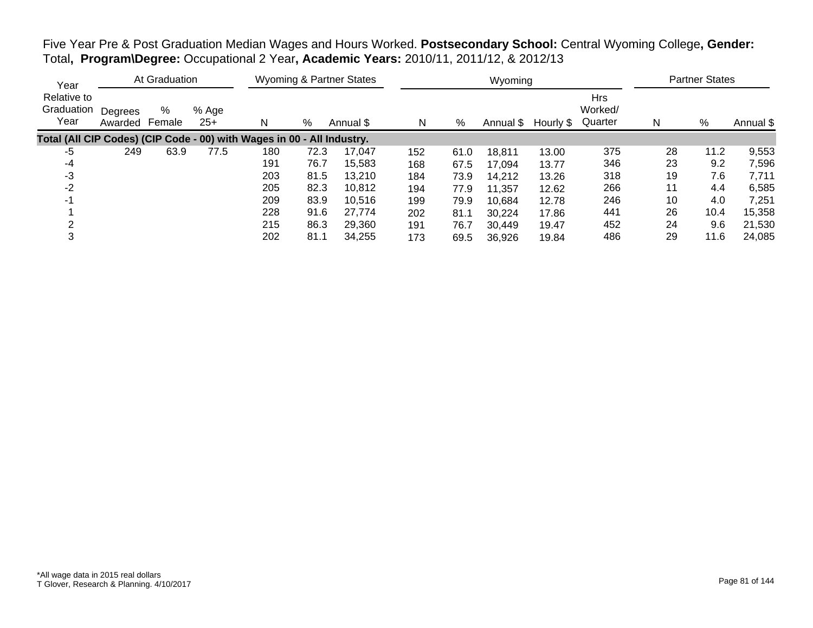Five Year Pre & Post Graduation Median Wages and Hours Worked. **Postsecondary School:** Central Wyoming College**, Gender:** Total**, Program\Degree:** Occupational 2 Year**, Academic Years:** 2010/11, 2011/12, & 2012/13

| Year                              |                    | At Graduation |                |                                                                        |      | <b>Wyoming &amp; Partner States</b> |     |      | Wyoming   |           |                                  |    | <b>Partner States</b> |           |
|-----------------------------------|--------------------|---------------|----------------|------------------------------------------------------------------------|------|-------------------------------------|-----|------|-----------|-----------|----------------------------------|----|-----------------------|-----------|
| Relative to<br>Graduation<br>Year | Degrees<br>Awarded | %<br>Female   | % Age<br>$25+$ | N                                                                      | %    | Annual \$                           | N   | %    | Annual \$ | Hourly \$ | <b>Hrs</b><br>Worked/<br>Quarter | N  | %                     | Annual \$ |
|                                   |                    |               |                | Total (All CIP Codes) (CIP Code - 00) with Wages in 00 - All Industry. |      |                                     |     |      |           |           |                                  |    |                       |           |
| -5                                | 249                | 63.9          | 77.5           | 180                                                                    | 72.3 | 17.047                              | 152 | 61.0 | 18,811    | 13.00     | 375                              | 28 | 11.2                  | 9,553     |
| -4                                |                    |               |                | 191                                                                    | 76.7 | 15.583                              | 168 | 67.5 | 17.094    | 13.77     | 346                              | 23 | 9.2                   | 7,596     |
| -3                                |                    |               |                | 203                                                                    | 81.5 | 13,210                              | 184 | 73.9 | 14,212    | 13.26     | 318                              | 19 | 7.6                   | 7,711     |
| $-2$                              |                    |               |                | 205                                                                    | 82.3 | 10,812                              | 194 | 77.9 | 11,357    | 12.62     | 266                              | 11 | 4.4                   | 6,585     |
| -1                                |                    |               |                | 209                                                                    | 83.9 | 10,516                              | 199 | 79.9 | 10.684    | 12.78     | 246                              | 10 | 4.0                   | 7,251     |
|                                   |                    |               |                | 228                                                                    | 91.6 | 27.774                              | 202 | 81.1 | 30,224    | 17.86     | 441                              | 26 | 10.4                  | 15,358    |
|                                   |                    |               |                | 215                                                                    | 86.3 | 29.360                              | 191 | 76.7 | 30,449    | 19.47     | 452                              | 24 | 9.6                   | 21,530    |
| 3                                 |                    |               |                | 202                                                                    | 81.1 | 34.255                              | 173 | 69.5 | 36,926    | 19.84     | 486                              | 29 | 11.6                  | 24,085    |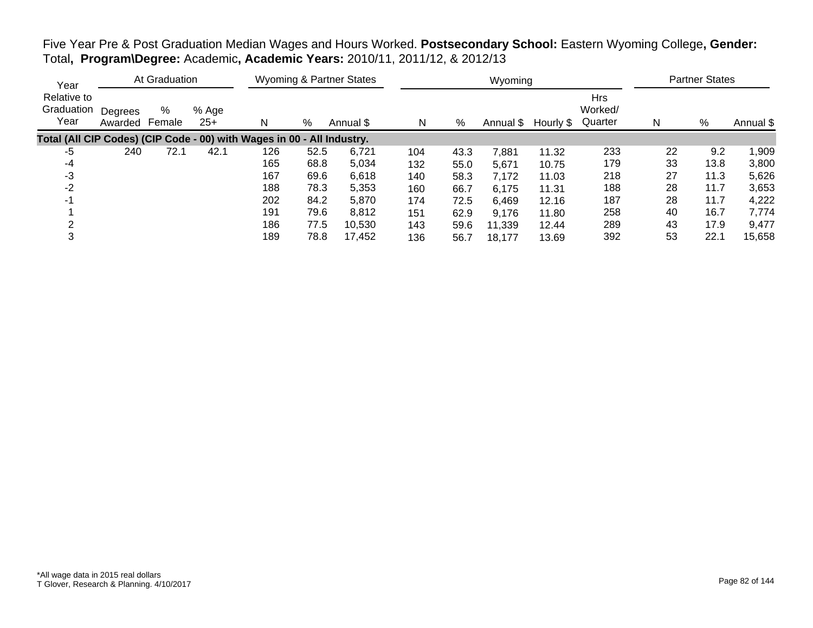| Five Year Pre & Post Graduation Median Wages and Hours Worked. Postsecondary School: Eastern Wyoming College, Gender: |  |  |  |
|-----------------------------------------------------------------------------------------------------------------------|--|--|--|
| Total, Program\Degree: Academic, Academic Years: 2010/11, 2011/12, & 2012/13                                          |  |  |  |

| Year                                                                   |                    | At Graduation |                |     |      | Wyoming & Partner States |     |      | Wyoming   |           |                                  |    | <b>Partner States</b> |           |
|------------------------------------------------------------------------|--------------------|---------------|----------------|-----|------|--------------------------|-----|------|-----------|-----------|----------------------------------|----|-----------------------|-----------|
| Relative to<br>Graduation<br>Year                                      | Degrees<br>Awarded | %<br>Female   | % Age<br>$25+$ | N   | %    | Annual \$                | N   | %    | Annual \$ | Hourly \$ | <b>Hrs</b><br>Worked/<br>Quarter | N  | %                     | Annual \$ |
| Total (All CIP Codes) (CIP Code - 00) with Wages in 00 - All Industry. |                    |               |                |     |      |                          |     |      |           |           |                                  |    |                       |           |
| -5                                                                     | 240                | 72.1          | 42.1           | 126 | 52.5 | 6,721                    | 104 | 43.3 | 7,881     | 11.32     | 233                              | 22 | 9.2                   | 1,909     |
| -4                                                                     |                    |               |                | 165 | 68.8 | 5,034                    | 132 | 55.0 | 5,671     | 10.75     | 179                              | 33 | 13.8                  | 3,800     |
| -3                                                                     |                    |               |                | 167 | 69.6 | 6,618                    | 140 | 58.3 | 7,172     | 11.03     | 218                              | 27 | 11.3                  | 5,626     |
| $-2$                                                                   |                    |               |                | 188 | 78.3 | 5,353                    | 160 | 66.7 | 6,175     | 11.31     | 188                              | 28 | 11.7                  | 3,653     |
| -1                                                                     |                    |               |                | 202 | 84.2 | 5,870                    | 174 | 72.5 | 6,469     | 12.16     | 187                              | 28 | 11.7                  | 4,222     |
|                                                                        |                    |               |                | 191 | 79.6 | 8,812                    | 151 | 62.9 | 9,176     | 11.80     | 258                              | 40 | 16.7                  | 7,774     |
|                                                                        |                    |               |                | 186 | 77.5 | 10,530                   | 143 | 59.6 | 11,339    | 12.44     | 289                              | 43 | 17.9                  | 9,477     |
| 3                                                                      |                    |               |                | 189 | 78.8 | 17,452                   | 136 | 56.7 | 18.177    | 13.69     | 392                              | 53 | 22.1                  | 15,658    |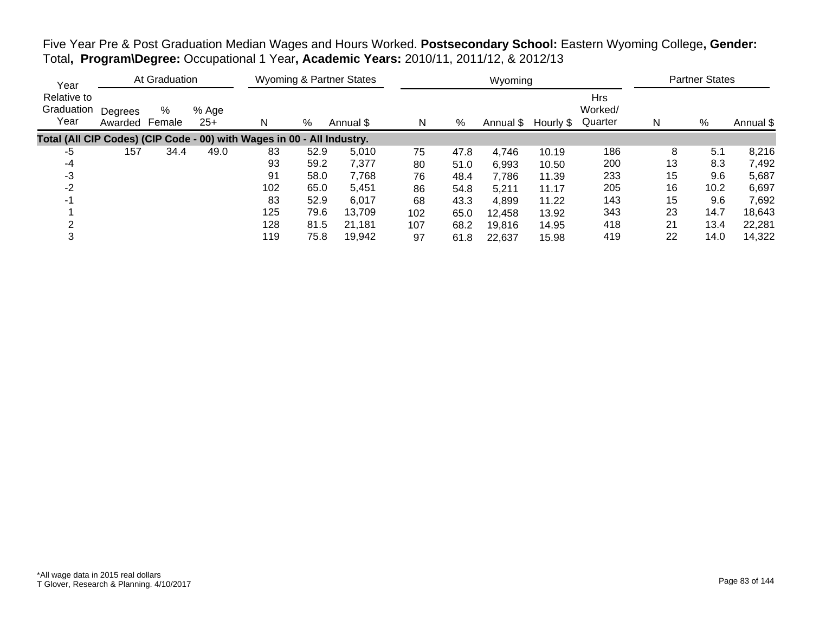Five Year Pre & Post Graduation Median Wages and Hours Worked. **Postsecondary School:** Eastern Wyoming College**, Gender:** Total**, Program\Degree:** Occupational 1 Year**, Academic Years:** 2010/11, 2011/12, & 2012/13

| Year                                                                   |                    | At Graduation |                |     |      | <b>Wyoming &amp; Partner States</b> |     |      | Wyoming   |           |                                  |    | <b>Partner States</b> |           |
|------------------------------------------------------------------------|--------------------|---------------|----------------|-----|------|-------------------------------------|-----|------|-----------|-----------|----------------------------------|----|-----------------------|-----------|
| Relative to<br>Graduation<br>Year                                      | Degrees<br>Awarded | %<br>Female   | % Age<br>$25+$ | N   | %    | Annual \$                           | N   | %    | Annual \$ | Hourly \$ | <b>Hrs</b><br>Worked/<br>Quarter | N  | %                     | Annual \$ |
| Total (All CIP Codes) (CIP Code - 00) with Wages in 00 - All Industry. |                    |               |                |     |      |                                     |     |      |           |           |                                  |    |                       |           |
| -5                                                                     | 157                | 34.4          | 49.0           | 83  | 52.9 | 5.010                               | 75  | 47.8 | 4,746     | 10.19     | 186                              | 8  | 5.1                   | 8,216     |
| -4                                                                     |                    |               |                | 93  | 59.2 | 7,377                               | 80  | 51.0 | 6.993     | 10.50     | 200                              | 13 | 8.3                   | 7,492     |
| -3                                                                     |                    |               |                | 91  | 58.0 | 7,768                               | 76  | 48.4 | 7,786     | 11.39     | 233                              | 15 | 9.6                   | 5,687     |
| $-2$                                                                   |                    |               |                | 102 | 65.0 | 5,451                               | 86  | 54.8 | 5,211     | 11.17     | 205                              | 16 | 10.2                  | 6,697     |
| -1                                                                     |                    |               |                | 83  | 52.9 | 6,017                               | 68  | 43.3 | 4,899     | 11.22     | 143                              | 15 | 9.6                   | 7,692     |
|                                                                        |                    |               |                | 125 | 79.6 | 13,709                              | 102 | 65.0 | 12,458    | 13.92     | 343                              | 23 | 14.7                  | 18,643    |
|                                                                        |                    |               |                | 128 | 81.5 | 21,181                              | 107 | 68.2 | 19,816    | 14.95     | 418                              | 21 | 13.4                  | 22,281    |
| 3                                                                      |                    |               |                | 119 | 75.8 | 19,942                              | 97  | 61.8 | 22,637    | 15.98     | 419                              | 22 | 14.0                  | 14,322    |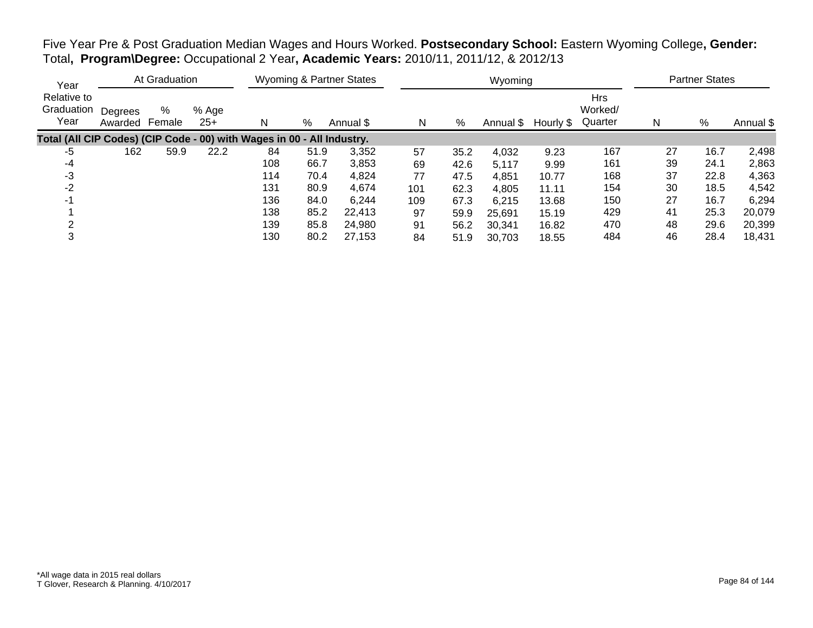Five Year Pre & Post Graduation Median Wages and Hours Worked. **Postsecondary School:** Eastern Wyoming College**, Gender:** Total**, Program\Degree:** Occupational 2 Year**, Academic Years:** 2010/11, 2011/12, & 2012/13

| Year                                                                   |                    | At Graduation |                |     |      | <b>Wyoming &amp; Partner States</b> |     |      | Wyoming   |           |                                  |    | <b>Partner States</b> |           |
|------------------------------------------------------------------------|--------------------|---------------|----------------|-----|------|-------------------------------------|-----|------|-----------|-----------|----------------------------------|----|-----------------------|-----------|
| Relative to<br>Graduation<br>Year                                      | Degrees<br>Awarded | %<br>Female   | % Age<br>$25+$ | N   | %    | Annual \$                           | N   | %    | Annual \$ | Hourly \$ | <b>Hrs</b><br>Worked/<br>Quarter | N  | %                     | Annual \$ |
| Total (All CIP Codes) (CIP Code - 00) with Wages in 00 - All Industry. |                    |               |                |     |      |                                     |     |      |           |           |                                  |    |                       |           |
| -5                                                                     | 162                | 59.9          | 22.2           | 84  | 51.9 | 3,352                               | 57  | 35.2 | 4,032     | 9.23      | 167                              | 27 | 16.7                  | 2,498     |
| -4                                                                     |                    |               |                | 108 | 66.7 | 3,853                               | 69  | 42.6 | 5.117     | 9.99      | 161                              | 39 | 24.1                  | 2,863     |
| -3                                                                     |                    |               |                | 114 | 70.4 | 4,824                               | 77  | 47.5 | 4,851     | 10.77     | 168                              | 37 | 22.8                  | 4,363     |
| $-2$                                                                   |                    |               |                | 131 | 80.9 | 4,674                               | 101 | 62.3 | 4,805     | 11.11     | 154                              | 30 | 18.5                  | 4,542     |
| -1                                                                     |                    |               |                | 136 | 84.0 | 6,244                               | 109 | 67.3 | 6.215     | 13.68     | 150                              | 27 | 16.7                  | 6,294     |
|                                                                        |                    |               |                | 138 | 85.2 | 22,413                              | 97  | 59.9 | 25,691    | 15.19     | 429                              | 41 | 25.3                  | 20,079    |
|                                                                        |                    |               |                | 139 | 85.8 | 24,980                              | 91  | 56.2 | 30,341    | 16.82     | 470                              | 48 | 29.6                  | 20,399    |
| 3                                                                      |                    |               |                | 130 | 80.2 | 27,153                              | 84  | 51.9 | 30,703    | 18.55     | 484                              | 46 | 28.4                  | 18,431    |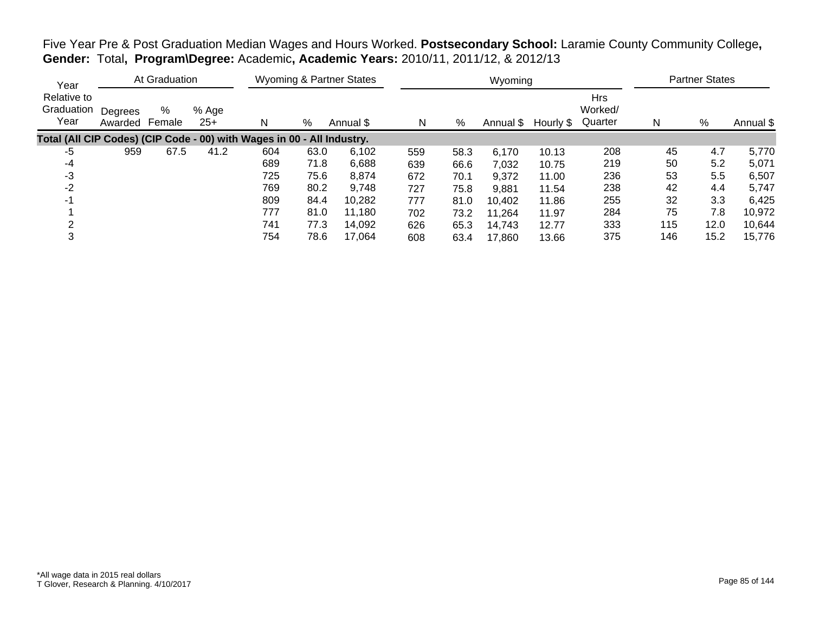| Year                                                                   |                    | At Graduation |                |     |      | <b>Wyoming &amp; Partner States</b> |     |      | Wyoming |                     |                                  |     | <b>Partner States</b> |           |
|------------------------------------------------------------------------|--------------------|---------------|----------------|-----|------|-------------------------------------|-----|------|---------|---------------------|----------------------------------|-----|-----------------------|-----------|
| Relative to<br>Graduation<br>Year                                      | Degrees<br>Awarded | %<br>Female   | % Age<br>$25+$ | N   | %    | Annual \$                           | N   | %    |         | Annual \$ Hourly \$ | <b>Hrs</b><br>Worked/<br>Quarter | N   | %                     | Annual \$ |
| Total (All CIP Codes) (CIP Code - 00) with Wages in 00 - All Industry. |                    |               |                |     |      |                                     |     |      |         |                     |                                  |     |                       |           |
| -5                                                                     | 959                | 67.5          | 41.2           | 604 | 63.0 | 6,102                               | 559 | 58.3 | 6,170   | 10.13               | 208                              | 45  | 4.7                   | 5,770     |
| -4                                                                     |                    |               |                | 689 | 71.8 | 6,688                               | 639 | 66.6 | 7,032   | 10.75               | 219                              | 50  | 5.2                   | 5,071     |
| -3                                                                     |                    |               |                | 725 | 75.6 | 8,874                               | 672 | 70.1 | 9,372   | 11.00               | 236                              | 53  | 5.5                   | 6,507     |
| $-2$                                                                   |                    |               |                | 769 | 80.2 | 9,748                               | 727 | 75.8 | 9,881   | 11.54               | 238                              | 42  | 4.4                   | 5,747     |
| $-1$                                                                   |                    |               |                | 809 | 84.4 | 10.282                              | 777 | 81.0 | 10,402  | 11.86               | 255                              | 32  | 3.3                   | 6,425     |
|                                                                        |                    |               |                | 777 | 81.0 | 11.180                              | 702 | 73.2 | 11,264  | 11.97               | 284                              | 75  | 7.8                   | 10,972    |
| ⌒                                                                      |                    |               |                | 741 | 77.3 | 14,092                              | 626 | 65.3 | 14,743  | 12.77               | 333                              | 115 | 12.0                  | 10,644    |
| 3                                                                      |                    |               |                | 754 | 78.6 | 17.064                              | 608 | 63.4 | 17,860  | 13.66               | 375                              | 146 | 15.2                  | 15,776    |

Five Year Pre & Post Graduation Median Wages and Hours Worked. **Postsecondary School:** Laramie County Community College**, Gender:** Total**, Program\Degree:** Academic**, Academic Years:** 2010/11, 2011/12, & 2012/13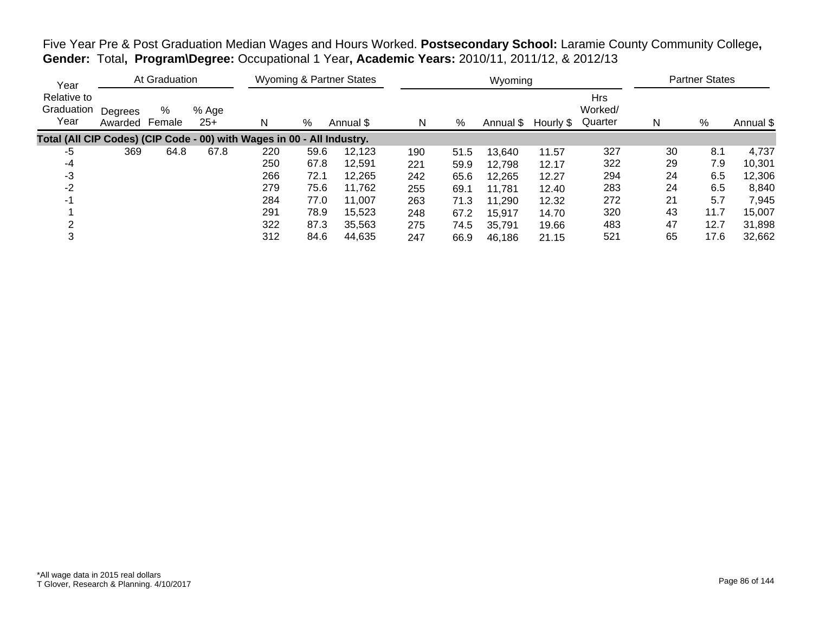| Year                                                                   |                    | At Graduation |              |     |      | Wyoming & Partner States |     |      | Wyoming   |           |                                  |    | <b>Partner States</b> |           |
|------------------------------------------------------------------------|--------------------|---------------|--------------|-----|------|--------------------------|-----|------|-----------|-----------|----------------------------------|----|-----------------------|-----------|
| Relative to<br>Graduation<br>Year                                      | Degrees<br>Awarded | %<br>Female   | % Age<br>25+ | N   | %    | Annual \$                | N   | %    | Annual \$ | Hourly \$ | <b>Hrs</b><br>Worked/<br>Quarter | N  | %                     | Annual \$ |
| Total (All CIP Codes) (CIP Code - 00) with Wages in 00 - All Industry. |                    |               |              |     |      |                          |     |      |           |           |                                  |    |                       |           |
| -5                                                                     | 369                | 64.8          | 67.8         | 220 | 59.6 | 12,123                   | 190 | 51.5 | 13,640    | 11.57     | 327                              | 30 | 8.1                   | 4,737     |
| $-4$                                                                   |                    |               |              | 250 | 67.8 | 12.591                   | 221 | 59.9 | 12,798    | 12.17     | 322                              | 29 | 7.9                   | 10.301    |
| $-3$                                                                   |                    |               |              | 266 | 72.1 | 12,265                   | 242 | 65.6 | 12,265    | 12.27     | 294                              | 24 | 6.5                   | 12,306    |
| $-2$                                                                   |                    |               |              | 279 | 75.6 | 11,762                   | 255 | 69.1 | 11.781    | 12.40     | 283                              | 24 | 6.5                   | 8,840     |
| $-1$                                                                   |                    |               |              | 284 | 77.0 | 11.007                   | 263 | 71.3 | 11,290    | 12.32     | 272                              | 21 | 5.7                   | 7,945     |
|                                                                        |                    |               |              | 291 | 78.9 | 15,523                   | 248 | 67.2 | 15,917    | 14.70     | 320                              | 43 | 11.7                  | 15,007    |
| ⌒                                                                      |                    |               |              | 322 | 87.3 | 35,563                   | 275 | 74.5 | 35,791    | 19.66     | 483                              | 47 | 12.7                  | 31,898    |
| 3                                                                      |                    |               |              | 312 | 84.6 | 44,635                   | 247 | 66.9 | 46,186    | 21.15     | 521                              | 65 | 17.6                  | 32,662    |

Five Year Pre & Post Graduation Median Wages and Hours Worked. **Postsecondary School:** Laramie County Community College**, Gender:** Total**, Program\Degree:** Occupational 1 Year**, Academic Years:** 2010/11, 2011/12, & 2012/13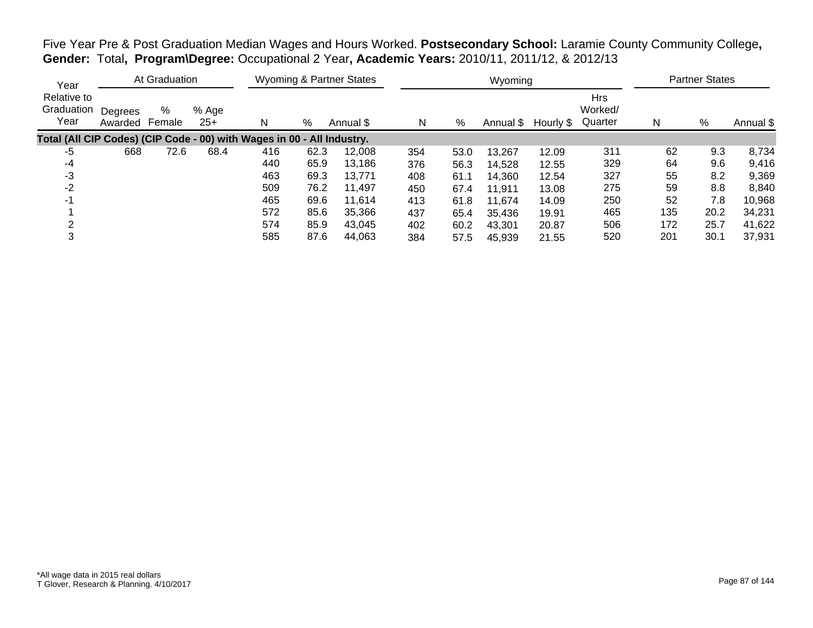|  | Five Year Pre & Post Graduation Median Wages and Hours Worked. Postsecondary School: Laramie County Community College, |
|--|------------------------------------------------------------------------------------------------------------------------|
|  | Gender: Total, Program\Degree: Occupational 2 Year, Academic Years: 2010/11, 2011/12, & 2012/13                        |

| Year                              |                    | At Graduation |              |                                                                        |      | Wyoming & Partner States |     |      | Wyoming   |           |                                  |     | <b>Partner States</b> |           |
|-----------------------------------|--------------------|---------------|--------------|------------------------------------------------------------------------|------|--------------------------|-----|------|-----------|-----------|----------------------------------|-----|-----------------------|-----------|
| Relative to<br>Graduation<br>Year | Degrees<br>Awarded | %<br>Female   | % Age<br>25+ | N                                                                      | %    | Annual \$                | N   | %    | Annual \$ | Hourly \$ | <b>Hrs</b><br>Worked/<br>Quarter | N   | %                     | Annual \$ |
|                                   |                    |               |              | Total (All CIP Codes) (CIP Code - 00) with Wages in 00 - All Industry. |      |                          |     |      |           |           |                                  |     |                       |           |
| -5                                | 668                | 72.6          | 68.4         | 416                                                                    | 62.3 | 12,008                   | 354 | 53.0 | 13,267    | 12.09     | 311                              | 62  | 9.3                   | 8,734     |
| -4                                |                    |               |              | 440                                                                    | 65.9 | 13,186                   | 376 | 56.3 | 14.528    | 12.55     | 329                              | 64  | 9.6                   | 9,416     |
| -3                                |                    |               |              | 463                                                                    | 69.3 | 13,771                   | 408 | 61.1 | 14,360    | 12.54     | 327                              | 55  | 8.2                   | 9,369     |
| $-2$                              |                    |               |              | 509                                                                    | 76.2 | 11,497                   | 450 | 67.4 | 11,911    | 13.08     | 275                              | 59  | 8.8                   | 8,840     |
| -1                                |                    |               |              | 465                                                                    | 69.6 | 11,614                   | 413 | 61.8 | 11.674    | 14.09     | 250                              | 52  | 7.8                   | 10,968    |
|                                   |                    |               |              | 572                                                                    | 85.6 | 35.366                   | 437 | 65.4 | 35,436    | 19.91     | 465                              | 135 | 20.2                  | 34,231    |
|                                   |                    |               |              | 574                                                                    | 85.9 | 43.045                   | 402 | 60.2 | 43.301    | 20.87     | 506                              | 172 | 25.7                  | 41,622    |
| 3                                 |                    |               |              | 585                                                                    | 87.6 | 44,063                   | 384 | 57.5 | 45,939    | 21.55     | 520                              | 201 | 30.1                  | 37,931    |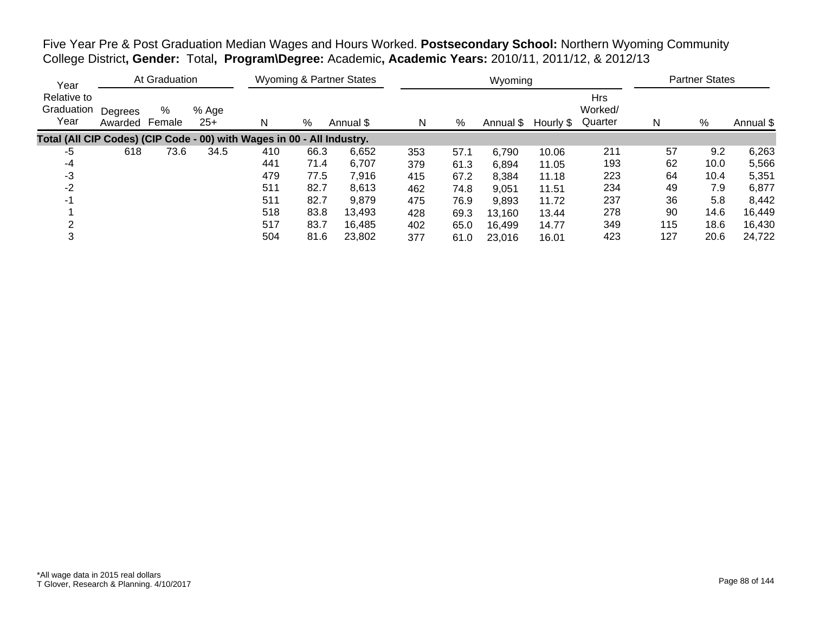Five Year Pre & Post Graduation Median Wages and Hours Worked. **Postsecondary School:** Northern Wyoming Community College District**, Gender:** Total**, Program\Degree:** Academic**, Academic Years:** 2010/11, 2011/12, & 2012/13

| Year                              |                    | At Graduation |                |                                                                        |      | <b>Wyoming &amp; Partner States</b> |     |      | Wyoming   |           |                                  |     | <b>Partner States</b> |           |
|-----------------------------------|--------------------|---------------|----------------|------------------------------------------------------------------------|------|-------------------------------------|-----|------|-----------|-----------|----------------------------------|-----|-----------------------|-----------|
| Relative to<br>Graduation<br>Year | Degrees<br>Awarded | %<br>Female   | % Age<br>$25+$ | N                                                                      | %    | Annual \$                           | N   | %    | Annual \$ | Hourly \$ | <b>Hrs</b><br>Worked/<br>Quarter | N   | %                     | Annual \$ |
|                                   |                    |               |                | Total (All CIP Codes) (CIP Code - 00) with Wages in 00 - All Industry. |      |                                     |     |      |           |           |                                  |     |                       |           |
| -5                                | 618                | 73.6          | 34.5           | 410                                                                    | 66.3 | 6,652                               | 353 | 57.1 | 6,790     | 10.06     | 211                              | 57  | 9.2                   | 6,263     |
| -4                                |                    |               |                | 441                                                                    | 71.4 | 6.707                               | 379 | 61.3 | 6,894     | 11.05     | 193                              | 62  | 10.0                  | 5,566     |
| -3                                |                    |               |                | 479                                                                    | 77.5 | 7,916                               | 415 | 67.2 | 8,384     | 11.18     | 223                              | 64  | 10.4                  | 5,351     |
| $-2$                              |                    |               |                | 511                                                                    | 82.7 | 8,613                               | 462 | 74.8 | 9,051     | 11.51     | 234                              | 49  | 7.9                   | 6,877     |
| $-1$                              |                    |               |                | 511                                                                    | 82.7 | 9,879                               | 475 | 76.9 | 9,893     | 11.72     | 237                              | 36  | 5.8                   | 8,442     |
|                                   |                    |               |                | 518                                                                    | 83.8 | 13,493                              | 428 | 69.3 | 13,160    | 13.44     | 278                              | 90  | 14.6                  | 16,449    |
|                                   |                    |               |                | 517                                                                    | 83.7 | 16,485                              | 402 | 65.0 | 16,499    | 14.77     | 349                              | 115 | 18.6                  | 16,430    |
| 3                                 |                    |               |                | 504                                                                    | 81.6 | 23,802                              | 377 | 61.0 | 23,016    | 16.01     | 423                              | 127 | 20.6                  | 24,722    |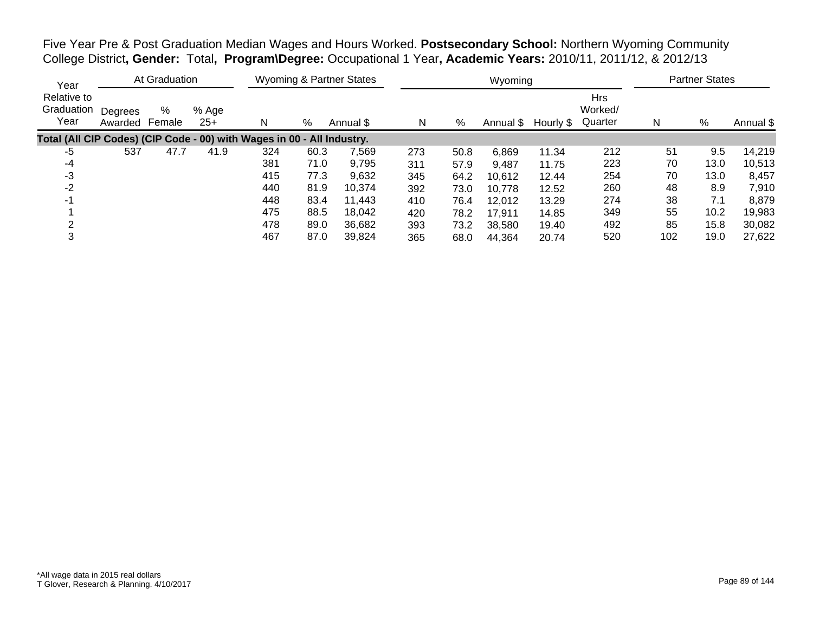Five Year Pre & Post Graduation Median Wages and Hours Worked. **Postsecondary School:** Northern Wyoming Community College District**, Gender:** Total**, Program\Degree:** Occupational 1 Year**, Academic Years:** 2010/11, 2011/12, & 2012/13

| Year                              |                    | At Graduation |                |                                                                        |      | <b>Wyoming &amp; Partner States</b> |     |      | Wyoming   |           |                                  |     | <b>Partner States</b> |           |
|-----------------------------------|--------------------|---------------|----------------|------------------------------------------------------------------------|------|-------------------------------------|-----|------|-----------|-----------|----------------------------------|-----|-----------------------|-----------|
| Relative to<br>Graduation<br>Year | Degrees<br>Awarded | %<br>Female   | % Age<br>$25+$ | N                                                                      | %    | Annual \$                           | N   | %    | Annual \$ | Hourly \$ | <b>Hrs</b><br>Worked/<br>Quarter | N   | %                     | Annual \$ |
|                                   |                    |               |                | Total (All CIP Codes) (CIP Code - 00) with Wages in 00 - All Industry. |      |                                     |     |      |           |           |                                  |     |                       |           |
| -5                                | 537                | 47.7          | 41.9           | 324                                                                    | 60.3 | 7,569                               | 273 | 50.8 | 6,869     | 11.34     | 212                              | 51  | 9.5                   | 14,219    |
| -4                                |                    |               |                | 381                                                                    | 71.0 | 9,795                               | 311 | 57.9 | 9.487     | 11.75     | 223                              | 70  | 13.0                  | 10,513    |
| -3                                |                    |               |                | 415                                                                    | 77.3 | 9,632                               | 345 | 64.2 | 10,612    | 12.44     | 254                              | 70  | 13.0                  | 8,457     |
| -2                                |                    |               |                | 440                                                                    | 81.9 | 10,374                              | 392 | 73.0 | 10,778    | 12.52     | 260                              | 48  | 8.9                   | 7,910     |
| $-1$                              |                    |               |                | 448                                                                    | 83.4 | 11.443                              | 410 | 76.4 | 12,012    | 13.29     | 274                              | 38  | 7.1                   | 8,879     |
|                                   |                    |               |                | 475                                                                    | 88.5 | 18,042                              | 420 | 78.2 | 17,911    | 14.85     | 349                              | 55  | 10.2                  | 19,983    |
|                                   |                    |               |                | 478                                                                    | 89.0 | 36.682                              | 393 | 73.2 | 38,580    | 19.40     | 492                              | 85  | 15.8                  | 30,082    |
| 3                                 |                    |               |                | 467                                                                    | 87.0 | 39,824                              | 365 | 68.0 | 44,364    | 20.74     | 520                              | 102 | 19.0                  | 27,622    |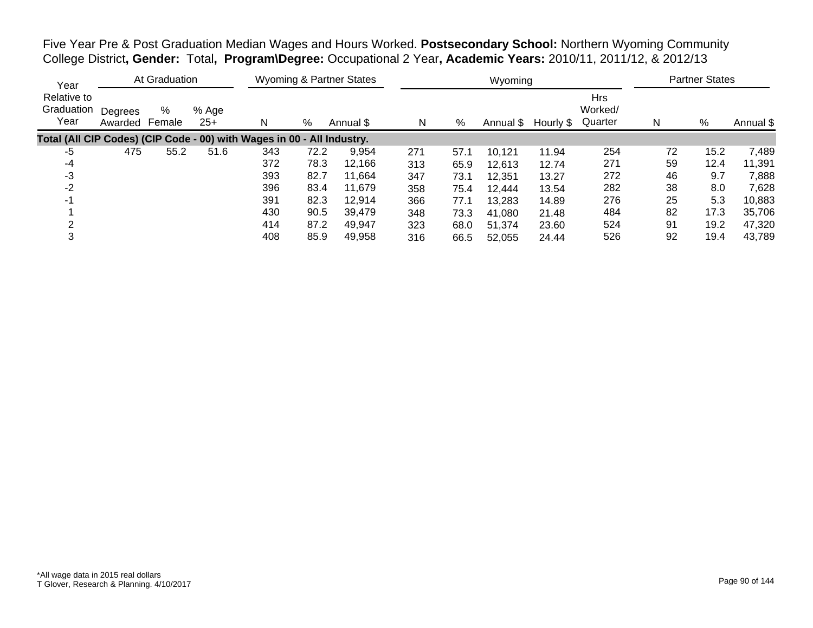Five Year Pre & Post Graduation Median Wages and Hours Worked. **Postsecondary School:** Northern Wyoming Community College District**, Gender:** Total**, Program\Degree:** Occupational 2 Year**, Academic Years:** 2010/11, 2011/12, & 2012/13

| Year                              |                    | At Graduation |              |                                                                        |      | <b>Wyoming &amp; Partner States</b> |     |      | Wyoming   |           |                                  |    | <b>Partner States</b> |           |
|-----------------------------------|--------------------|---------------|--------------|------------------------------------------------------------------------|------|-------------------------------------|-----|------|-----------|-----------|----------------------------------|----|-----------------------|-----------|
| Relative to<br>Graduation<br>Year | Degrees<br>Awarded | %<br>Female   | % Age<br>25+ | N                                                                      | %    | Annual \$                           | N   | %    | Annual \$ | Hourly \$ | <b>Hrs</b><br>Worked/<br>Quarter | N  | %                     | Annual \$ |
|                                   |                    |               |              | Total (All CIP Codes) (CIP Code - 00) with Wages in 00 - All Industry. |      |                                     |     |      |           |           |                                  |    |                       |           |
| -5                                | 475                | 55.2          | 51.6         | 343                                                                    | 72.2 | 9,954                               | 271 | 57.1 | 10,121    | 11.94     | 254                              | 72 | 15.2                  | 7,489     |
| -4                                |                    |               |              | 372                                                                    | 78.3 | 12,166                              | 313 | 65.9 | 12,613    | 12.74     | 271                              | 59 | 12.4                  | 11,391    |
| -3                                |                    |               |              | 393                                                                    | 82.7 | 11.664                              | 347 | 73.1 | 12,351    | 13.27     | 272                              | 46 | 9.7                   | 7,888     |
| $-2$                              |                    |               |              | 396                                                                    | 83.4 | 11,679                              | 358 | 75.4 | 12,444    | 13.54     | 282                              | 38 | 8.0                   | 7,628     |
| -1                                |                    |               |              | 391                                                                    | 82.3 | 12,914                              | 366 | 77.1 | 13,283    | 14.89     | 276                              | 25 | 5.3                   | 10,883    |
|                                   |                    |               |              | 430                                                                    | 90.5 | 39,479                              | 348 | 73.3 | 41,080    | 21.48     | 484                              | 82 | 17.3                  | 35,706    |
|                                   |                    |               |              | 414                                                                    | 87.2 | 49,947                              | 323 | 68.0 | 51,374    | 23.60     | 524                              | 91 | 19.2                  | 47,320    |
| 3                                 |                    |               |              | 408                                                                    | 85.9 | 49.958                              | 316 | 66.5 | 52,055    | 24.44     | 526                              | 92 | 19.4                  | 43,789    |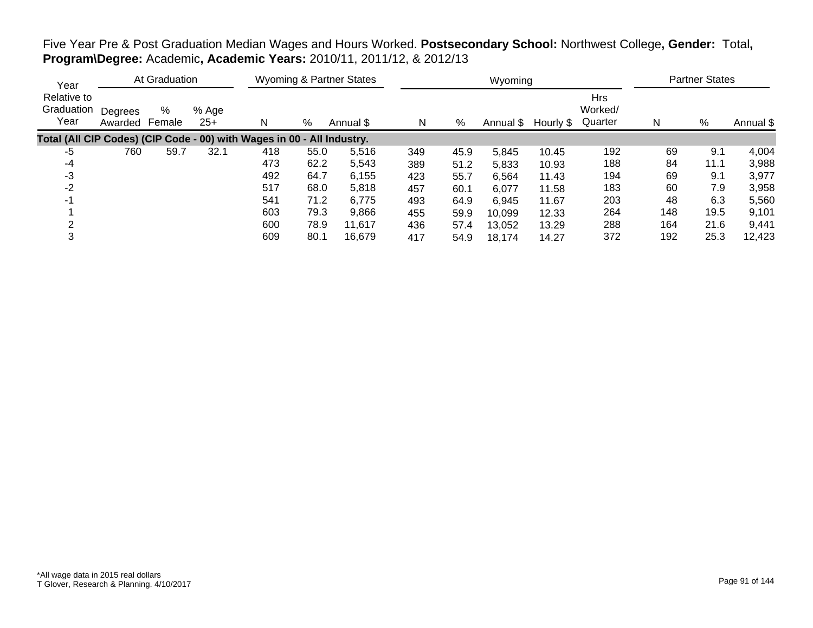# Five Year Pre & Post Graduation Median Wages and Hours Worked. **Postsecondary School:** Northwest College**, Gender:** Total**, Program\Degree:** Academic**, Academic Years:** 2010/11, 2011/12, & 2012/13

| Year                                                                   |                    | At Graduation |                |     |      | <b>Wyoming &amp; Partner States</b> |     |      | Wyoming   |           |                                  |     | <b>Partner States</b> |           |
|------------------------------------------------------------------------|--------------------|---------------|----------------|-----|------|-------------------------------------|-----|------|-----------|-----------|----------------------------------|-----|-----------------------|-----------|
| Relative to<br>Graduation<br>Year                                      | Degrees<br>Awarded | %<br>Female   | % Age<br>$25+$ | N   | %    | Annual \$                           | N   | %    | Annual \$ | Hourly \$ | <b>Hrs</b><br>Worked/<br>Quarter | N   | %                     | Annual \$ |
| Total (All CIP Codes) (CIP Code - 00) with Wages in 00 - All Industry. |                    |               |                |     |      |                                     |     |      |           |           |                                  |     |                       |           |
| -5                                                                     | 760                | 59.7          | 32.1           | 418 | 55.0 | 5,516                               | 349 | 45.9 | 5,845     | 10.45     | 192                              | 69  | 9.1                   | 4,004     |
| -4                                                                     |                    |               |                | 473 | 62.2 | 5,543                               | 389 | 51.2 | 5,833     | 10.93     | 188                              | 84  | 11.1                  | 3,988     |
| -3                                                                     |                    |               |                | 492 | 64.7 | 6,155                               | 423 | 55.7 | 6,564     | 11.43     | 194                              | 69  | 9.1                   | 3,977     |
| $-2$                                                                   |                    |               |                | 517 | 68.0 | 5,818                               | 457 | 60.1 | 6,077     | 11.58     | 183                              | 60  | 7.9                   | 3,958     |
| -1                                                                     |                    |               |                | 541 | 71.2 | 6,775                               | 493 | 64.9 | 6.945     | 11.67     | 203                              | 48  | 6.3                   | 5,560     |
|                                                                        |                    |               |                | 603 | 79.3 | 9,866                               | 455 | 59.9 | 10,099    | 12.33     | 264                              | 148 | 19.5                  | 9,101     |
|                                                                        |                    |               |                | 600 | 78.9 | 11,617                              | 436 | 57.4 | 13,052    | 13.29     | 288                              | 164 | 21.6                  | 9,441     |
| 3                                                                      |                    |               |                | 609 | 80.1 | 16,679                              | 417 | 54.9 | 18,174    | 14.27     | 372                              | 192 | 25.3                  | 12,423    |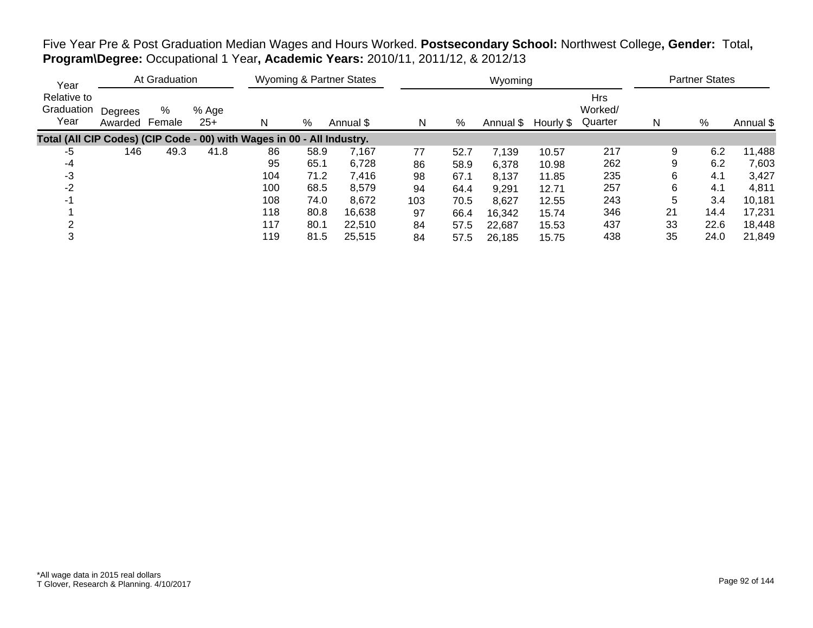Five Year Pre & Post Graduation Median Wages and Hours Worked. **Postsecondary School:** Northwest College**, Gender:** Total**, Program\Degree:** Occupational 1 Year**, Academic Years:** 2010/11, 2011/12, & 2012/13

| Year                                                                   |                    | At Graduation |                |     |      | <b>Wyoming &amp; Partner States</b> |     |      | Wyoming   |           |                                  |    | <b>Partner States</b> |           |
|------------------------------------------------------------------------|--------------------|---------------|----------------|-----|------|-------------------------------------|-----|------|-----------|-----------|----------------------------------|----|-----------------------|-----------|
| Relative to<br>Graduation<br>Year                                      | Degrees<br>Awarded | %<br>Female   | % Age<br>$25+$ |     | %    | Annual \$                           | N   | %    | Annual \$ | Hourly \$ | <b>Hrs</b><br>Worked/<br>Quarter | N  | %                     | Annual \$ |
| Total (All CIP Codes) (CIP Code - 00) with Wages in 00 - All Industry. |                    |               |                |     |      |                                     |     |      |           |           |                                  |    |                       |           |
| -5                                                                     | 146                | 49.3          | 41.8           | 86  | 58.9 | 7,167                               | 77  | 52.7 | 7,139     | 10.57     | 217                              | 9  | 6.2                   | 11,488    |
| -4                                                                     |                    |               |                | 95  | 65.1 | 6,728                               | 86  | 58.9 | 6,378     | 10.98     | 262                              |    | 6.2                   | 7,603     |
| -3                                                                     |                    |               |                | 104 | 71.2 | 7,416                               | 98  | 67.1 | 8,137     | 11.85     | 235                              | 6  | 4.1                   | 3,427     |
| $-2$                                                                   |                    |               |                | 100 | 68.5 | 8,579                               | 94  | 64.4 | 9,291     | 12.71     | 257                              | 6  | 4.1                   | 4,811     |
| -1                                                                     |                    |               |                | 108 | 74.0 | 8,672                               | 103 | 70.5 | 8,627     | 12.55     | 243                              |    | 3.4                   | 10,181    |
|                                                                        |                    |               |                | 118 | 80.8 | 16,638                              | 97  | 66.4 | 16,342    | 15.74     | 346                              | 21 | 14.4                  | 17,231    |
|                                                                        |                    |               |                | 117 | 80.1 | 22,510                              | 84  | 57.5 | 22,687    | 15.53     | 437                              | 33 | 22.6                  | 18,448    |
|                                                                        |                    |               |                | 119 | 81.5 | 25,515                              | 84  | 57.5 | 26,185    | 15.75     | 438                              | 35 | 24.0                  | 21,849    |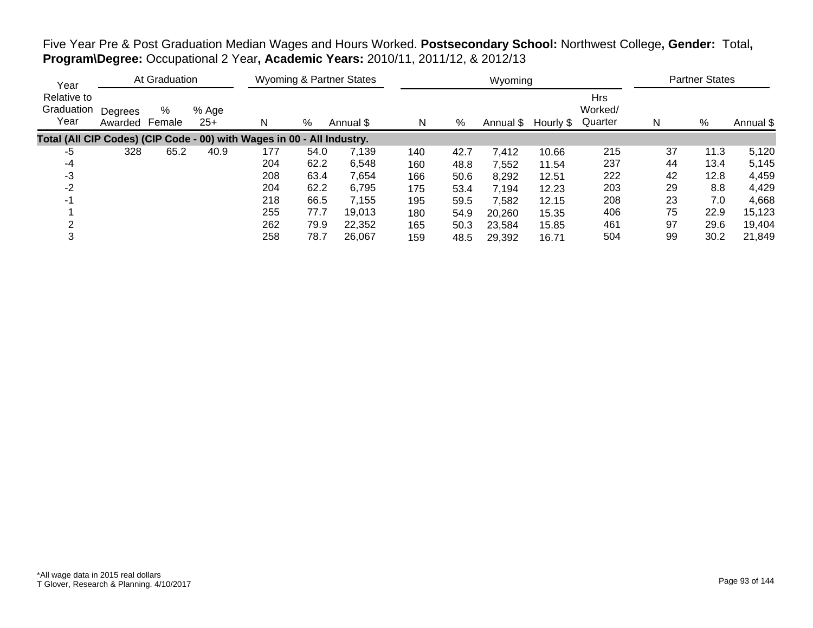Five Year Pre & Post Graduation Median Wages and Hours Worked. **Postsecondary School:** Northwest College**, Gender:** Total**, Program\Degree:** Occupational 2 Year**, Academic Years:** 2010/11, 2011/12, & 2012/13

| Year                                                                   |                    | At Graduation |                |     |      | <b>Wyoming &amp; Partner States</b> |     |      | Wyoming   |           |                                  |    | <b>Partner States</b> |           |
|------------------------------------------------------------------------|--------------------|---------------|----------------|-----|------|-------------------------------------|-----|------|-----------|-----------|----------------------------------|----|-----------------------|-----------|
| Relative to<br>Graduation<br>Year                                      | Degrees<br>Awarded | %<br>Female   | % Age<br>$25+$ | N   | %    | Annual \$                           | N   | %    | Annual \$ | Hourly \$ | <b>Hrs</b><br>Worked/<br>Quarter | N  | %                     | Annual \$ |
| Total (All CIP Codes) (CIP Code - 00) with Wages in 00 - All Industry. |                    |               |                |     |      |                                     |     |      |           |           |                                  |    |                       |           |
| -5                                                                     | 328                | 65.2          | 40.9           | 177 | 54.0 | 7,139                               | 140 | 42.7 | 7,412     | 10.66     | 215                              | 37 | 11.3                  | 5,120     |
| -4                                                                     |                    |               |                | 204 | 62.2 | 6,548                               | 160 | 48.8 | 7,552     | 11.54     | 237                              | 44 | 13.4                  | 5,145     |
| -3                                                                     |                    |               |                | 208 | 63.4 | 7,654                               | 166 | 50.6 | 8,292     | 12.51     | 222                              | 42 | 12.8                  | 4,459     |
| $-2$                                                                   |                    |               |                | 204 | 62.2 | 6,795                               | 175 | 53.4 | 7,194     | 12.23     | 203                              | 29 | 8.8                   | 4,429     |
| -1                                                                     |                    |               |                | 218 | 66.5 | 7,155                               | 195 | 59.5 | 7.582     | 12.15     | 208                              | 23 | 7.0                   | 4,668     |
|                                                                        |                    |               |                | 255 | 77.7 | 19,013                              | 180 | 54.9 | 20,260    | 15.35     | 406                              | 75 | 22.9                  | 15,123    |
|                                                                        |                    |               |                | 262 | 79.9 | 22,352                              | 165 | 50.3 | 23,584    | 15.85     | 461                              | 97 | 29.6                  | 19,404    |
| 3                                                                      |                    |               |                | 258 | 78.7 | 26,067                              | 159 | 48.5 | 29,392    | 16.71     | 504                              | 99 | 30.2                  | 21,849    |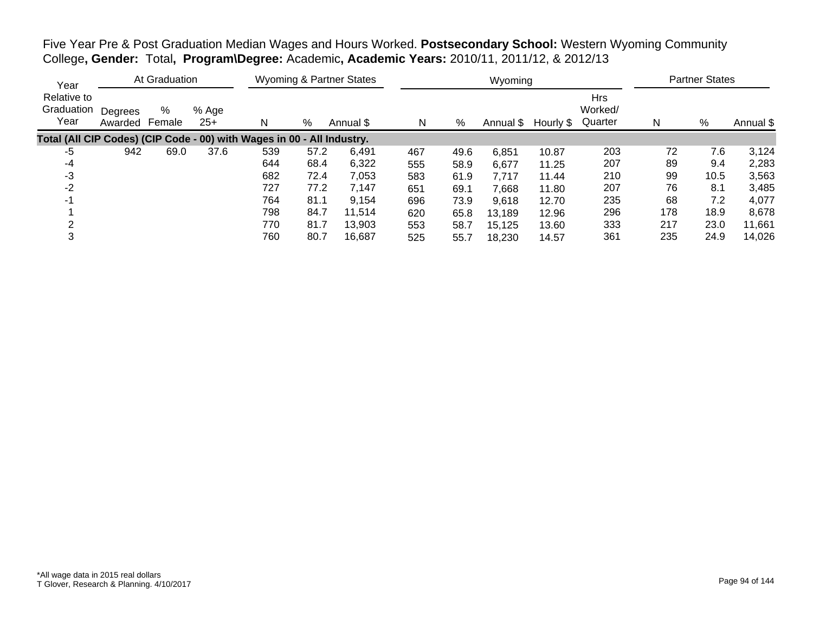Five Year Pre & Post Graduation Median Wages and Hours Worked. **Postsecondary School:** Western Wyoming Community College**, Gender:** Total**, Program\Degree:** Academic**, Academic Years:** 2010/11, 2011/12, & 2012/13

| Year                              |                    | At Graduation |                |                                                                        |      | <b>Wyoming &amp; Partner States</b> |     |      | Wyoming   |           |                                  |     | <b>Partner States</b> |           |
|-----------------------------------|--------------------|---------------|----------------|------------------------------------------------------------------------|------|-------------------------------------|-----|------|-----------|-----------|----------------------------------|-----|-----------------------|-----------|
| Relative to<br>Graduation<br>Year | Degrees<br>Awarded | %<br>Female   | % Age<br>$25+$ | N                                                                      | %    | Annual \$                           | N   | %    | Annual \$ | Hourly \$ | <b>Hrs</b><br>Worked/<br>Quarter | N   | %                     | Annual \$ |
|                                   |                    |               |                | Total (All CIP Codes) (CIP Code - 00) with Wages in 00 - All Industry. |      |                                     |     |      |           |           |                                  |     |                       |           |
| -5                                | 942                | 69.0          | 37.6           | 539                                                                    | 57.2 | 6,491                               | 467 | 49.6 | 6,851     | 10.87     | 203                              | 72  | 7.6                   | 3,124     |
| -4                                |                    |               |                | 644                                                                    | 68.4 | 6,322                               | 555 | 58.9 | 6,677     | 11.25     | 207                              | 89  | 9.4                   | 2,283     |
| -3                                |                    |               |                | 682                                                                    | 72.4 | 7,053                               | 583 | 61.9 | 7,717     | 11.44     | 210                              | 99  | 10.5                  | 3,563     |
| $-2$                              |                    |               |                | 727                                                                    | 77.2 | 7,147                               | 651 | 69.1 | 7,668     | 11.80     | 207                              | 76  | 8.1                   | 3,485     |
| -1                                |                    |               |                | 764                                                                    | 81.1 | 9,154                               | 696 | 73.9 | 9,618     | 12.70     | 235                              | 68  | 7.2                   | 4,077     |
|                                   |                    |               |                | 798                                                                    | 84.7 | 11,514                              | 620 | 65.8 | 13,189    | 12.96     | 296                              | 178 | 18.9                  | 8,678     |
|                                   |                    |               |                | 770                                                                    | 81.7 | 13,903                              | 553 | 58.7 | 15,125    | 13.60     | 333                              | 217 | 23.0                  | 11,661    |
| 3                                 |                    |               |                | 760                                                                    | 80.7 | 16,687                              | 525 | 55.7 | 18,230    | 14.57     | 361                              | 235 | 24.9                  | 14,026    |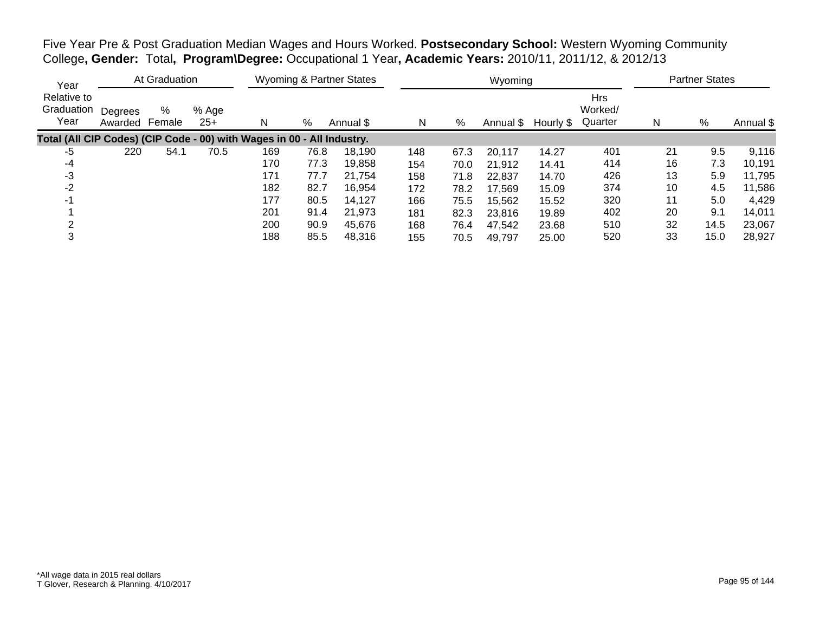Five Year Pre & Post Graduation Median Wages and Hours Worked. **Postsecondary School:** Western Wyoming Community College**, Gender:** Total**, Program\Degree:** Occupational 1 Year**, Academic Years:** 2010/11, 2011/12, & 2012/13

| Year                              |                    | At Graduation |                |                                                                        |      | <b>Wyoming &amp; Partner States</b> |     |      | Wyoming   |           |                                  |    | <b>Partner States</b> |           |
|-----------------------------------|--------------------|---------------|----------------|------------------------------------------------------------------------|------|-------------------------------------|-----|------|-----------|-----------|----------------------------------|----|-----------------------|-----------|
| Relative to<br>Graduation<br>Year | Degrees<br>Awarded | %<br>Female   | % Age<br>$25+$ | N                                                                      | %    | Annual \$                           | N   | %    | Annual \$ | Hourly \$ | <b>Hrs</b><br>Worked/<br>Quarter | N  | %                     | Annual \$ |
|                                   |                    |               |                | Total (All CIP Codes) (CIP Code - 00) with Wages in 00 - All Industry. |      |                                     |     |      |           |           |                                  |    |                       |           |
| -5                                | 220                | 54.1          | 70.5           | 169                                                                    | 76.8 | 18.190                              | 148 | 67.3 | 20,117    | 14.27     | 401                              | 21 | 9.5                   | 9,116     |
| -4                                |                    |               |                | 170                                                                    | 77.3 | 19,858                              | 154 | 70.0 | 21,912    | 14.41     | 414                              | 16 | 7.3                   | 10,191    |
| -3                                |                    |               |                | 171                                                                    | 77.7 | 21.754                              | 158 | 71.8 | 22,837    | 14.70     | 426                              | 13 | 5.9                   | 11,795    |
| $-2$                              |                    |               |                | 182                                                                    | 82.7 | 16,954                              | 172 | 78.2 | 17,569    | 15.09     | 374                              | 10 | 4.5                   | 11,586    |
| -1                                |                    |               |                | 177                                                                    | 80.5 | 14,127                              | 166 | 75.5 | 15,562    | 15.52     | 320                              | 11 | 5.0                   | 4,429     |
|                                   |                    |               |                | 201                                                                    | 91.4 | 21,973                              | 181 | 82.3 | 23,816    | 19.89     | 402                              | 20 | 9.1                   | 14,011    |
|                                   |                    |               |                | 200                                                                    | 90.9 | 45.676                              | 168 | 76.4 | 47,542    | 23.68     | 510                              | 32 | 14.5                  | 23,067    |
| 3                                 |                    |               |                | 188                                                                    | 85.5 | 48,316                              | 155 | 70.5 | 49.797    | 25.00     | 520                              | 33 | 15.0                  | 28,927    |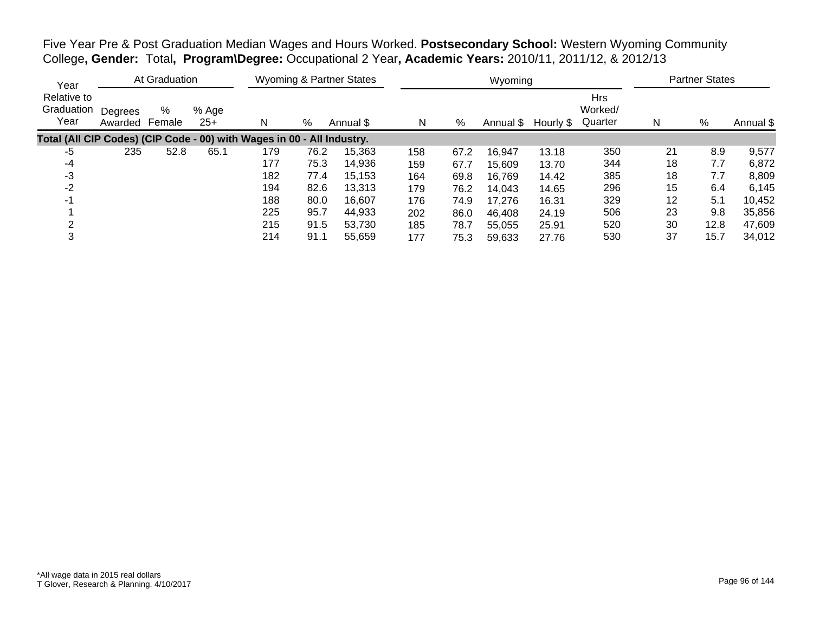Five Year Pre & Post Graduation Median Wages and Hours Worked. **Postsecondary School:** Western Wyoming Community College**, Gender:** Total**, Program\Degree:** Occupational 2 Year**, Academic Years:** 2010/11, 2011/12, & 2012/13

| Year                              |                    | At Graduation |                |                                                                        |      | Wyoming & Partner States |     |      | Wyoming   |           |                                  |    | <b>Partner States</b> |           |
|-----------------------------------|--------------------|---------------|----------------|------------------------------------------------------------------------|------|--------------------------|-----|------|-----------|-----------|----------------------------------|----|-----------------------|-----------|
| Relative to<br>Graduation<br>Year | Degrees<br>Awarded | %<br>Female   | % Age<br>$25+$ | N                                                                      | %    | Annual \$                | N   | %    | Annual \$ | Hourly \$ | <b>Hrs</b><br>Worked/<br>Quarter | N  | %                     | Annual \$ |
|                                   |                    |               |                | Total (All CIP Codes) (CIP Code - 00) with Wages in 00 - All Industry. |      |                          |     |      |           |           |                                  |    |                       |           |
| -5                                | 235                | 52.8          | 65.1           | 179                                                                    | 76.2 | 15,363                   | 158 | 67.2 | 16,947    | 13.18     | 350                              | 21 | 8.9                   | 9,577     |
| -4                                |                    |               |                | 177                                                                    | 75.3 | 14,936                   | 159 | 67.7 | 15,609    | 13.70     | 344                              | 18 | 7.7                   | 6,872     |
| -3                                |                    |               |                | 182                                                                    | 77.4 | 15,153                   | 164 | 69.8 | 16,769    | 14.42     | 385                              | 18 | 7.7                   | 8,809     |
| $-2$                              |                    |               |                | 194                                                                    | 82.6 | 13.313                   | 179 | 76.2 | 14,043    | 14.65     | 296                              | 15 | 6.4                   | 6,145     |
| -1                                |                    |               |                | 188                                                                    | 80.0 | 16,607                   | 176 | 74.9 | 17.276    | 16.31     | 329                              | 12 | 5.1                   | 10,452    |
|                                   |                    |               |                | 225                                                                    | 95.7 | 44,933                   | 202 | 86.0 | 46,408    | 24.19     | 506                              | 23 | 9.8                   | 35,856    |
|                                   |                    |               |                | 215                                                                    | 91.5 | 53.730                   | 185 | 78.7 | 55,055    | 25.91     | 520                              | 30 | 12.8                  | 47,609    |
| 3                                 |                    |               |                | 214                                                                    | 91.1 | 55.659                   | 177 | 75.3 | 59.633    | 27.76     | 530                              | 37 | 15.7                  | 34,012    |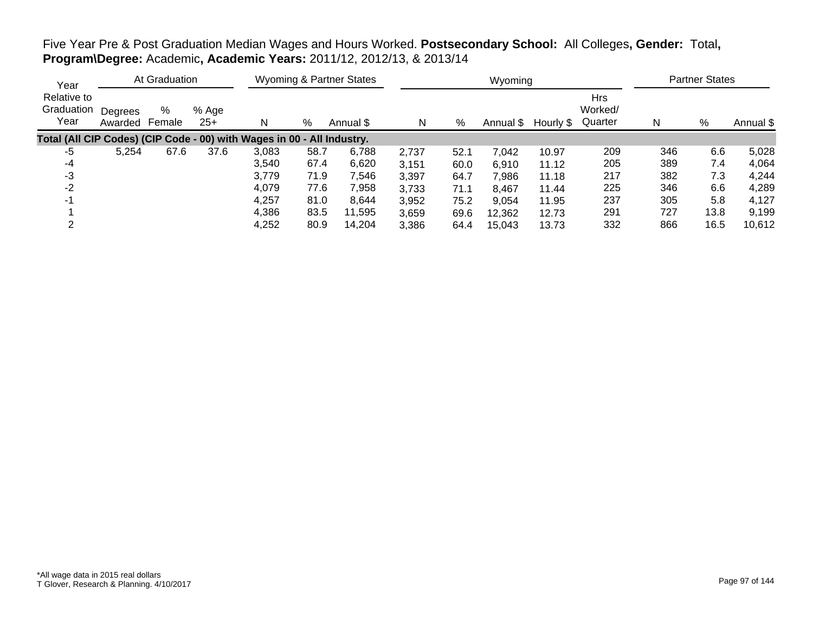# Five Year Pre & Post Graduation Median Wages and Hours Worked. **Postsecondary School:** All Colleges**, Gender:** Total**, Program\Degree:** Academic**, Academic Years:** 2011/12, 2012/13, & 2013/14

| Year                                                                   |                           | At Graduation |                |       |      | <b>Wyoming &amp; Partner States</b> |       |      | Wyoming   |           |                                  |     | <b>Partner States</b> |           |
|------------------------------------------------------------------------|---------------------------|---------------|----------------|-------|------|-------------------------------------|-------|------|-----------|-----------|----------------------------------|-----|-----------------------|-----------|
| Relative to<br>Graduation<br>Year                                      | Degrees<br>Awarded Female | %             | % Age<br>$25+$ | N     | %    | Annual \$                           | N     | %    | Annual \$ | Hourly \$ | <b>Hrs</b><br>Worked/<br>Quarter | N   | %                     | Annual \$ |
| Total (All CIP Codes) (CIP Code - 00) with Wages in 00 - All Industry. |                           |               |                |       |      |                                     |       |      |           |           |                                  |     |                       |           |
| -5                                                                     | 5,254                     | 67.6          | 37.6           | 3,083 | 58.7 | 6,788                               | 2,737 | 52.1 | 7,042     | 10.97     | 209                              | 346 | 6.6                   | 5,028     |
| -4                                                                     |                           |               |                | 3,540 | 67.4 | 6,620                               | 3.151 | 60.0 | 6,910     | 11.12     | 205                              | 389 | 7.4                   | 4,064     |
| -3                                                                     |                           |               |                | 3,779 | 71.9 | 7,546                               | 3,397 | 64.7 | 7.986     | 11.18     | 217                              | 382 | 7.3                   | 4,244     |
| $-2$                                                                   |                           |               |                | 4,079 | 77.6 | 7,958                               | 3,733 | 71.1 | 8,467     | 11.44     | 225                              | 346 | 6.6                   | 4,289     |
| $-1$                                                                   |                           |               |                | 4,257 | 81.0 | 8,644                               | 3,952 | 75.2 | 9.054     | 11.95     | 237                              | 305 | 5.8                   | 4,127     |
|                                                                        |                           |               |                | 4,386 | 83.5 | 11,595                              | 3,659 | 69.6 | 12,362    | 12.73     | 291                              | 727 | 13.8                  | 9,199     |
| ⌒                                                                      |                           |               |                | 4,252 | 80.9 | 14,204                              | 3,386 | 64.4 | 15.043    | 13.73     | 332                              | 866 | 16.5                  | 10,612    |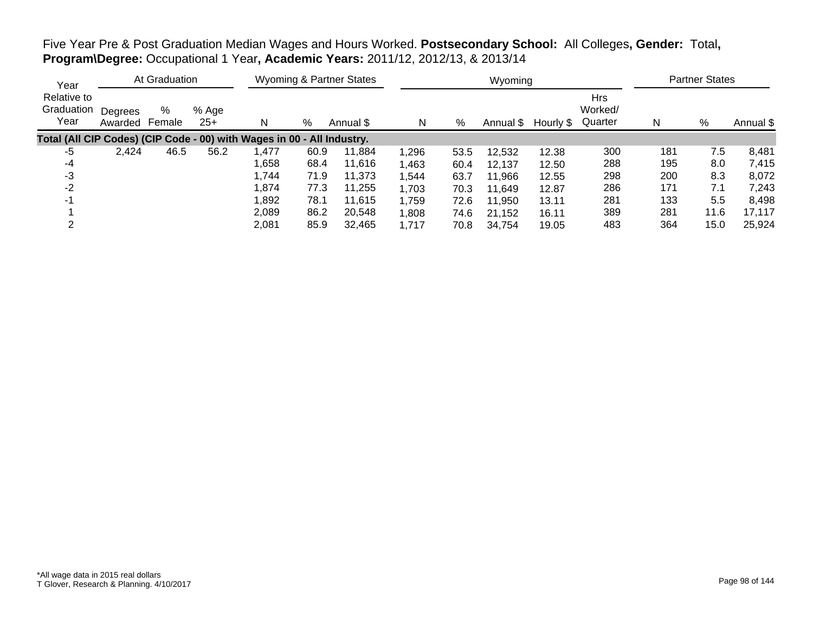Five Year Pre & Post Graduation Median Wages and Hours Worked. **Postsecondary School:** All Colleges**, Gender:** Total**, Program\Degree:** Occupational 1 Year**, Academic Years:** 2011/12, 2012/13, & 2013/14

| Year                                                                   |                    | At Graduation |                |       |      | <b>Wyoming &amp; Partner States</b> |       |      | Wyoming   |           |                                  |     | <b>Partner States</b> |           |
|------------------------------------------------------------------------|--------------------|---------------|----------------|-------|------|-------------------------------------|-------|------|-----------|-----------|----------------------------------|-----|-----------------------|-----------|
| Relative to<br>Graduation<br>Year                                      | Degrees<br>Awarded | %<br>Female   | % Age<br>$25+$ | N     | %    | Annual \$                           | N     | %    | Annual \$ | Hourly \$ | <b>Hrs</b><br>Worked/<br>Quarter | N   | %                     | Annual \$ |
| Total (All CIP Codes) (CIP Code - 00) with Wages in 00 - All Industry. |                    |               |                |       |      |                                     |       |      |           |           |                                  |     |                       |           |
| -5                                                                     | 2,424              | 46.5          | 56.2           | 1,477 | 60.9 | 11.884                              | 1,296 | 53.5 | 12,532    | 12.38     | 300                              | 181 | 7.5                   | 8,481     |
| -4                                                                     |                    |               |                | 1,658 | 68.4 | 11,616                              | 1,463 | 60.4 | 12.137    | 12.50     | 288                              | 195 | 8.0                   | 7,415     |
| -3                                                                     |                    |               |                | 1.744 | 71.9 | 11.373                              | 1,544 | 63.7 | 11,966    | 12.55     | 298                              | 200 | 8.3                   | 8,072     |
| -2                                                                     |                    |               |                | 1,874 | 77.3 | 11,255                              | 1,703 | 70.3 | 11.649    | 12.87     | 286                              | 171 | 7.1                   | 7,243     |
| -1                                                                     |                    |               |                | 1,892 | 78.1 | 11,615                              | 1,759 | 72.6 | 11,950    | 13.11     | 281                              | 133 | 5.5                   | 8,498     |
|                                                                        |                    |               |                | 2,089 | 86.2 | 20,548                              | 1,808 | 74.6 | 21,152    | 16.11     | 389                              | 281 | 11.6                  | 17,117    |
|                                                                        |                    |               |                | 2,081 | 85.9 | 32,465                              | 1,717 | 70.8 | 34.754    | 19.05     | 483                              | 364 | 15.0                  | 25,924    |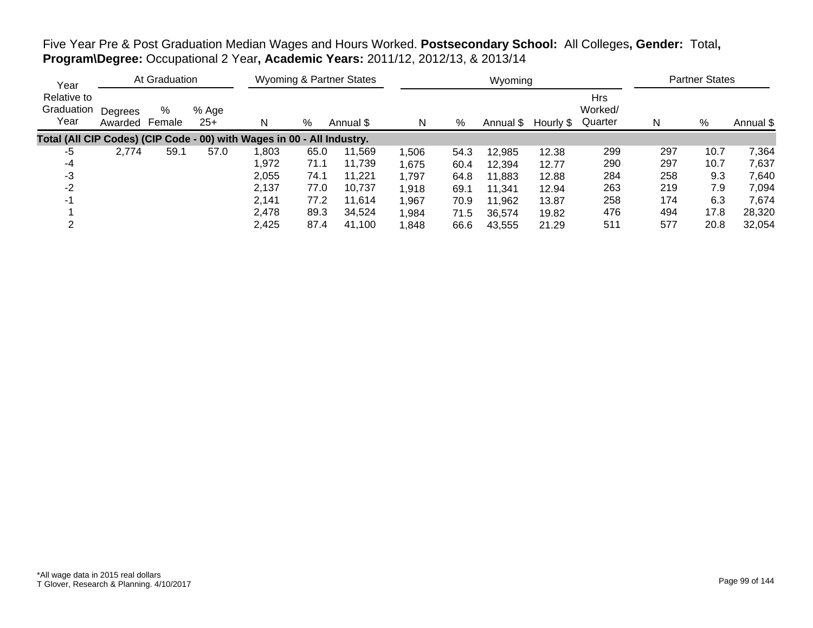Five Year Pre & Post Graduation Median Wages and Hours Worked. **Postsecondary School:** All Colleges**, Gender:** Total**, Program\Degree:** Occupational 2 Year**, Academic Years:** 2011/12, 2012/13, & 2013/14

| Year                                                                   |                           | At Graduation |                |        |      | <b>Wyoming &amp; Partner States</b> |       |      | Wyoming   |           |                                  |     | <b>Partner States</b> |           |
|------------------------------------------------------------------------|---------------------------|---------------|----------------|--------|------|-------------------------------------|-------|------|-----------|-----------|----------------------------------|-----|-----------------------|-----------|
| Relative to<br>Graduation<br>Year                                      | Degrees<br>Awarded Female | %             | % Age<br>$25+$ | N      | %    | Annual \$                           | N     | %    | Annual \$ | Hourly \$ | <b>Hrs</b><br>Worked/<br>Quarter | N   | %                     | Annual \$ |
| Total (All CIP Codes) (CIP Code - 00) with Wages in 00 - All Industry. |                           |               |                |        |      |                                     |       |      |           |           |                                  |     |                       |           |
| -5                                                                     | 2,774                     | 59.1          | 57.0           | 803, ا | 65.0 | 11,569                              | 1,506 | 54.3 | 12,985    | 12.38     | 299                              | 297 | 10.7                  | 7,364     |
| -4                                                                     |                           |               |                | 1,972  | 71.1 | 11,739                              | 1,675 | 60.4 | 12.394    | 12.77     | 290                              | 297 | 10.7                  | 7,637     |
| -3                                                                     |                           |               |                | 2,055  | 74.1 | 11.221                              | 1,797 | 64.8 | 11,883    | 12.88     | 284                              | 258 | 9.3                   | 7,640     |
| $-2$                                                                   |                           |               |                | 2,137  | 77.0 | 10.737                              | 1,918 | 69.1 | 11.341    | 12.94     | 263                              | 219 | 7.9                   | 7,094     |
| $-1$                                                                   |                           |               |                | 2.141  | 77.2 | 11,614                              | 1,967 | 70.9 | 11,962    | 13.87     | 258                              | 174 | 6.3                   | 7,674     |
|                                                                        |                           |               |                | 2,478  | 89.3 | 34,524                              | 1,984 | 71.5 | 36,574    | 19.82     | 476                              | 494 | 17.8                  | 28,320    |
|                                                                        |                           |               |                | 2,425  | 87.4 | 41,100                              | 1,848 | 66.6 | 43,555    | 21.29     | 511                              | 577 | 20.8                  | 32,054    |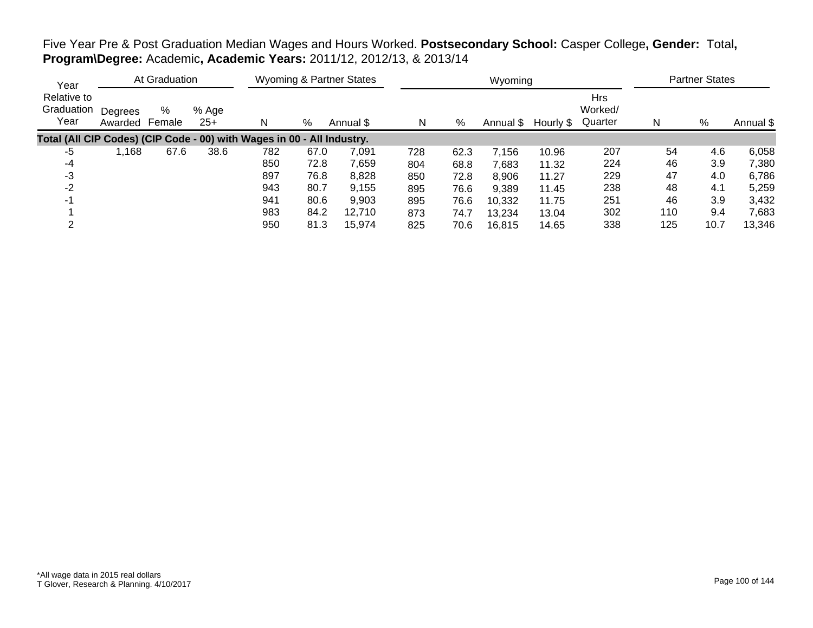# Five Year Pre & Post Graduation Median Wages and Hours Worked. **Postsecondary School:** Casper College**, Gender:** Total**, Program\Degree:** Academic**, Academic Years:** 2011/12, 2012/13, & 2013/14

| Year                                                                   |                    | At Graduation |                |     |      | <b>Wyoming &amp; Partner States</b> |     |      | Wyoming   |           |                                  |     | <b>Partner States</b> |           |
|------------------------------------------------------------------------|--------------------|---------------|----------------|-----|------|-------------------------------------|-----|------|-----------|-----------|----------------------------------|-----|-----------------------|-----------|
| Relative to<br>Graduation<br>Year                                      | Degrees<br>Awarded | %<br>Female   | % Age<br>$25+$ | N   | %    | Annual \$                           | N   | %    | Annual \$ | Hourly \$ | <b>Hrs</b><br>Worked/<br>Quarter | N   | %                     | Annual \$ |
| Total (All CIP Codes) (CIP Code - 00) with Wages in 00 - All Industry. |                    |               |                |     |      |                                     |     |      |           |           |                                  |     |                       |           |
| -5                                                                     | .168               | 67.6          | 38.6           | 782 | 67.0 | 7,091                               | 728 | 62.3 | 7,156     | 10.96     | 207                              | 54  | 4.6                   | 6,058     |
| -4                                                                     |                    |               |                | 850 | 72.8 | 7,659                               | 804 | 68.8 | 7.683     | 11.32     | 224                              | 46  | 3.9                   | 7,380     |
| -3                                                                     |                    |               |                | 897 | 76.8 | 8,828                               | 850 | 72.8 | 8,906     | 11.27     | 229                              | 47  | 4.0                   | 6,786     |
| $-2$                                                                   |                    |               |                | 943 | 80.7 | 9,155                               | 895 | 76.6 | 9,389     | 11.45     | 238                              | 48  | 4.1                   | 5,259     |
| -1                                                                     |                    |               |                | 941 | 80.6 | 9,903                               | 895 | 76.6 | 10,332    | 11.75     | 251                              | 46  | 3.9                   | 3,432     |
|                                                                        |                    |               |                | 983 | 84.2 | 12.710                              | 873 | 74.7 | 13,234    | 13.04     | 302                              | 110 | 9.4                   | 7,683     |
|                                                                        |                    |               |                | 950 | 81.3 | 15,974                              | 825 | 70.6 | 16.815    | 14.65     | 338                              | 125 | 10.7                  | 13,346    |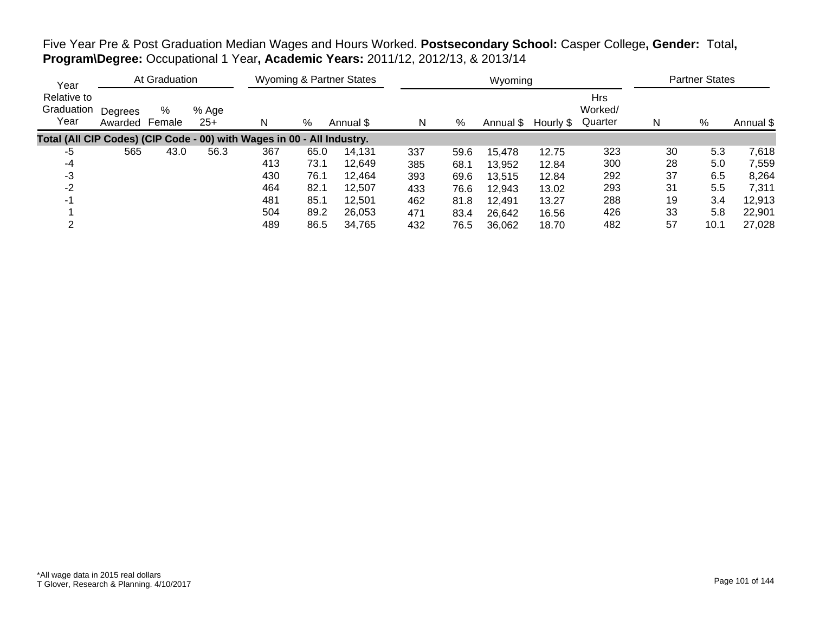Five Year Pre & Post Graduation Median Wages and Hours Worked. **Postsecondary School:** Casper College**, Gender:** Total**, Program\Degree:** Occupational 1 Year**, Academic Years:** 2011/12, 2012/13, & 2013/14

| Year                                                                   |                    | At Graduation |                |     |      | <b>Wyoming &amp; Partner States</b> |     |      | Wyoming   |           |                                  |    | <b>Partner States</b> |           |
|------------------------------------------------------------------------|--------------------|---------------|----------------|-----|------|-------------------------------------|-----|------|-----------|-----------|----------------------------------|----|-----------------------|-----------|
| Relative to<br>Graduation<br>Year                                      | Degrees<br>Awarded | %<br>Female   | % Age<br>$25+$ | N   | %    | Annual \$                           | N   | %    | Annual \$ | Hourly \$ | <b>Hrs</b><br>Worked/<br>Quarter | N  | %                     | Annual \$ |
| Total (All CIP Codes) (CIP Code - 00) with Wages in 00 - All Industry. |                    |               |                |     |      |                                     |     |      |           |           |                                  |    |                       |           |
| -5                                                                     | 565                | 43.0          | 56.3           | 367 | 65.0 | 14.131                              | 337 | 59.6 | 15,478    | 12.75     | 323                              | 30 | 5.3                   | 7,618     |
| -4                                                                     |                    |               |                | 413 | 73.1 | 12,649                              | 385 | 68.1 | 13,952    | 12.84     | 300                              | 28 | 5.0                   | 7,559     |
| -3                                                                     |                    |               |                | 430 | 76.1 | 12,464                              | 393 | 69.6 | 13,515    | 12.84     | 292                              | 37 | 6.5                   | 8,264     |
| $-2$                                                                   |                    |               |                | 464 | 82.1 | 12.507                              | 433 | 76.6 | 12,943    | 13.02     | 293                              | 31 | 5.5                   | 7,311     |
| -1                                                                     |                    |               |                | 481 | 85.1 | 12.501                              | 462 | 81.8 | 12,491    | 13.27     | 288                              | 19 | 3.4                   | 12,913    |
|                                                                        |                    |               |                | 504 | 89.2 | 26,053                              | 471 | 83.4 | 26,642    | 16.56     | 426                              | 33 | 5.8                   | 22,901    |
|                                                                        |                    |               |                | 489 | 86.5 | 34,765                              | 432 | 76.5 | 36,062    | 18.70     | 482                              | 57 | 10.1                  | 27,028    |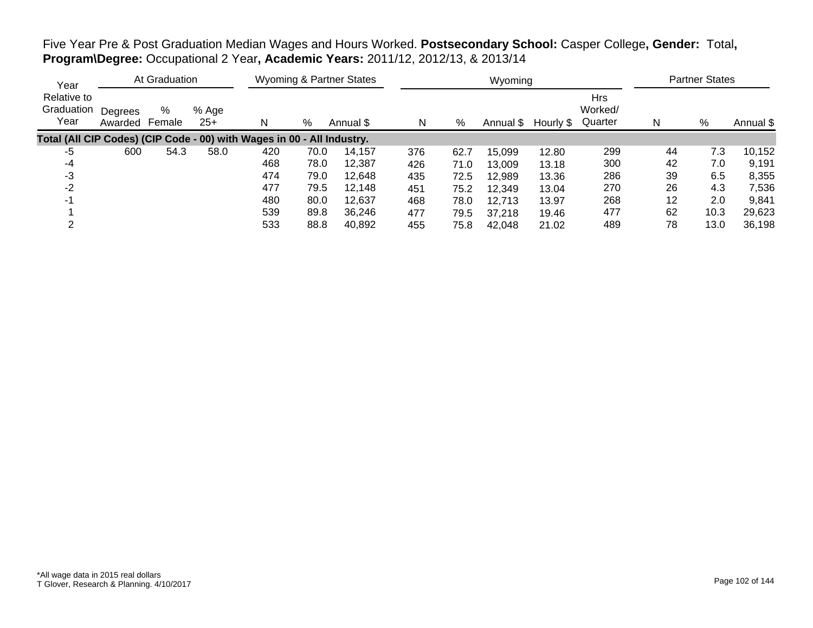Five Year Pre & Post Graduation Median Wages and Hours Worked. **Postsecondary School:** Casper College**, Gender:** Total**, Program\Degree:** Occupational 2 Year**, Academic Years:** 2011/12, 2012/13, & 2013/14

| Year                                                                   |                    | At Graduation |                |     |      | <b>Wyoming &amp; Partner States</b> |     |      | Wyoming   |           |                                  |    | <b>Partner States</b> |           |
|------------------------------------------------------------------------|--------------------|---------------|----------------|-----|------|-------------------------------------|-----|------|-----------|-----------|----------------------------------|----|-----------------------|-----------|
| Relative to<br>Graduation<br>Year                                      | Degrees<br>Awarded | %<br>Female   | % Age<br>$25+$ | N   | %    | Annual \$                           | N   | %    | Annual \$ | Hourly \$ | <b>Hrs</b><br>Worked/<br>Quarter | N  | %                     | Annual \$ |
| Total (All CIP Codes) (CIP Code - 00) with Wages in 00 - All Industry. |                    |               |                |     |      |                                     |     |      |           |           |                                  |    |                       |           |
| -5                                                                     | 600                | 54.3          | 58.0           | 420 | 70.0 | 14.157                              | 376 | 62.7 | 15,099    | 12.80     | 299                              | 44 | 7.3                   | 10,152    |
| -4                                                                     |                    |               |                | 468 | 78.0 | 12.387                              | 426 | 71.0 | 13,009    | 13.18     | 300                              | 42 | 7.0                   | 9,191     |
| -3                                                                     |                    |               |                | 474 | 79.0 | 12,648                              | 435 | 72.5 | 12,989    | 13.36     | 286                              | 39 | 6.5                   | 8,355     |
| $-2$                                                                   |                    |               |                | 477 | 79.5 | 12.148                              | 451 | 75.2 | 12,349    | 13.04     | 270                              | 26 | 4.3                   | 7,536     |
| $-1$                                                                   |                    |               |                | 480 | 80.0 | 12.637                              | 468 | 78.0 | 12,713    | 13.97     | 268                              | 12 | 2.0                   | 9,841     |
|                                                                        |                    |               |                | 539 | 89.8 | 36.246                              | 477 | 79.5 | 37,218    | 19.46     | 477                              | 62 | 10.3                  | 29,623    |
|                                                                        |                    |               |                | 533 | 88.8 | 40,892                              | 455 | 75.8 | 42.048    | 21.02     | 489                              | 78 | 13.0                  | 36,198    |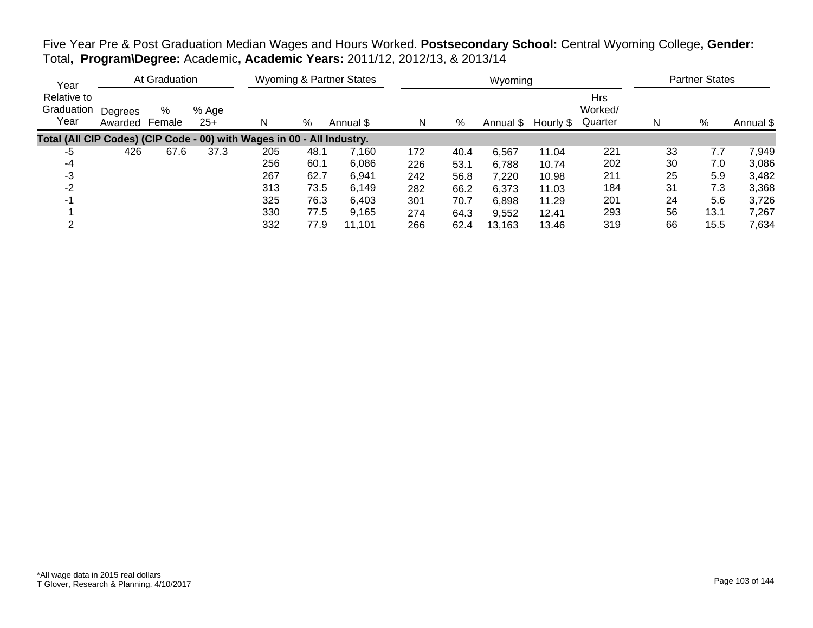Five Year Pre & Post Graduation Median Wages and Hours Worked. **Postsecondary School:** Central Wyoming College**, Gender:** Total**, Program\Degree:** Academic**, Academic Years:** 2011/12, 2012/13, & 2013/14

| Year                                                                   |                    | At Graduation |                |     |      | <b>Wyoming &amp; Partner States</b> |     |      | Wyoming   |           |                                  |    | <b>Partner States</b> |           |
|------------------------------------------------------------------------|--------------------|---------------|----------------|-----|------|-------------------------------------|-----|------|-----------|-----------|----------------------------------|----|-----------------------|-----------|
| Relative to<br>Graduation<br>Year                                      | Degrees<br>Awarded | %<br>Female   | % Age<br>$25+$ | N   | %    | Annual \$                           | N   | %    | Annual \$ | Hourly \$ | <b>Hrs</b><br>Worked/<br>Quarter | N  | %                     | Annual \$ |
| Total (All CIP Codes) (CIP Code - 00) with Wages in 00 - All Industry. |                    |               |                |     |      |                                     |     |      |           |           |                                  |    |                       |           |
| -5                                                                     | 426                | 67.6          | 37.3           | 205 | 48.1 | 7,160                               | 172 | 40.4 | 6,567     | 11.04     | 221                              | 33 | 7.7                   | 7,949     |
| -4                                                                     |                    |               |                | 256 | 60.1 | 6,086                               | 226 | 53.1 | 6,788     | 10.74     | 202                              | 30 | 7.0                   | 3,086     |
| -3                                                                     |                    |               |                | 267 | 62.7 | 6,941                               | 242 | 56.8 | 7,220     | 10.98     | 211                              | 25 | 5.9                   | 3,482     |
| $-2$                                                                   |                    |               |                | 313 | 73.5 | 6,149                               | 282 | 66.2 | 6,373     | 11.03     | 184                              | 31 | 7.3                   | 3,368     |
|                                                                        |                    |               |                | 325 | 76.3 | 6,403                               | 301 | 70.7 | 6,898     | 11.29     | 201                              | 24 | 5.6                   | 3,726     |
|                                                                        |                    |               |                | 330 | 77.5 | 9,165                               | 274 | 64.3 | 9,552     | 12.41     | 293                              | 56 | 13.1                  | 7,267     |
|                                                                        |                    |               |                | 332 | 77.9 | 11,101                              | 266 | 62.4 | 13,163    | 13.46     | 319                              | 66 | 15.5                  | 7,634     |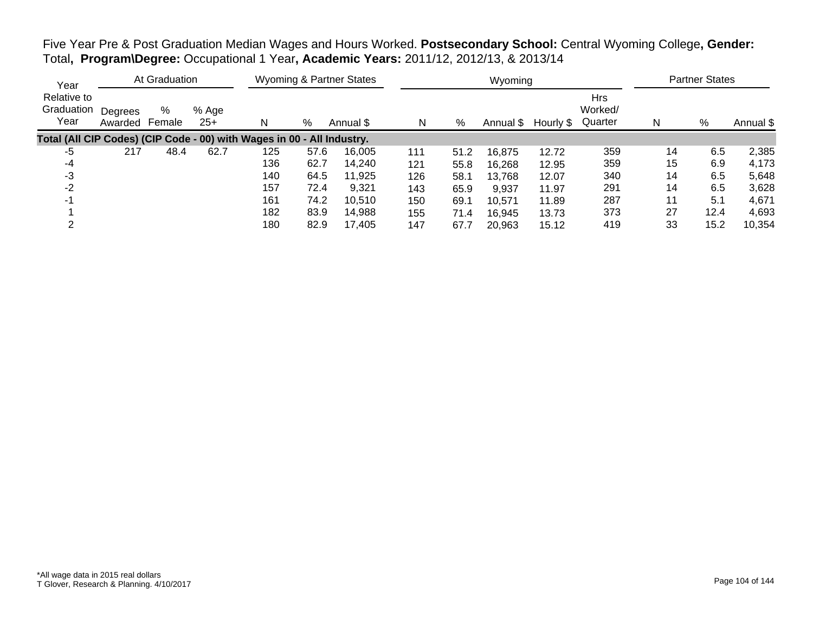Five Year Pre & Post Graduation Median Wages and Hours Worked. **Postsecondary School:** Central Wyoming College**, Gender:** Total**, Program\Degree:** Occupational 1 Year**, Academic Years:** 2011/12, 2012/13, & 2013/14

| Year                                                                   |                    | At Graduation |                |     |      | <b>Wyoming &amp; Partner States</b> |     |      | Wyoming   |           |                                  |    | <b>Partner States</b> |           |
|------------------------------------------------------------------------|--------------------|---------------|----------------|-----|------|-------------------------------------|-----|------|-----------|-----------|----------------------------------|----|-----------------------|-----------|
| Relative to<br>Graduation<br>Year                                      | Degrees<br>Awarded | %<br>Female   | % Age<br>$25+$ | N   | %    | Annual \$                           | N   | %    | Annual \$ | Hourly \$ | <b>Hrs</b><br>Worked/<br>Quarter | N  | %                     | Annual \$ |
| Total (All CIP Codes) (CIP Code - 00) with Wages in 00 - All Industry. |                    |               |                |     |      |                                     |     |      |           |           |                                  |    |                       |           |
| -5                                                                     | 217                | 48.4          | 62.7           | 125 | 57.6 | 16,005                              | 111 | 51.2 | 16,875    | 12.72     | 359                              | 14 | 6.5                   | 2,385     |
| -4                                                                     |                    |               |                | 136 | 62.7 | 14,240                              | 121 | 55.8 | 16,268    | 12.95     | 359                              | 15 | 6.9                   | 4,173     |
| -3                                                                     |                    |               |                | 140 | 64.5 | 11,925                              | 126 | 58.1 | 13,768    | 12.07     | 340                              | 14 | 6.5                   | 5,648     |
| $-2$                                                                   |                    |               |                | 157 | 72.4 | 9,321                               | 143 | 65.9 | 9,937     | 11.97     | 291                              | 14 | 6.5                   | 3,628     |
| -1                                                                     |                    |               |                | 161 | 74.2 | 10,510                              | 150 | 69.1 | 10,571    | 11.89     | 287                              | 11 | 5.1                   | 4,671     |
|                                                                        |                    |               |                | 182 | 83.9 | 14,988                              | 155 | 71.4 | 16,945    | 13.73     | 373                              | 27 | 12.4                  | 4,693     |
|                                                                        |                    |               |                | 180 | 82.9 | 17,405                              | 147 | 67.7 | 20,963    | 15.12     | 419                              | 33 | 15.2                  | 10,354    |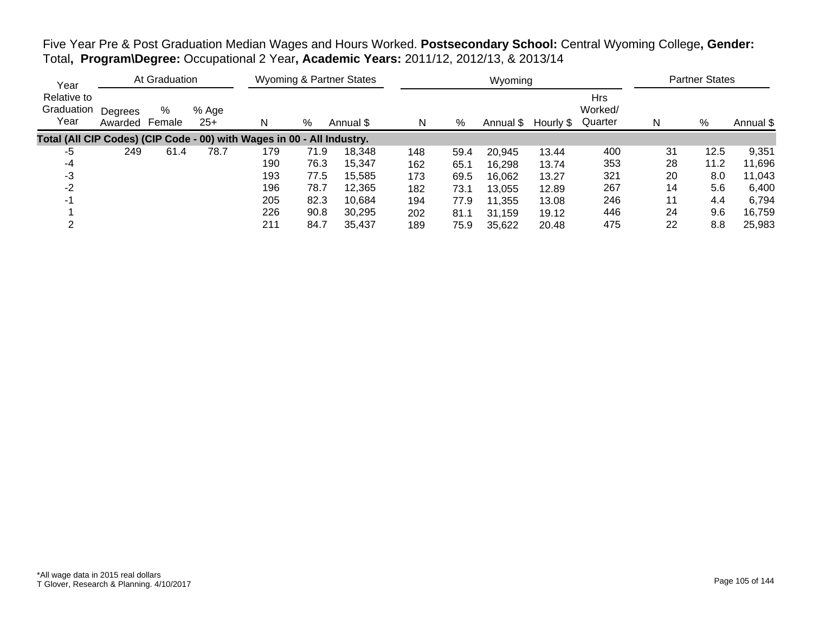Five Year Pre & Post Graduation Median Wages and Hours Worked. **Postsecondary School:** Central Wyoming College**, Gender:** Total**, Program\Degree:** Occupational 2 Year**, Academic Years:** 2011/12, 2012/13, & 2013/14

| Year                                                                   |                    | At Graduation |                |     |      | <b>Wyoming &amp; Partner States</b> |     |      | Wyoming   |           |                                  |    | <b>Partner States</b> |           |
|------------------------------------------------------------------------|--------------------|---------------|----------------|-----|------|-------------------------------------|-----|------|-----------|-----------|----------------------------------|----|-----------------------|-----------|
| Relative to<br>Graduation<br>Year                                      | Degrees<br>Awarded | %<br>Female   | % Age<br>$25+$ |     | %    | Annual \$                           | N   | %    | Annual \$ | Hourly \$ | <b>Hrs</b><br>Worked/<br>Quarter | N  | %                     | Annual \$ |
| Total (All CIP Codes) (CIP Code - 00) with Wages in 00 - All Industry. |                    |               |                |     |      |                                     |     |      |           |           |                                  |    |                       |           |
| -5                                                                     | 249                | 61.4          | 78.7           | 179 | 71.9 | 18,348                              | 148 | 59.4 | 20,945    | 13.44     | 400                              | 31 | 12.5                  | 9,351     |
| -4                                                                     |                    |               |                | 190 | 76.3 | 15.347                              | 162 | 65.1 | 16,298    | 13.74     | 353                              | 28 | 11.2                  | 11,696    |
| -3                                                                     |                    |               |                | 193 | 77.5 | 15,585                              | 173 | 69.5 | 16,062    | 13.27     | 321                              | 20 | 8.0                   | 11,043    |
| $-2$                                                                   |                    |               |                | 196 | 78.7 | 12,365                              | 182 | 73.1 | 13,055    | 12.89     | 267                              | 14 | 5.6                   | 6,400     |
| -1                                                                     |                    |               |                | 205 | 82.3 | 10.684                              | 194 | 77.9 | 11,355    | 13.08     | 246                              | 11 | 4.4                   | 6,794     |
|                                                                        |                    |               |                | 226 | 90.8 | 30.295                              | 202 | 81.1 | 31,159    | 19.12     | 446                              | 24 | 9.6                   | 16,759    |
|                                                                        |                    |               |                | 211 | 84.7 | 35,437                              | 189 | 75.9 | 35,622    | 20.48     | 475                              | 22 | 8.8                   | 25,983    |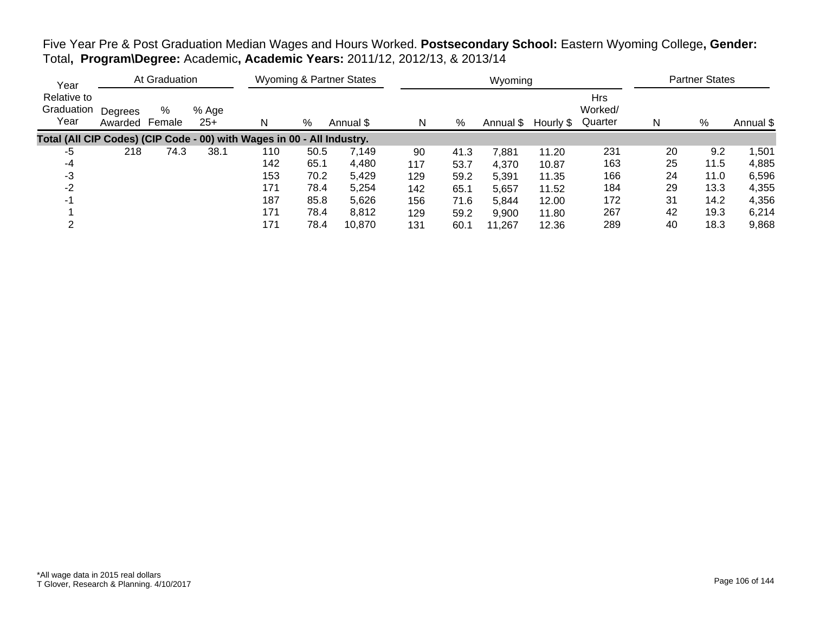Five Year Pre & Post Graduation Median Wages and Hours Worked. **Postsecondary School:** Eastern Wyoming College**, Gender:** Total**, Program\Degree:** Academic**, Academic Years:** 2011/12, 2012/13, & 2013/14

| Year                                                                   | At Graduation      |             |                | <b>Wyoming &amp; Partner States</b> |      |           |     |      | Wyoming   | <b>Partner States</b> |                                  |    |      |           |
|------------------------------------------------------------------------|--------------------|-------------|----------------|-------------------------------------|------|-----------|-----|------|-----------|-----------------------|----------------------------------|----|------|-----------|
| Relative to<br>Graduation<br>Year                                      | Degrees<br>Awarded | %<br>Female | % Age<br>$25+$ |                                     | %    | Annual \$ | N   | %    | Annual \$ | Hourly \$             | <b>Hrs</b><br>Worked/<br>Quarter | N  | %    | Annual \$ |
| Total (All CIP Codes) (CIP Code - 00) with Wages in 00 - All Industry. |                    |             |                |                                     |      |           |     |      |           |                       |                                  |    |      |           |
| -5                                                                     | 218                | 74.3        | 38.1           | 110                                 | 50.5 | 7.149     | 90  | 41.3 | 7.881     | 11.20                 | 231                              | 20 | 9.2  | ,501      |
| -4                                                                     |                    |             |                | 142                                 | 65.1 | 4,480     | 117 | 53.7 | 4,370     | 10.87                 | 163                              | 25 | 11.5 | 4,885     |
| -3                                                                     |                    |             |                | 153                                 | 70.2 | 5,429     | 129 | 59.2 | 5,391     | 11.35                 | 166                              | 24 | 11.0 | 6,596     |
| -2                                                                     |                    |             |                | 171                                 | 78.4 | 5,254     | 142 | 65.1 | 5,657     | 11.52                 | 184                              | 29 | 13.3 | 4,355     |
|                                                                        |                    |             |                | 187                                 | 85.8 | 5,626     | 156 | 71.6 | 5,844     | 12.00                 | 172                              | 31 | 14.2 | 4,356     |
|                                                                        |                    |             |                | 171                                 | 78.4 | 8,812     | 129 | 59.2 | 9,900     | 11.80                 | 267                              | 42 | 19.3 | 6,214     |
|                                                                        |                    |             |                | 171                                 | 78.4 | 10,870    | 131 | 60.1 | 11.267    | 12.36                 | 289                              | 40 | 18.3 | 9,868     |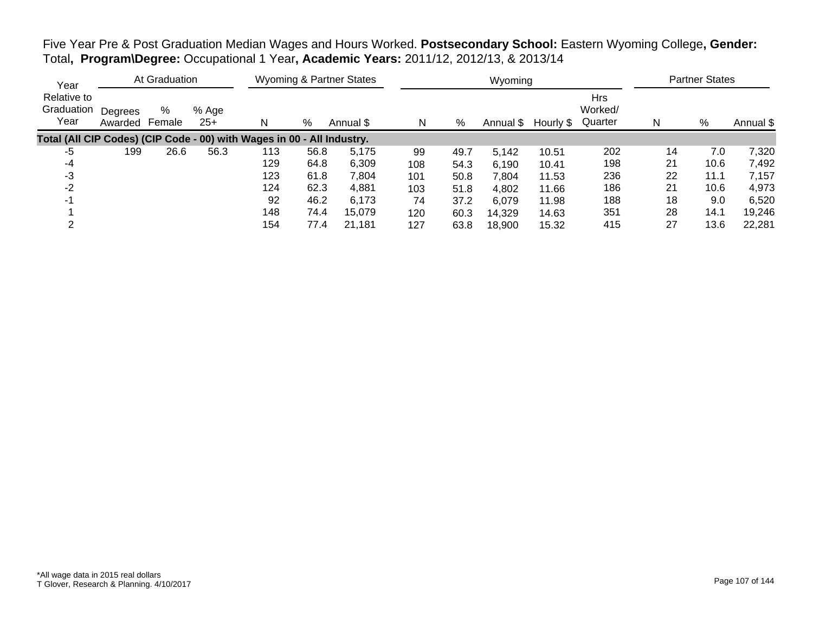Five Year Pre & Post Graduation Median Wages and Hours Worked. **Postsecondary School:** Eastern Wyoming College**, Gender:** Total**, Program\Degree:** Occupational 1 Year**, Academic Years:** 2011/12, 2012/13, & 2013/14

| Year                                                                   | At Graduation      |             |                | <b>Wyoming &amp; Partner States</b> |      |           |     |      | Wyoming   | <b>Partner States</b> |                                  |    |      |           |
|------------------------------------------------------------------------|--------------------|-------------|----------------|-------------------------------------|------|-----------|-----|------|-----------|-----------------------|----------------------------------|----|------|-----------|
| Relative to<br>Graduation<br>Year                                      | Degrees<br>Awarded | %<br>Female | % Age<br>$25+$ |                                     | %    | Annual \$ | N   | %    | Annual \$ | Hourly \$             | <b>Hrs</b><br>Worked/<br>Quarter | N  | %    | Annual \$ |
| Total (All CIP Codes) (CIP Code - 00) with Wages in 00 - All Industry. |                    |             |                |                                     |      |           |     |      |           |                       |                                  |    |      |           |
| -5                                                                     | 199                | 26.6        | 56.3           | 113                                 | 56.8 | 5,175     | 99  | 49.7 | 5.142     | 10.51                 | 202                              | 14 | 7.0  | 7,320     |
| -4                                                                     |                    |             |                | 129                                 | 64.8 | 6,309     | 108 | 54.3 | 6,190     | 10.41                 | 198                              | 21 | 10.6 | 7,492     |
| -3                                                                     |                    |             |                | 123                                 | 61.8 | 7,804     | 101 | 50.8 | 7,804     | 11.53                 | 236                              | 22 | 11.1 | 7,157     |
| $-2$                                                                   |                    |             |                | 124                                 | 62.3 | 4,881     | 103 | 51.8 | 4,802     | 11.66                 | 186                              | 21 | 10.6 | 4,973     |
| -1                                                                     |                    |             |                | 92                                  | 46.2 | 6,173     | 74  | 37.2 | 6,079     | 11.98                 | 188                              | 18 | 9.0  | 6,520     |
|                                                                        |                    |             |                | 148                                 | 74.4 | 15.079    | 120 | 60.3 | 14,329    | 14.63                 | 351                              | 28 | 14.1 | 19,246    |
|                                                                        |                    |             |                | 154                                 | 77.4 | 21.181    | 127 | 63.8 | 18,900    | 15.32                 | 415                              | 27 | 13.6 | 22,281    |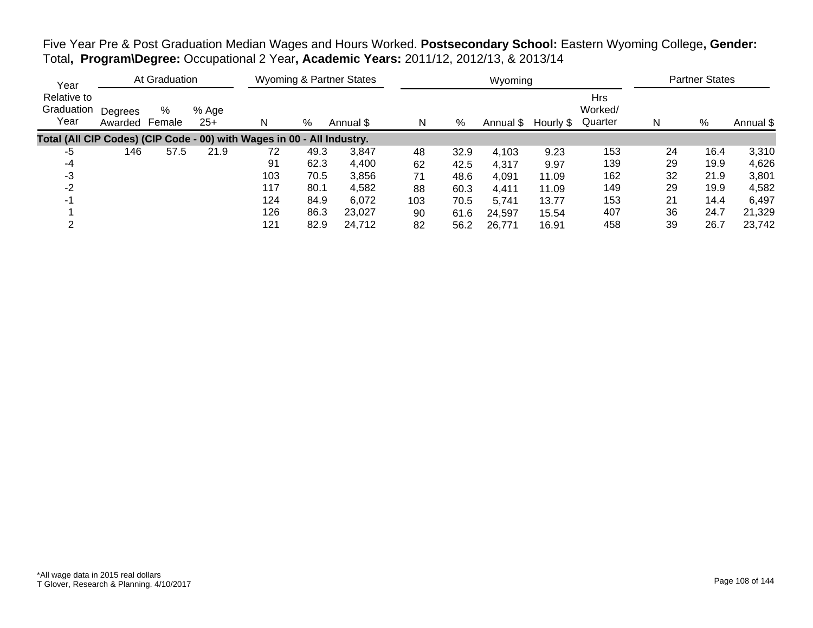Five Year Pre & Post Graduation Median Wages and Hours Worked. **Postsecondary School:** Eastern Wyoming College**, Gender:** Total**, Program\Degree:** Occupational 2 Year**, Academic Years:** 2011/12, 2012/13, & 2013/14

| Year                                                                   |                    | At Graduation |                | Wyoming & Partner States |      |           |     |      | Wyoming   | <b>Partner States</b> |                                  |    |      |           |
|------------------------------------------------------------------------|--------------------|---------------|----------------|--------------------------|------|-----------|-----|------|-----------|-----------------------|----------------------------------|----|------|-----------|
| Relative to<br>Graduation<br>Year                                      | Degrees<br>Awarded | %<br>Female   | % Age<br>$25+$ |                          | %    | Annual \$ | N   | %    | Annual \$ | Hourly \$             | <b>Hrs</b><br>Worked/<br>Quarter | N  | %    | Annual \$ |
| Total (All CIP Codes) (CIP Code - 00) with Wages in 00 - All Industry. |                    |               |                |                          |      |           |     |      |           |                       |                                  |    |      |           |
| -5                                                                     | 146                | 57.5          | 21.9           | 72                       | 49.3 | 3,847     | 48  | 32.9 | 4,103     | 9.23                  | 153                              | 24 | 16.4 | 3,310     |
| -4                                                                     |                    |               |                | 91                       | 62.3 | 4,400     | 62  | 42.5 | 4,317     | 9.97                  | 139                              | 29 | 19.9 | 4,626     |
| -3                                                                     |                    |               |                | 103                      | 70.5 | 3,856     | 71  | 48.6 | 4,091     | 11.09                 | 162                              | 32 | 21.9 | 3,801     |
| -2                                                                     |                    |               |                | 117                      | 80.1 | 4,582     | 88  | 60.3 | 4,411     | 11.09                 | 149                              | 29 | 19.9 | 4,582     |
| -1                                                                     |                    |               |                | 124                      | 84.9 | 6,072     | 103 | 70.5 | 5,741     | 13.77                 | 153                              | 21 | 14.4 | 6,497     |
|                                                                        |                    |               |                | 126                      | 86.3 | 23.027    | 90  | 61.6 | 24,597    | 15.54                 | 407                              | 36 | 24.7 | 21,329    |
|                                                                        |                    |               |                | 121                      | 82.9 | 24.712    | 82  | 56.2 | 26,771    | 16.91                 | 458                              | 39 | 26.7 | 23,742    |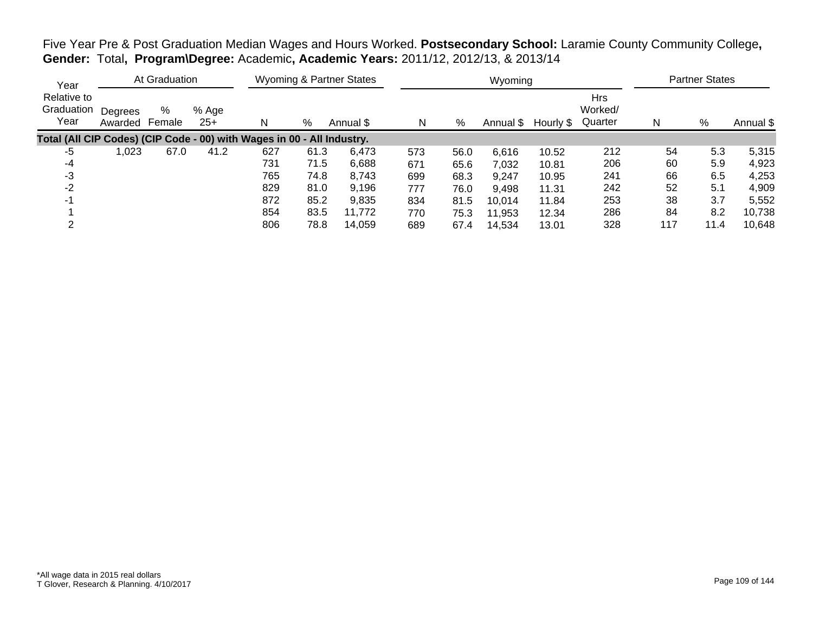| Five Year Pre & Post Graduation Median Wages and Hours Worked. Postsecondary School: Laramie County Community College, |  |
|------------------------------------------------------------------------------------------------------------------------|--|
| Gender: Total, Program\Degree: Academic, Academic Years: 2011/12, 2012/13, & 2013/14                                   |  |

| Year                                                                   |                    | At Graduation |                |     |      | <b>Wyoming &amp; Partner States</b> |     |      | Wyoming   |           |                                  |     | <b>Partner States</b> |           |
|------------------------------------------------------------------------|--------------------|---------------|----------------|-----|------|-------------------------------------|-----|------|-----------|-----------|----------------------------------|-----|-----------------------|-----------|
| Relative to<br>Graduation<br>Year                                      | Degrees<br>Awarded | %<br>Female   | % Age<br>$25+$ | N   | %    | Annual \$                           | N   | %    | Annual \$ | Hourly \$ | <b>Hrs</b><br>Worked/<br>Quarter | N   | %                     | Annual \$ |
| Total (All CIP Codes) (CIP Code - 00) with Wages in 00 - All Industry. |                    |               |                |     |      |                                     |     |      |           |           |                                  |     |                       |           |
| -5                                                                     | ,023               | 67.0          | 41.2           | 627 | 61.3 | 6,473                               | 573 | 56.0 | 6,616     | 10.52     | 212                              | 54  | 5.3                   | 5,315     |
| -4                                                                     |                    |               |                | 731 | 71.5 | 6,688                               | 671 | 65.6 | 7,032     | 10.81     | 206                              | 60  | 5.9                   | 4,923     |
| -3                                                                     |                    |               |                | 765 | 74.8 | 8,743                               | 699 | 68.3 | 9,247     | 10.95     | 241                              | 66  | 6.5                   | 4,253     |
| $-2$                                                                   |                    |               |                | 829 | 81.0 | 9,196                               | 777 | 76.0 | 9,498     | 11.31     | 242                              | 52  | 5.1                   | 4,909     |
|                                                                        |                    |               |                | 872 | 85.2 | 9,835                               | 834 | 81.5 | 10,014    | 11.84     | 253                              | 38  | 3.7                   | 5,552     |
|                                                                        |                    |               |                | 854 | 83.5 | 11,772                              | 770 | 75.3 | 11,953    | 12.34     | 286                              | 84  | 8.2                   | 10,738    |
|                                                                        |                    |               |                | 806 | 78.8 | 14.059                              | 689 | 67.4 | 14,534    | 13.01     | 328                              | 117 | 11.4                  | 10,648    |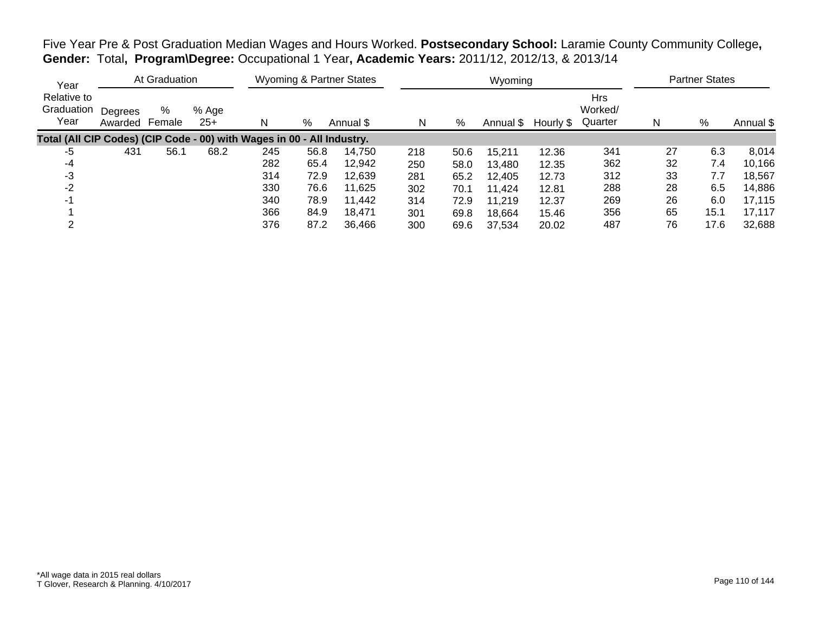Five Year Pre & Post Graduation Median Wages and Hours Worked. **Postsecondary School:** Laramie County Community College**, Gender:** Total**, Program\Degree:** Occupational 1 Year**, Academic Years:** 2011/12, 2012/13, & 2013/14

| Year                                                                   |                    | At Graduation |                |     |      | Wyoming & Partner States |     |      | Wyoming   |           |                                  |    | <b>Partner States</b> |           |
|------------------------------------------------------------------------|--------------------|---------------|----------------|-----|------|--------------------------|-----|------|-----------|-----------|----------------------------------|----|-----------------------|-----------|
| Relative to<br>Graduation<br>Year                                      | Degrees<br>Awarded | %<br>Female   | % Age<br>$25+$ | N   | %    | Annual \$                | N   | %    | Annual \$ | Hourly \$ | <b>Hrs</b><br>Worked/<br>Quarter | N  | %                     | Annual \$ |
| Total (All CIP Codes) (CIP Code - 00) with Wages in 00 - All Industry. |                    |               |                |     |      |                          |     |      |           |           |                                  |    |                       |           |
| -5                                                                     | 431                | 56.1          | 68.2           | 245 | 56.8 | 14.750                   | 218 | 50.6 | 15,211    | 12.36     | 341                              | 27 | 6.3                   | 8,014     |
| -4                                                                     |                    |               |                | 282 | 65.4 | 12,942                   | 250 | 58.0 | 13,480    | 12.35     | 362                              | 32 | 7.4                   | 10,166    |
| -3                                                                     |                    |               |                | 314 | 72.9 | 12,639                   | 281 | 65.2 | 12,405    | 12.73     | 312                              | 33 | 7.7                   | 18,567    |
| -2                                                                     |                    |               |                | 330 | 76.6 | 11,625                   | 302 | 70.1 | 11,424    | 12.81     | 288                              | 28 | 6.5                   | 14,886    |
| -1                                                                     |                    |               |                | 340 | 78.9 | 11.442                   | 314 | 72.9 | 11,219    | 12.37     | 269                              | 26 | 6.0                   | 17,115    |
|                                                                        |                    |               |                | 366 | 84.9 | 18.471                   | 301 | 69.8 | 18.664    | 15.46     | 356                              | 65 | 15.1                  | 17,117    |
|                                                                        |                    |               |                | 376 | 87.2 | 36,466                   | 300 | 69.6 | 37.534    | 20.02     | 487                              | 76 | 17.6                  | 32,688    |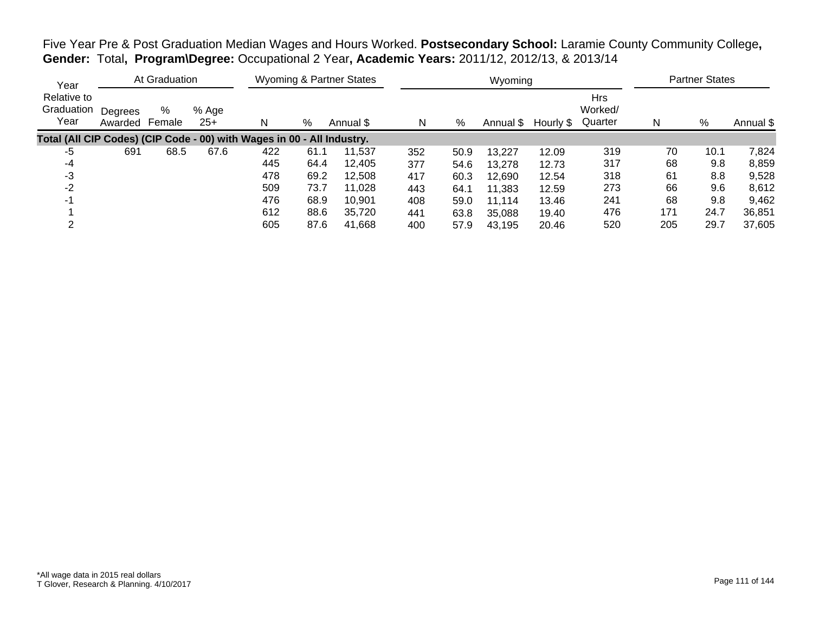Five Year Pre & Post Graduation Median Wages and Hours Worked. **Postsecondary School:** Laramie County Community College**, Gender:** Total**, Program\Degree:** Occupational 2 Year**, Academic Years:** 2011/12, 2012/13, & 2013/14

| Year                                                                   |                    | At Graduation |                |     |      | Wyoming & Partner States |     |      | Wyoming   |           |                                  |     | <b>Partner States</b> |           |
|------------------------------------------------------------------------|--------------------|---------------|----------------|-----|------|--------------------------|-----|------|-----------|-----------|----------------------------------|-----|-----------------------|-----------|
| Relative to<br>Graduation<br>Year                                      | Degrees<br>Awarded | %<br>Female   | % Age<br>$25+$ | N   | %    | Annual \$                | N   | %    | Annual \$ | Hourly \$ | <b>Hrs</b><br>Worked/<br>Quarter | N   | $\%$                  | Annual \$ |
| Total (All CIP Codes) (CIP Code - 00) with Wages in 00 - All Industry. |                    |               |                |     |      |                          |     |      |           |           |                                  |     |                       |           |
| -5                                                                     | 691                | 68.5          | 67.6           | 422 | 61.1 | 11.537                   | 352 | 50.9 | 13,227    | 12.09     | 319                              | 70  | 10.1                  | 7,824     |
| -4                                                                     |                    |               |                | 445 | 64.4 | 12.405                   | 377 | 54.6 | 13,278    | 12.73     | 317                              | 68  | 9.8                   | 8,859     |
| -3                                                                     |                    |               |                | 478 | 69.2 | 12,508                   | 417 | 60.3 | 12,690    | 12.54     | 318                              | 61  | 8.8                   | 9,528     |
| -2                                                                     |                    |               |                | 509 | 73.7 | 11,028                   | 443 | 64.1 | 11,383    | 12.59     | 273                              | 66  | 9.6                   | 8,612     |
| -1                                                                     |                    |               |                | 476 | 68.9 | 10.901                   | 408 | 59.0 | 11,114    | 13.46     | 241                              | 68  | 9.8                   | 9,462     |
|                                                                        |                    |               |                | 612 | 88.6 | 35.720                   | 441 | 63.8 | 35,088    | 19.40     | 476                              | 171 | 24.7                  | 36,851    |
| ◠                                                                      |                    |               |                | 605 | 87.6 | 41,668                   | 400 | 57.9 | 43.195    | 20.46     | 520                              | 205 | 29.7                  | 37,605    |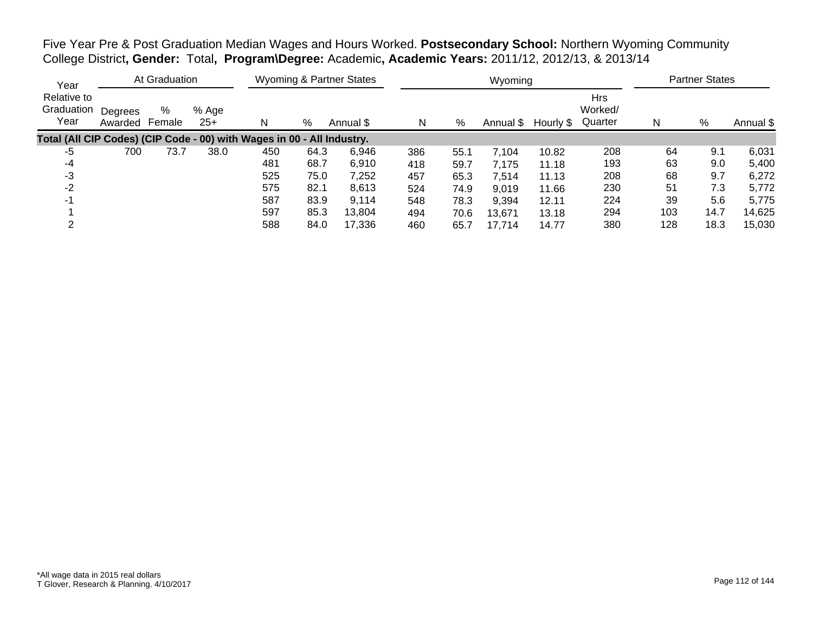Five Year Pre & Post Graduation Median Wages and Hours Worked. **Postsecondary School:** Northern Wyoming Community College District**, Gender:** Total**, Program\Degree:** Academic**, Academic Years:** 2011/12, 2012/13, & 2013/14

| Year                                                                   |                    | At Graduation |                |     |      | <b>Wyoming &amp; Partner States</b> |     |      | Wyoming   |           |                                  |     | <b>Partner States</b> |           |
|------------------------------------------------------------------------|--------------------|---------------|----------------|-----|------|-------------------------------------|-----|------|-----------|-----------|----------------------------------|-----|-----------------------|-----------|
| Relative to<br>Graduation<br>Year                                      | Degrees<br>Awarded | %<br>Female   | % Age<br>$25+$ |     | %    | Annual \$                           | N   | %    | Annual \$ | Hourly \$ | <b>Hrs</b><br>Worked/<br>Quarter | N   | %                     | Annual \$ |
| Total (All CIP Codes) (CIP Code - 00) with Wages in 00 - All Industry. |                    |               |                |     |      |                                     |     |      |           |           |                                  |     |                       |           |
| -5                                                                     | 700                | 73.7          | 38.0           | 450 | 64.3 | 6,946                               | 386 | 55.1 | 7,104     | 10.82     | 208                              | 64  | 9.1                   | 6,031     |
| -4                                                                     |                    |               |                | 481 | 68.7 | 6,910                               | 418 | 59.7 | 7,175     | 11.18     | 193                              | 63  | 9.0                   | 5,400     |
| -3                                                                     |                    |               |                | 525 | 75.0 | 7,252                               | 457 | 65.3 | 7,514     | 11.13     | 208                              | 68  | 9.7                   | 6,272     |
| -2                                                                     |                    |               |                | 575 | 82.1 | 8,613                               | 524 | 74.9 | 9,019     | 11.66     | 230                              | 51  | 7.3                   | 5,772     |
| -1                                                                     |                    |               |                | 587 | 83.9 | 9,114                               | 548 | 78.3 | 9.394     | 12.11     | 224                              | 39  | 5.6                   | 5,775     |
|                                                                        |                    |               |                | 597 | 85.3 | 13,804                              | 494 | 70.6 | 13,671    | 13.18     | 294                              | 103 | 14.7                  | 14,625    |
|                                                                        |                    |               |                | 588 | 84.0 | 17,336                              | 460 | 65.7 | 17.714    | 14.77     | 380                              | 128 | 18.3                  | 15,030    |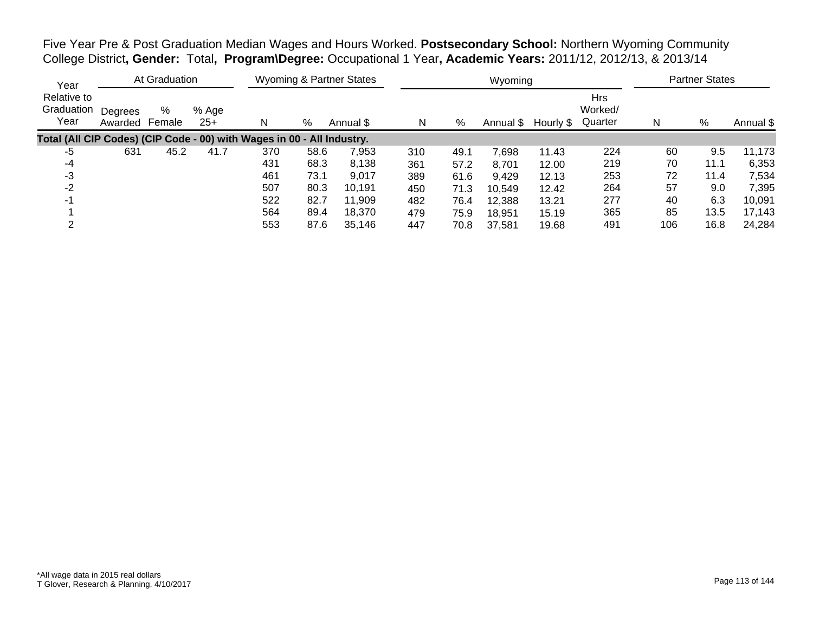Five Year Pre & Post Graduation Median Wages and Hours Worked. **Postsecondary School:** Northern Wyoming Community College District**, Gender:** Total**, Program\Degree:** Occupational 1 Year**, Academic Years:** 2011/12, 2012/13, & 2013/14

| Year                                                                   |                    | At Graduation |                |     |      | <b>Wyoming &amp; Partner States</b> |     |      | Wyoming   |           |                                  |     | <b>Partner States</b> |           |
|------------------------------------------------------------------------|--------------------|---------------|----------------|-----|------|-------------------------------------|-----|------|-----------|-----------|----------------------------------|-----|-----------------------|-----------|
| Relative to<br>Graduation<br>Year                                      | Degrees<br>Awarded | %<br>Female   | % Age<br>$25+$ | N   | %    | Annual \$                           | N   | %    | Annual \$ | Hourly \$ | <b>Hrs</b><br>Worked/<br>Quarter | N   | %                     | Annual \$ |
| Total (All CIP Codes) (CIP Code - 00) with Wages in 00 - All Industry. |                    |               |                |     |      |                                     |     |      |           |           |                                  |     |                       |           |
| -5                                                                     | 631                | 45.2          | 41.7           | 370 | 58.6 | 7,953                               | 310 | 49.1 | 7.698     | 11.43     | 224                              | 60  | 9.5                   | 11,173    |
| -4                                                                     |                    |               |                | 431 | 68.3 | 8,138                               | 361 | 57.2 | 8,701     | 12.00     | 219                              | 70  | 11.1                  | 6,353     |
| -3                                                                     |                    |               |                | 461 | 73.1 | 9,017                               | 389 | 61.6 | 9,429     | 12.13     | 253                              | 72  | 11.4                  | 7,534     |
| $-2$                                                                   |                    |               |                | 507 | 80.3 | 10.191                              | 450 | 71.3 | 10,549    | 12.42     | 264                              | 57  | 9.0                   | 7,395     |
| $-1$                                                                   |                    |               |                | 522 | 82.7 | 11,909                              | 482 | 76.4 | 12,388    | 13.21     | 277                              | 40  | 6.3                   | 10,091    |
|                                                                        |                    |               |                | 564 | 89.4 | 18.370                              | 479 | 75.9 | 18,951    | 15.19     | 365                              | 85  | 13.5                  | 17,143    |
|                                                                        |                    |               |                | 553 | 87.6 | 35,146                              | 447 | 70.8 | 37.581    | 19.68     | 491                              | 106 | 16.8                  | 24,284    |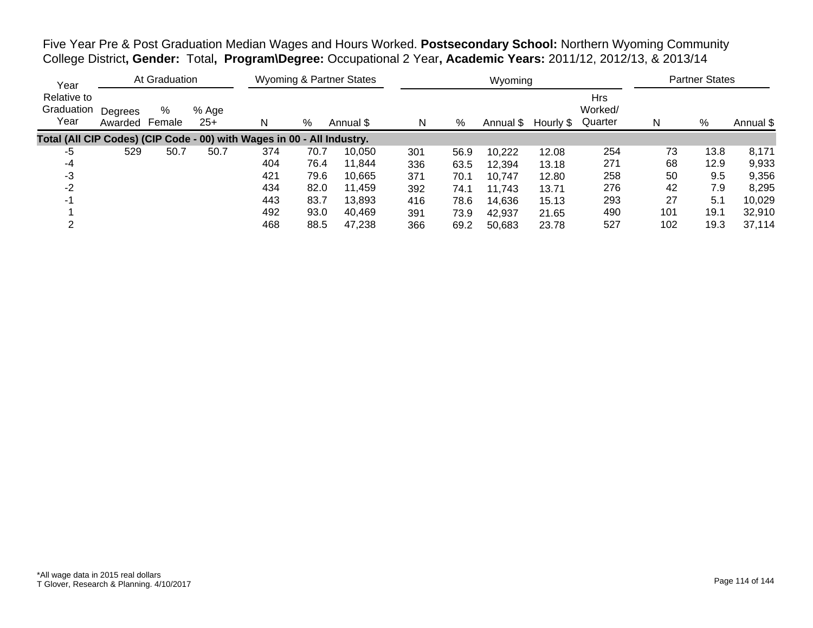Five Year Pre & Post Graduation Median Wages and Hours Worked. **Postsecondary School:** Northern Wyoming Community College District**, Gender:** Total**, Program\Degree:** Occupational 2 Year**, Academic Years:** 2011/12, 2012/13, & 2013/14

| Year                                                                   |                    | At Graduation |                |     |      | <b>Wyoming &amp; Partner States</b> |     |      | Wyoming   |           |                                  |     | <b>Partner States</b> |           |
|------------------------------------------------------------------------|--------------------|---------------|----------------|-----|------|-------------------------------------|-----|------|-----------|-----------|----------------------------------|-----|-----------------------|-----------|
| Relative to<br>Graduation<br>Year                                      | Degrees<br>Awarded | %<br>Female   | % Age<br>$25+$ | N   | %    | Annual \$                           | N   | %    | Annual \$ | Hourly \$ | <b>Hrs</b><br>Worked/<br>Quarter | N   | %                     | Annual \$ |
| Total (All CIP Codes) (CIP Code - 00) with Wages in 00 - All Industry. |                    |               |                |     |      |                                     |     |      |           |           |                                  |     |                       |           |
| -5                                                                     | 529                | 50.7          | 50.7           | 374 | 70.7 | 10,050                              | 301 | 56.9 | 10,222    | 12.08     | 254                              | 73  | 13.8                  | 8,171     |
| -4                                                                     |                    |               |                | 404 | 76.4 | 11.844                              | 336 | 63.5 | 12,394    | 13.18     | 271                              | 68  | 12.9                  | 9,933     |
| -3                                                                     |                    |               |                | 421 | 79.6 | 10,665                              | 371 | 70.1 | 10,747    | 12.80     | 258                              | 50  | 9.5                   | 9,356     |
| $-2$                                                                   |                    |               |                | 434 | 82.0 | 11.459                              | 392 | 74.1 | 11,743    | 13.71     | 276                              | 42  | 7.9                   | 8,295     |
| $-1$                                                                   |                    |               |                | 443 | 83.7 | 13.893                              | 416 | 78.6 | 14,636    | 15.13     | 293                              | 27  | 5.1                   | 10,029    |
|                                                                        |                    |               |                | 492 | 93.0 | 40,469                              | 391 | 73.9 | 42,937    | 21.65     | 490                              | 101 | 19.1                  | 32,910    |
|                                                                        |                    |               |                | 468 | 88.5 | 47,238                              | 366 | 69.2 | 50,683    | 23.78     | 527                              | 102 | 19.3                  | 37,114    |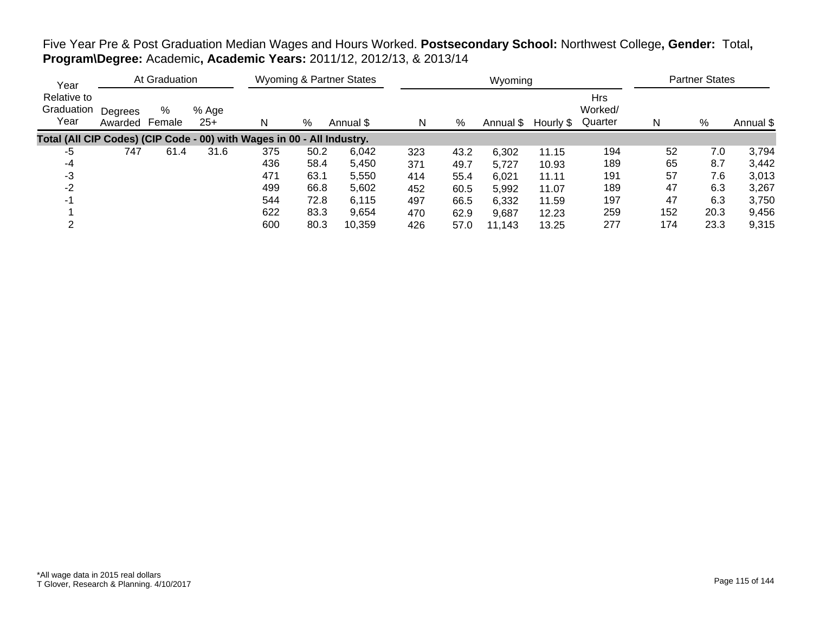## Five Year Pre & Post Graduation Median Wages and Hours Worked. **Postsecondary School:** Northwest College**, Gender:** Total**, Program\Degree:** Academic**, Academic Years:** 2011/12, 2012/13, & 2013/14

| Year                                                                   |                    | At Graduation |                |     |      | <b>Wyoming &amp; Partner States</b> |     |      | Wyoming   |           |                                  |     | <b>Partner States</b> |           |
|------------------------------------------------------------------------|--------------------|---------------|----------------|-----|------|-------------------------------------|-----|------|-----------|-----------|----------------------------------|-----|-----------------------|-----------|
| Relative to<br>Graduation<br>Year                                      | Degrees<br>Awarded | %<br>Female   | % Age<br>$25+$ | N   | %    | Annual \$                           | N   | %    | Annual \$ | Hourly \$ | <b>Hrs</b><br>Worked/<br>Quarter | N   | %                     | Annual \$ |
| Total (All CIP Codes) (CIP Code - 00) with Wages in 00 - All Industry. |                    |               |                |     |      |                                     |     |      |           |           |                                  |     |                       |           |
| -5                                                                     | 747                | 61.4          | 31.6           | 375 | 50.2 | 6,042                               | 323 | 43.2 | 6,302     | 11.15     | 194                              | 52  | 7.0                   | 3,794     |
| -4                                                                     |                    |               |                | 436 | 58.4 | 5,450                               | 371 | 49.7 | 5,727     | 10.93     | 189                              | 65  | 8.7                   | 3,442     |
| -3                                                                     |                    |               |                | 471 | 63.1 | 5,550                               | 414 | 55.4 | 6,021     | 11.11     | 191                              | 57  | 7.6                   | 3,013     |
| $-2$                                                                   |                    |               |                | 499 | 66.8 | 5,602                               | 452 | 60.5 | 5,992     | 11.07     | 189                              | 47  | 6.3                   | 3,267     |
| $-1$                                                                   |                    |               |                | 544 | 72.8 | 6,115                               | 497 | 66.5 | 6,332     | 11.59     | 197                              | 47  | 6.3                   | 3,750     |
|                                                                        |                    |               |                | 622 | 83.3 | 9,654                               | 470 | 62.9 | 9,687     | 12.23     | 259                              | 152 | 20.3                  | 9,456     |
|                                                                        |                    |               |                | 600 | 80.3 | 10,359                              | 426 | 57.0 | 11.143    | 13.25     | 277                              | 174 | 23.3                  | 9,315     |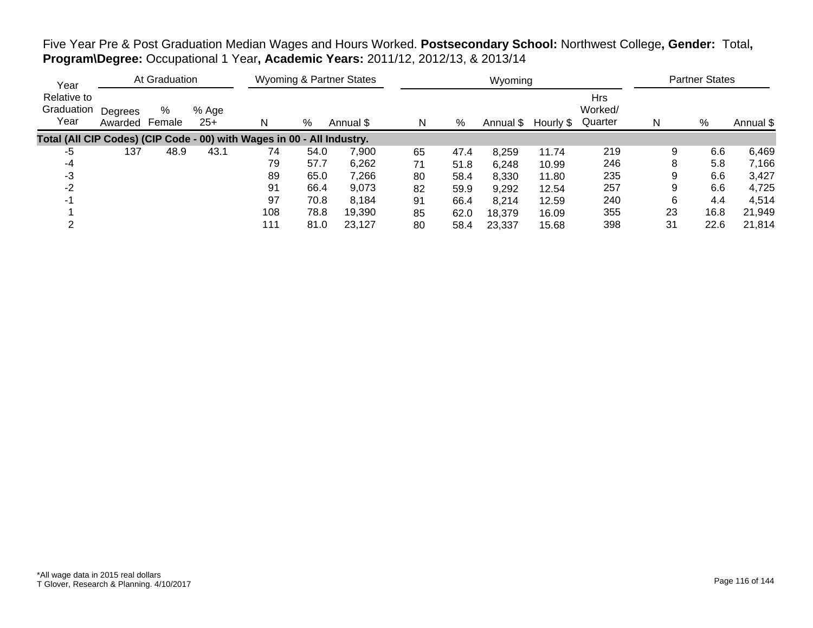Five Year Pre & Post Graduation Median Wages and Hours Worked. **Postsecondary School:** Northwest College**, Gender:** Total**, Program\Degree:** Occupational 1 Year**, Academic Years:** 2011/12, 2012/13, & 2013/14

| Year                                                                   |                    | At Graduation |                |     |      | <b>Wyoming &amp; Partner States</b> |    |      | Wyoming   |           |                                  |    | <b>Partner States</b> |           |
|------------------------------------------------------------------------|--------------------|---------------|----------------|-----|------|-------------------------------------|----|------|-----------|-----------|----------------------------------|----|-----------------------|-----------|
| Relative to<br>Graduation<br>Year                                      | Degrees<br>Awarded | %<br>Female   | % Age<br>$25+$ |     | %    | Annual \$                           | N  | %    | Annual \$ | Hourly \$ | <b>Hrs</b><br>Worked/<br>Quarter | N  | %                     | Annual \$ |
| Total (All CIP Codes) (CIP Code - 00) with Wages in 00 - All Industry. |                    |               |                |     |      |                                     |    |      |           |           |                                  |    |                       |           |
| -5                                                                     | 137                | 48.9          | 43.1           | 74  | 54.0 | 7,900                               | 65 | 47.4 | 8,259     | 11.74     | 219                              | 9  | 6.6                   | 6,469     |
| -4                                                                     |                    |               |                | 79  | 57.7 | 6,262                               | 71 | 51.8 | 6,248     | 10.99     | 246                              | 8  | 5.8                   | 7,166     |
| -3                                                                     |                    |               |                | 89  | 65.0 | 7,266                               | 80 | 58.4 | 8,330     | 11.80     | 235                              | 9  | 6.6                   | 3,427     |
| -2                                                                     |                    |               |                | 91  | 66.4 | 9,073                               | 82 | 59.9 | 9,292     | 12.54     | 257                              | 9  | 6.6                   | 4,725     |
|                                                                        |                    |               |                | 97  | 70.8 | 8.184                               | 91 | 66.4 | 8,214     | 12.59     | 240                              | 6  | 4.4                   | 4,514     |
|                                                                        |                    |               |                | 108 | 78.8 | 19,390                              | 85 | 62.0 | 18,379    | 16.09     | 355                              | 23 | 16.8                  | 21,949    |
|                                                                        |                    |               |                | 111 | 81.0 | 23.127                              | 80 | 58.4 | 23.337    | 15.68     | 398                              | 31 | 22.6                  | 21,814    |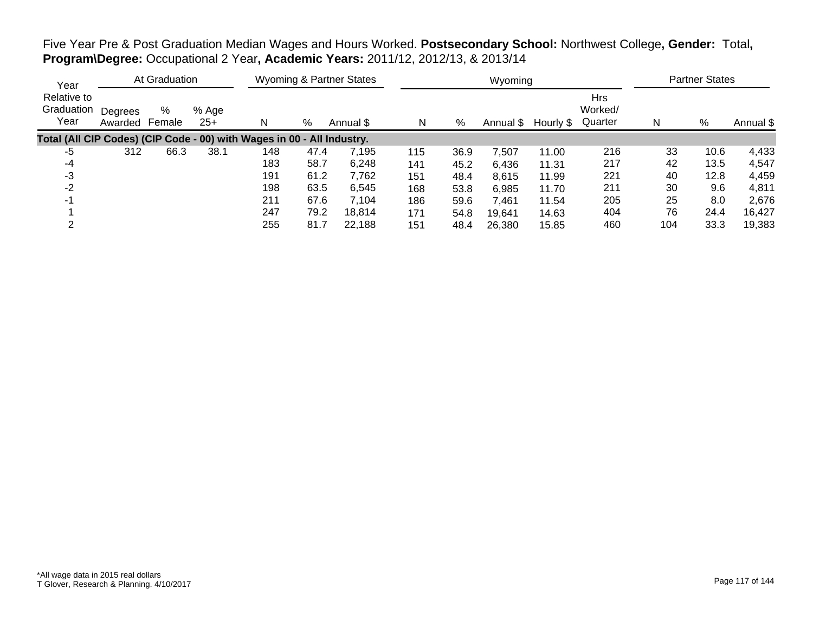Five Year Pre & Post Graduation Median Wages and Hours Worked. **Postsecondary School:** Northwest College**, Gender:** Total**, Program\Degree:** Occupational 2 Year**, Academic Years:** 2011/12, 2012/13, & 2013/14

| Year                                                                   |                    | At Graduation |                |     |      | <b>Wyoming &amp; Partner States</b> |     |      | Wyoming   |           |                                  |     | <b>Partner States</b> |           |
|------------------------------------------------------------------------|--------------------|---------------|----------------|-----|------|-------------------------------------|-----|------|-----------|-----------|----------------------------------|-----|-----------------------|-----------|
| Relative to<br>Graduation<br>Year                                      | Degrees<br>Awarded | %<br>Female   | % Age<br>$25+$ |     | %    | Annual \$                           | N   | %    | Annual \$ | Hourly \$ | <b>Hrs</b><br>Worked/<br>Quarter | N   | %                     | Annual \$ |
| Total (All CIP Codes) (CIP Code - 00) with Wages in 00 - All Industry. |                    |               |                |     |      |                                     |     |      |           |           |                                  |     |                       |           |
| -5                                                                     | 312                | 66.3          | 38.1           | 148 | 47.4 | 7,195                               | 115 | 36.9 | 7.507     | 11.00     | 216                              | 33  | 10.6                  | 4,433     |
| -4                                                                     |                    |               |                | 183 | 58.7 | 6,248                               | 141 | 45.2 | 6,436     | 11.31     | 217                              | 42  | 13.5                  | 4,547     |
| -3                                                                     |                    |               |                | 191 | 61.2 | 7,762                               | 151 | 48.4 | 8,615     | 11.99     | 221                              | 40  | 12.8                  | 4,459     |
| $-2$                                                                   |                    |               |                | 198 | 63.5 | 6,545                               | 168 | 53.8 | 6.985     | 11.70     | 211                              | 30  | 9.6                   | 4,811     |
| -1                                                                     |                    |               |                | 211 | 67.6 | 7,104                               | 186 | 59.6 | 7,461     | 11.54     | 205                              | 25  | 8.0                   | 2,676     |
|                                                                        |                    |               |                | 247 | 79.2 | 18.814                              | 171 | 54.8 | 19,641    | 14.63     | 404                              | 76  | 24.4                  | 16.427    |
|                                                                        |                    |               |                | 255 | 81.7 | 22,188                              | 151 | 48.4 | 26,380    | 15.85     | 460                              | 104 | 33.3                  | 19,383    |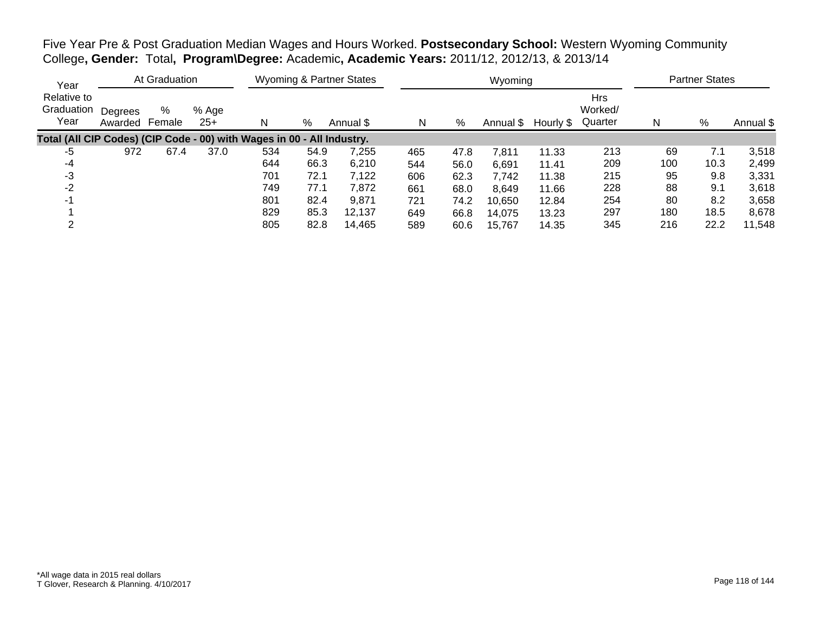Five Year Pre & Post Graduation Median Wages and Hours Worked. **Postsecondary School:** Western Wyoming Community College**, Gender:** Total**, Program\Degree:** Academic**, Academic Years:** 2011/12, 2012/13, & 2013/14

| Year                                                                   |                    | At Graduation |                |     |      | <b>Wyoming &amp; Partner States</b> |     |      | Wyoming   |           |                                  |     | <b>Partner States</b> |           |
|------------------------------------------------------------------------|--------------------|---------------|----------------|-----|------|-------------------------------------|-----|------|-----------|-----------|----------------------------------|-----|-----------------------|-----------|
| Relative to<br>Graduation<br>Year                                      | Degrees<br>Awarded | %<br>Female   | % Age<br>$25+$ | N   | %    | Annual \$                           | N   | %    | Annual \$ | Hourly \$ | <b>Hrs</b><br>Worked/<br>Quarter | N   | $\%$                  | Annual \$ |
| Total (All CIP Codes) (CIP Code - 00) with Wages in 00 - All Industry. |                    |               |                |     |      |                                     |     |      |           |           |                                  |     |                       |           |
| -5                                                                     | 972                | 67.4          | 37.0           | 534 | 54.9 | 7,255                               | 465 | 47.8 | 7,811     | 11.33     | 213                              | 69  | 7.1                   | 3,518     |
| -4                                                                     |                    |               |                | 644 | 66.3 | 6,210                               | 544 | 56.0 | 6,691     | 11.41     | 209                              | 100 | 10.3                  | 2,499     |
| -3                                                                     |                    |               |                | 701 | 72.1 | 7,122                               | 606 | 62.3 | 7,742     | 11.38     | 215                              | 95  | 9.8                   | 3,331     |
| $-2$                                                                   |                    |               |                | 749 | 77.1 | 7,872                               | 661 | 68.0 | 8,649     | 11.66     | 228                              | 88  | 9.1                   | 3,618     |
| -1                                                                     |                    |               |                | 801 | 82.4 | 9,871                               | 721 | 74.2 | 10,650    | 12.84     | 254                              | 80  | 8.2                   | 3,658     |
|                                                                        |                    |               |                | 829 | 85.3 | 12,137                              | 649 | 66.8 | 14,075    | 13.23     | 297                              | 180 | 18.5                  | 8,678     |
| ◠                                                                      |                    |               |                | 805 | 82.8 | 14.465                              | 589 | 60.6 | 15.767    | 14.35     | 345                              | 216 | 22.2                  | 11,548    |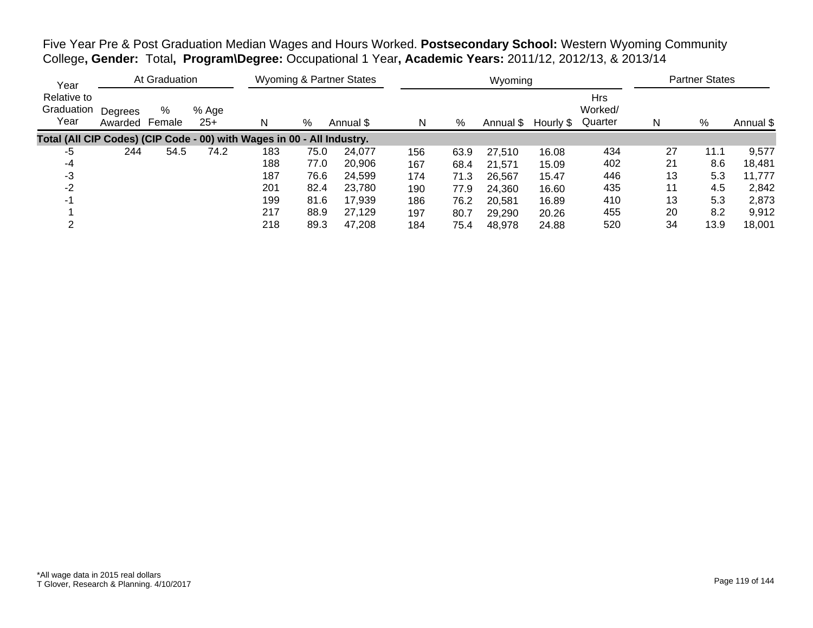Five Year Pre & Post Graduation Median Wages and Hours Worked. **Postsecondary School:** Western Wyoming Community College**, Gender:** Total**, Program\Degree:** Occupational 1 Year**, Academic Years:** 2011/12, 2012/13, & 2013/14

| Year                                                                   |                    | At Graduation |                |     |      | Wyoming & Partner States |     |      | Wyoming   |           |                                  |    | <b>Partner States</b> |           |
|------------------------------------------------------------------------|--------------------|---------------|----------------|-----|------|--------------------------|-----|------|-----------|-----------|----------------------------------|----|-----------------------|-----------|
| Relative to<br>Graduation<br>Year                                      | Degrees<br>Awarded | %<br>Female   | % Age<br>$25+$ | N   | %    | Annual \$                | N   | %    | Annual \$ | Hourly \$ | <b>Hrs</b><br>Worked/<br>Quarter | N  | %                     | Annual \$ |
| Total (All CIP Codes) (CIP Code - 00) with Wages in 00 - All Industry. |                    |               |                |     |      |                          |     |      |           |           |                                  |    |                       |           |
| -5                                                                     | 244                | 54.5          | 74.2           | 183 | 75.0 | 24,077                   | 156 | 63.9 | 27,510    | 16.08     | 434                              | 27 | 11.1                  | 9,577     |
| -4                                                                     |                    |               |                | 188 | 77.0 | 20,906                   | 167 | 68.4 | 21,571    | 15.09     | 402                              | 21 | 8.6                   | 18,481    |
| -3                                                                     |                    |               |                | 187 | 76.6 | 24,599                   | 174 | 71.3 | 26,567    | 15.47     | 446                              | 13 | 5.3                   | 11,777    |
| -2                                                                     |                    |               |                | 201 | 82.4 | 23,780                   | 190 | 77.9 | 24,360    | 16.60     | 435                              | 11 | 4.5                   | 2,842     |
| -1                                                                     |                    |               |                | 199 | 81.6 | 17,939                   | 186 | 76.2 | 20,581    | 16.89     | 410                              | 13 | 5.3                   | 2,873     |
|                                                                        |                    |               |                | 217 | 88.9 | 27.129                   | 197 | 80.7 | 29,290    | 20.26     | 455                              | 20 | 8.2                   | 9,912     |
|                                                                        |                    |               |                | 218 | 89.3 | 47,208                   | 184 | 75.4 | 48.978    | 24.88     | 520                              | 34 | 13.9                  | 18,001    |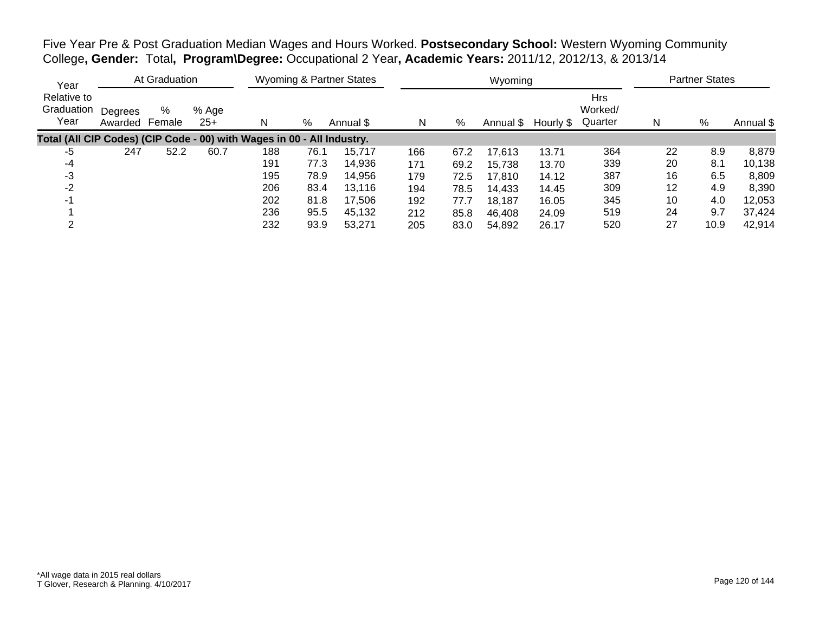Five Year Pre & Post Graduation Median Wages and Hours Worked. **Postsecondary School:** Western Wyoming Community College**, Gender:** Total**, Program\Degree:** Occupational 2 Year**, Academic Years:** 2011/12, 2012/13, & 2013/14

| Year                                                                   |                    | At Graduation |                |     |      | Wyoming & Partner States |     |      | Wyoming   |           |                                  |    | <b>Partner States</b> |           |
|------------------------------------------------------------------------|--------------------|---------------|----------------|-----|------|--------------------------|-----|------|-----------|-----------|----------------------------------|----|-----------------------|-----------|
| Relative to<br>Graduation<br>Year                                      | Degrees<br>Awarded | %<br>Female   | % Age<br>$25+$ | N   | %    | Annual \$                | N   | %    | Annual \$ | Hourly \$ | <b>Hrs</b><br>Worked/<br>Quarter | N  | %                     | Annual \$ |
| Total (All CIP Codes) (CIP Code - 00) with Wages in 00 - All Industry. |                    |               |                |     |      |                          |     |      |           |           |                                  |    |                       |           |
| -5                                                                     | 247                | 52.2          | 60.7           | 188 | 76.1 | 15,717                   | 166 | 67.2 | 17,613    | 13.71     | 364                              | 22 | 8.9                   | 8,879     |
| -4                                                                     |                    |               |                | 191 | 77.3 | 14,936                   | 171 | 69.2 | 15,738    | 13.70     | 339                              | 20 | 8.1                   | 10,138    |
| -3                                                                     |                    |               |                | 195 | 78.9 | 14,956                   | 179 | 72.5 | 17,810    | 14.12     | 387                              | 16 | 6.5                   | 8,809     |
| -2                                                                     |                    |               |                | 206 | 83.4 | 13,116                   | 194 | 78.5 | 14,433    | 14.45     | 309                              | 12 | 4.9                   | 8,390     |
| -1                                                                     |                    |               |                | 202 | 81.8 | 17,506                   | 192 | 77.7 | 18,187    | 16.05     | 345                              | 10 | 4.0                   | 12,053    |
|                                                                        |                    |               |                | 236 | 95.5 | 45,132                   | 212 | 85.8 | 46.408    | 24.09     | 519                              | 24 | 9.7                   | 37,424    |
|                                                                        |                    |               |                | 232 | 93.9 | 53,271                   | 205 | 83.0 | 54,892    | 26.17     | 520                              | 27 | 10.9                  | 42,914    |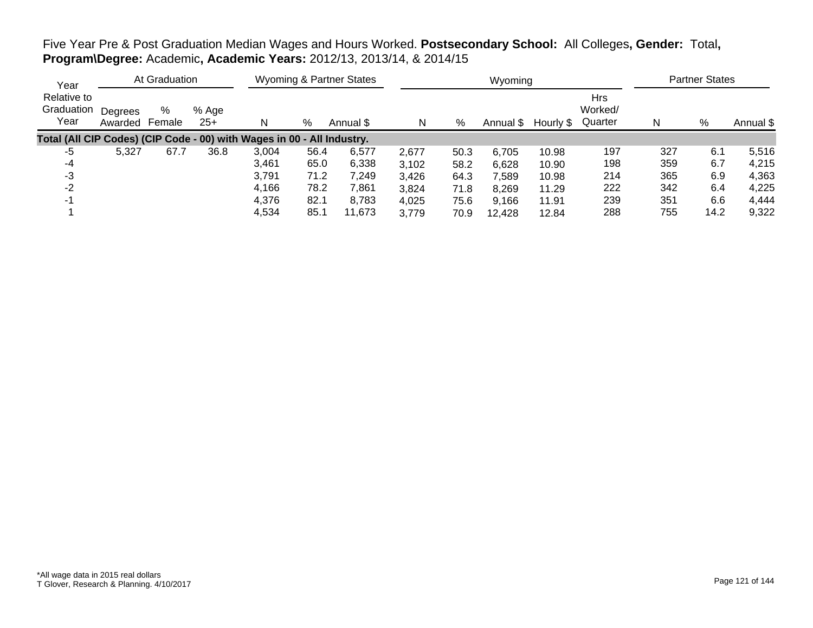## Five Year Pre & Post Graduation Median Wages and Hours Worked. **Postsecondary School:** All Colleges**, Gender:** Total**, Program\Degree:** Academic**, Academic Years:** 2012/13, 2013/14, & 2014/15

| Year                                                                   |                    | At Graduation |                |       |      | <b>Wyoming &amp; Partner States</b> |       |      | Wyoming   |           |                                  |     | <b>Partner States</b> |           |
|------------------------------------------------------------------------|--------------------|---------------|----------------|-------|------|-------------------------------------|-------|------|-----------|-----------|----------------------------------|-----|-----------------------|-----------|
| Relative to<br>Graduation<br>Year                                      | Degrees<br>Awarded | %<br>Female   | % Age<br>$25+$ | N     | %    | Annual \$                           | N     | %    | Annual \$ | Hourly \$ | <b>Hrs</b><br>Worked/<br>Quarter | N   | %                     | Annual \$ |
| Total (All CIP Codes) (CIP Code - 00) with Wages in 00 - All Industry. |                    |               |                |       |      |                                     |       |      |           |           |                                  |     |                       |           |
| -5                                                                     | 5,327              | 67.7          | 36.8           | 3,004 | 56.4 | 6,577                               | 2,677 | 50.3 | 6,705     | 10.98     | 197                              | 327 | 6.1                   | 5,516     |
| -4                                                                     |                    |               |                | 3.461 | 65.0 | 6,338                               | 3,102 | 58.2 | 6,628     | 10.90     | 198                              | 359 | 6.7                   | 4,215     |
| -3                                                                     |                    |               |                | 3,791 | 71.2 | 7,249                               | 3,426 | 64.3 | 7,589     | 10.98     | 214                              | 365 | 6.9                   | 4,363     |
| $-2$                                                                   |                    |               |                | 4,166 | 78.2 | 7,861                               | 3,824 | 71.8 | 8,269     | 11.29     | 222                              | 342 | 6.4                   | 4,225     |
| $-1$                                                                   |                    |               |                | 4,376 | 82.1 | 8,783                               | 4,025 | 75.6 | 9,166     | 11.91     | 239                              | 351 | 6.6                   | 4,444     |
|                                                                        |                    |               |                | 4,534 | 85.1 | 11,673                              | 3,779 | 70.9 | 12,428    | 12.84     | 288                              | 755 | 14.2                  | 9,322     |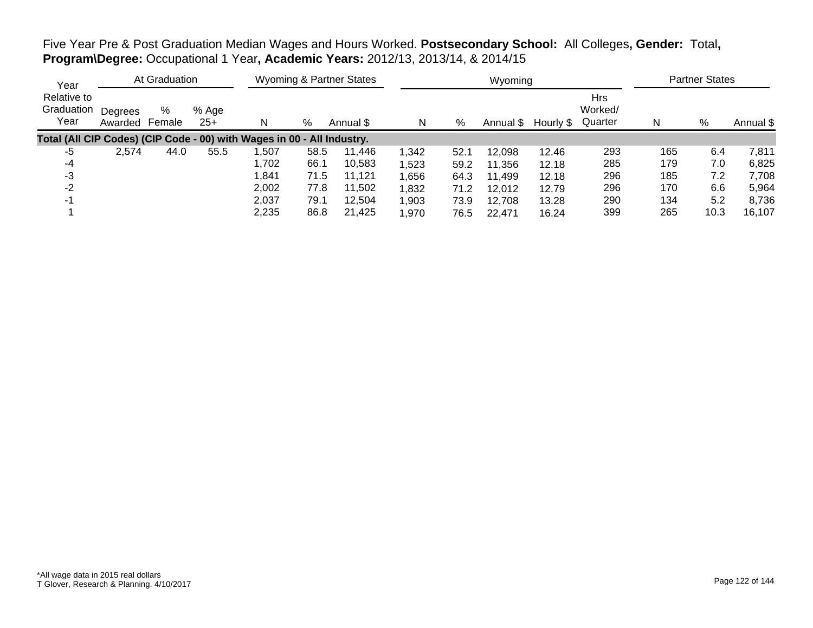Five Year Pre & Post Graduation Median Wages and Hours Worked. **Postsecondary School:** All Colleges**, Gender:** Total**, Program\Degree:** Occupational 1 Year**, Academic Years:** 2012/13, 2013/14, & 2014/15

| Year                                                                   |                    | At Graduation |                |       |      | <b>Wyoming &amp; Partner States</b> |       |      | Wyoming   |           |                                  |     | <b>Partner States</b> |           |
|------------------------------------------------------------------------|--------------------|---------------|----------------|-------|------|-------------------------------------|-------|------|-----------|-----------|----------------------------------|-----|-----------------------|-----------|
| Relative to<br>Graduation<br>Year                                      | Degrees<br>Awarded | %<br>Female   | % Age<br>$25+$ | N     | %    | Annual \$                           | N     | %    | Annual \$ | Hourly \$ | <b>Hrs</b><br>Worked/<br>Quarter | N   | %                     | Annual \$ |
| Total (All CIP Codes) (CIP Code - 00) with Wages in 00 - All Industry. |                    |               |                |       |      |                                     |       |      |           |           |                                  |     |                       |           |
| -5                                                                     | 2,574              | 44.0          | 55.5           | ,507  | 58.5 | 11.446                              | 1,342 | 52.1 | 12,098    | 12.46     | 293                              | 165 | 6.4                   | 7,811     |
| -4                                                                     |                    |               |                | 1,702 | 66.1 | 10,583                              | 1,523 | 59.2 | 11,356    | 12.18     | 285                              | 179 | 7.0                   | 6,825     |
| -3                                                                     |                    |               |                | 1,841 | 71.5 | 11.121                              | 1,656 | 64.3 | 11,499    | 12.18     | 296                              | 185 | 7.2                   | 7,708     |
| -2                                                                     |                    |               |                | 2,002 | 77.8 | 11,502                              | 1,832 | 71.2 | 12,012    | 12.79     | 296                              | 170 | 6.6                   | 5,964     |
| $-1$                                                                   |                    |               |                | 2,037 | 79.1 | 12,504                              | 1,903 | 73.9 | 12.708    | 13.28     | 290                              | 134 | 5.2                   | 8,736     |
|                                                                        |                    |               |                | 2,235 | 86.8 | 21.425                              | 1,970 | 76.5 | 22,471    | 16.24     | 399                              | 265 | 10.3                  | 16,107    |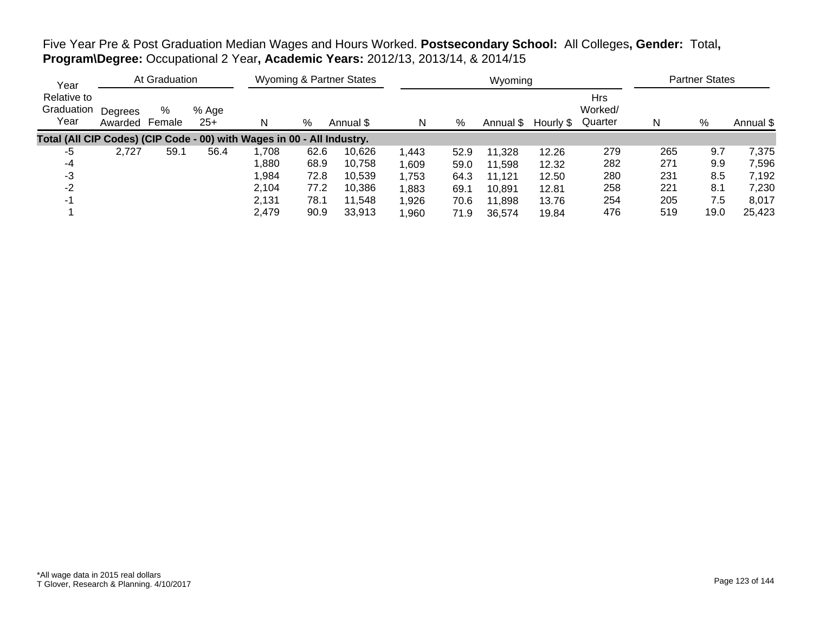Five Year Pre & Post Graduation Median Wages and Hours Worked. **Postsecondary School:** All Colleges**, Gender:** Total**, Program\Degree:** Occupational 2 Year**, Academic Years:** 2012/13, 2013/14, & 2014/15

| Year                                                                   |                    | At Graduation |                |        |      | <b>Wyoming &amp; Partner States</b> |                 |      | Wyoming   |           |                                  |     | <b>Partner States</b> |           |
|------------------------------------------------------------------------|--------------------|---------------|----------------|--------|------|-------------------------------------|-----------------|------|-----------|-----------|----------------------------------|-----|-----------------------|-----------|
| Relative to<br>Graduation<br>Year                                      | Degrees<br>Awarded | %<br>Female   | % Age<br>$25+$ | N      | %    | Annual \$                           | N               | %    | Annual \$ | Hourly \$ | <b>Hrs</b><br>Worked/<br>Quarter | N   | %                     | Annual \$ |
| Total (All CIP Codes) (CIP Code - 00) with Wages in 00 - All Industry. |                    |               |                |        |      |                                     |                 |      |           |           |                                  |     |                       |           |
| -5                                                                     | 2.727              | 59.1          | 56.4           | 708, ا | 62.6 | 10.626                              | 1,443           | 52.9 | 11,328    | 12.26     | 279                              | 265 | 9.7                   | 7,375     |
| -4                                                                     |                    |               |                | ,880   | 68.9 | 10,758                              | 1,609           | 59.0 | 11,598    | 12.32     | 282                              | 271 | 9.9                   | 7,596     |
| -3                                                                     |                    |               |                | 984, ا | 72.8 | 10.539                              | 1,753           | 64.3 | 11.121    | 12.50     | 280                              | 231 | 8.5                   | 7,192     |
| $-2$                                                                   |                    |               |                | 2,104  | 77.2 | 10,386                              | 1,883           | 69.1 | 10,891    | 12.81     | 258                              | 221 | 8.1                   | 7,230     |
| $-1$                                                                   |                    |               |                | 2,131  | 78.1 | 11,548                              | 1,926           | 70.6 | 11,898    | 13.76     | 254                              | 205 | 7.5                   | 8,017     |
|                                                                        |                    |               |                | 2,479  | 90.9 | 33,913                              | $^{\circ}$ ,960 | 71.9 | 36,574    | 19.84     | 476                              | 519 | 19.0                  | 25,423    |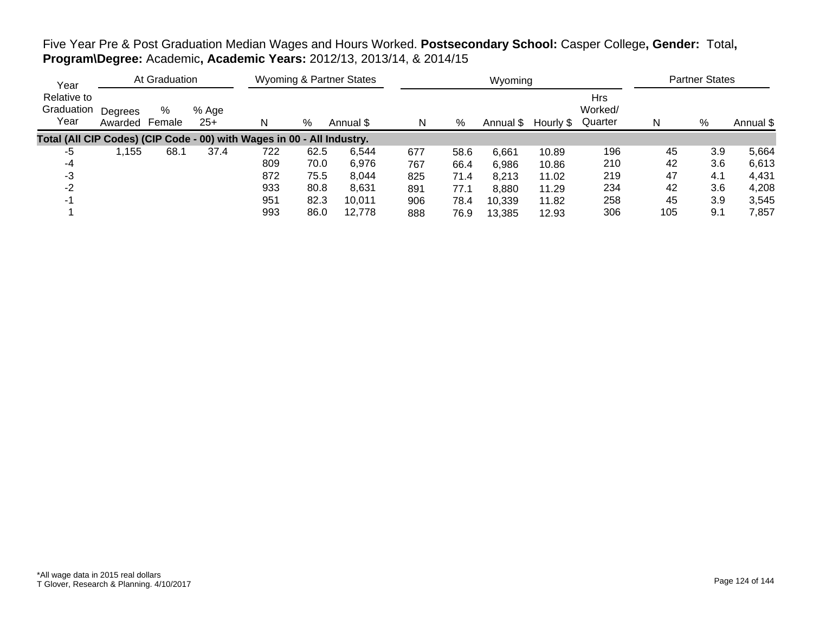## Five Year Pre & Post Graduation Median Wages and Hours Worked. **Postsecondary School:** Casper College**, Gender:** Total**, Program\Degree:** Academic**, Academic Years:** 2012/13, 2013/14, & 2014/15

| Year                                                                   |                    | At Graduation |                |     |      | <b>Wyoming &amp; Partner States</b> |     |      | Wyoming   |           |                                  |     | <b>Partner States</b> |           |
|------------------------------------------------------------------------|--------------------|---------------|----------------|-----|------|-------------------------------------|-----|------|-----------|-----------|----------------------------------|-----|-----------------------|-----------|
| Relative to<br>Graduation<br>Year                                      | Degrees<br>Awarded | %<br>Female   | % Age<br>$25+$ | N   | %    | Annual \$                           | N   | %    | Annual \$ | Hourly \$ | <b>Hrs</b><br>Worked/<br>Quarter | N   | %                     | Annual \$ |
| Total (All CIP Codes) (CIP Code - 00) with Wages in 00 - All Industry. |                    |               |                |     |      |                                     |     |      |           |           |                                  |     |                       |           |
| -5                                                                     | .155               | 68.1          | 37.4           | 722 | 62.5 | 6,544                               | 677 | 58.6 | 6,661     | 10.89     | 196                              | 45  | 3.9                   | 5,664     |
| -4                                                                     |                    |               |                | 809 | 70.0 | 6,976                               | 767 | 66.4 | 6,986     | 10.86     | 210                              | 42  | 3.6                   | 6,613     |
| -3                                                                     |                    |               |                | 872 | 75.5 | 8.044                               | 825 | 71.4 | 8,213     | 11.02     | 219                              | 47  | 4.1                   | 4,431     |
| $-2$                                                                   |                    |               |                | 933 | 80.8 | 8,631                               | 891 | 77.1 | 8,880     | 11.29     | 234                              | 42  | 3.6                   | 4,208     |
| $-1$                                                                   |                    |               |                | 951 | 82.3 | 10,011                              | 906 | 78.4 | 10,339    | 11.82     | 258                              | 45  | 3.9                   | 3,545     |
|                                                                        |                    |               |                | 993 | 86.0 | 12.778                              | 888 | 76.9 | 13,385    | 12.93     | 306                              | 105 | 9.1                   | 7,857     |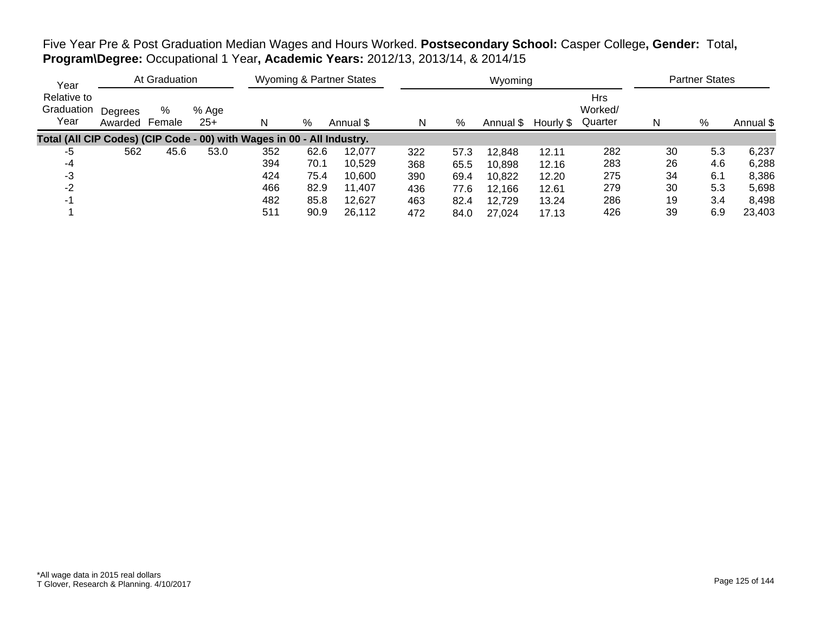Five Year Pre & Post Graduation Median Wages and Hours Worked. **Postsecondary School:** Casper College**, Gender:** Total**, Program\Degree:** Occupational 1 Year**, Academic Years:** 2012/13, 2013/14, & 2014/15

| Year                                                                   |                    | At Graduation |                |     |      | <b>Wyoming &amp; Partner States</b> |     |      | Wyoming   |           |                                  |    | <b>Partner States</b> |           |
|------------------------------------------------------------------------|--------------------|---------------|----------------|-----|------|-------------------------------------|-----|------|-----------|-----------|----------------------------------|----|-----------------------|-----------|
| Relative to<br>Graduation<br>Year                                      | Degrees<br>Awarded | %<br>Female   | % Age<br>$25+$ | N   | %    | Annual \$                           | N   | %    | Annual \$ | Hourly \$ | <b>Hrs</b><br>Worked/<br>Quarter | N  | %                     | Annual \$ |
| Total (All CIP Codes) (CIP Code - 00) with Wages in 00 - All Industry. |                    |               |                |     |      |                                     |     |      |           |           |                                  |    |                       |           |
| -5                                                                     | 562                | 45.6          | 53.0           | 352 | 62.6 | 12.077                              | 322 | 57.3 | 12,848    | 12.11     | 282                              | 30 | 5.3                   | 6,237     |
| -4                                                                     |                    |               |                | 394 | 70.1 | 10,529                              | 368 | 65.5 | 10,898    | 12.16     | 283                              | 26 | 4.6                   | 6,288     |
| -3                                                                     |                    |               |                | 424 | 75.4 | 10.600                              | 390 | 69.4 | 10,822    | 12.20     | 275                              | 34 | 6.1                   | 8,386     |
| $-2$                                                                   |                    |               |                | 466 | 82.9 | 11,407                              | 436 | 77.6 | 12,166    | 12.61     | 279                              | 30 | 5.3                   | 5,698     |
| $-1$                                                                   |                    |               |                | 482 | 85.8 | 12,627                              | 463 | 82.4 | 12,729    | 13.24     | 286                              | 19 | 3.4                   | 8,498     |
|                                                                        |                    |               |                | 511 | 90.9 | 26.112                              | 472 | 84.0 | 27.024    | 17.13     | 426                              | 39 | 6.9                   | 23,403    |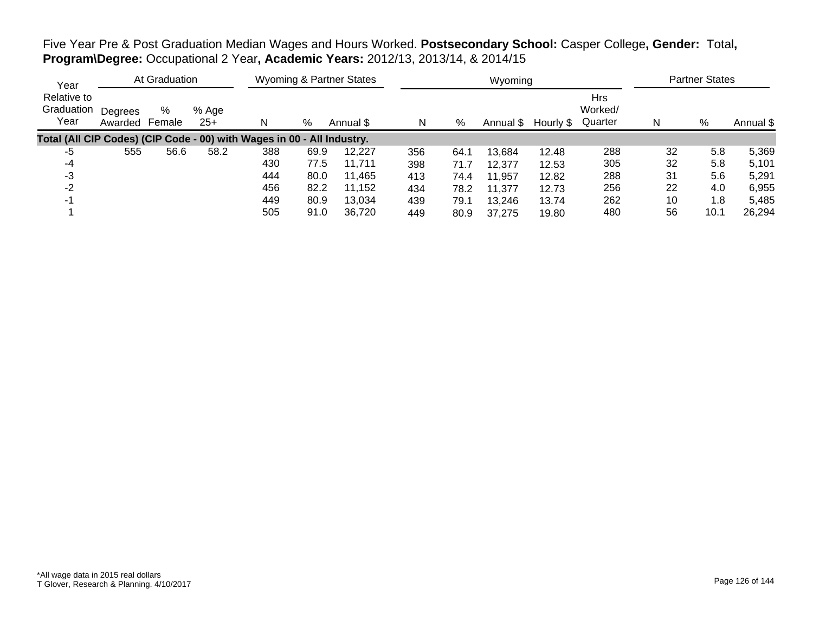Five Year Pre & Post Graduation Median Wages and Hours Worked. **Postsecondary School:** Casper College**, Gender:** Total**, Program\Degree:** Occupational 2 Year**, Academic Years:** 2012/13, 2013/14, & 2014/15

| Year                                                                   |                    | At Graduation |              |     |      | <b>Wyoming &amp; Partner States</b> |     |      | Wyoming   |           |                                  |    | <b>Partner States</b> |           |
|------------------------------------------------------------------------|--------------------|---------------|--------------|-----|------|-------------------------------------|-----|------|-----------|-----------|----------------------------------|----|-----------------------|-----------|
| Relative to<br>Graduation<br>Year                                      | Degrees<br>Awarded | %<br>Female   | % Age<br>25+ | N   | %    | Annual \$                           | N   | %    | Annual \$ | Hourly \$ | <b>Hrs</b><br>Worked/<br>Quarter | N  | %                     | Annual \$ |
| Total (All CIP Codes) (CIP Code - 00) with Wages in 00 - All Industry. |                    |               |              |     |      |                                     |     |      |           |           |                                  |    |                       |           |
| -5                                                                     | 555                | 56.6          | 58.2         | 388 | 69.9 | 12.227                              | 356 | 64.1 | 13.684    | 12.48     | 288                              | 32 | 5.8                   | 5,369     |
| -4                                                                     |                    |               |              | 430 | 77.5 | 11.711                              | 398 | 71.7 | 12,377    | 12.53     | 305                              | 32 | 5.8                   | 5,101     |
| -3                                                                     |                    |               |              | 444 | 80.0 | 11,465                              | 413 | 74.4 | 11,957    | 12.82     | 288                              | 31 | 5.6                   | 5,291     |
| $-2$                                                                   |                    |               |              | 456 | 82.2 | 11,152                              | 434 | 78.2 | 11,377    | 12.73     | 256                              | 22 | 4.0                   | 6,955     |
| $-1$                                                                   |                    |               |              | 449 | 80.9 | 13.034                              | 439 | 79.1 | 13,246    | 13.74     | 262                              | 10 | 1.8                   | 5,485     |
|                                                                        |                    |               |              | 505 | 91.0 | 36.720                              | 449 | 80.9 | 37.275    | 19.80     | 480                              | 56 | 10.1                  | 26,294    |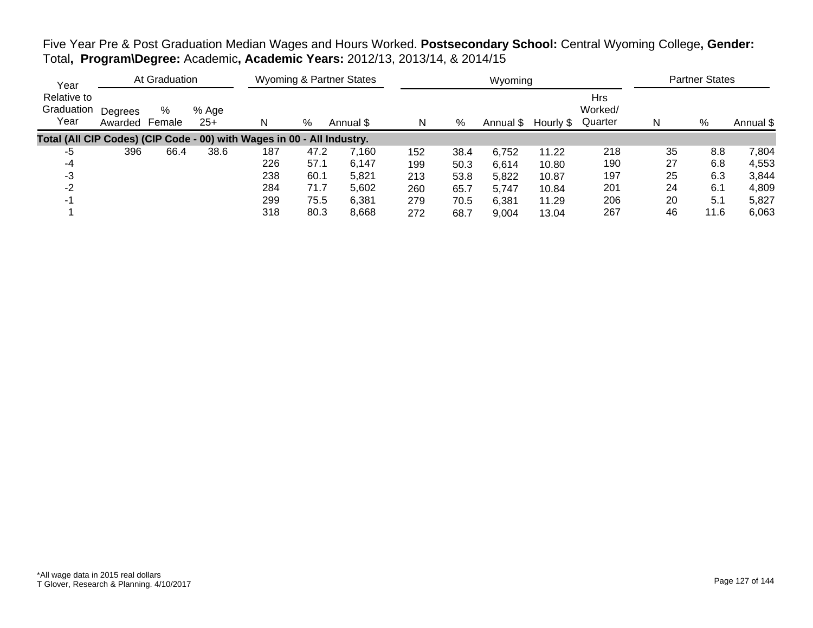Five Year Pre & Post Graduation Median Wages and Hours Worked. **Postsecondary School:** Central Wyoming College**, Gender:** Total**, Program\Degree:** Academic**, Academic Years:** 2012/13, 2013/14, & 2014/15

| Year                                                                   |                    | At Graduation |                |     |      | <b>Wyoming &amp; Partner States</b> |     |      | Wyoming   |           |                                  |    | <b>Partner States</b> |           |
|------------------------------------------------------------------------|--------------------|---------------|----------------|-----|------|-------------------------------------|-----|------|-----------|-----------|----------------------------------|----|-----------------------|-----------|
| Relative to<br>Graduation<br>Year                                      | Degrees<br>Awarded | %<br>Female   | % Age<br>$25+$ | N   | %    | Annual \$                           | N   | %    | Annual \$ | Hourly \$ | <b>Hrs</b><br>Worked/<br>Quarter | N  | %                     | Annual \$ |
| Total (All CIP Codes) (CIP Code - 00) with Wages in 00 - All Industry. |                    |               |                |     |      |                                     |     |      |           |           |                                  |    |                       |           |
| -5                                                                     | 396                | 66.4          | 38.6           | 187 | 47.2 | 7,160                               | 152 | 38.4 | 6,752     | 11.22     | 218                              | 35 | 8.8                   | 7,804     |
| -4                                                                     |                    |               |                | 226 | 57.1 | 6,147                               | 199 | 50.3 | 6.614     | 10.80     | 190                              | 27 | 6.8                   | 4,553     |
| -3                                                                     |                    |               |                | 238 | 60.1 | 5,821                               | 213 | 53.8 | 5,822     | 10.87     | 197                              | 25 | 6.3                   | 3,844     |
| -2                                                                     |                    |               |                | 284 | 71.7 | 5,602                               | 260 | 65.7 | 5,747     | 10.84     | 201                              | 24 | 6.1                   | 4,809     |
|                                                                        |                    |               |                | 299 | 75.5 | 6,381                               | 279 | 70.5 | 6,381     | 11.29     | 206                              | 20 | 5.1                   | 5,827     |
|                                                                        |                    |               |                | 318 | 80.3 | 8,668                               | 272 | 68.7 | 9,004     | 13.04     | 267                              | 46 | 11.6                  | 6,063     |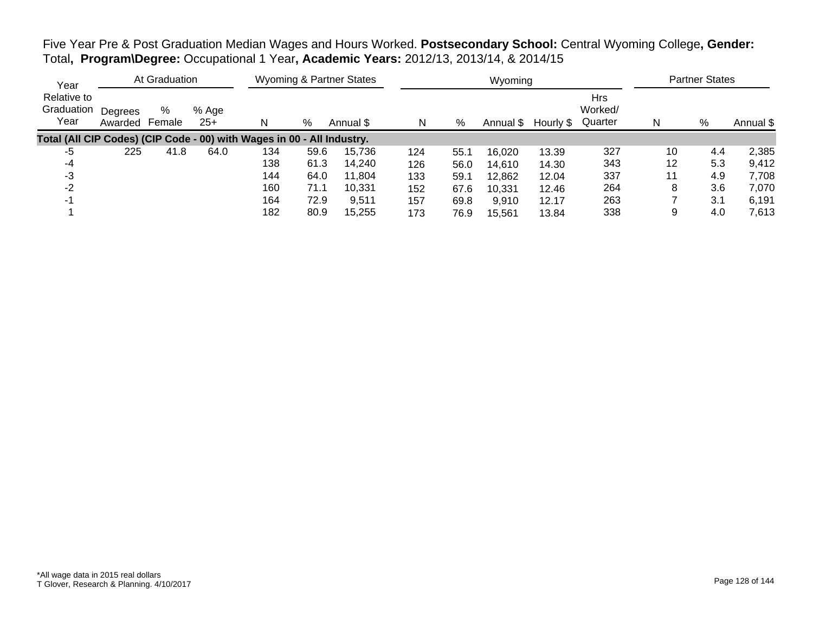Five Year Pre & Post Graduation Median Wages and Hours Worked. **Postsecondary School:** Central Wyoming College**, Gender:** Total**, Program\Degree:** Occupational 1 Year**, Academic Years:** 2012/13, 2013/14, & 2014/15

| Year                                                                   |                    | At Graduation |                |     |      | <b>Wyoming &amp; Partner States</b> |     |      | Wyoming   |           |                                  |    | <b>Partner States</b> |           |
|------------------------------------------------------------------------|--------------------|---------------|----------------|-----|------|-------------------------------------|-----|------|-----------|-----------|----------------------------------|----|-----------------------|-----------|
| Relative to<br>Graduation<br>Year                                      | Degrees<br>Awarded | %<br>Female   | % Age<br>$25+$ | N   | %    | Annual \$                           | N   | %    | Annual \$ | Hourly \$ | <b>Hrs</b><br>Worked/<br>Quarter | N  | %                     | Annual \$ |
| Total (All CIP Codes) (CIP Code - 00) with Wages in 00 - All Industry. |                    |               |                |     |      |                                     |     |      |           |           |                                  |    |                       |           |
| -5                                                                     | 225                | 41.8          | 64.0           | 134 | 59.6 | 15,736                              | 124 | 55.1 | 16,020    | 13.39     | 327                              | 10 | 4.4                   | 2,385     |
| -4                                                                     |                    |               |                | 138 | 61.3 | 14.240                              | 126 | 56.0 | 14,610    | 14.30     | 343                              | 12 | 5.3                   | 9,412     |
| -3                                                                     |                    |               |                | 144 | 64.0 | 11.804                              | 133 | 59.1 | 12,862    | 12.04     | 337                              | 11 | 4.9                   | 7,708     |
| $-2$                                                                   |                    |               |                | 160 | 71.1 | 10,331                              | 152 | 67.6 | 10,331    | 12.46     | 264                              | 8  | 3.6                   | 7,070     |
| $-1$                                                                   |                    |               |                | 164 | 72.9 | 9,511                               | 157 | 69.8 | 9,910     | 12.17     | 263                              |    | 3.1                   | 6,191     |
|                                                                        |                    |               |                | 182 | 80.9 | 15.255                              | 173 | 76.9 | 15.561    | 13.84     | 338                              |    | 4.0                   | 7.613     |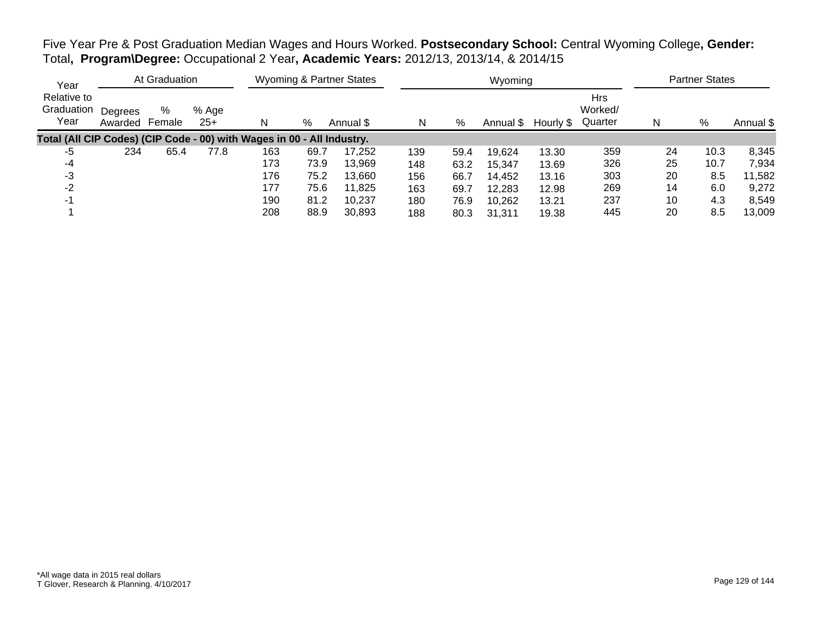Five Year Pre & Post Graduation Median Wages and Hours Worked. **Postsecondary School:** Central Wyoming College**, Gender:** Total**, Program\Degree:** Occupational 2 Year**, Academic Years:** 2012/13, 2013/14, & 2014/15

| Year                                                                   |                    | At Graduation |                |     |      | <b>Wyoming &amp; Partner States</b> |     |      | Wyoming   |           |                                  |    | <b>Partner States</b> |           |
|------------------------------------------------------------------------|--------------------|---------------|----------------|-----|------|-------------------------------------|-----|------|-----------|-----------|----------------------------------|----|-----------------------|-----------|
| Relative to<br>Graduation<br>Year                                      | Degrees<br>Awarded | %<br>Female   | % Age<br>$25+$ | N   | %    | Annual \$                           | N   | %    | Annual \$ | Hourly \$ | <b>Hrs</b><br>Worked/<br>Quarter | N  | %                     | Annual \$ |
| Total (All CIP Codes) (CIP Code - 00) with Wages in 00 - All Industry. |                    |               |                |     |      |                                     |     |      |           |           |                                  |    |                       |           |
| -5                                                                     | 234                | 65.4          | 77.8           | 163 | 69.7 | 17.252                              | 139 | 59.4 | 19,624    | 13.30     | 359                              | 24 | 10.3                  | 8,345     |
| -4                                                                     |                    |               |                | 173 | 73.9 | 13,969                              | 148 | 63.2 | 15,347    | 13.69     | 326                              | 25 | 10.7                  | 7,934     |
| -3                                                                     |                    |               |                | 176 | 75.2 | 13.660                              | 156 | 66.7 | 14,452    | 13.16     | 303                              | 20 | 8.5                   | 11,582    |
| $-2$                                                                   |                    |               |                | 177 | 75.6 | 11,825                              | 163 | 69.7 | 12,283    | 12.98     | 269                              | 14 | 6.0                   | 9,272     |
| $-1$                                                                   |                    |               |                | 190 | 81.2 | 10,237                              | 180 | 76.9 | 10,262    | 13.21     | 237                              | 10 | 4.3                   | 8,549     |
|                                                                        |                    |               |                | 208 | 88.9 | 30,893                              | 188 | 80.3 | 31.311    | 19.38     | 445                              | 20 | 8.5                   | 13.009    |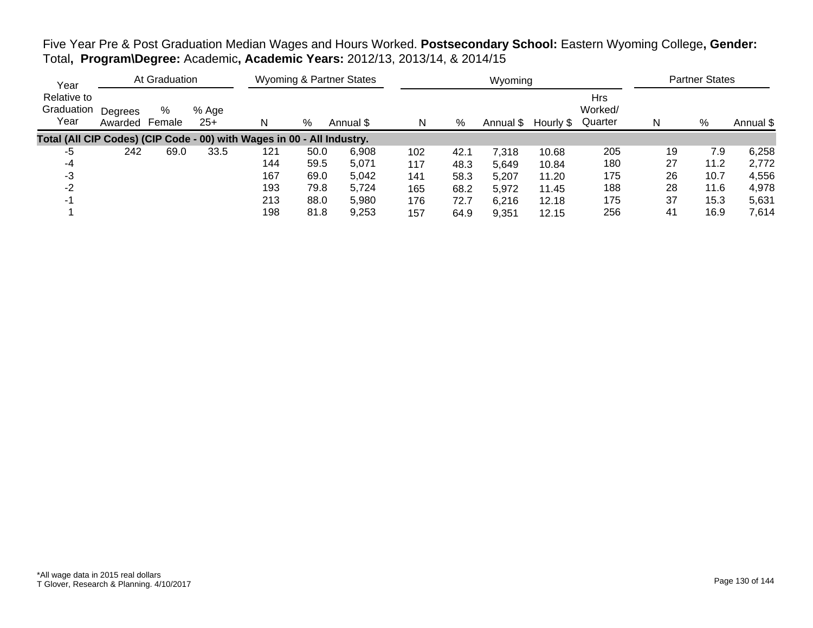Five Year Pre & Post Graduation Median Wages and Hours Worked. **Postsecondary School:** Eastern Wyoming College**, Gender:** Total**, Program\Degree:** Academic**, Academic Years:** 2012/13, 2013/14, & 2014/15

| Year                                                                   |                    | At Graduation |                |     |      | <b>Wyoming &amp; Partner States</b> |     |      | Wyoming   |           |                                  |    | <b>Partner States</b> |           |
|------------------------------------------------------------------------|--------------------|---------------|----------------|-----|------|-------------------------------------|-----|------|-----------|-----------|----------------------------------|----|-----------------------|-----------|
| Relative to<br>Graduation<br>Year                                      | Degrees<br>Awarded | %<br>Female   | % Age<br>$25+$ | N   | %    | Annual \$                           | N   | %    | Annual \$ | Hourly \$ | <b>Hrs</b><br>Worked/<br>Quarter | N  | %                     | Annual \$ |
| Total (All CIP Codes) (CIP Code - 00) with Wages in 00 - All Industry. |                    |               |                |     |      |                                     |     |      |           |           |                                  |    |                       |           |
| -5                                                                     | 242                | 69.0          | 33.5           | 121 | 50.0 | 6,908                               | 102 | 42.1 | 7,318     | 10.68     | 205                              | 19 | 7.9                   | 6,258     |
| -4                                                                     |                    |               |                | 144 | 59.5 | 5,071                               | 117 | 48.3 | 5,649     | 10.84     | 180                              | 27 | 11.2                  | 2,772     |
| -3                                                                     |                    |               |                | 167 | 69.0 | 5,042                               | 141 | 58.3 | 5,207     | 11.20     | 175                              | 26 | 10.7                  | 4,556     |
| -2                                                                     |                    |               |                | 193 | 79.8 | 5,724                               | 165 | 68.2 | 5,972     | 11.45     | 188                              | 28 | 11.6                  | 4,978     |
| -1                                                                     |                    |               |                | 213 | 88.0 | 5,980                               | 176 | 72.7 | 6,216     | 12.18     | 175                              | 37 | 15.3                  | 5,631     |
|                                                                        |                    |               |                | 198 | 81.8 | 9,253                               | 157 | 64.9 | 9,351     | 12.15     | 256                              | 41 | 16.9                  | 7,614     |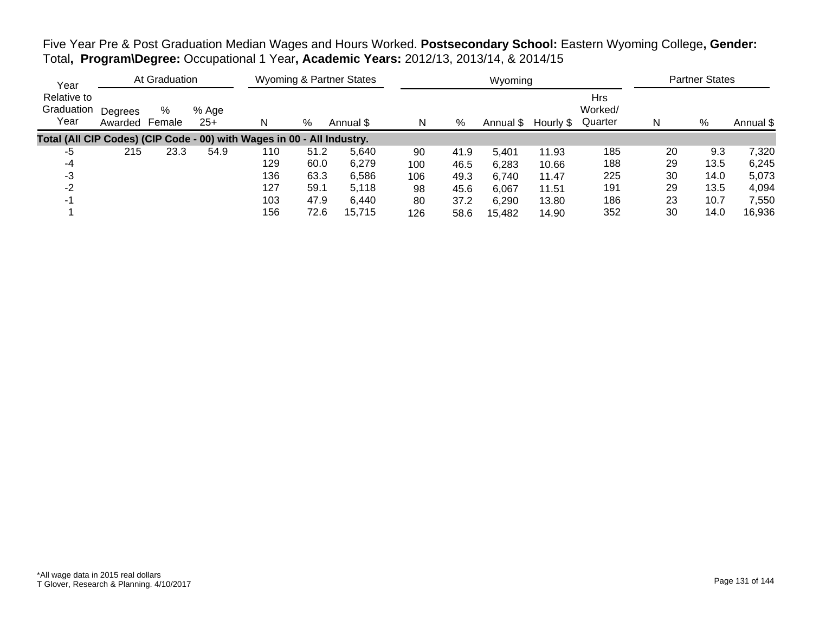Five Year Pre & Post Graduation Median Wages and Hours Worked. **Postsecondary School:** Eastern Wyoming College**, Gender:** Total**, Program\Degree:** Occupational 1 Year**, Academic Years:** 2012/13, 2013/14, & 2014/15

| Year                                                                   |                    | At Graduation |                |     |      | <b>Wyoming &amp; Partner States</b> |     |      | Wyoming   |           |                                  |    | <b>Partner States</b> |           |
|------------------------------------------------------------------------|--------------------|---------------|----------------|-----|------|-------------------------------------|-----|------|-----------|-----------|----------------------------------|----|-----------------------|-----------|
| Relative to<br>Graduation<br>Year                                      | Degrees<br>Awarded | %<br>Female   | % Age<br>$25+$ |     | %    | Annual \$                           | N   | %    | Annual \$ | Hourly \$ | <b>Hrs</b><br>Worked/<br>Quarter | N  | %                     | Annual \$ |
| Total (All CIP Codes) (CIP Code - 00) with Wages in 00 - All Industry. |                    |               |                |     |      |                                     |     |      |           |           |                                  |    |                       |           |
| -5                                                                     | 215                | 23.3          | 54.9           | 110 | 51.2 | 5.640                               | 90  | 41.9 | 5,401     | 11.93     | 185                              | 20 | 9.3                   | 7,320     |
| -4                                                                     |                    |               |                | 129 | 60.0 | 6,279                               | 100 | 46.5 | 6,283     | 10.66     | 188                              | 29 | 13.5                  | 6,245     |
| -3                                                                     |                    |               |                | 136 | 63.3 | 6,586                               | 106 | 49.3 | 6,740     | 11.47     | 225                              | 30 | 14.0                  | 5,073     |
| $-2$                                                                   |                    |               |                | 127 | 59.1 | 5.118                               | 98  | 45.6 | 6,067     | 11.51     | 191                              | 29 | 13.5                  | 4,094     |
|                                                                        |                    |               |                | 103 | 47.9 | 6.440                               | 80  | 37.2 | 6,290     | 13.80     | 186                              | 23 | 10.7                  | 7,550     |
|                                                                        |                    |               |                | 156 | 72.6 | 15,715                              | 126 | 58.6 | 15,482    | 14.90     | 352                              | 30 | 14.0                  | 16,936    |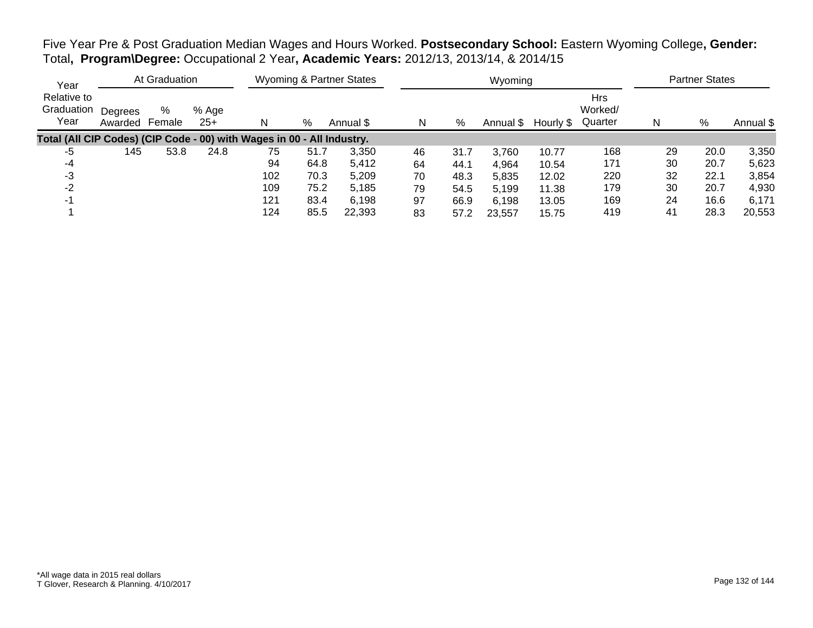Five Year Pre & Post Graduation Median Wages and Hours Worked. **Postsecondary School:** Eastern Wyoming College**, Gender:** Total**, Program\Degree:** Occupational 2 Year**, Academic Years:** 2012/13, 2013/14, & 2014/15

| Year                                                                   |                    | At Graduation |                |     |      | <b>Wyoming &amp; Partner States</b> |    |      | Wyoming   |           |                                  |    | <b>Partner States</b> |           |
|------------------------------------------------------------------------|--------------------|---------------|----------------|-----|------|-------------------------------------|----|------|-----------|-----------|----------------------------------|----|-----------------------|-----------|
| Relative to<br>Graduation<br>Year                                      | Degrees<br>Awarded | %<br>Female   | % Age<br>$25+$ | N   | %    | Annual \$                           | N  | %    | Annual \$ | Hourly \$ | <b>Hrs</b><br>Worked/<br>Quarter | N  | %                     | Annual \$ |
| Total (All CIP Codes) (CIP Code - 00) with Wages in 00 - All Industry. |                    |               |                |     |      |                                     |    |      |           |           |                                  |    |                       |           |
| -5                                                                     | 145                | 53.8          | 24.8           | 75  | 51.7 | 3,350                               | 46 | 31.7 | 3,760     | 10.77     | 168                              | 29 | 20.0                  | 3,350     |
| -4                                                                     |                    |               |                | 94  | 64.8 | 5,412                               | 64 | 44.1 | 4,964     | 10.54     | 171                              | 30 | 20.7                  | 5,623     |
| -3                                                                     |                    |               |                | 102 | 70.3 | 5,209                               | 70 | 48.3 | 5,835     | 12.02     | 220                              | 32 | 22.1                  | 3,854     |
| -2                                                                     |                    |               |                | 109 | 75.2 | 5,185                               | 79 | 54.5 | 5,199     | 11.38     | 179                              | 30 | 20.7                  | 4,930     |
|                                                                        |                    |               |                | 121 | 83.4 | 6,198                               | 97 | 66.9 | 6,198     | 13.05     | 169                              | 24 | 16.6                  | 6,171     |
|                                                                        |                    |               |                | 124 | 85.5 | 22.393                              | 83 | 57.2 | 23,557    | 15.75     | 419                              | 41 | 28.3                  | 20,553    |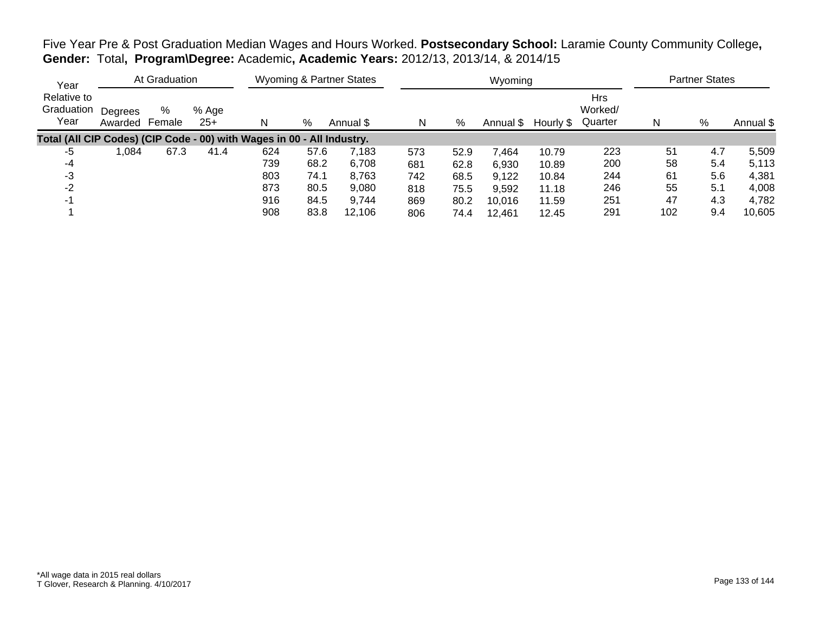Five Year Pre & Post Graduation Median Wages and Hours Worked. **Postsecondary School:** Laramie County Community College**, Gender:** Total**, Program\Degree:** Academic**, Academic Years:** 2012/13, 2013/14, & 2014/15

| Year                                                                   |                    | At Graduation |                |     |      | <b>Wyoming &amp; Partner States</b> |     |      | Wyoming   |           |                                  |     | <b>Partner States</b> |           |
|------------------------------------------------------------------------|--------------------|---------------|----------------|-----|------|-------------------------------------|-----|------|-----------|-----------|----------------------------------|-----|-----------------------|-----------|
| Relative to<br>Graduation<br>Year                                      | Degrees<br>Awarded | %<br>Female   | % Age<br>$25+$ | N   | %    | Annual \$                           | N   | %    | Annual \$ | Hourly \$ | <b>Hrs</b><br>Worked/<br>Quarter | N   | %                     | Annual \$ |
| Total (All CIP Codes) (CIP Code - 00) with Wages in 00 - All Industry. |                    |               |                |     |      |                                     |     |      |           |           |                                  |     |                       |           |
| -5                                                                     | .084               | 67.3          | 41.4           | 624 | 57.6 | 7,183                               | 573 | 52.9 | 464.      | 10.79     | 223                              | 51  | 4.7                   | 5,509     |
| -4                                                                     |                    |               |                | 739 | 68.2 | 6,708                               | 681 | 62.8 | 6,930     | 10.89     | 200                              | 58  | 5.4                   | 5,113     |
| -3                                                                     |                    |               |                | 803 | 74.1 | 8,763                               | 742 | 68.5 | 9,122     | 10.84     | 244                              | 61  | 5.6                   | 4,381     |
| $-2$                                                                   |                    |               |                | 873 | 80.5 | 9,080                               | 818 | 75.5 | 9,592     | 11.18     | 246                              | 55  | 5.1                   | 4,008     |
|                                                                        |                    |               |                | 916 | 84.5 | 9,744                               | 869 | 80.2 | 10.016    | 11.59     | 251                              | 47  | 4.3                   | 4,782     |
|                                                                        |                    |               |                | 908 | 83.8 | 12,106                              | 806 | 74.4 | 12.461    | 12.45     | 291                              | 102 | 9.4                   | 10,605    |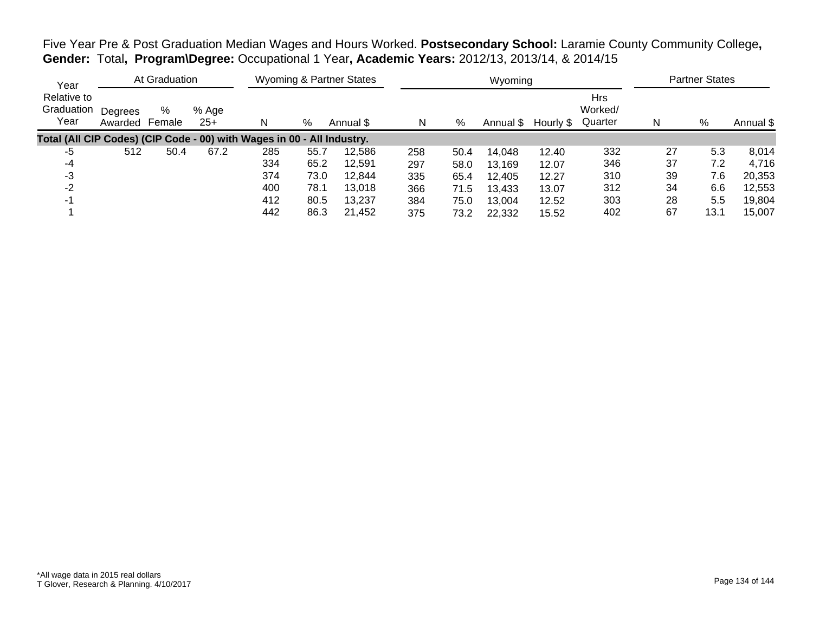Five Year Pre & Post Graduation Median Wages and Hours Worked. **Postsecondary School:** Laramie County Community College**, Gender:** Total**, Program\Degree:** Occupational 1 Year**, Academic Years:** 2012/13, 2013/14, & 2014/15

| Year                                                                   |                    | At Graduation |                |     |      | <b>Wyoming &amp; Partner States</b> |     |      | Wyoming   |           |                                  |    | <b>Partner States</b> |           |
|------------------------------------------------------------------------|--------------------|---------------|----------------|-----|------|-------------------------------------|-----|------|-----------|-----------|----------------------------------|----|-----------------------|-----------|
| Relative to<br>Graduation<br>Year                                      | Degrees<br>Awarded | %<br>Female   | % Age<br>$25+$ | N   | %    | Annual \$                           | N   | %    | Annual \$ | Hourly \$ | <b>Hrs</b><br>Worked/<br>Quarter | N  | %                     | Annual \$ |
| Total (All CIP Codes) (CIP Code - 00) with Wages in 00 - All Industry. |                    |               |                |     |      |                                     |     |      |           |           |                                  |    |                       |           |
| -5                                                                     | 512                | 50.4          | 67.2           | 285 | 55.7 | 12,586                              | 258 | 50.4 | 14,048    | 12.40     | 332                              | 27 | 5.3                   | 8,014     |
| -4                                                                     |                    |               |                | 334 | 65.2 | 12,591                              | 297 | 58.0 | 13,169    | 12.07     | 346                              | 37 | 7.2                   | 4,716     |
| -3                                                                     |                    |               |                | 374 | 73.0 | 12.844                              | 335 | 65.4 | 12,405    | 12.27     | 310                              | 39 | 7.6                   | 20,353    |
| -2                                                                     |                    |               |                | 400 | 78.1 | 13,018                              | 366 | 71.5 | 13,433    | 13.07     | 312                              | 34 | 6.6                   | 12,553    |
| -1                                                                     |                    |               |                | 412 | 80.5 | 13,237                              | 384 | 75.0 | 13,004    | 12.52     | 303                              | 28 | 5.5                   | 19,804    |
|                                                                        |                    |               |                | 442 | 86.3 | 21,452                              | 375 | 73.2 | 22,332    | 15.52     | 402                              | 67 | 13.1                  | 15,007    |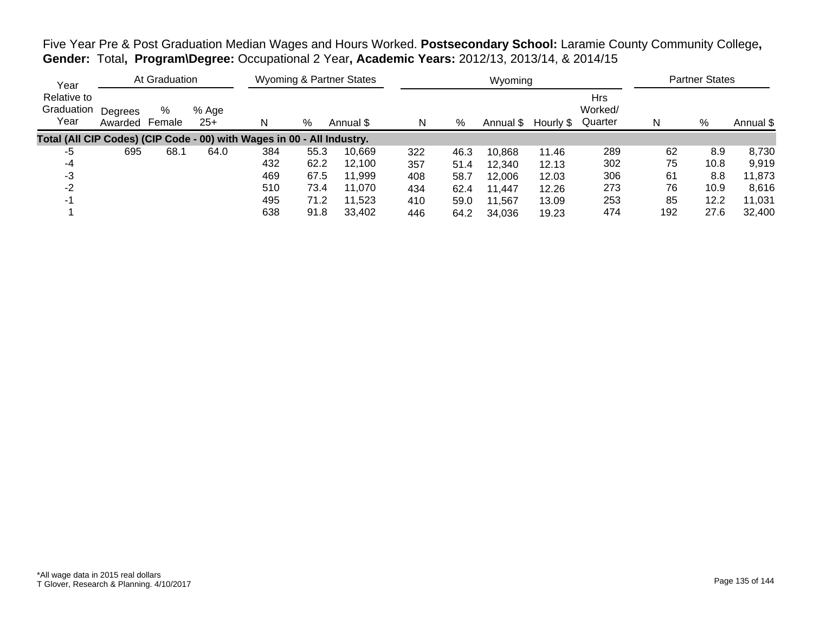Five Year Pre & Post Graduation Median Wages and Hours Worked. **Postsecondary School:** Laramie County Community College**, Gender:** Total**, Program\Degree:** Occupational 2 Year**, Academic Years:** 2012/13, 2013/14, & 2014/15

| Year                                                                   |                    | At Graduation |                |     |      | Wyoming & Partner States |     |      | Wyoming   |           |                                  |     | <b>Partner States</b> |           |
|------------------------------------------------------------------------|--------------------|---------------|----------------|-----|------|--------------------------|-----|------|-----------|-----------|----------------------------------|-----|-----------------------|-----------|
| Relative to<br>Graduation<br>Year                                      | Degrees<br>Awarded | %<br>Female   | % Age<br>$25+$ | N   | %    | Annual \$                | N   | %    | Annual \$ | Hourly \$ | <b>Hrs</b><br>Worked/<br>Quarter | N   | %                     | Annual \$ |
| Total (All CIP Codes) (CIP Code - 00) with Wages in 00 - All Industry. |                    |               |                |     |      |                          |     |      |           |           |                                  |     |                       |           |
| -5                                                                     | 695                | 68.1          | 64.0           | 384 | 55.3 | 10.669                   | 322 | 46.3 | 10,868    | 11.46     | 289                              | 62  | 8.9                   | 8,730     |
| -4                                                                     |                    |               |                | 432 | 62.2 | 12.100                   | 357 | 51.4 | 12,340    | 12.13     | 302                              | 75  | 10.8                  | 9,919     |
| -3                                                                     |                    |               |                | 469 | 67.5 | 11.999                   | 408 | 58.7 | 12,006    | 12.03     | 306                              | 61  | 8.8                   | 11,873    |
| $-2$                                                                   |                    |               |                | 510 | 73.4 | 11,070                   | 434 | 62.4 | 11,447    | 12.26     | 273                              | 76  | 10.9                  | 8,616     |
| -1                                                                     |                    |               |                | 495 | 71.2 | 11,523                   | 410 | 59.0 | 11,567    | 13.09     | 253                              | 85  | 12.2                  | 11,031    |
|                                                                        |                    |               |                | 638 | 91.8 | 33,402                   | 446 | 64.2 | 34,036    | 19.23     | 474                              | 192 | 27.6                  | 32,400    |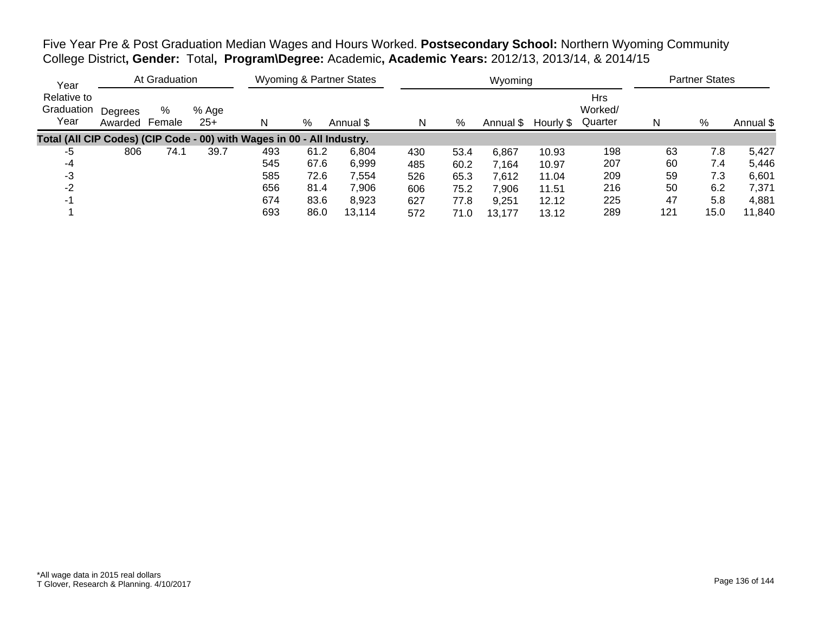Five Year Pre & Post Graduation Median Wages and Hours Worked. **Postsecondary School:** Northern Wyoming Community College District**, Gender:** Total**, Program\Degree:** Academic**, Academic Years:** 2012/13, 2013/14, & 2014/15

| Year                                                                   |                    | At Graduation |                |     |      | <b>Wyoming &amp; Partner States</b> |     |      | Wyoming   |           |                           |     | <b>Partner States</b> |           |
|------------------------------------------------------------------------|--------------------|---------------|----------------|-----|------|-------------------------------------|-----|------|-----------|-----------|---------------------------|-----|-----------------------|-----------|
| Relative to<br>Graduation<br>Year                                      | Degrees<br>Awarded | %<br>Female   | % Age<br>$25+$ |     | %    | Annual \$                           | N   | %    | Annual \$ | Hourly \$ | Hrs<br>Worked/<br>Quarter | N   | %                     | Annual \$ |
| Total (All CIP Codes) (CIP Code - 00) with Wages in 00 - All Industry. |                    |               |                |     |      |                                     |     |      |           |           |                           |     |                       |           |
| -5                                                                     | 806                | 74.1          | 39.7           | 493 | 61.2 | 6,804                               | 430 | 53.4 | 6,867     | 10.93     | 198                       | 63  | 7.8                   | 5,427     |
| -4                                                                     |                    |               |                | 545 | 67.6 | 6,999                               | 485 | 60.2 | 7.164     | 10.97     | 207                       | 60  | 7.4                   | 5,446     |
| -3                                                                     |                    |               |                | 585 | 72.6 | 7,554                               | 526 | 65.3 | 7,612     | 11.04     | 209                       | 59  | 7.3                   | 6,601     |
| -2                                                                     |                    |               |                | 656 | 81.4 | 7,906                               | 606 | 75.2 | 7,906     | 11.51     | 216                       | 50  | 6.2                   | 7,371     |
| - 1                                                                    |                    |               |                | 674 | 83.6 | 8,923                               | 627 | 77.8 | 9,251     | 12.12     | 225                       | 47  | 5.8                   | 4,881     |
|                                                                        |                    |               |                | 693 | 86.0 | 13.114                              | 572 | 71.0 | 13,177    | 13.12     | 289                       | 121 | 15.0                  | 11,840    |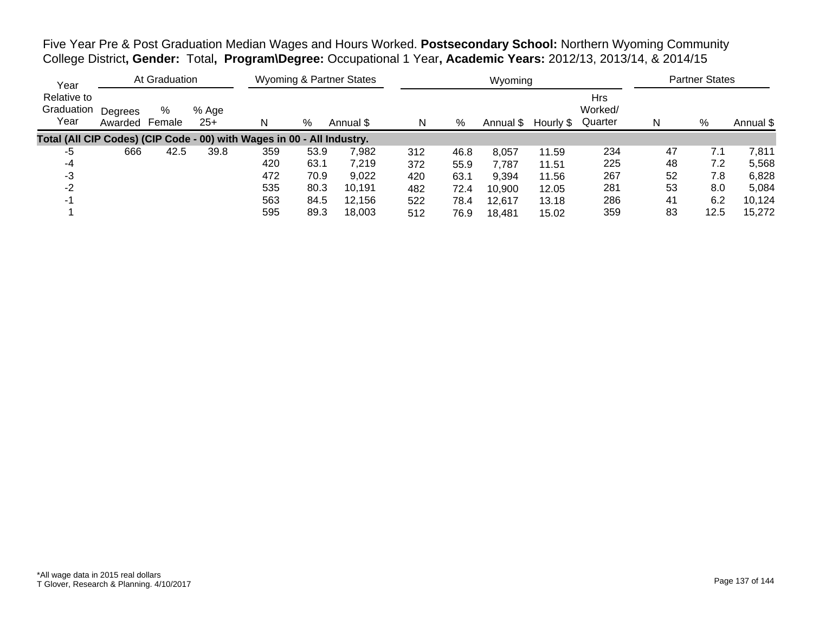Five Year Pre & Post Graduation Median Wages and Hours Worked. **Postsecondary School:** Northern Wyoming Community College District**, Gender:** Total**, Program\Degree:** Occupational 1 Year**, Academic Years:** 2012/13, 2013/14, & 2014/15

| Year                                                                   |                    | At Graduation |                |     |      | <b>Wyoming &amp; Partner States</b> |     |      | Wyoming   |           |                           |    | <b>Partner States</b> |           |
|------------------------------------------------------------------------|--------------------|---------------|----------------|-----|------|-------------------------------------|-----|------|-----------|-----------|---------------------------|----|-----------------------|-----------|
| Relative to<br>Graduation<br>Year                                      | Degrees<br>Awarded | %<br>Female   | % Age<br>$25+$ |     | %    | Annual \$                           | N   | %    | Annual \$ | Hourly \$ | Hrs<br>Worked/<br>Quarter | N  | %                     | Annual \$ |
| Total (All CIP Codes) (CIP Code - 00) with Wages in 00 - All Industry. |                    |               |                |     |      |                                     |     |      |           |           |                           |    |                       |           |
| -5                                                                     | 666                | 42.5          | 39.8           | 359 | 53.9 | 7,982                               | 312 | 46.8 | 8,057     | 11.59     | 234                       | 47 | 7.1                   | 7,811     |
| -4                                                                     |                    |               |                | 420 | 63.1 | 7.219                               | 372 | 55.9 | 7,787     | 11.51     | 225                       | 48 | 7.2                   | 5,568     |
| -3                                                                     |                    |               |                | 472 | 70.9 | 9,022                               | 420 | 63.1 | 9,394     | 11.56     | 267                       | 52 | 7.8                   | 6,828     |
| -2                                                                     |                    |               |                | 535 | 80.3 | 10,191                              | 482 | 72.4 | 10,900    | 12.05     | 281                       | 53 | 8.0                   | 5,084     |
|                                                                        |                    |               |                | 563 | 84.5 | 12,156                              | 522 | 78.4 | 12.617    | 13.18     | 286                       | 41 | 6.2                   | 10,124    |
|                                                                        |                    |               |                | 595 | 89.3 | 18.003                              | 512 | 76.9 | 18,481    | 15.02     | 359                       | 83 | 12.5                  | 15,272    |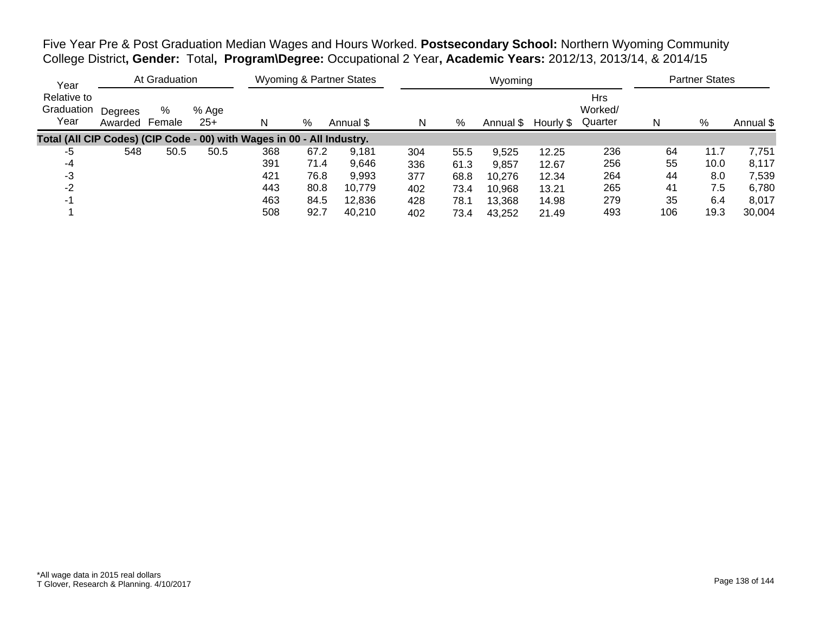Five Year Pre & Post Graduation Median Wages and Hours Worked. **Postsecondary School:** Northern Wyoming Community College District**, Gender:** Total**, Program\Degree:** Occupational 2 Year**, Academic Years:** 2012/13, 2013/14, & 2014/15

| Year                                                                   |                    | At Graduation |                |     |      | <b>Wyoming &amp; Partner States</b> |     |      | Wyoming   |           |                           |     | <b>Partner States</b> |           |
|------------------------------------------------------------------------|--------------------|---------------|----------------|-----|------|-------------------------------------|-----|------|-----------|-----------|---------------------------|-----|-----------------------|-----------|
| Relative to<br>Graduation<br>Year                                      | Degrees<br>Awarded | %<br>Female   | % Age<br>$25+$ | N   | %    | Annual \$                           | N   | ℅    | Annual \$ | Hourly \$ | Hrs<br>Worked/<br>Quarter | N   | %                     | Annual \$ |
| Total (All CIP Codes) (CIP Code - 00) with Wages in 00 - All Industry. |                    |               |                |     |      |                                     |     |      |           |           |                           |     |                       |           |
| -5                                                                     | 548                | 50.5          | 50.5           | 368 | 67.2 | 9,181                               | 304 | 55.5 | 9,525     | 12.25     | 236                       | 64  | 11.7                  | 7,751     |
| -4                                                                     |                    |               |                | 391 | 71.4 | 9,646                               | 336 | 61.3 | 9,857     | 12.67     | 256                       | 55  | 10.0                  | 8,117     |
| -3                                                                     |                    |               |                | 421 | 76.8 | 9,993                               | 377 | 68.8 | 10,276    | 12.34     | 264                       | 44  | 8.0                   | 7,539     |
| -2                                                                     |                    |               |                | 443 | 80.8 | 10,779                              | 402 | 73.4 | 10,968    | 13.21     | 265                       | 41  | 7.5                   | 6,780     |
| . .                                                                    |                    |               |                | 463 | 84.5 | 12,836                              | 428 | 78.1 | 13,368    | 14.98     | 279                       | 35  | 6.4                   | 8,017     |
|                                                                        |                    |               |                | 508 | 92.7 | 40,210                              | 402 | 73.4 | 43,252    | 21.49     | 493                       | 106 | 19.3                  | 30,004    |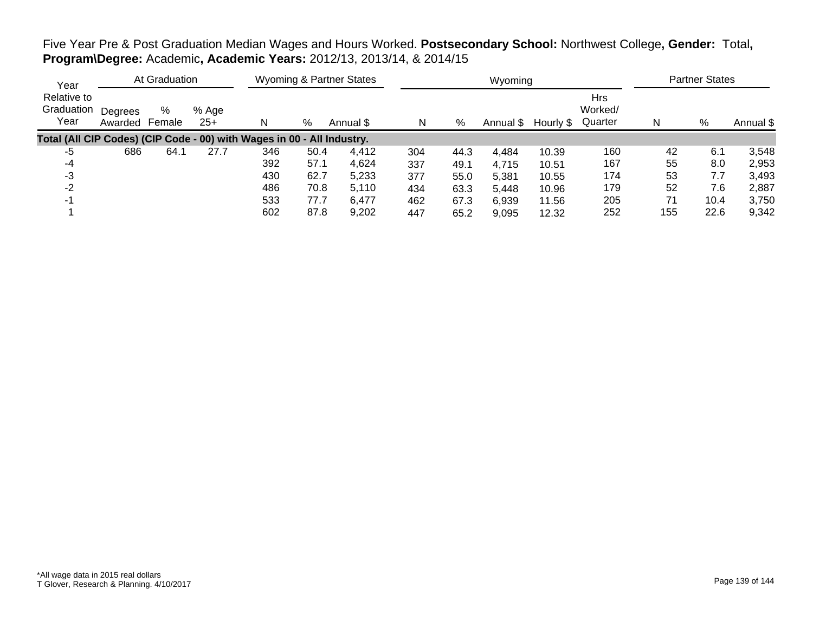## Five Year Pre & Post Graduation Median Wages and Hours Worked. **Postsecondary School:** Northwest College**, Gender:** Total**, Program\Degree:** Academic**, Academic Years:** 2012/13, 2013/14, & 2014/15

| Year                                                                   |                    | At Graduation |                |     |      | <b>Wyoming &amp; Partner States</b> |     |      | Wyoming   |           |                                  |     | <b>Partner States</b> |           |
|------------------------------------------------------------------------|--------------------|---------------|----------------|-----|------|-------------------------------------|-----|------|-----------|-----------|----------------------------------|-----|-----------------------|-----------|
| Relative to<br>Graduation<br>Year                                      | Degrees<br>Awarded | %<br>Female   | % Age<br>$25+$ | N   | %    | Annual \$                           | N   | %    | Annual \$ | Hourly \$ | <b>Hrs</b><br>Worked/<br>Quarter | N   | %                     | Annual \$ |
| Total (All CIP Codes) (CIP Code - 00) with Wages in 00 - All Industry. |                    |               |                |     |      |                                     |     |      |           |           |                                  |     |                       |           |
| -5                                                                     | 686                | 64.1          | 27.7           | 346 | 50.4 | 4.412                               | 304 | 44.3 | 4,484     | 10.39     | 160                              | 42  | 6.1                   | 3,548     |
| -4                                                                     |                    |               |                | 392 | 57.1 | 4,624                               | 337 | 49.1 | 4,715     | 10.51     | 167                              | 55  | 8.0                   | 2,953     |
| -3                                                                     |                    |               |                | 430 | 62.7 | 5,233                               | 377 | 55.0 | 5,381     | 10.55     | 174                              | 53  | 7.7                   | 3,493     |
| $-2$                                                                   |                    |               |                | 486 | 70.8 | 5,110                               | 434 | 63.3 | 5,448     | 10.96     | 179                              | 52  | 7.6                   | 2,887     |
| $-1$                                                                   |                    |               |                | 533 | 77.7 | 6,477                               | 462 | 67.3 | 6.939     | 11.56     | 205                              | 71  | 10.4                  | 3,750     |
|                                                                        |                    |               |                | 602 | 87.8 | 9,202                               | 447 | 65.2 | 9.095     | 12.32     | 252                              | 155 | 22.6                  | 9,342     |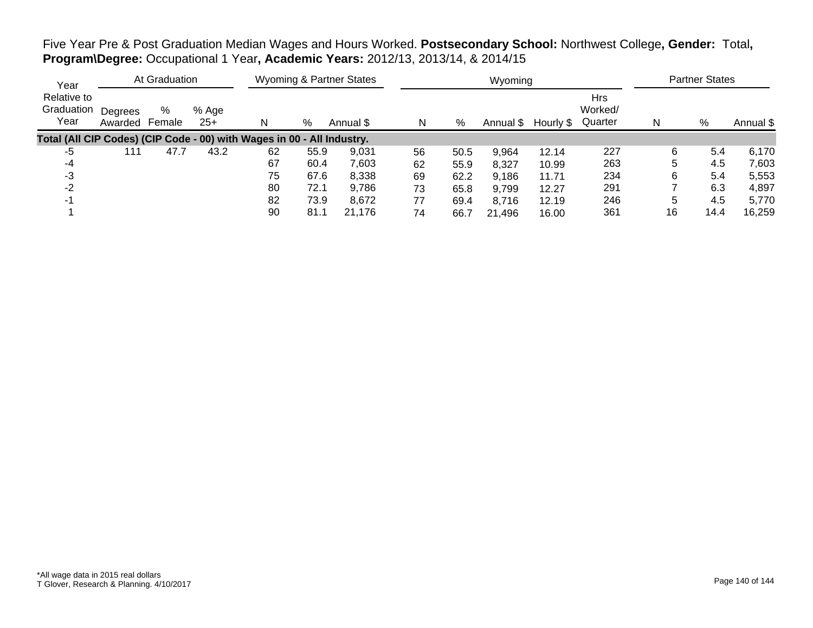Five Year Pre & Post Graduation Median Wages and Hours Worked. **Postsecondary School:** Northwest College**, Gender:** Total**, Program\Degree:** Occupational 1 Year**, Academic Years:** 2012/13, 2013/14, & 2014/15

| Year                                                                   |                    | At Graduation |                |    |      | <b>Wyoming &amp; Partner States</b> |    |      | Wyoming   |           |                                  |    | <b>Partner States</b> |           |
|------------------------------------------------------------------------|--------------------|---------------|----------------|----|------|-------------------------------------|----|------|-----------|-----------|----------------------------------|----|-----------------------|-----------|
| Relative to<br>Graduation<br>Year                                      | Degrees<br>Awarded | %<br>Female   | % Age<br>$25+$ | N  | %    | Annual \$                           | N  | %    | Annual \$ | Hourly \$ | <b>Hrs</b><br>Worked/<br>Quarter | N  | %                     | Annual \$ |
| Total (All CIP Codes) (CIP Code - 00) with Wages in 00 - All Industry. |                    |               |                |    |      |                                     |    |      |           |           |                                  |    |                       |           |
| -5                                                                     | 111                | 47.7          | 43.2           | 62 | 55.9 | 9,031                               | 56 | 50.5 | 9,964     | 12.14     | 227                              | 6  | 5.4                   | 6,170     |
| -4                                                                     |                    |               |                | 67 | 60.4 | 7,603                               | 62 | 55.9 | 8,327     | 10.99     | 263                              | 5  | 4.5                   | 7,603     |
| -3                                                                     |                    |               |                | 75 | 67.6 | 8,338                               | 69 | 62.2 | 9,186     | 11.71     | 234                              | 6  | 5.4                   | 5,553     |
| $-2$                                                                   |                    |               |                | 80 | 72.1 | 9,786                               | 73 | 65.8 | 9,799     | 12.27     | 291                              |    | 6.3                   | 4,897     |
| -1                                                                     |                    |               |                | 82 | 73.9 | 8,672                               | 77 | 69.4 | 8,716     | 12.19     | 246                              | 5  | 4.5                   | 5,770     |
|                                                                        |                    |               |                | 90 | 81.1 | 21.176                              | 74 | 66.7 | 21,496    | 16.00     | 361                              | 16 | 14.4                  | 16,259    |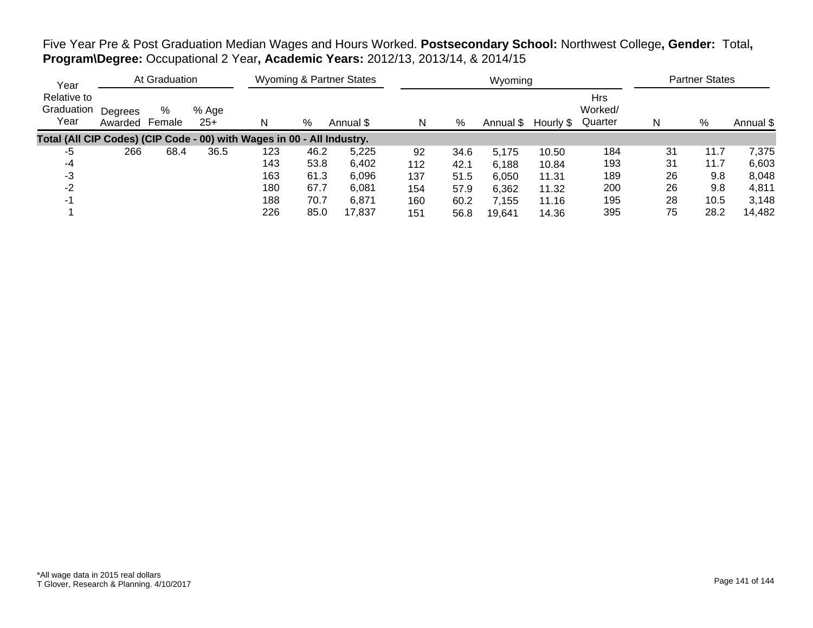Five Year Pre & Post Graduation Median Wages and Hours Worked. **Postsecondary School:** Northwest College**, Gender:** Total**, Program\Degree:** Occupational 2 Year**, Academic Years:** 2012/13, 2013/14, & 2014/15

| Year                                                                   |                    | At Graduation |                |     |      | <b>Wyoming &amp; Partner States</b> |     |      | Wyoming   |           |                                  |    | <b>Partner States</b> |           |
|------------------------------------------------------------------------|--------------------|---------------|----------------|-----|------|-------------------------------------|-----|------|-----------|-----------|----------------------------------|----|-----------------------|-----------|
| Relative to<br>Graduation<br>Year                                      | Degrees<br>Awarded | %<br>Female   | % Age<br>$25+$ | N   | %    | Annual \$                           | N   | %    | Annual \$ | Hourly \$ | <b>Hrs</b><br>Worked/<br>Quarter | N  | %                     | Annual \$ |
| Total (All CIP Codes) (CIP Code - 00) with Wages in 00 - All Industry. |                    |               |                |     |      |                                     |     |      |           |           |                                  |    |                       |           |
| -5                                                                     | 266                | 68.4          | 36.5           | 123 | 46.2 | 5,225                               | 92  | 34.6 | 5,175     | 10.50     | 184                              | 31 | 11.7                  | 7.375     |
| -4                                                                     |                    |               |                | 143 | 53.8 | 6,402                               | 112 | 42.1 | 6.188     | 10.84     | 193                              | 31 | 11.7                  | 6,603     |
| -3                                                                     |                    |               |                | 163 | 61.3 | 6,096                               | 137 | 51.5 | 6,050     | 11.31     | 189                              | 26 | 9.8                   | 8,048     |
| $-2$                                                                   |                    |               |                | 180 | 67.7 | 6,081                               | 154 | 57.9 | 6,362     | 11.32     | 200                              | 26 | 9.8                   | 4,811     |
| $-1$                                                                   |                    |               |                | 188 | 70.7 | 6,871                               | 160 | 60.2 | 7,155     | 11.16     | 195                              | 28 | 10.5                  | 3,148     |
|                                                                        |                    |               |                | 226 | 85.0 | 17.837                              | 151 | 56.8 | 19.641    | 14.36     | 395                              | 75 | 28.2                  | 14,482    |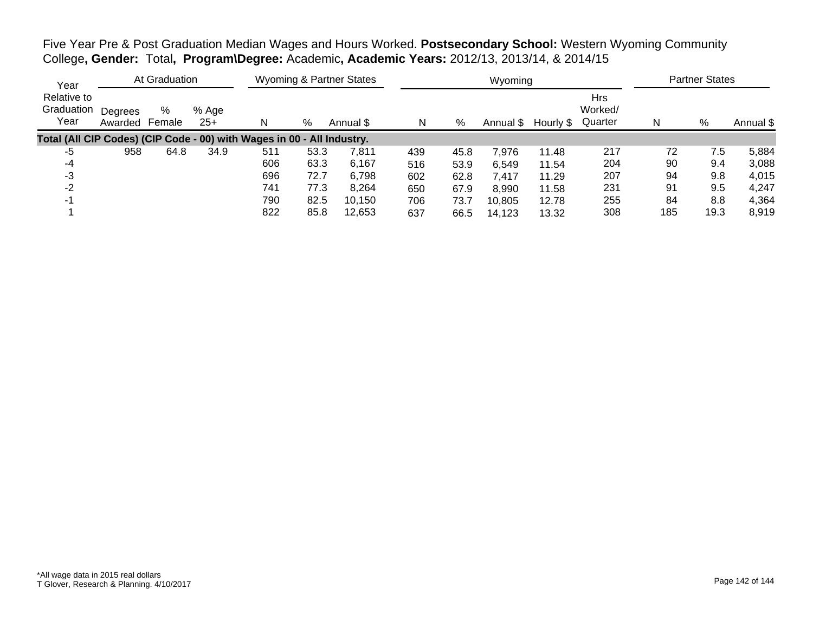Five Year Pre & Post Graduation Median Wages and Hours Worked. **Postsecondary School:** Western Wyoming Community College**, Gender:** Total**, Program\Degree:** Academic**, Academic Years:** 2012/13, 2013/14, & 2014/15

| Year                                                                   |                    | At Graduation |                |     |      | Wyoming & Partner States |     |      | Wyoming   |           |                                  |     | <b>Partner States</b> |           |
|------------------------------------------------------------------------|--------------------|---------------|----------------|-----|------|--------------------------|-----|------|-----------|-----------|----------------------------------|-----|-----------------------|-----------|
| Relative to<br>Graduation<br>Year                                      | Degrees<br>Awarded | %<br>Female   | % Age<br>$25+$ | N   | %    | Annual \$                | N   | %    | Annual \$ | Hourly \$ | <b>Hrs</b><br>Worked/<br>Quarter | N   | %                     | Annual \$ |
| Total (All CIP Codes) (CIP Code - 00) with Wages in 00 - All Industry. |                    |               |                |     |      |                          |     |      |           |           |                                  |     |                       |           |
| -5                                                                     | 958                | 64.8          | 34.9           | 511 | 53.3 | 7.811                    | 439 | 45.8 | 7.976     | 11.48     | 217                              | 72  | 7.5                   | 5,884     |
| -4                                                                     |                    |               |                | 606 | 63.3 | 6,167                    | 516 | 53.9 | 6,549     | 11.54     | 204                              | 90  | 9.4                   | 3,088     |
| -3                                                                     |                    |               |                | 696 | 72.7 | 6,798                    | 602 | 62.8 | 7,417     | 11.29     | 207                              | 94  | 9.8                   | 4,015     |
| -2                                                                     |                    |               |                | 741 | 77.3 | 8,264                    | 650 | 67.9 | 8,990     | 11.58     | 231                              | 91  | 9.5                   | 4,247     |
| -1                                                                     |                    |               |                | 790 | 82.5 | 10,150                   | 706 | 73.7 | 10,805    | 12.78     | 255                              | 84  | 8.8                   | 4,364     |
|                                                                        |                    |               |                | 822 | 85.8 | 12,653                   | 637 | 66.5 | 14,123    | 13.32     | 308                              | 185 | 19.3                  | 8,919     |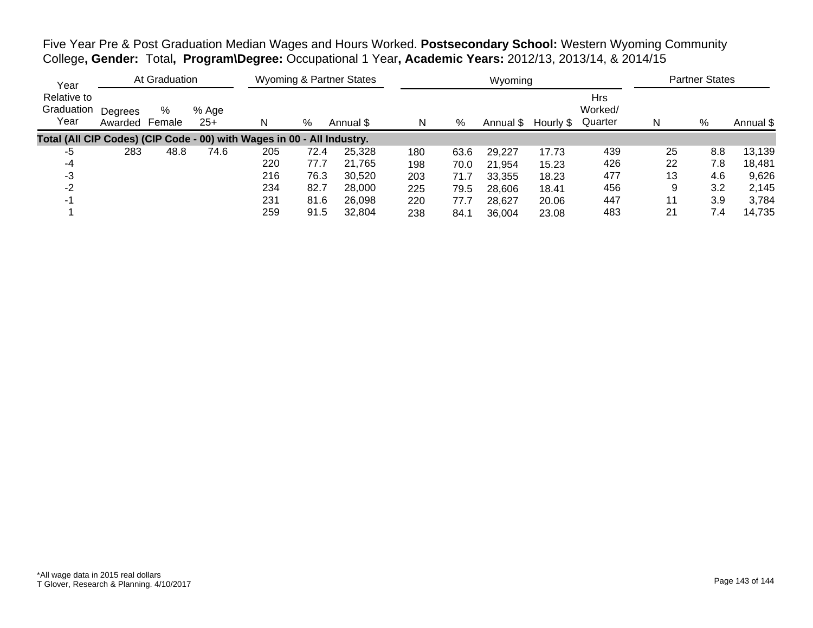Five Year Pre & Post Graduation Median Wages and Hours Worked. **Postsecondary School:** Western Wyoming Community College**, Gender:** Total**, Program\Degree:** Occupational 1 Year**, Academic Years:** 2012/13, 2013/14, & 2014/15

| Year                                                                   |                    | At Graduation |                |     |      | <b>Wyoming &amp; Partner States</b> |     |      | Wyoming   |           |                                  |    | <b>Partner States</b> |           |
|------------------------------------------------------------------------|--------------------|---------------|----------------|-----|------|-------------------------------------|-----|------|-----------|-----------|----------------------------------|----|-----------------------|-----------|
| Relative to<br>Graduation<br>Year                                      | Degrees<br>Awarded | %<br>Female   | % Age<br>$25+$ | N   | %    | Annual \$                           | N   | %    | Annual \$ | Hourly \$ | <b>Hrs</b><br>Worked/<br>Quarter |    | %                     | Annual \$ |
| Total (All CIP Codes) (CIP Code - 00) with Wages in 00 - All Industry. |                    |               |                |     |      |                                     |     |      |           |           |                                  |    |                       |           |
| -5                                                                     | 283                | 48.8          | 74.6           | 205 | 72.4 | 25,328                              | 180 | 63.6 | 29,227    | 17.73     | 439                              | 25 | 8.8                   | 13,139    |
| -4                                                                     |                    |               |                | 220 | 77.7 | 21,765                              | 198 | 70.0 | 21,954    | 15.23     | 426                              | 22 | 7.8                   | 18,481    |
| -3                                                                     |                    |               |                | 216 | 76.3 | 30,520                              | 203 | 71.7 | 33,355    | 18.23     | 477                              | 13 | 4.6                   | 9,626     |
| -2                                                                     |                    |               |                | 234 | 82.7 | 28,000                              | 225 | 79.5 | 28,606    | 18.41     | 456                              | 9  | 3.2                   | 2,145     |
|                                                                        |                    |               |                | 231 | 81.6 | 26,098                              | 220 | 77.7 | 28,627    | 20.06     | 447                              | 11 | 3.9                   | 3,784     |
|                                                                        |                    |               |                | 259 | 91.5 | 32,804                              | 238 | 84.1 | 36.004    | 23.08     | 483                              | 21 | 7.4                   | 14,735    |